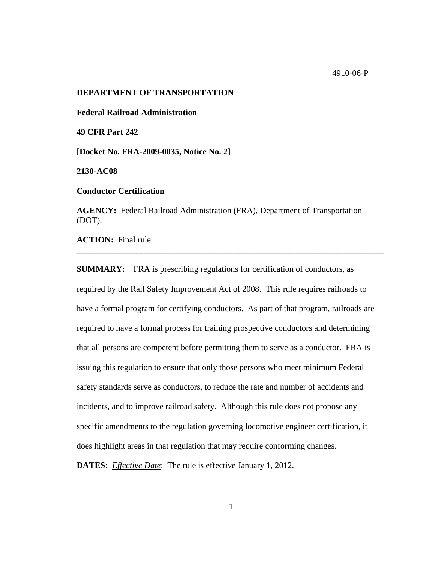### **DEPARTMENT OF TRANSPORTATION**

**Federal Railroad Administration** 

**49 CFR Part 242** 

**[Docket No. FRA**-**2009-0035, Notice No. 2]** 

**2130-AC08** 

**Conductor Certification** 

**AGENCY:** Federal Railroad Administration (FRA), Department of Transportation (DOT).

**\_\_\_\_\_\_\_\_\_\_\_\_\_\_\_\_\_\_\_\_\_\_\_\_\_\_\_\_\_\_\_\_\_\_\_\_\_\_\_\_\_\_\_\_\_\_\_\_\_\_\_\_\_\_\_\_\_\_\_\_\_\_\_\_\_\_\_\_\_\_\_\_** 

**ACTION:** Final rule.

**SUMMARY:** FRA is prescribing regulations for certification of conductors, as required by the Rail Safety Improvement Act of 2008. This rule requires railroads to have a formal program for certifying conductors. As part of that program, railroads are required to have a formal process for training prospective conductors and determining that all persons are competent before permitting them to serve as a conductor. FRA is issuing this regulation to ensure that only those persons who meet minimum Federal safety standards serve as conductors, to reduce the rate and number of accidents and incidents, and to improve railroad safety. Although this rule does not propose any specific amendments to the regulation governing locomotive engineer certification, it does highlight areas in that regulation that may require conforming changes.

**DATES:** *Effective Date*: The rule is effective January 1, 2012.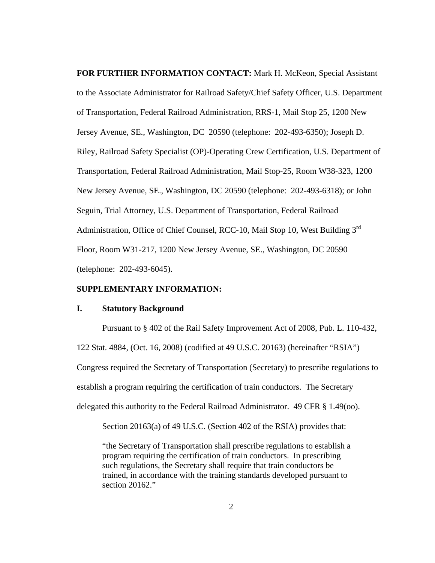**FOR FURTHER INFORMATION CONTACT:** Mark H. McKeon, Special Assistant to the Associate Administrator for Railroad Safety/Chief Safety Officer, U.S. Department of Transportation, Federal Railroad Administration, RRS-1, Mail Stop 25, 1200 New Jersey Avenue, SE., Washington, DC 20590 (telephone: 202-493-6350); Joseph D. Riley, Railroad Safety Specialist (OP)-Operating Crew Certification, U.S. Department of Transportation, Federal Railroad Administration, Mail Stop-25, Room W38-323, 1200 New Jersey Avenue, SE., Washington, DC 20590 (telephone: 202-493-6318); or John Seguin, Trial Attorney, U.S. Department of Transportation, Federal Railroad Administration, Office of Chief Counsel, RCC-10, Mail Stop 10, West Building 3<sup>rd</sup> Floor, Room W31-217, 1200 New Jersey Avenue, SE., Washington, DC 20590 (telephone: 202-493-6045).

## **SUPPLEMENTARY INFORMATION:**

### **I. Statutory Background**

Pursuant to § 402 of the Rail Safety Improvement Act of 2008, Pub. L. 110-432, 122 Stat. 4884, (Oct. 16, 2008) (codified at 49 U.S.C. 20163) (hereinafter "RSIA") Congress required the Secretary of Transportation (Secretary) to prescribe regulations to establish a program requiring the certification of train conductors. The Secretary delegated this authority to the Federal Railroad Administrator. 49 CFR § 1.49(oo).

Section 20163(a) of 49 U.S.C. (Section 402 of the RSIA) provides that:

"the Secretary of Transportation shall prescribe regulations to establish a program requiring the certification of train conductors. In prescribing such regulations, the Secretary shall require that train conductors be trained, in accordance with the training standards developed pursuant to section 20162."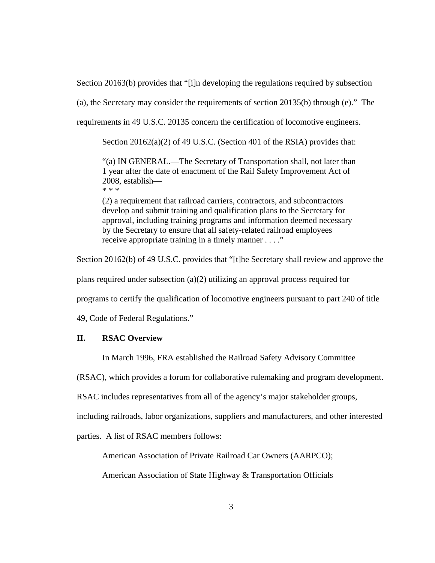Section 20163(b) provides that "[i]n developing the regulations required by subsection

(a), the Secretary may consider the requirements of section 20135(b) through (e)." The

requirements in 49 U.S.C. 20135 concern the certification of locomotive engineers.

Section 20162(a)(2) of 49 U.S.C. (Section 401 of the RSIA) provides that:

"(a) IN GENERAL.—The Secretary of Transportation shall, not later than 1 year after the date of enactment of the Rail Safety Improvement Act of 2008, establish—

\* \* \*

(2) a requirement that railroad carriers, contractors, and subcontractors develop and submit training and qualification plans to the Secretary for approval, including training programs and information deemed necessary by the Secretary to ensure that all safety-related railroad employees receive appropriate training in a timely manner . . . ."

Section 20162(b) of 49 U.S.C. provides that "[t]he Secretary shall review and approve the

plans required under subsection (a)(2) utilizing an approval process required for

programs to certify the qualification of locomotive engineers pursuant to part 240 of title

49, Code of Federal Regulations."

# **II. RSAC Overview**

In March 1996, FRA established the Railroad Safety Advisory Committee

(RSAC), which provides a forum for collaborative rulemaking and program development.

RSAC includes representatives from all of the agency's major stakeholder groups,

including railroads, labor organizations, suppliers and manufacturers, and other interested

parties. A list of RSAC members follows:

American Association of Private Railroad Car Owners (AARPCO);

American Association of State Highway & Transportation Officials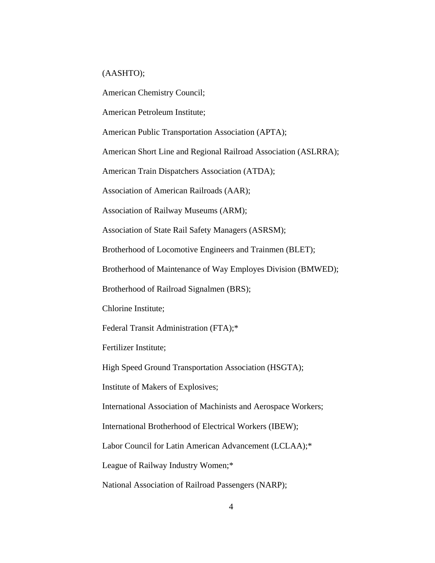### (AASHTO);

American Chemistry Council;

American Petroleum Institute;

American Public Transportation Association (APTA);

American Short Line and Regional Railroad Association (ASLRRA);

American Train Dispatchers Association (ATDA);

Association of American Railroads (AAR);

Association of Railway Museums (ARM);

Association of State Rail Safety Managers (ASRSM);

Brotherhood of Locomotive Engineers and Trainmen (BLET);

Brotherhood of Maintenance of Way Employes Division (BMWED);

Brotherhood of Railroad Signalmen (BRS);

Chlorine Institute;

Federal Transit Administration (FTA);\*

Fertilizer Institute;

High Speed Ground Transportation Association (HSGTA);

Institute of Makers of Explosives;

International Association of Machinists and Aerospace Workers;

International Brotherhood of Electrical Workers (IBEW);

Labor Council for Latin American Advancement (LCLAA);\*

League of Railway Industry Women;\*

National Association of Railroad Passengers (NARP);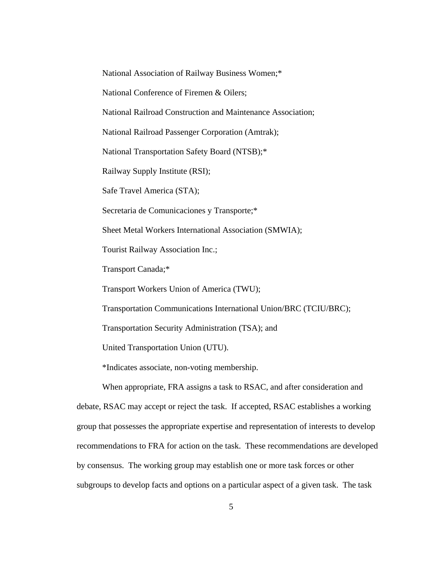National Association of Railway Business Women;\*

National Conference of Firemen & Oilers;

National Railroad Construction and Maintenance Association;

National Railroad Passenger Corporation (Amtrak);

National Transportation Safety Board (NTSB);\*

Railway Supply Institute (RSI);

Safe Travel America (STA);

Secretaria de Comunicaciones y Transporte;\*

Sheet Metal Workers International Association (SMWIA);

Tourist Railway Association Inc.;

Transport Canada;\*

Transport Workers Union of America (TWU);

Transportation Communications International Union/BRC (TCIU/BRC);

Transportation Security Administration (TSA); and

United Transportation Union (UTU).

\*Indicates associate, non-voting membership.

When appropriate, FRA assigns a task to RSAC, and after consideration and debate, RSAC may accept or reject the task. If accepted, RSAC establishes a working group that possesses the appropriate expertise and representation of interests to develop recommendations to FRA for action on the task. These recommendations are developed by consensus. The working group may establish one or more task forces or other subgroups to develop facts and options on a particular aspect of a given task. The task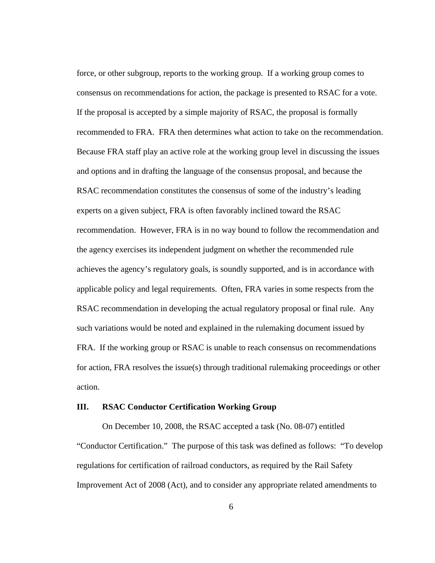force, or other subgroup, reports to the working group. If a working group comes to consensus on recommendations for action, the package is presented to RSAC for a vote. If the proposal is accepted by a simple majority of RSAC, the proposal is formally recommended to FRA. FRA then determines what action to take on the recommendation. Because FRA staff play an active role at the working group level in discussing the issues and options and in drafting the language of the consensus proposal, and because the RSAC recommendation constitutes the consensus of some of the industry's leading experts on a given subject, FRA is often favorably inclined toward the RSAC recommendation. However, FRA is in no way bound to follow the recommendation and the agency exercises its independent judgment on whether the recommended rule achieves the agency's regulatory goals, is soundly supported, and is in accordance with applicable policy and legal requirements. Often, FRA varies in some respects from the RSAC recommendation in developing the actual regulatory proposal or final rule. Any such variations would be noted and explained in the rulemaking document issued by FRA. If the working group or RSAC is unable to reach consensus on recommendations for action, FRA resolves the issue(s) through traditional rulemaking proceedings or other action.

### **III. RSAC Conductor Certification Working Group**

On December 10, 2008, the RSAC accepted a task (No. 08-07) entitled "Conductor Certification." The purpose of this task was defined as follows: "To develop regulations for certification of railroad conductors, as required by the Rail Safety Improvement Act of 2008 (Act), and to consider any appropriate related amendments to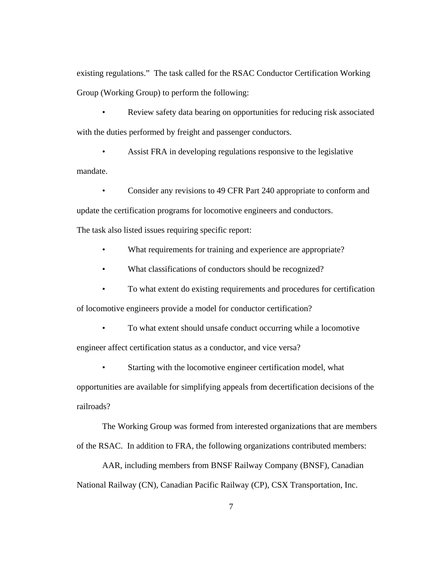existing regulations." The task called for the RSAC Conductor Certification Working Group (Working Group) to perform the following:

• Review safety data bearing on opportunities for reducing risk associated with the duties performed by freight and passenger conductors.

• Assist FRA in developing regulations responsive to the legislative mandate.

• Consider any revisions to 49 CFR Part 240 appropriate to conform and

update the certification programs for locomotive engineers and conductors.

The task also listed issues requiring specific report:

- What requirements for training and experience are appropriate?
- What classifications of conductors should be recognized?
- To what extent do existing requirements and procedures for certification

of locomotive engineers provide a model for conductor certification?

- To what extent should unsafe conduct occurring while a locomotive engineer affect certification status as a conductor, and vice versa?
	- Starting with the locomotive engineer certification model, what

opportunities are available for simplifying appeals from decertification decisions of the railroads?

The Working Group was formed from interested organizations that are members of the RSAC. In addition to FRA, the following organizations contributed members:

AAR, including members from BNSF Railway Company (BNSF), Canadian National Railway (CN), Canadian Pacific Railway (CP), CSX Transportation, Inc.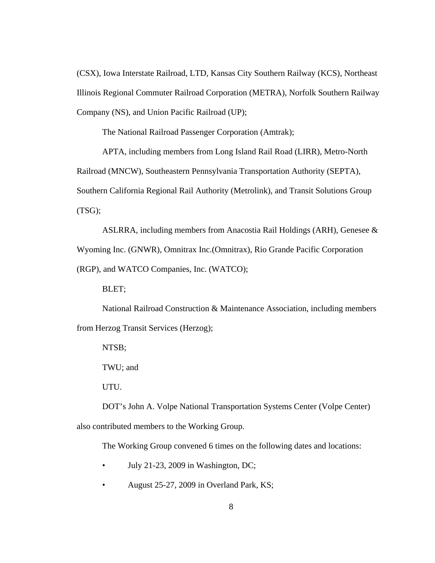(CSX), Iowa Interstate Railroad, LTD, Kansas City Southern Railway (KCS), Northeast Illinois Regional Commuter Railroad Corporation (METRA), Norfolk Southern Railway Company (NS), and Union Pacific Railroad (UP);

The National Railroad Passenger Corporation (Amtrak);

APTA, including members from Long Island Rail Road (LIRR), Metro-North Railroad (MNCW), Southeastern Pennsylvania Transportation Authority (SEPTA), Southern California Regional Rail Authority (Metrolink), and Transit Solutions Group (TSG);

ASLRRA, including members from Anacostia Rail Holdings (ARH), Genesee & Wyoming Inc. (GNWR), Omnitrax Inc.(Omnitrax), Rio Grande Pacific Corporation (RGP), and WATCO Companies, Inc. (WATCO);

BLET;

National Railroad Construction & Maintenance Association, including members from Herzog Transit Services (Herzog);

NTSB;

TWU; and

UTU.

DOT's John A. Volpe National Transportation Systems Center (Volpe Center) also contributed members to the Working Group.

The Working Group convened 6 times on the following dates and locations:

- July 21-23, 2009 in Washington, DC;
- August 25-27, 2009 in Overland Park, KS;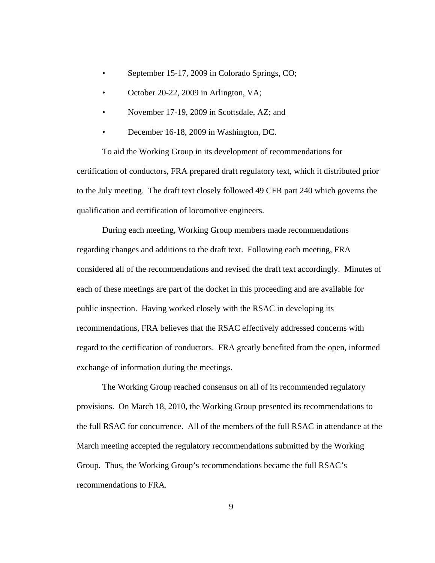- September 15-17, 2009 in Colorado Springs, CO;
- October 20-22, 2009 in Arlington, VA;
- November 17-19, 2009 in Scottsdale, AZ; and
- December 16-18, 2009 in Washington, DC.

To aid the Working Group in its development of recommendations for certification of conductors, FRA prepared draft regulatory text, which it distributed prior to the July meeting. The draft text closely followed 49 CFR part 240 which governs the qualification and certification of locomotive engineers.

During each meeting, Working Group members made recommendations regarding changes and additions to the draft text. Following each meeting, FRA considered all of the recommendations and revised the draft text accordingly. Minutes of each of these meetings are part of the docket in this proceeding and are available for public inspection. Having worked closely with the RSAC in developing its recommendations, FRA believes that the RSAC effectively addressed concerns with regard to the certification of conductors. FRA greatly benefited from the open, informed exchange of information during the meetings.

The Working Group reached consensus on all of its recommended regulatory provisions. On March 18, 2010, the Working Group presented its recommendations to the full RSAC for concurrence. All of the members of the full RSAC in attendance at the March meeting accepted the regulatory recommendations submitted by the Working Group. Thus, the Working Group's recommendations became the full RSAC's recommendations to FRA.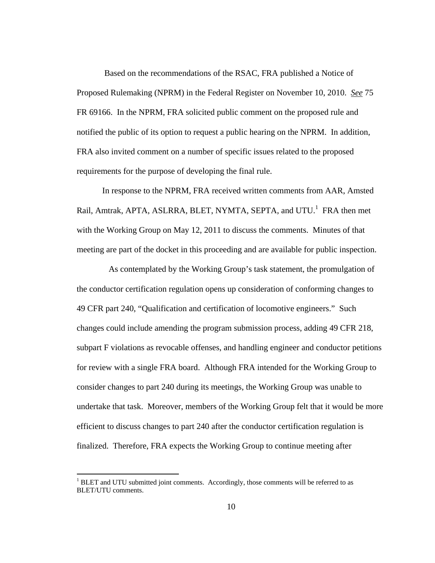Based on the recommendations of the RSAC, FRA published a Notice of Proposed Rulemaking (NPRM) in the Federal Register on November 10, 2010. *See* 75 FR 69166. In the NPRM, FRA solicited public comment on the proposed rule and notified the public of its option to request a public hearing on the NPRM. In addition, FRA also invited comment on a number of specific issues related to the proposed requirements for the purpose of developing the final rule.

In response to the NPRM, FRA received written comments from AAR, Amsted Rail, Amtrak, APTA, ASLRRA, BLET, NYMTA, SEPTA, and UTU.<sup>1</sup> FRA then met with the Working Group on May 12, 2011 to discuss the comments. Minutes of that meeting are part of the docket in this proceeding and are available for public inspection.

 As contemplated by the Working Group's task statement, the promulgation of the conductor certification regulation opens up consideration of conforming changes to 49 CFR part 240, "Qualification and certification of locomotive engineers." Such changes could include amending the program submission process, adding 49 CFR 218, subpart F violations as revocable offenses, and handling engineer and conductor petitions for review with a single FRA board. Although FRA intended for the Working Group to consider changes to part 240 during its meetings, the Working Group was unable to undertake that task. Moreover, members of the Working Group felt that it would be more efficient to discuss changes to part 240 after the conductor certification regulation is finalized. Therefore, FRA expects the Working Group to continue meeting after

 $\overline{a}$ 

 $1$  BLET and UTU submitted joint comments. Accordingly, those comments will be referred to as BLET/UTU comments.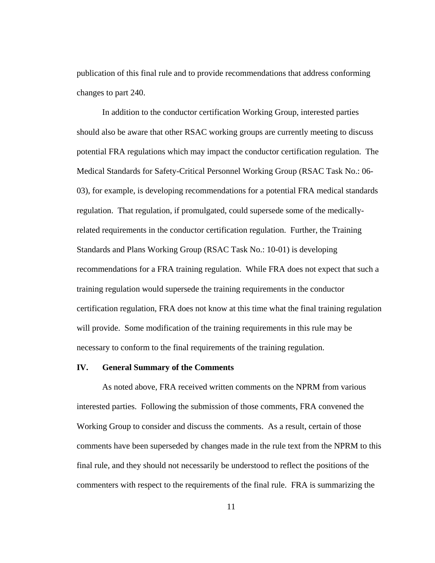publication of this final rule and to provide recommendations that address conforming changes to part 240.

 In addition to the conductor certification Working Group, interested parties should also be aware that other RSAC working groups are currently meeting to discuss potential FRA regulations which may impact the conductor certification regulation. The Medical Standards for Safety-Critical Personnel Working Group (RSAC Task No.: 06- 03), for example, is developing recommendations for a potential FRA medical standards regulation. That regulation, if promulgated, could supersede some of the medicallyrelated requirements in the conductor certification regulation. Further, the Training Standards and Plans Working Group (RSAC Task No.: 10-01) is developing recommendations for a FRA training regulation. While FRA does not expect that such a training regulation would supersede the training requirements in the conductor certification regulation, FRA does not know at this time what the final training regulation will provide. Some modification of the training requirements in this rule may be necessary to conform to the final requirements of the training regulation.

## **IV. General Summary of the Comments**

As noted above, FRA received written comments on the NPRM from various interested parties. Following the submission of those comments, FRA convened the Working Group to consider and discuss the comments. As a result, certain of those comments have been superseded by changes made in the rule text from the NPRM to this final rule, and they should not necessarily be understood to reflect the positions of the commenters with respect to the requirements of the final rule. FRA is summarizing the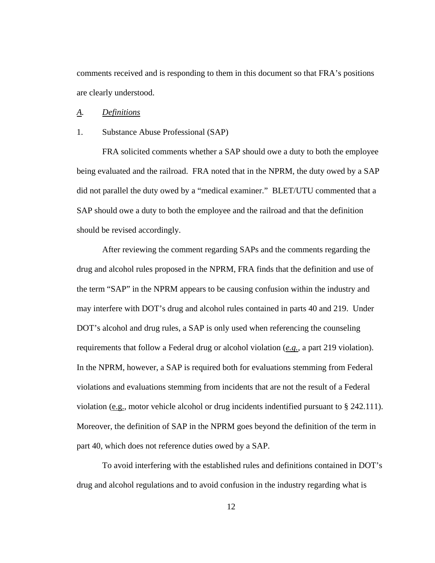comments received and is responding to them in this document so that FRA's positions are clearly understood.

### *A. Definitions*

### 1. Substance Abuse Professional (SAP)

 FRA solicited comments whether a SAP should owe a duty to both the employee being evaluated and the railroad. FRA noted that in the NPRM, the duty owed by a SAP did not parallel the duty owed by a "medical examiner." BLET/UTU commented that a SAP should owe a duty to both the employee and the railroad and that the definition should be revised accordingly.

 After reviewing the comment regarding SAPs and the comments regarding the drug and alcohol rules proposed in the NPRM, FRA finds that the definition and use of the term "SAP" in the NPRM appears to be causing confusion within the industry and may interfere with DOT's drug and alcohol rules contained in parts 40 and 219. Under DOT's alcohol and drug rules, a SAP is only used when referencing the counseling requirements that follow a Federal drug or alcohol violation (*e.g.*, a part 219 violation). In the NPRM, however, a SAP is required both for evaluations stemming from Federal violations and evaluations stemming from incidents that are not the result of a Federal violation (e.g., motor vehicle alcohol or drug incidents indentified pursuant to  $\S$  242.111). Moreover, the definition of SAP in the NPRM goes beyond the definition of the term in part 40, which does not reference duties owed by a SAP.

 To avoid interfering with the established rules and definitions contained in DOT's drug and alcohol regulations and to avoid confusion in the industry regarding what is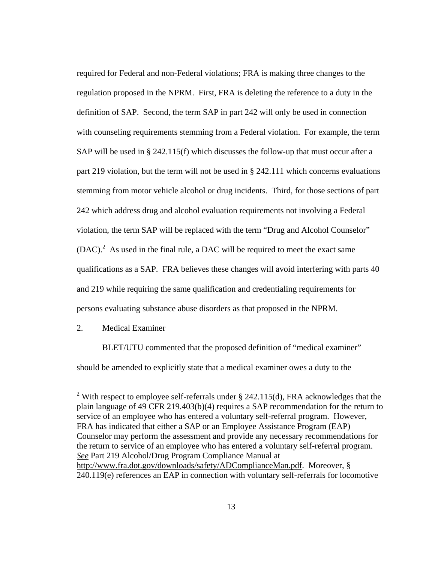required for Federal and non-Federal violations; FRA is making three changes to the regulation proposed in the NPRM. First, FRA is deleting the reference to a duty in the definition of SAP. Second, the term SAP in part 242 will only be used in connection with counseling requirements stemming from a Federal violation. For example, the term SAP will be used in § 242.115(f) which discusses the follow-up that must occur after a part 219 violation, but the term will not be used in § 242.111 which concerns evaluations stemming from motor vehicle alcohol or drug incidents. Third, for those sections of part 242 which address drug and alcohol evaluation requirements not involving a Federal violation, the term SAP will be replaced with the term "Drug and Alcohol Counselor"  $(DAC)<sup>2</sup>$  As used in the final rule, a DAC will be required to meet the exact same qualifications as a SAP. FRA believes these changes will avoid interfering with parts 40 and 219 while requiring the same qualification and credentialing requirements for persons evaluating substance abuse disorders as that proposed in the NPRM.

2. Medical Examiner

 $\overline{a}$ 

 BLET/UTU commented that the proposed definition of "medical examiner" should be amended to explicitly state that a medical examiner owes a duty to the

<sup>&</sup>lt;sup>2</sup> With respect to employee self-referrals under  $\S$  242.115(d), FRA acknowledges that the plain language of 49 CFR 219.403(b)(4) requires a SAP recommendation for the return to service of an employee who has entered a voluntary self-referral program. However, FRA has indicated that either a SAP or an Employee Assistance Program (EAP) Counselor may perform the assessment and provide any necessary recommendations for the return to service of an employee who has entered a voluntary self-referral program. *See* Part 219 Alcohol/Drug Program Compliance Manual at http://www.fra.dot.gov/downloads/safety/ADComplianceMan.pdf. Moreover, § 240.119(e) references an EAP in connection with voluntary self-referrals for locomotive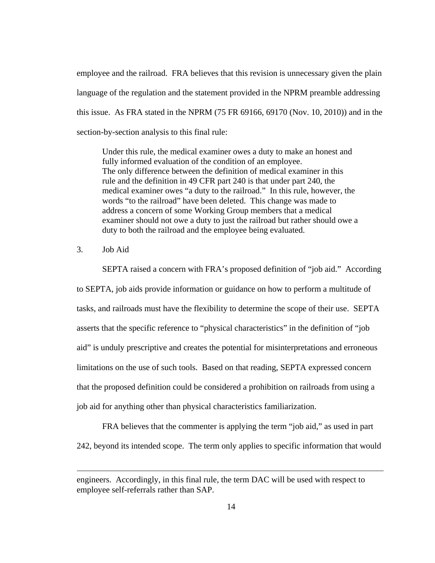employee and the railroad. FRA believes that this revision is unnecessary given the plain language of the regulation and the statement provided in the NPRM preamble addressing this issue. As FRA stated in the NPRM (75 FR 69166, 69170 (Nov. 10, 2010)) and in the section-by-section analysis to this final rule:

Under this rule, the medical examiner owes a duty to make an honest and fully informed evaluation of the condition of an employee. The only difference between the definition of medical examiner in this rule and the definition in 49 CFR part 240 is that under part 240, the medical examiner owes "a duty to the railroad." In this rule, however, the words "to the railroad" have been deleted. This change was made to address a concern of some Working Group members that a medical examiner should not owe a duty to just the railroad but rather should owe a duty to both the railroad and the employee being evaluated.

3. Job Aid

 $\overline{a}$ 

SEPTA raised a concern with FRA's proposed definition of "job aid." According to SEPTA, job aids provide information or guidance on how to perform a multitude of tasks, and railroads must have the flexibility to determine the scope of their use. SEPTA asserts that the specific reference to "physical characteristics" in the definition of "job aid" is unduly prescriptive and creates the potential for misinterpretations and erroneous limitations on the use of such tools. Based on that reading, SEPTA expressed concern that the proposed definition could be considered a prohibition on railroads from using a job aid for anything other than physical characteristics familiarization.

FRA believes that the commenter is applying the term "job aid," as used in part 242, beyond its intended scope. The term only applies to specific information that would

engineers. Accordingly, in this final rule, the term DAC will be used with respect to employee self-referrals rather than SAP.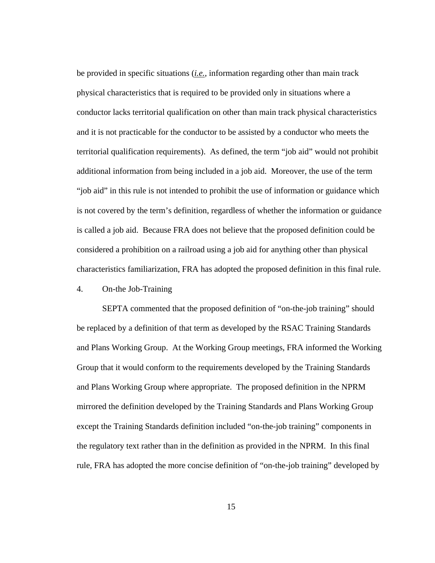be provided in specific situations (*i.e.*, information regarding other than main track physical characteristics that is required to be provided only in situations where a conductor lacks territorial qualification on other than main track physical characteristics and it is not practicable for the conductor to be assisted by a conductor who meets the territorial qualification requirements). As defined, the term "job aid" would not prohibit additional information from being included in a job aid. Moreover, the use of the term "job aid" in this rule is not intended to prohibit the use of information or guidance which is not covered by the term's definition, regardless of whether the information or guidance is called a job aid. Because FRA does not believe that the proposed definition could be considered a prohibition on a railroad using a job aid for anything other than physical characteristics familiarization, FRA has adopted the proposed definition in this final rule.

# 4. On-the Job-Training

 SEPTA commented that the proposed definition of "on-the-job training" should be replaced by a definition of that term as developed by the RSAC Training Standards and Plans Working Group. At the Working Group meetings, FRA informed the Working Group that it would conform to the requirements developed by the Training Standards and Plans Working Group where appropriate. The proposed definition in the NPRM mirrored the definition developed by the Training Standards and Plans Working Group except the Training Standards definition included "on-the-job training" components in the regulatory text rather than in the definition as provided in the NPRM. In this final rule, FRA has adopted the more concise definition of "on-the-job training" developed by

15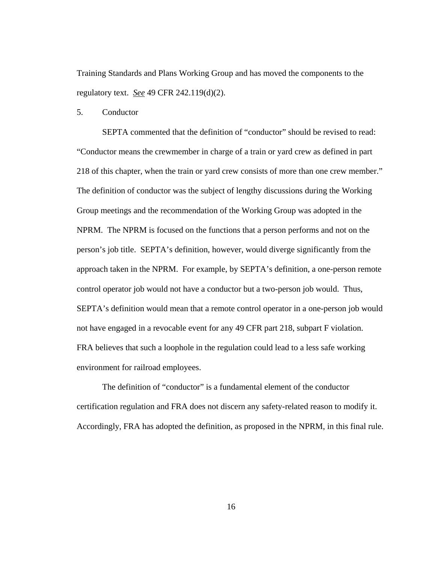Training Standards and Plans Working Group and has moved the components to the regulatory text. *See* 49 CFR 242.119(d)(2).

5. Conductor

 SEPTA commented that the definition of "conductor" should be revised to read: "Conductor means the crewmember in charge of a train or yard crew as defined in part 218 of this chapter, when the train or yard crew consists of more than one crew member." The definition of conductor was the subject of lengthy discussions during the Working Group meetings and the recommendation of the Working Group was adopted in the NPRM. The NPRM is focused on the functions that a person performs and not on the person's job title. SEPTA's definition, however, would diverge significantly from the approach taken in the NPRM. For example, by SEPTA's definition, a one-person remote control operator job would not have a conductor but a two-person job would. Thus, SEPTA's definition would mean that a remote control operator in a one-person job would not have engaged in a revocable event for any 49 CFR part 218, subpart F violation. FRA believes that such a loophole in the regulation could lead to a less safe working environment for railroad employees.

The definition of "conductor" is a fundamental element of the conductor certification regulation and FRA does not discern any safety-related reason to modify it. Accordingly, FRA has adopted the definition, as proposed in the NPRM, in this final rule.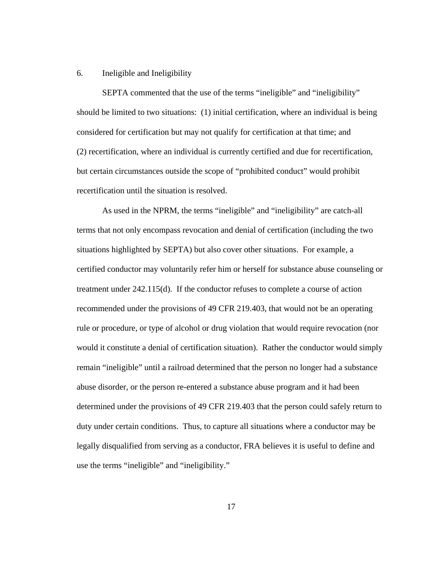## 6. Ineligible and Ineligibility

 SEPTA commented that the use of the terms "ineligible" and "ineligibility" should be limited to two situations: (1) initial certification, where an individual is being considered for certification but may not qualify for certification at that time; and (2) recertification, where an individual is currently certified and due for recertification, but certain circumstances outside the scope of "prohibited conduct" would prohibit recertification until the situation is resolved.

 As used in the NPRM, the terms "ineligible" and "ineligibility" are catch-all terms that not only encompass revocation and denial of certification (including the two situations highlighted by SEPTA) but also cover other situations. For example, a certified conductor may voluntarily refer him or herself for substance abuse counseling or treatment under 242.115(d). If the conductor refuses to complete a course of action recommended under the provisions of 49 CFR 219.403, that would not be an operating rule or procedure, or type of alcohol or drug violation that would require revocation (nor would it constitute a denial of certification situation). Rather the conductor would simply remain "ineligible" until a railroad determined that the person no longer had a substance abuse disorder, or the person re-entered a substance abuse program and it had been determined under the provisions of 49 CFR 219.403 that the person could safely return to duty under certain conditions. Thus, to capture all situations where a conductor may be legally disqualified from serving as a conductor, FRA believes it is useful to define and use the terms "ineligible" and "ineligibility."

17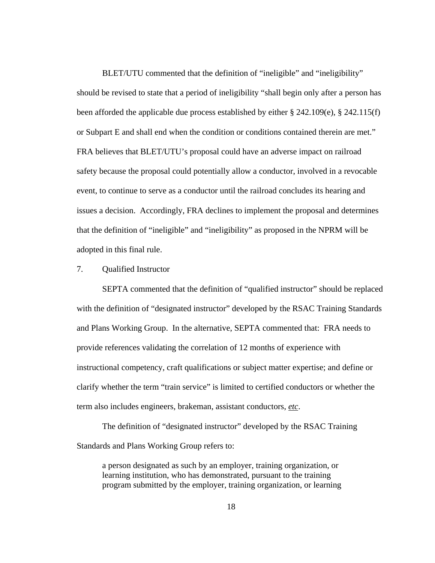BLET/UTU commented that the definition of "ineligible" and "ineligibility" should be revised to state that a period of ineligibility "shall begin only after a person has been afforded the applicable due process established by either  $\S 242.109(e)$ ,  $\S 242.115(f)$ or Subpart E and shall end when the condition or conditions contained therein are met." FRA believes that BLET/UTU's proposal could have an adverse impact on railroad safety because the proposal could potentially allow a conductor, involved in a revocable event, to continue to serve as a conductor until the railroad concludes its hearing and issues a decision. Accordingly, FRA declines to implement the proposal and determines that the definition of "ineligible" and "ineligibility" as proposed in the NPRM will be adopted in this final rule.

# 7. Qualified Instructor

SEPTA commented that the definition of "qualified instructor" should be replaced with the definition of "designated instructor" developed by the RSAC Training Standards and Plans Working Group. In the alternative, SEPTA commented that: FRA needs to provide references validating the correlation of 12 months of experience with instructional competency, craft qualifications or subject matter expertise; and define or clarify whether the term "train service" is limited to certified conductors or whether the term also includes engineers, brakeman, assistant conductors, *etc*.

 The definition of "designated instructor" developed by the RSAC Training Standards and Plans Working Group refers to:

a person designated as such by an employer, training organization, or learning institution, who has demonstrated, pursuant to the training program submitted by the employer, training organization, or learning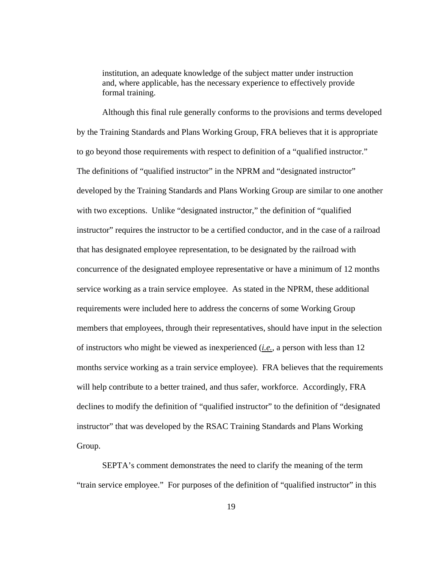institution, an adequate knowledge of the subject matter under instruction and, where applicable, has the necessary experience to effectively provide formal training.

 Although this final rule generally conforms to the provisions and terms developed by the Training Standards and Plans Working Group, FRA believes that it is appropriate to go beyond those requirements with respect to definition of a "qualified instructor." The definitions of "qualified instructor" in the NPRM and "designated instructor" developed by the Training Standards and Plans Working Group are similar to one another with two exceptions. Unlike "designated instructor," the definition of "qualified" instructor" requires the instructor to be a certified conductor, and in the case of a railroad that has designated employee representation, to be designated by the railroad with concurrence of the designated employee representative or have a minimum of 12 months service working as a train service employee. As stated in the NPRM, these additional requirements were included here to address the concerns of some Working Group members that employees, through their representatives, should have input in the selection of instructors who might be viewed as inexperienced (*i.e.*, a person with less than 12 months service working as a train service employee). FRA believes that the requirements will help contribute to a better trained, and thus safer, workforce. Accordingly, FRA declines to modify the definition of "qualified instructor" to the definition of "designated instructor" that was developed by the RSAC Training Standards and Plans Working Group.

 SEPTA's comment demonstrates the need to clarify the meaning of the term "train service employee." For purposes of the definition of "qualified instructor" in this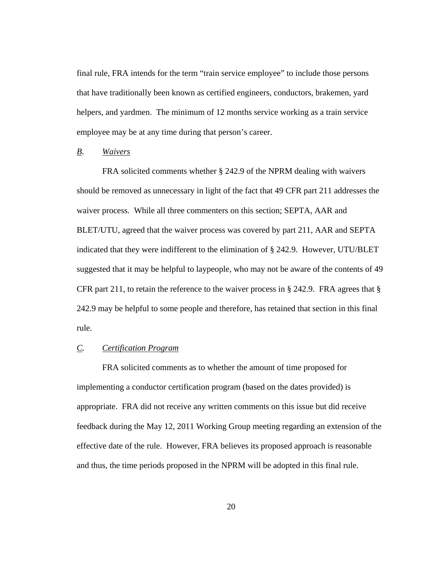final rule, FRA intends for the term "train service employee" to include those persons that have traditionally been known as certified engineers, conductors, brakemen, yard helpers, and yardmen. The minimum of 12 months service working as a train service employee may be at any time during that person's career.

# *B*. *Waivers*

 FRA solicited comments whether § 242.9 of the NPRM dealing with waivers should be removed as unnecessary in light of the fact that 49 CFR part 211 addresses the waiver process. While all three commenters on this section; SEPTA, AAR and BLET/UTU, agreed that the waiver process was covered by part 211, AAR and SEPTA indicated that they were indifferent to the elimination of § 242.9. However, UTU/BLET suggested that it may be helpful to laypeople, who may not be aware of the contents of 49 CFR part 211, to retain the reference to the waiver process in § 242.9. FRA agrees that § 242.9 may be helpful to some people and therefore, has retained that section in this final rule.

# *C. Certification Program*

 FRA solicited comments as to whether the amount of time proposed for implementing a conductor certification program (based on the dates provided) is appropriate. FRA did not receive any written comments on this issue but did receive feedback during the May 12, 2011 Working Group meeting regarding an extension of the effective date of the rule. However, FRA believes its proposed approach is reasonable and thus, the time periods proposed in the NPRM will be adopted in this final rule.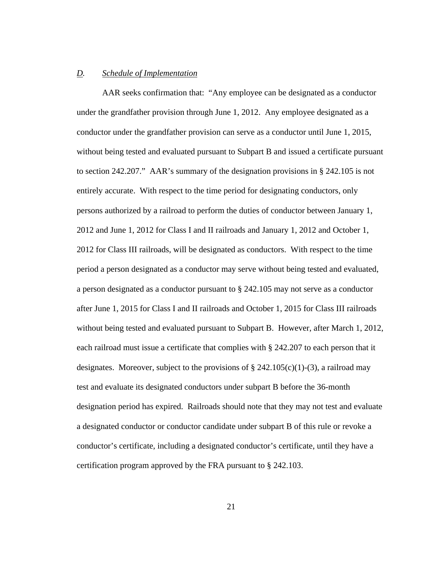### *D. Schedule of Implementation*

AAR seeks confirmation that: "Any employee can be designated as a conductor under the grandfather provision through June 1, 2012. Any employee designated as a conductor under the grandfather provision can serve as a conductor until June 1, 2015, without being tested and evaluated pursuant to Subpart B and issued a certificate pursuant to section 242.207." AAR's summary of the designation provisions in § 242.105 is not entirely accurate. With respect to the time period for designating conductors, only persons authorized by a railroad to perform the duties of conductor between January 1, 2012 and June 1, 2012 for Class I and II railroads and January 1, 2012 and October 1, 2012 for Class III railroads, will be designated as conductors. With respect to the time period a person designated as a conductor may serve without being tested and evaluated, a person designated as a conductor pursuant to § 242.105 may not serve as a conductor after June 1, 2015 for Class I and II railroads and October 1, 2015 for Class III railroads without being tested and evaluated pursuant to Subpart B. However, after March 1, 2012, each railroad must issue a certificate that complies with § 242.207 to each person that it designates. Moreover, subject to the provisions of  $\S$  242.105(c)(1)-(3), a railroad may test and evaluate its designated conductors under subpart B before the 36-month designation period has expired. Railroads should note that they may not test and evaluate a designated conductor or conductor candidate under subpart B of this rule or revoke a conductor's certificate, including a designated conductor's certificate, until they have a certification program approved by the FRA pursuant to § 242.103.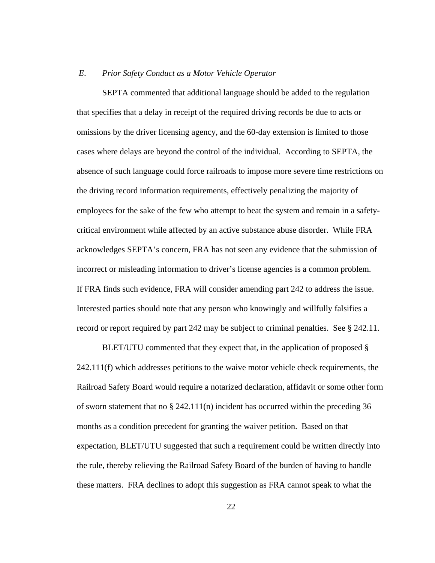### *E*. *Prior Safety Conduct as a Motor Vehicle Operator*

 SEPTA commented that additional language should be added to the regulation that specifies that a delay in receipt of the required driving records be due to acts or omissions by the driver licensing agency, and the 60-day extension is limited to those cases where delays are beyond the control of the individual. According to SEPTA, the absence of such language could force railroads to impose more severe time restrictions on the driving record information requirements, effectively penalizing the majority of employees for the sake of the few who attempt to beat the system and remain in a safetycritical environment while affected by an active substance abuse disorder. While FRA acknowledges SEPTA's concern, FRA has not seen any evidence that the submission of incorrect or misleading information to driver's license agencies is a common problem. If FRA finds such evidence, FRA will consider amending part 242 to address the issue. Interested parties should note that any person who knowingly and willfully falsifies a record or report required by part 242 may be subject to criminal penalties. See § 242.11.

BLET/UTU commented that they expect that, in the application of proposed § 242.111(f) which addresses petitions to the waive motor vehicle check requirements, the Railroad Safety Board would require a notarized declaration, affidavit or some other form of sworn statement that no § 242.111(n) incident has occurred within the preceding 36 months as a condition precedent for granting the waiver petition. Based on that expectation, BLET/UTU suggested that such a requirement could be written directly into the rule, thereby relieving the Railroad Safety Board of the burden of having to handle these matters. FRA declines to adopt this suggestion as FRA cannot speak to what the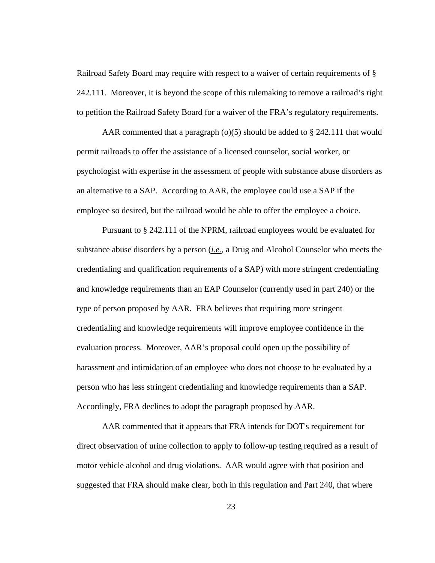Railroad Safety Board may require with respect to a waiver of certain requirements of § 242.111. Moreover, it is beyond the scope of this rulemaking to remove a railroad's right to petition the Railroad Safety Board for a waiver of the FRA's regulatory requirements.

AAR commented that a paragraph ( $o(5)$  should be added to § 242.111 that would permit railroads to offer the assistance of a licensed counselor, social worker, or psychologist with expertise in the assessment of people with substance abuse disorders as an alternative to a SAP. According to AAR, the employee could use a SAP if the employee so desired, but the railroad would be able to offer the employee a choice.

Pursuant to § 242.111 of the NPRM, railroad employees would be evaluated for substance abuse disorders by a person (*i.e.*, a Drug and Alcohol Counselor who meets the credentialing and qualification requirements of a SAP) with more stringent credentialing and knowledge requirements than an EAP Counselor (currently used in part 240) or the type of person proposed by AAR. FRA believes that requiring more stringent credentialing and knowledge requirements will improve employee confidence in the evaluation process. Moreover, AAR's proposal could open up the possibility of harassment and intimidation of an employee who does not choose to be evaluated by a person who has less stringent credentialing and knowledge requirements than a SAP. Accordingly, FRA declines to adopt the paragraph proposed by AAR.

AAR commented that it appears that FRA intends for DOT's requirement for direct observation of urine collection to apply to follow-up testing required as a result of motor vehicle alcohol and drug violations. AAR would agree with that position and suggested that FRA should make clear, both in this regulation and Part 240, that where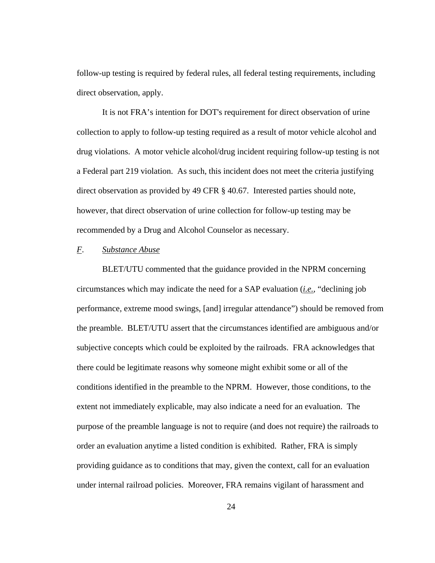follow-up testing is required by federal rules, all federal testing requirements, including direct observation, apply.

It is not FRA's intention for DOT's requirement for direct observation of urine collection to apply to follow-up testing required as a result of motor vehicle alcohol and drug violations. A motor vehicle alcohol/drug incident requiring follow-up testing is not a Federal part 219 violation. As such, this incident does not meet the criteria justifying direct observation as provided by 49 CFR § 40.67. Interested parties should note, however, that direct observation of urine collection for follow-up testing may be recommended by a Drug and Alcohol Counselor as necessary.

# *F*. *Substance Abuse*

 BLET/UTU commented that the guidance provided in the NPRM concerning circumstances which may indicate the need for a SAP evaluation (*i.e.*, "declining job performance, extreme mood swings, [and] irregular attendance") should be removed from the preamble. BLET/UTU assert that the circumstances identified are ambiguous and/or subjective concepts which could be exploited by the railroads. FRA acknowledges that there could be legitimate reasons why someone might exhibit some or all of the conditions identified in the preamble to the NPRM. However, those conditions, to the extent not immediately explicable, may also indicate a need for an evaluation. The purpose of the preamble language is not to require (and does not require) the railroads to order an evaluation anytime a listed condition is exhibited. Rather, FRA is simply providing guidance as to conditions that may, given the context, call for an evaluation under internal railroad policies. Moreover, FRA remains vigilant of harassment and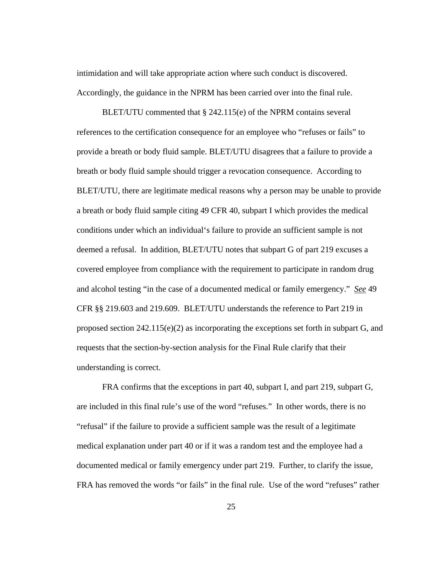intimidation and will take appropriate action where such conduct is discovered. Accordingly, the guidance in the NPRM has been carried over into the final rule.

 BLET/UTU commented that § 242.115(e) of the NPRM contains several references to the certification consequence for an employee who "refuses or fails" to provide a breath or body fluid sample. BLET/UTU disagrees that a failure to provide a breath or body fluid sample should trigger a revocation consequence. According to BLET/UTU, there are legitimate medical reasons why a person may be unable to provide a breath or body fluid sample citing 49 CFR 40, subpart I which provides the medical conditions under which an individual's failure to provide an sufficient sample is not deemed a refusal. In addition, BLET/UTU notes that subpart G of part 219 excuses a covered employee from compliance with the requirement to participate in random drug and alcohol testing "in the case of a documented medical or family emergency." *See* 49 CFR §§ 219.603 and 219.609. BLET/UTU understands the reference to Part 219 in proposed section  $242.115(e)(2)$  as incorporating the exceptions set forth in subpart G, and requests that the section-by-section analysis for the Final Rule clarify that their understanding is correct.

FRA confirms that the exceptions in part 40, subpart I, and part 219, subpart G, are included in this final rule's use of the word "refuses." In other words, there is no "refusal" if the failure to provide a sufficient sample was the result of a legitimate medical explanation under part 40 or if it was a random test and the employee had a documented medical or family emergency under part 219. Further, to clarify the issue, FRA has removed the words "or fails" in the final rule. Use of the word "refuses" rather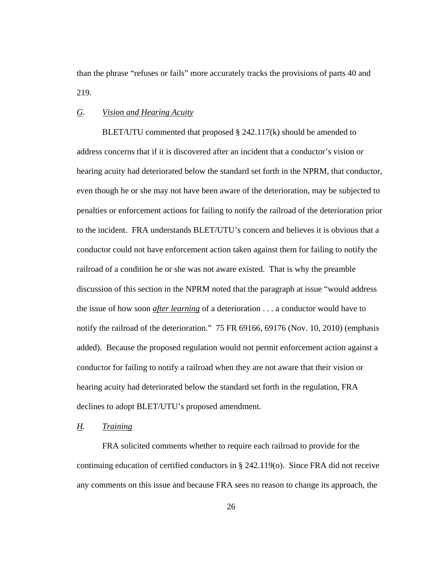than the phrase "refuses or fails" more accurately tracks the provisions of parts 40 and 219.

# *G*. *Vision and Hearing Acuity*

BLET/UTU commented that proposed  $\S$  242.117(k) should be amended to address concerns that if it is discovered after an incident that a conductor's vision or hearing acuity had deteriorated below the standard set forth in the NPRM, that conductor, even though he or she may not have been aware of the deterioration, may be subjected to penalties or enforcement actions for failing to notify the railroad of the deterioration prior to the incident. FRA understands BLET/UTU's concern and believes it is obvious that a conductor could not have enforcement action taken against them for failing to notify the railroad of a condition he or she was not aware existed. That is why the preamble discussion of this section in the NPRM noted that the paragraph at issue "would address the issue of how soon *after learning* of a deterioration . . . a conductor would have to notify the railroad of the deterioration." 75 FR 69166, 69176 (Nov. 10, 2010) (emphasis added). Because the proposed regulation would not permit enforcement action against a conductor for failing to notify a railroad when they are not aware that their vision or hearing acuity had deteriorated below the standard set forth in the regulation, FRA declines to adopt BLET/UTU's proposed amendment.

# *H*. *Training*

 FRA solicited comments whether to require each railroad to provide for the continuing education of certified conductors in § 242.119(o). Since FRA did not receive any comments on this issue and because FRA sees no reason to change its approach, the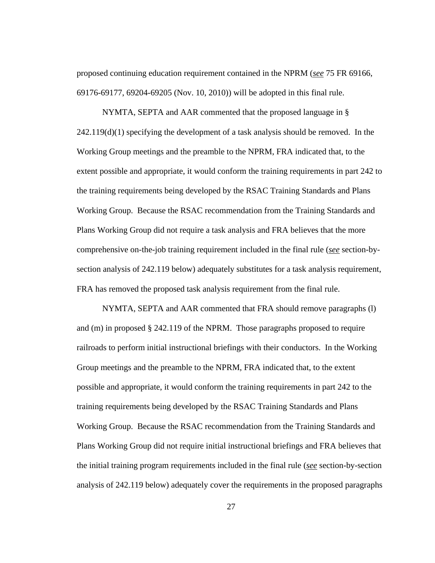proposed continuing education requirement contained in the NPRM (*see* 75 FR 69166, 69176-69177, 69204-69205 (Nov. 10, 2010)) will be adopted in this final rule.

 NYMTA, SEPTA and AAR commented that the proposed language in §  $242.119(d)(1)$  specifying the development of a task analysis should be removed. In the Working Group meetings and the preamble to the NPRM, FRA indicated that, to the extent possible and appropriate, it would conform the training requirements in part 242 to the training requirements being developed by the RSAC Training Standards and Plans Working Group. Because the RSAC recommendation from the Training Standards and Plans Working Group did not require a task analysis and FRA believes that the more comprehensive on-the-job training requirement included in the final rule (*see* section-bysection analysis of 242.119 below) adequately substitutes for a task analysis requirement, FRA has removed the proposed task analysis requirement from the final rule.

 NYMTA, SEPTA and AAR commented that FRA should remove paragraphs (l) and (m) in proposed § 242.119 of the NPRM. Those paragraphs proposed to require railroads to perform initial instructional briefings with their conductors. In the Working Group meetings and the preamble to the NPRM, FRA indicated that, to the extent possible and appropriate, it would conform the training requirements in part 242 to the training requirements being developed by the RSAC Training Standards and Plans Working Group. Because the RSAC recommendation from the Training Standards and Plans Working Group did not require initial instructional briefings and FRA believes that the initial training program requirements included in the final rule (*see* section-by-section analysis of 242.119 below) adequately cover the requirements in the proposed paragraphs

27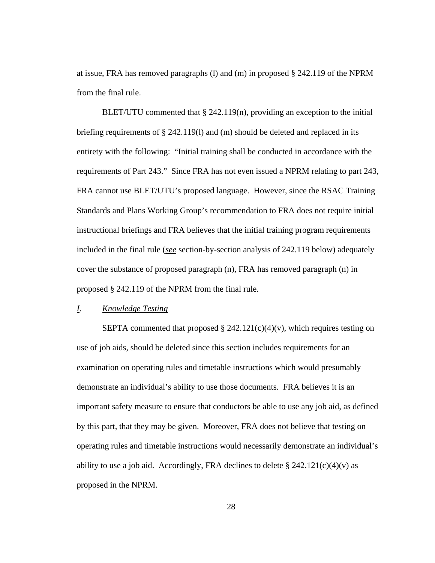at issue, FRA has removed paragraphs (1) and (m) in proposed  $\S 242.119$  of the NPRM from the final rule.

BLET/UTU commented that  $\S$  242.119(n), providing an exception to the initial briefing requirements of  $\S$  242.119(1) and (m) should be deleted and replaced in its entirety with the following: "Initial training shall be conducted in accordance with the requirements of Part 243." Since FRA has not even issued a NPRM relating to part 243, FRA cannot use BLET/UTU's proposed language. However, since the RSAC Training Standards and Plans Working Group's recommendation to FRA does not require initial instructional briefings and FRA believes that the initial training program requirements included in the final rule (*see* section-by-section analysis of 242.119 below) adequately cover the substance of proposed paragraph (n), FRA has removed paragraph (n) in proposed § 242.119 of the NPRM from the final rule.

# *I. Knowledge Testing*

SEPTA commented that proposed  $\S$  242.121(c)(4)(v), which requires testing on use of job aids, should be deleted since this section includes requirements for an examination on operating rules and timetable instructions which would presumably demonstrate an individual's ability to use those documents. FRA believes it is an important safety measure to ensure that conductors be able to use any job aid, as defined by this part, that they may be given. Moreover, FRA does not believe that testing on operating rules and timetable instructions would necessarily demonstrate an individual's ability to use a job aid. Accordingly, FRA declines to delete  $\S 242.121(c)(4)(v)$  as proposed in the NPRM.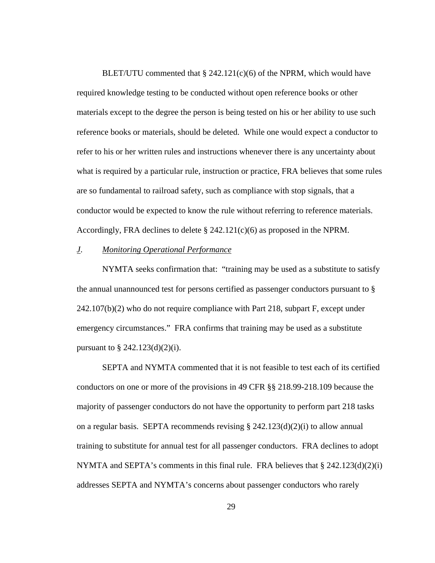BLET/UTU commented that  $\S$  242.121(c)(6) of the NPRM, which would have required knowledge testing to be conducted without open reference books or other materials except to the degree the person is being tested on his or her ability to use such reference books or materials, should be deleted. While one would expect a conductor to refer to his or her written rules and instructions whenever there is any uncertainty about what is required by a particular rule, instruction or practice, FRA believes that some rules are so fundamental to railroad safety, such as compliance with stop signals, that a conductor would be expected to know the rule without referring to reference materials. Accordingly, FRA declines to delete  $\S$  242.121(c)(6) as proposed in the NPRM.

# *J*. *Monitoring Operational Performance*

 NYMTA seeks confirmation that: "training may be used as a substitute to satisfy the annual unannounced test for persons certified as passenger conductors pursuant to §  $242.107(b)(2)$  who do not require compliance with Part 218, subpart F, except under emergency circumstances." FRA confirms that training may be used as a substitute pursuant to  $\S 242.123(d)(2)(i)$ .

 SEPTA and NYMTA commented that it is not feasible to test each of its certified conductors on one or more of the provisions in 49 CFR §§ 218.99-218.109 because the majority of passenger conductors do not have the opportunity to perform part 218 tasks on a regular basis. SEPTA recommends revising  $\S 242.123(d)(2)(i)$  to allow annual training to substitute for annual test for all passenger conductors. FRA declines to adopt NYMTA and SEPTA's comments in this final rule. FRA believes that § 242.123(d)(2)(i) addresses SEPTA and NYMTA's concerns about passenger conductors who rarely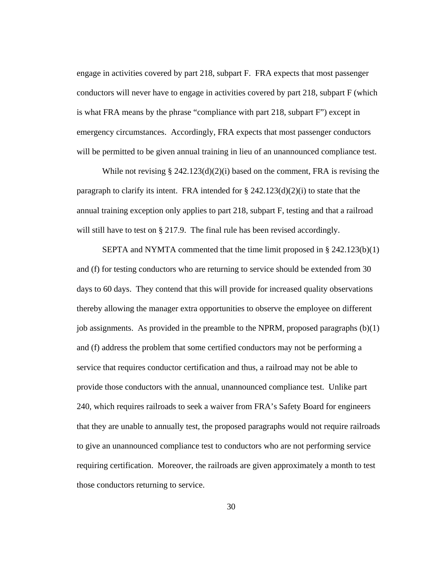engage in activities covered by part 218, subpart F. FRA expects that most passenger conductors will never have to engage in activities covered by part 218, subpart F (which is what FRA means by the phrase "compliance with part 218, subpart F") except in emergency circumstances. Accordingly, FRA expects that most passenger conductors will be permitted to be given annual training in lieu of an unannounced compliance test.

While not revising  $\S 242.123(d)(2)(i)$  based on the comment, FRA is revising the paragraph to clarify its intent. FRA intended for  $\S 242.123(d)(2)(i)$  to state that the annual training exception only applies to part 218, subpart F, testing and that a railroad will still have to test on § 217.9. The final rule has been revised accordingly.

SEPTA and NYMTA commented that the time limit proposed in § 242.123(b)(1) and (f) for testing conductors who are returning to service should be extended from 30 days to 60 days. They contend that this will provide for increased quality observations thereby allowing the manager extra opportunities to observe the employee on different job assignments. As provided in the preamble to the NPRM, proposed paragraphs (b)(1) and (f) address the problem that some certified conductors may not be performing a service that requires conductor certification and thus, a railroad may not be able to provide those conductors with the annual, unannounced compliance test. Unlike part 240, which requires railroads to seek a waiver from FRA's Safety Board for engineers that they are unable to annually test, the proposed paragraphs would not require railroads to give an unannounced compliance test to conductors who are not performing service requiring certification. Moreover, the railroads are given approximately a month to test those conductors returning to service.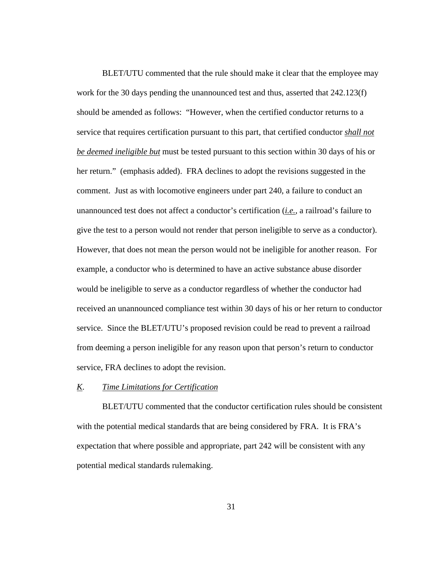BLET/UTU commented that the rule should make it clear that the employee may work for the 30 days pending the unannounced test and thus, asserted that 242.123(f) should be amended as follows: "However, when the certified conductor returns to a service that requires certification pursuant to this part, that certified conductor *shall not be deemed ineligible but* must be tested pursuant to this section within 30 days of his or her return." (emphasis added). FRA declines to adopt the revisions suggested in the comment. Just as with locomotive engineers under part 240, a failure to conduct an unannounced test does not affect a conductor's certification (*i.e.*, a railroad's failure to give the test to a person would not render that person ineligible to serve as a conductor). However, that does not mean the person would not be ineligible for another reason. For example, a conductor who is determined to have an active substance abuse disorder would be ineligible to serve as a conductor regardless of whether the conductor had received an unannounced compliance test within 30 days of his or her return to conductor service. Since the BLET/UTU's proposed revision could be read to prevent a railroad from deeming a person ineligible for any reason upon that person's return to conductor service, FRA declines to adopt the revision.

# *K*. *Time Limitations for Certification*

BLET/UTU commented that the conductor certification rules should be consistent with the potential medical standards that are being considered by FRA. It is FRA's expectation that where possible and appropriate, part 242 will be consistent with any potential medical standards rulemaking.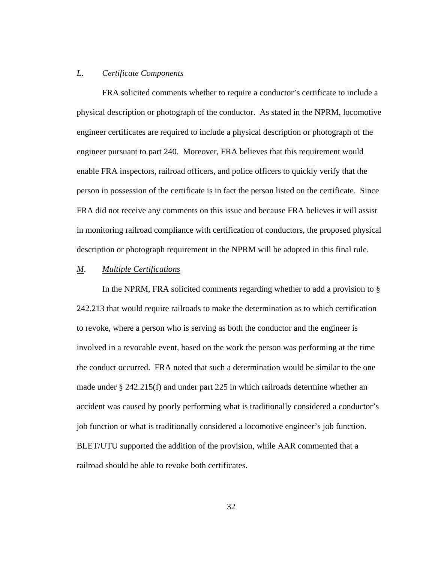### *L*. *Certificate Components*

 FRA solicited comments whether to require a conductor's certificate to include a physical description or photograph of the conductor. As stated in the NPRM, locomotive engineer certificates are required to include a physical description or photograph of the engineer pursuant to part 240. Moreover, FRA believes that this requirement would enable FRA inspectors, railroad officers, and police officers to quickly verify that the person in possession of the certificate is in fact the person listed on the certificate. Since FRA did not receive any comments on this issue and because FRA believes it will assist in monitoring railroad compliance with certification of conductors, the proposed physical description or photograph requirement in the NPRM will be adopted in this final rule.

# *M*. *Multiple Certifications*

In the NPRM, FRA solicited comments regarding whether to add a provision to  $\S$ 242.213 that would require railroads to make the determination as to which certification to revoke, where a person who is serving as both the conductor and the engineer is involved in a revocable event, based on the work the person was performing at the time the conduct occurred. FRA noted that such a determination would be similar to the one made under § 242.215(f) and under part 225 in which railroads determine whether an accident was caused by poorly performing what is traditionally considered a conductor's job function or what is traditionally considered a locomotive engineer's job function. BLET/UTU supported the addition of the provision, while AAR commented that a railroad should be able to revoke both certificates.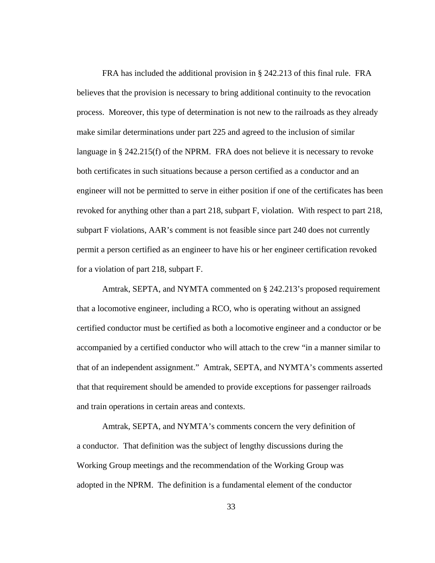FRA has included the additional provision in § 242.213 of this final rule. FRA believes that the provision is necessary to bring additional continuity to the revocation process. Moreover, this type of determination is not new to the railroads as they already make similar determinations under part 225 and agreed to the inclusion of similar language in § 242.215(f) of the NPRM. FRA does not believe it is necessary to revoke both certificates in such situations because a person certified as a conductor and an engineer will not be permitted to serve in either position if one of the certificates has been revoked for anything other than a part 218, subpart F, violation. With respect to part 218, subpart F violations, AAR's comment is not feasible since part 240 does not currently permit a person certified as an engineer to have his or her engineer certification revoked for a violation of part 218, subpart F.

Amtrak, SEPTA, and NYMTA commented on § 242.213's proposed requirement that a locomotive engineer, including a RCO, who is operating without an assigned certified conductor must be certified as both a locomotive engineer and a conductor or be accompanied by a certified conductor who will attach to the crew "in a manner similar to that of an independent assignment." Amtrak, SEPTA, and NYMTA's comments asserted that that requirement should be amended to provide exceptions for passenger railroads and train operations in certain areas and contexts.

 Amtrak, SEPTA, and NYMTA's comments concern the very definition of a conductor. That definition was the subject of lengthy discussions during the Working Group meetings and the recommendation of the Working Group was adopted in the NPRM. The definition is a fundamental element of the conductor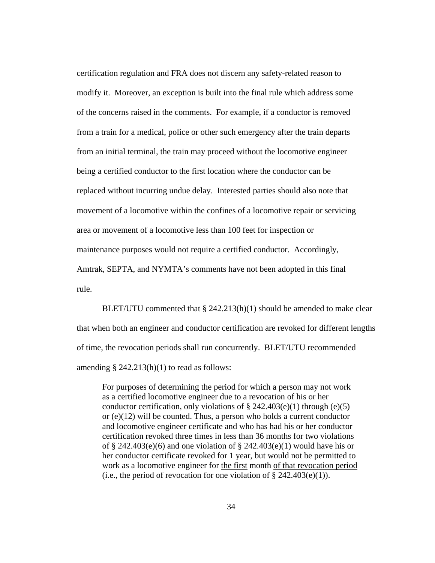certification regulation and FRA does not discern any safety-related reason to modify it. Moreover, an exception is built into the final rule which address some of the concerns raised in the comments. For example, if a conductor is removed from a train for a medical, police or other such emergency after the train departs from an initial terminal, the train may proceed without the locomotive engineer being a certified conductor to the first location where the conductor can be replaced without incurring undue delay. Interested parties should also note that movement of a locomotive within the confines of a locomotive repair or servicing area or movement of a locomotive less than 100 feet for inspection or maintenance purposes would not require a certified conductor. Accordingly, Amtrak, SEPTA, and NYMTA's comments have not been adopted in this final rule.

BLET/UTU commented that  $\S$  242.213(h)(1) should be amended to make clear that when both an engineer and conductor certification are revoked for different lengths of time, the revocation periods shall run concurrently. BLET/UTU recommended amending  $\S$  242.213(h)(1) to read as follows:

For purposes of determining the period for which a person may not work as a certified locomotive engineer due to a revocation of his or her conductor certification, only violations of  $\S$  242.403(e)(1) through (e)(5) or (e)(12) will be counted. Thus, a person who holds a current conductor and locomotive engineer certificate and who has had his or her conductor certification revoked three times in less than 36 months for two violations of § 242.403(e)(6) and one violation of § 242.403(e)(1) would have his or her conductor certificate revoked for 1 year, but would not be permitted to work as a locomotive engineer for the first month of that revocation period (i.e., the period of revocation for one violation of  $\S 242.403(e)(1)$ ).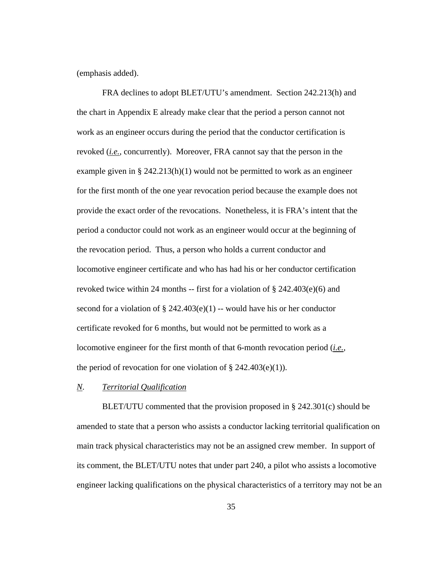(emphasis added).

FRA declines to adopt BLET/UTU's amendment. Section 242.213(h) and the chart in Appendix E already make clear that the period a person cannot not work as an engineer occurs during the period that the conductor certification is revoked (*i.e.*, concurrently). Moreover, FRA cannot say that the person in the example given in § 242.213(h)(1) would not be permitted to work as an engineer for the first month of the one year revocation period because the example does not provide the exact order of the revocations. Nonetheless, it is FRA's intent that the period a conductor could not work as an engineer would occur at the beginning of the revocation period. Thus, a person who holds a current conductor and locomotive engineer certificate and who has had his or her conductor certification revoked twice within 24 months -- first for a violation of  $\S 242.403(e)(6)$  and second for a violation of  $\S$  242.403(e)(1) -- would have his or her conductor certificate revoked for 6 months, but would not be permitted to work as a locomotive engineer for the first month of that 6-month revocation period (*i.e.*, the period of revocation for one violation of  $\S$  242.403(e)(1)).

# *N*. *Territorial Qualification*

BLET/UTU commented that the provision proposed in § 242.301(c) should be amended to state that a person who assists a conductor lacking territorial qualification on main track physical characteristics may not be an assigned crew member. In support of its comment, the BLET/UTU notes that under part 240, a pilot who assists a locomotive engineer lacking qualifications on the physical characteristics of a territory may not be an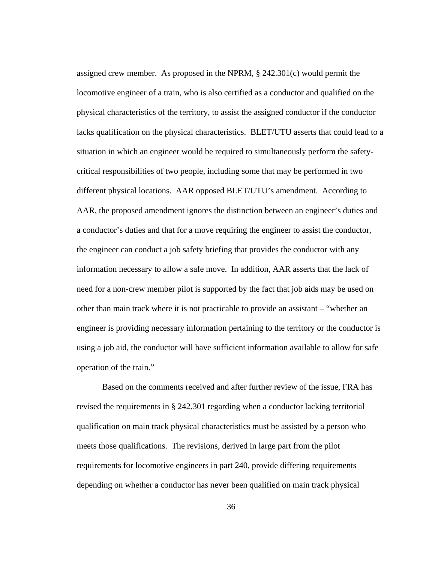assigned crew member. As proposed in the NPRM,  $\S$  242.301(c) would permit the locomotive engineer of a train, who is also certified as a conductor and qualified on the physical characteristics of the territory, to assist the assigned conductor if the conductor lacks qualification on the physical characteristics. BLET/UTU asserts that could lead to a situation in which an engineer would be required to simultaneously perform the safetycritical responsibilities of two people, including some that may be performed in two different physical locations. AAR opposed BLET/UTU's amendment. According to AAR, the proposed amendment ignores the distinction between an engineer's duties and a conductor's duties and that for a move requiring the engineer to assist the conductor, the engineer can conduct a job safety briefing that provides the conductor with any information necessary to allow a safe move. In addition, AAR asserts that the lack of need for a non-crew member pilot is supported by the fact that job aids may be used on other than main track where it is not practicable to provide an assistant – "whether an engineer is providing necessary information pertaining to the territory or the conductor is using a job aid, the conductor will have sufficient information available to allow for safe operation of the train."

Based on the comments received and after further review of the issue, FRA has revised the requirements in § 242.301 regarding when a conductor lacking territorial qualification on main track physical characteristics must be assisted by a person who meets those qualifications. The revisions, derived in large part from the pilot requirements for locomotive engineers in part 240, provide differing requirements depending on whether a conductor has never been qualified on main track physical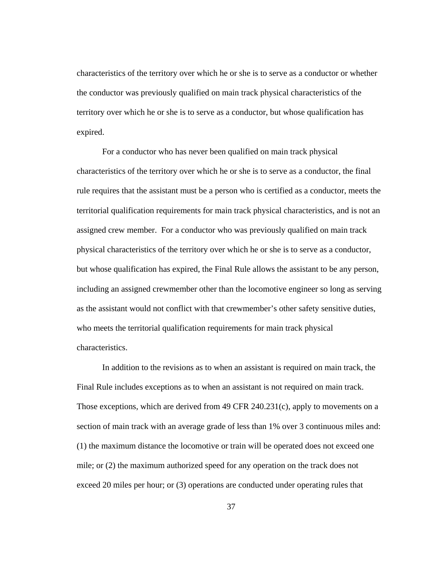characteristics of the territory over which he or she is to serve as a conductor or whether the conductor was previously qualified on main track physical characteristics of the territory over which he or she is to serve as a conductor, but whose qualification has expired.

For a conductor who has never been qualified on main track physical characteristics of the territory over which he or she is to serve as a conductor, the final rule requires that the assistant must be a person who is certified as a conductor, meets the territorial qualification requirements for main track physical characteristics, and is not an assigned crew member. For a conductor who was previously qualified on main track physical characteristics of the territory over which he or she is to serve as a conductor, but whose qualification has expired, the Final Rule allows the assistant to be any person, including an assigned crewmember other than the locomotive engineer so long as serving as the assistant would not conflict with that crewmember's other safety sensitive duties, who meets the territorial qualification requirements for main track physical characteristics.

In addition to the revisions as to when an assistant is required on main track, the Final Rule includes exceptions as to when an assistant is not required on main track. Those exceptions, which are derived from 49 CFR 240.231(c), apply to movements on a section of main track with an average grade of less than 1% over 3 continuous miles and: (1) the maximum distance the locomotive or train will be operated does not exceed one mile; or (2) the maximum authorized speed for any operation on the track does not exceed 20 miles per hour; or (3) operations are conducted under operating rules that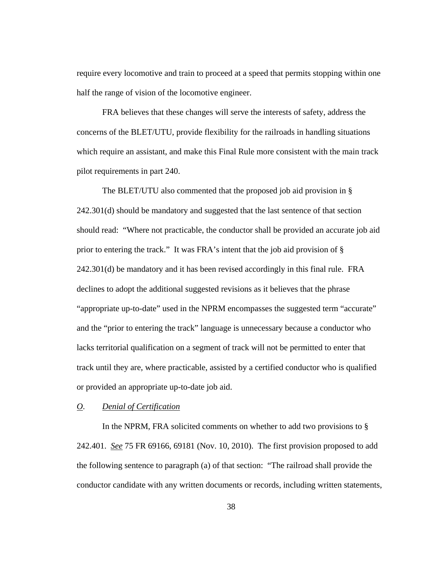require every locomotive and train to proceed at a speed that permits stopping within one half the range of vision of the locomotive engineer.

FRA believes that these changes will serve the interests of safety, address the concerns of the BLET/UTU, provide flexibility for the railroads in handling situations which require an assistant, and make this Final Rule more consistent with the main track pilot requirements in part 240.

The BLET/UTU also commented that the proposed job aid provision in § 242.301(d) should be mandatory and suggested that the last sentence of that section should read: "Where not practicable, the conductor shall be provided an accurate job aid prior to entering the track." It was FRA's intent that the job aid provision of § 242.301(d) be mandatory and it has been revised accordingly in this final rule. FRA declines to adopt the additional suggested revisions as it believes that the phrase "appropriate up-to-date" used in the NPRM encompasses the suggested term "accurate" and the "prior to entering the track" language is unnecessary because a conductor who lacks territorial qualification on a segment of track will not be permitted to enter that track until they are, where practicable, assisted by a certified conductor who is qualified or provided an appropriate up-to-date job aid.

# *O*. *Denial of Certification*

In the NPRM, FRA solicited comments on whether to add two provisions to § 242.401. *See* 75 FR 69166, 69181 (Nov. 10, 2010). The first provision proposed to add the following sentence to paragraph (a) of that section: "The railroad shall provide the conductor candidate with any written documents or records, including written statements,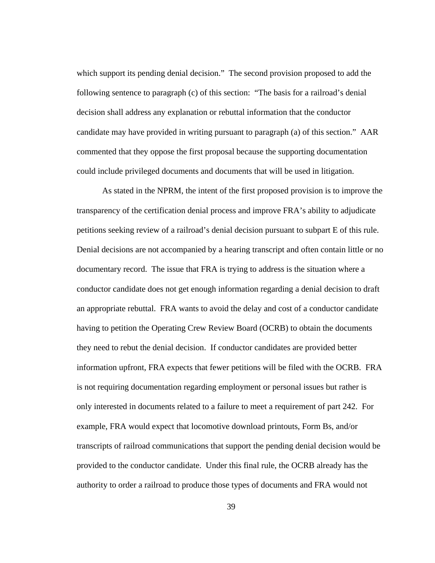which support its pending denial decision." The second provision proposed to add the following sentence to paragraph (c) of this section: "The basis for a railroad's denial decision shall address any explanation or rebuttal information that the conductor candidate may have provided in writing pursuant to paragraph (a) of this section." AAR commented that they oppose the first proposal because the supporting documentation could include privileged documents and documents that will be used in litigation.

As stated in the NPRM, the intent of the first proposed provision is to improve the transparency of the certification denial process and improve FRA's ability to adjudicate petitions seeking review of a railroad's denial decision pursuant to subpart E of this rule. Denial decisions are not accompanied by a hearing transcript and often contain little or no documentary record. The issue that FRA is trying to address is the situation where a conductor candidate does not get enough information regarding a denial decision to draft an appropriate rebuttal. FRA wants to avoid the delay and cost of a conductor candidate having to petition the Operating Crew Review Board (OCRB) to obtain the documents they need to rebut the denial decision. If conductor candidates are provided better information upfront, FRA expects that fewer petitions will be filed with the OCRB. FRA is not requiring documentation regarding employment or personal issues but rather is only interested in documents related to a failure to meet a requirement of part 242. For example, FRA would expect that locomotive download printouts, Form Bs, and/or transcripts of railroad communications that support the pending denial decision would be provided to the conductor candidate. Under this final rule, the OCRB already has the authority to order a railroad to produce those types of documents and FRA would not

39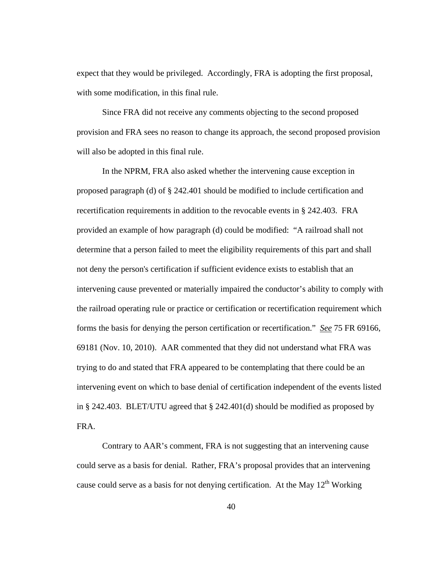expect that they would be privileged. Accordingly, FRA is adopting the first proposal, with some modification, in this final rule.

Since FRA did not receive any comments objecting to the second proposed provision and FRA sees no reason to change its approach, the second proposed provision will also be adopted in this final rule.

In the NPRM, FRA also asked whether the intervening cause exception in proposed paragraph (d) of § 242.401 should be modified to include certification and recertification requirements in addition to the revocable events in § 242.403. FRA provided an example of how paragraph (d) could be modified: "A railroad shall not determine that a person failed to meet the eligibility requirements of this part and shall not deny the person's certification if sufficient evidence exists to establish that an intervening cause prevented or materially impaired the conductor's ability to comply with the railroad operating rule or practice or certification or recertification requirement which forms the basis for denying the person certification or recertification." *See* 75 FR 69166, 69181 (Nov. 10, 2010). AAR commented that they did not understand what FRA was trying to do and stated that FRA appeared to be contemplating that there could be an intervening event on which to base denial of certification independent of the events listed in § 242.403. BLET/UTU agreed that § 242.401(d) should be modified as proposed by FRA.

Contrary to AAR's comment, FRA is not suggesting that an intervening cause could serve as a basis for denial. Rather, FRA's proposal provides that an intervening cause could serve as a basis for not denying certification. At the May  $12<sup>th</sup>$  Working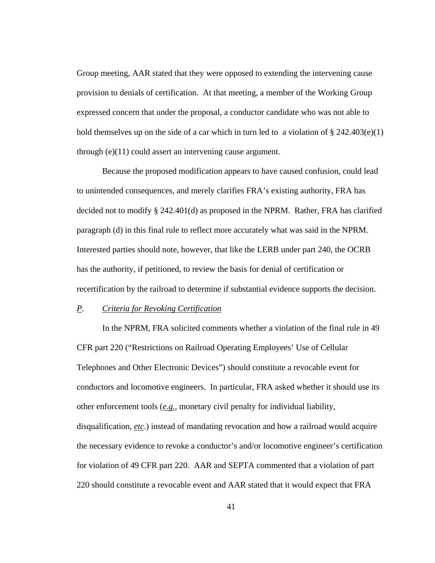Group meeting, AAR stated that they were opposed to extending the intervening cause provision to denials of certification. At that meeting, a member of the Working Group expressed concern that under the proposal, a conductor candidate who was not able to hold themselves up on the side of a car which in turn led to a violation of  $\S 242.403(e)(1)$ through (e)(11) could assert an intervening cause argument.

Because the proposed modification appears to have caused confusion, could lead to unintended consequences, and merely clarifies FRA's existing authority, FRA has decided not to modify § 242.401(d) as proposed in the NPRM. Rather, FRA has clarified paragraph (d) in this final rule to reflect more accurately what was said in the NPRM. Interested parties should note, however, that like the LERB under part 240, the OCRB has the authority, if petitioned, to review the basis for denial of certification or recertification by the railroad to determine if substantial evidence supports the decision.

# *P*. *Criteria for Revoking Certification*

In the NPRM, FRA solicited comments whether a violation of the final rule in 49 CFR part 220 ("Restrictions on Railroad Operating Employees' Use of Cellular Telephones and Other Electronic Devices") should constitute a revocable event for conductors and locomotive engineers. In particular, FRA asked whether it should use its other enforcement tools (*e.g.*, monetary civil penalty for individual liability, disqualification, *etc*.) instead of mandating revocation and how a railroad would acquire the necessary evidence to revoke a conductor's and/or locomotive engineer's certification for violation of 49 CFR part 220. AAR and SEPTA commented that a violation of part 220 should constitute a revocable event and AAR stated that it would expect that FRA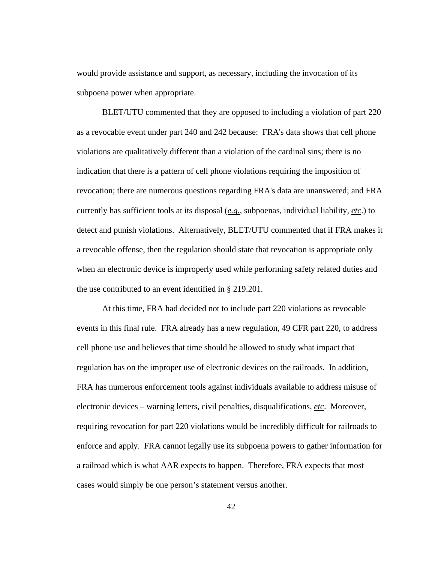would provide assistance and support, as necessary, including the invocation of its subpoena power when appropriate.

BLET/UTU commented that they are opposed to including a violation of part 220 as a revocable event under part 240 and 242 because: FRA's data shows that cell phone violations are qualitatively different than a violation of the cardinal sins; there is no indication that there is a pattern of cell phone violations requiring the imposition of revocation; there are numerous questions regarding FRA's data are unanswered; and FRA currently has sufficient tools at its disposal (*e.g.*, subpoenas, individual liability, *etc*.) to detect and punish violations. Alternatively, BLET/UTU commented that if FRA makes it a revocable offense, then the regulation should state that revocation is appropriate only when an electronic device is improperly used while performing safety related duties and the use contributed to an event identified in § 219.201.

At this time, FRA had decided not to include part 220 violations as revocable events in this final rule. FRA already has a new regulation, 49 CFR part 220, to address cell phone use and believes that time should be allowed to study what impact that regulation has on the improper use of electronic devices on the railroads. In addition, FRA has numerous enforcement tools against individuals available to address misuse of electronic devices – warning letters, civil penalties, disqualifications, *etc*. Moreover, requiring revocation for part 220 violations would be incredibly difficult for railroads to enforce and apply. FRA cannot legally use its subpoena powers to gather information for a railroad which is what AAR expects to happen. Therefore, FRA expects that most cases would simply be one person's statement versus another.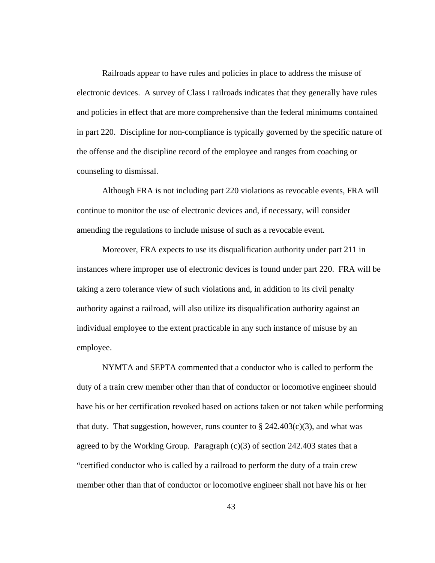Railroads appear to have rules and policies in place to address the misuse of electronic devices. A survey of Class I railroads indicates that they generally have rules and policies in effect that are more comprehensive than the federal minimums contained in part 220. Discipline for non-compliance is typically governed by the specific nature of the offense and the discipline record of the employee and ranges from coaching or counseling to dismissal.

Although FRA is not including part 220 violations as revocable events, FRA will continue to monitor the use of electronic devices and, if necessary, will consider amending the regulations to include misuse of such as a revocable event.

Moreover, FRA expects to use its disqualification authority under part 211 in instances where improper use of electronic devices is found under part 220. FRA will be taking a zero tolerance view of such violations and, in addition to its civil penalty authority against a railroad, will also utilize its disqualification authority against an individual employee to the extent practicable in any such instance of misuse by an employee.

NYMTA and SEPTA commented that a conductor who is called to perform the duty of a train crew member other than that of conductor or locomotive engineer should have his or her certification revoked based on actions taken or not taken while performing that duty. That suggestion, however, runs counter to  $\S$  242.403(c)(3), and what was agreed to by the Working Group. Paragraph  $(c)(3)$  of section 242.403 states that a "certified conductor who is called by a railroad to perform the duty of a train crew member other than that of conductor or locomotive engineer shall not have his or her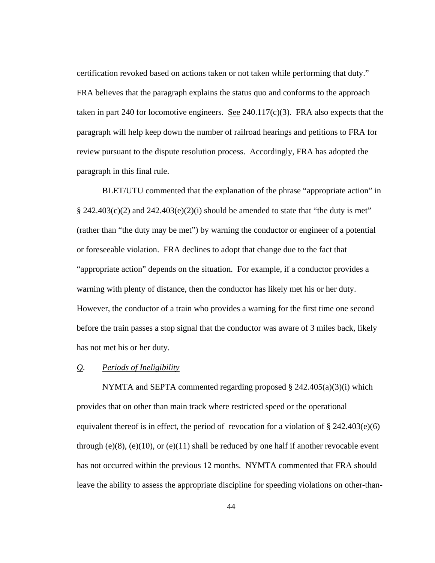certification revoked based on actions taken or not taken while performing that duty." FRA believes that the paragraph explains the status quo and conforms to the approach taken in part 240 for locomotive engineers. <u>See</u> 240.117(c)(3). FRA also expects that the paragraph will help keep down the number of railroad hearings and petitions to FRA for review pursuant to the dispute resolution process. Accordingly, FRA has adopted the paragraph in this final rule.

BLET/UTU commented that the explanation of the phrase "appropriate action" in  $\S$  242.403(c)(2) and 242.403(e)(2)(i) should be amended to state that "the duty is met" (rather than "the duty may be met") by warning the conductor or engineer of a potential or foreseeable violation. FRA declines to adopt that change due to the fact that "appropriate action" depends on the situation. For example, if a conductor provides a warning with plenty of distance, then the conductor has likely met his or her duty. However, the conductor of a train who provides a warning for the first time one second before the train passes a stop signal that the conductor was aware of 3 miles back, likely has not met his or her duty.

# *Q*. *Periods of Ineligibility*

NYMTA and SEPTA commented regarding proposed § 242.405(a)(3)(i) which provides that on other than main track where restricted speed or the operational equivalent thereof is in effect, the period of revocation for a violation of  $\S 242.403(e)$ (6) through (e)(8), (e)(10), or (e)(11) shall be reduced by one half if another revocable event has not occurred within the previous 12 months. NYMTA commented that FRA should leave the ability to assess the appropriate discipline for speeding violations on other-than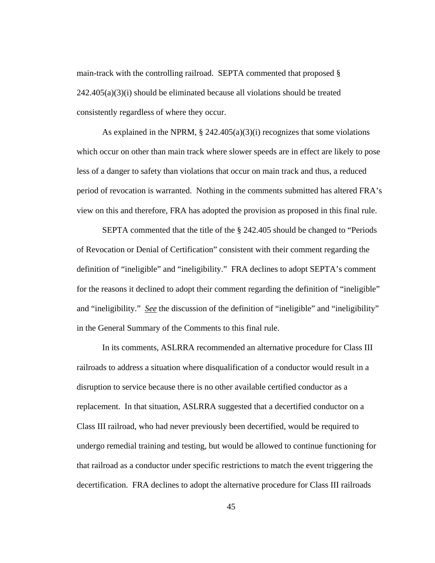main-track with the controlling railroad. SEPTA commented that proposed §  $242.405(a)(3)(i)$  should be eliminated because all violations should be treated consistently regardless of where they occur.

As explained in the NPRM,  $\S 242.405(a)(3)(i)$  recognizes that some violations which occur on other than main track where slower speeds are in effect are likely to pose less of a danger to safety than violations that occur on main track and thus, a reduced period of revocation is warranted. Nothing in the comments submitted has altered FRA's view on this and therefore, FRA has adopted the provision as proposed in this final rule.

 SEPTA commented that the title of the § 242.405 should be changed to "Periods of Revocation or Denial of Certification" consistent with their comment regarding the definition of "ineligible" and "ineligibility." FRA declines to adopt SEPTA's comment for the reasons it declined to adopt their comment regarding the definition of "ineligible" and "ineligibility." *See* the discussion of the definition of "ineligible" and "ineligibility" in the General Summary of the Comments to this final rule.

In its comments, ASLRRA recommended an alternative procedure for Class III railroads to address a situation where disqualification of a conductor would result in a disruption to service because there is no other available certified conductor as a replacement. In that situation, ASLRRA suggested that a decertified conductor on a Class III railroad, who had never previously been decertified, would be required to undergo remedial training and testing, but would be allowed to continue functioning for that railroad as a conductor under specific restrictions to match the event triggering the decertification. FRA declines to adopt the alternative procedure for Class III railroads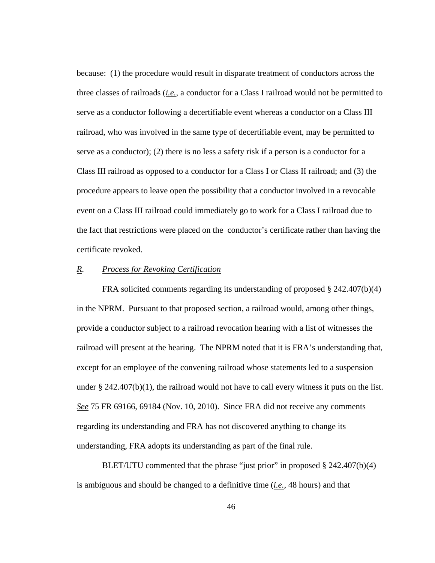because: (1) the procedure would result in disparate treatment of conductors across the three classes of railroads (*i.e.*, a conductor for a Class I railroad would not be permitted to serve as a conductor following a decertifiable event whereas a conductor on a Class III railroad, who was involved in the same type of decertifiable event, may be permitted to serve as a conductor); (2) there is no less a safety risk if a person is a conductor for a Class III railroad as opposed to a conductor for a Class I or Class II railroad; and (3) the procedure appears to leave open the possibility that a conductor involved in a revocable event on a Class III railroad could immediately go to work for a Class I railroad due to the fact that restrictions were placed on the conductor's certificate rather than having the certificate revoked.

# *R*. *Process for Revoking Certification*

FRA solicited comments regarding its understanding of proposed § 242.407(b)(4) in the NPRM. Pursuant to that proposed section, a railroad would, among other things, provide a conductor subject to a railroad revocation hearing with a list of witnesses the railroad will present at the hearing. The NPRM noted that it is FRA's understanding that, except for an employee of the convening railroad whose statements led to a suspension under  $\S 242.407(b)(1)$ , the railroad would not have to call every witness it puts on the list. *See* 75 FR 69166, 69184 (Nov. 10, 2010). Since FRA did not receive any comments regarding its understanding and FRA has not discovered anything to change its understanding, FRA adopts its understanding as part of the final rule.

BLET/UTU commented that the phrase "just prior" in proposed § 242.407(b)(4) is ambiguous and should be changed to a definitive time (*i.e.*, 48 hours) and that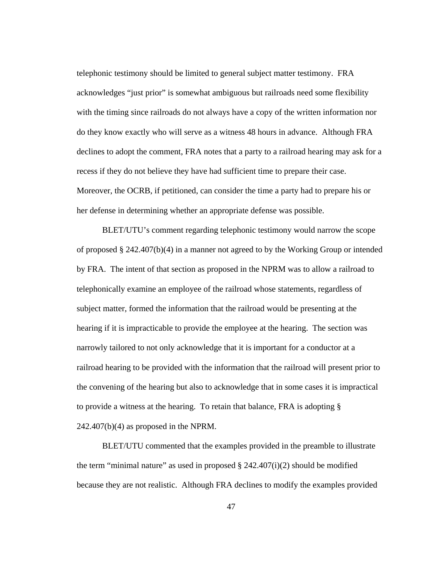telephonic testimony should be limited to general subject matter testimony. FRA acknowledges "just prior" is somewhat ambiguous but railroads need some flexibility with the timing since railroads do not always have a copy of the written information nor do they know exactly who will serve as a witness 48 hours in advance. Although FRA declines to adopt the comment, FRA notes that a party to a railroad hearing may ask for a recess if they do not believe they have had sufficient time to prepare their case. Moreover, the OCRB, if petitioned, can consider the time a party had to prepare his or her defense in determining whether an appropriate defense was possible.

BLET/UTU's comment regarding telephonic testimony would narrow the scope of proposed § 242.407(b)(4) in a manner not agreed to by the Working Group or intended by FRA. The intent of that section as proposed in the NPRM was to allow a railroad to telephonically examine an employee of the railroad whose statements, regardless of subject matter, formed the information that the railroad would be presenting at the hearing if it is impracticable to provide the employee at the hearing. The section was narrowly tailored to not only acknowledge that it is important for a conductor at a railroad hearing to be provided with the information that the railroad will present prior to the convening of the hearing but also to acknowledge that in some cases it is impractical to provide a witness at the hearing. To retain that balance, FRA is adopting §  $242.407(b)(4)$  as proposed in the NPRM.

BLET/UTU commented that the examples provided in the preamble to illustrate the term "minimal nature" as used in proposed  $\S 242.407(i)(2)$  should be modified because they are not realistic. Although FRA declines to modify the examples provided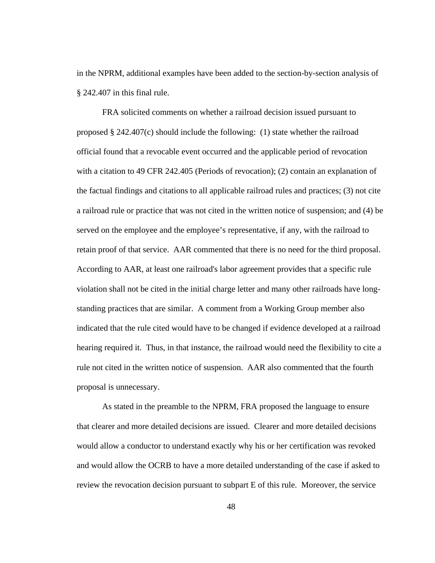in the NPRM, additional examples have been added to the section-by-section analysis of § 242.407 in this final rule.

FRA solicited comments on whether a railroad decision issued pursuant to proposed § 242.407(c) should include the following: (1) state whether the railroad official found that a revocable event occurred and the applicable period of revocation with a citation to 49 CFR 242.405 (Periods of revocation); (2) contain an explanation of the factual findings and citations to all applicable railroad rules and practices; (3) not cite a railroad rule or practice that was not cited in the written notice of suspension; and (4) be served on the employee and the employee's representative, if any, with the railroad to retain proof of that service. AAR commented that there is no need for the third proposal. According to AAR, at least one railroad's labor agreement provides that a specific rule violation shall not be cited in the initial charge letter and many other railroads have longstanding practices that are similar. A comment from a Working Group member also indicated that the rule cited would have to be changed if evidence developed at a railroad hearing required it. Thus, in that instance, the railroad would need the flexibility to cite a rule not cited in the written notice of suspension. AAR also commented that the fourth proposal is unnecessary.

As stated in the preamble to the NPRM, FRA proposed the language to ensure that clearer and more detailed decisions are issued. Clearer and more detailed decisions would allow a conductor to understand exactly why his or her certification was revoked and would allow the OCRB to have a more detailed understanding of the case if asked to review the revocation decision pursuant to subpart E of this rule. Moreover, the service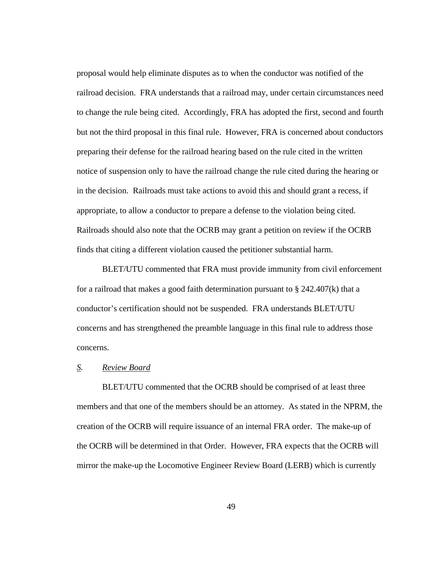proposal would help eliminate disputes as to when the conductor was notified of the railroad decision. FRA understands that a railroad may, under certain circumstances need to change the rule being cited. Accordingly, FRA has adopted the first, second and fourth but not the third proposal in this final rule. However, FRA is concerned about conductors preparing their defense for the railroad hearing based on the rule cited in the written notice of suspension only to have the railroad change the rule cited during the hearing or in the decision. Railroads must take actions to avoid this and should grant a recess, if appropriate, to allow a conductor to prepare a defense to the violation being cited. Railroads should also note that the OCRB may grant a petition on review if the OCRB finds that citing a different violation caused the petitioner substantial harm.

BLET/UTU commented that FRA must provide immunity from civil enforcement for a railroad that makes a good faith determination pursuant to § 242.407(k) that a conductor's certification should not be suspended. FRA understands BLET/UTU concerns and has strengthened the preamble language in this final rule to address those concerns.

# *S. Review Board*

 BLET/UTU commented that the OCRB should be comprised of at least three members and that one of the members should be an attorney. As stated in the NPRM, the creation of the OCRB will require issuance of an internal FRA order. The make-up of the OCRB will be determined in that Order. However, FRA expects that the OCRB will mirror the make-up the Locomotive Engineer Review Board (LERB) which is currently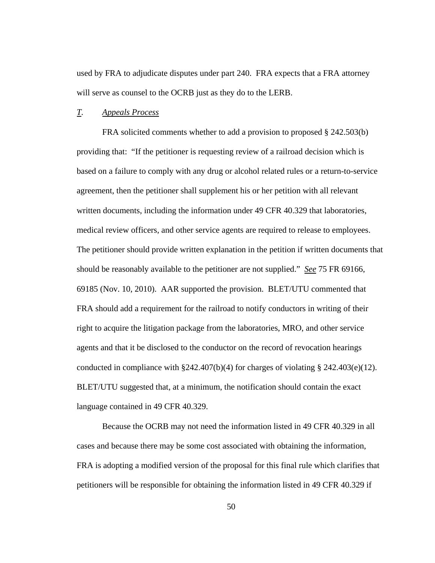used by FRA to adjudicate disputes under part 240. FRA expects that a FRA attorney will serve as counsel to the OCRB just as they do to the LERB.

#### *T. Appeals Process*

 FRA solicited comments whether to add a provision to proposed § 242.503(b) providing that: "If the petitioner is requesting review of a railroad decision which is based on a failure to comply with any drug or alcohol related rules or a return-to-service agreement, then the petitioner shall supplement his or her petition with all relevant written documents, including the information under 49 CFR 40.329 that laboratories, medical review officers, and other service agents are required to release to employees. The petitioner should provide written explanation in the petition if written documents that should be reasonably available to the petitioner are not supplied." *See* 75 FR 69166, 69185 (Nov. 10, 2010). AAR supported the provision. BLET/UTU commented that FRA should add a requirement for the railroad to notify conductors in writing of their right to acquire the litigation package from the laboratories, MRO, and other service agents and that it be disclosed to the conductor on the record of revocation hearings conducted in compliance with  $\S 242.407(b)(4)$  for charges of violating  $\S 242.403(e)(12)$ . BLET/UTU suggested that, at a minimum, the notification should contain the exact language contained in 49 CFR 40.329.

Because the OCRB may not need the information listed in 49 CFR 40.329 in all cases and because there may be some cost associated with obtaining the information, FRA is adopting a modified version of the proposal for this final rule which clarifies that petitioners will be responsible for obtaining the information listed in 49 CFR 40.329 if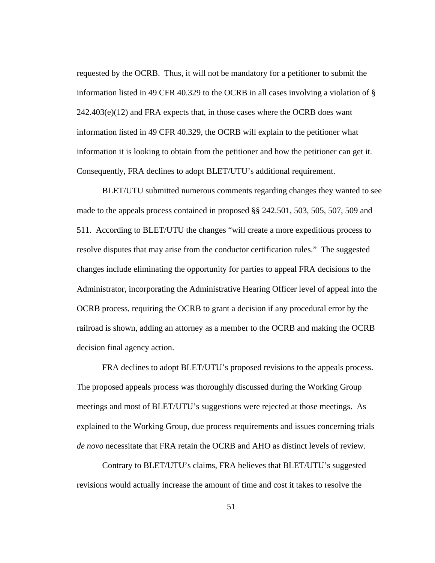requested by the OCRB. Thus, it will not be mandatory for a petitioner to submit the information listed in 49 CFR 40.329 to the OCRB in all cases involving a violation of §  $242.403(e)(12)$  and FRA expects that, in those cases where the OCRB does want information listed in 49 CFR 40.329, the OCRB will explain to the petitioner what information it is looking to obtain from the petitioner and how the petitioner can get it. Consequently, FRA declines to adopt BLET/UTU's additional requirement.

 BLET/UTU submitted numerous comments regarding changes they wanted to see made to the appeals process contained in proposed §§ 242.501, 503, 505, 507, 509 and 511. According to BLET/UTU the changes "will create a more expeditious process to resolve disputes that may arise from the conductor certification rules." The suggested changes include eliminating the opportunity for parties to appeal FRA decisions to the Administrator, incorporating the Administrative Hearing Officer level of appeal into the OCRB process, requiring the OCRB to grant a decision if any procedural error by the railroad is shown, adding an attorney as a member to the OCRB and making the OCRB decision final agency action.

 FRA declines to adopt BLET/UTU's proposed revisions to the appeals process. The proposed appeals process was thoroughly discussed during the Working Group meetings and most of BLET/UTU's suggestions were rejected at those meetings. As explained to the Working Group, due process requirements and issues concerning trials *de novo* necessitate that FRA retain the OCRB and AHO as distinct levels of review.

 Contrary to BLET/UTU's claims, FRA believes that BLET/UTU's suggested revisions would actually increase the amount of time and cost it takes to resolve the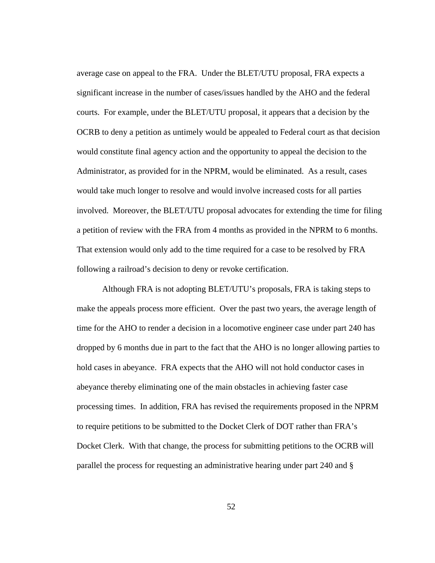average case on appeal to the FRA. Under the BLET/UTU proposal, FRA expects a significant increase in the number of cases/issues handled by the AHO and the federal courts. For example, under the BLET/UTU proposal, it appears that a decision by the OCRB to deny a petition as untimely would be appealed to Federal court as that decision would constitute final agency action and the opportunity to appeal the decision to the Administrator, as provided for in the NPRM, would be eliminated. As a result, cases would take much longer to resolve and would involve increased costs for all parties involved. Moreover, the BLET/UTU proposal advocates for extending the time for filing a petition of review with the FRA from 4 months as provided in the NPRM to 6 months. That extension would only add to the time required for a case to be resolved by FRA following a railroad's decision to deny or revoke certification.

 Although FRA is not adopting BLET/UTU's proposals, FRA is taking steps to make the appeals process more efficient. Over the past two years, the average length of time for the AHO to render a decision in a locomotive engineer case under part 240 has dropped by 6 months due in part to the fact that the AHO is no longer allowing parties to hold cases in abeyance. FRA expects that the AHO will not hold conductor cases in abeyance thereby eliminating one of the main obstacles in achieving faster case processing times. In addition, FRA has revised the requirements proposed in the NPRM to require petitions to be submitted to the Docket Clerk of DOT rather than FRA's Docket Clerk. With that change, the process for submitting petitions to the OCRB will parallel the process for requesting an administrative hearing under part 240 and §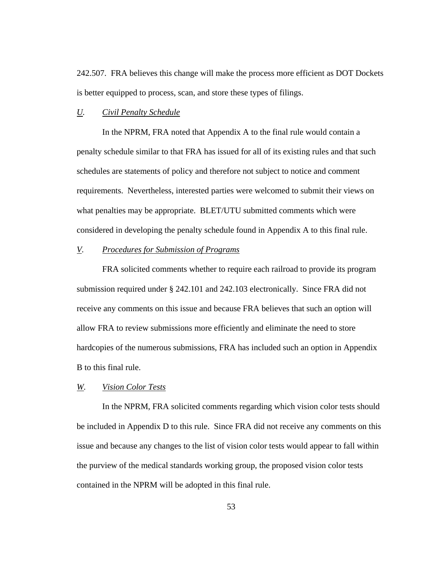242.507. FRA believes this change will make the process more efficient as DOT Dockets is better equipped to process, scan, and store these types of filings.

#### *U. Civil Penalty Schedule*

 In the NPRM, FRA noted that Appendix A to the final rule would contain a penalty schedule similar to that FRA has issued for all of its existing rules and that such schedules are statements of policy and therefore not subject to notice and comment requirements. Nevertheless, interested parties were welcomed to submit their views on what penalties may be appropriate. BLET/UTU submitted comments which were considered in developing the penalty schedule found in Appendix A to this final rule.

# *V. Procedures for Submission of Programs*

 FRA solicited comments whether to require each railroad to provide its program submission required under § 242.101 and 242.103 electronically. Since FRA did not receive any comments on this issue and because FRA believes that such an option will allow FRA to review submissions more efficiently and eliminate the need to store hardcopies of the numerous submissions, FRA has included such an option in Appendix B to this final rule.

# *W. Vision Color Tests*

In the NPRM, FRA solicited comments regarding which vision color tests should be included in Appendix D to this rule. Since FRA did not receive any comments on this issue and because any changes to the list of vision color tests would appear to fall within the purview of the medical standards working group, the proposed vision color tests contained in the NPRM will be adopted in this final rule.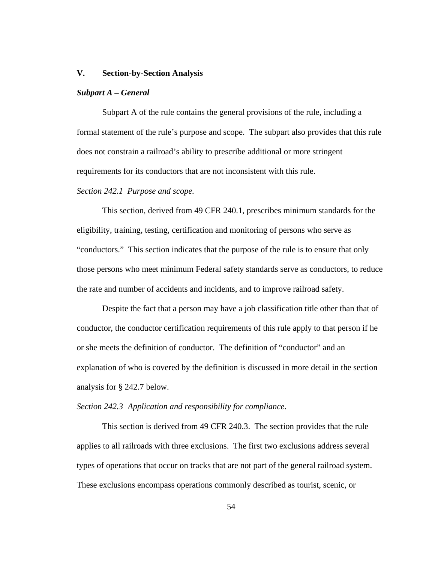#### **V. Section-by-Section Analysis**

#### *Subpart A – General*

Subpart A of the rule contains the general provisions of the rule, including a formal statement of the rule's purpose and scope. The subpart also provides that this rule does not constrain a railroad's ability to prescribe additional or more stringent requirements for its conductors that are not inconsistent with this rule.

#### *Section 242.1 Purpose and scope.*

This section, derived from 49 CFR 240.1, prescribes minimum standards for the eligibility, training, testing, certification and monitoring of persons who serve as "conductors." This section indicates that the purpose of the rule is to ensure that only those persons who meet minimum Federal safety standards serve as conductors, to reduce the rate and number of accidents and incidents, and to improve railroad safety.

Despite the fact that a person may have a job classification title other than that of conductor, the conductor certification requirements of this rule apply to that person if he or she meets the definition of conductor. The definition of "conductor" and an explanation of who is covered by the definition is discussed in more detail in the section analysis for § 242.7 below.

# *Section 242.3 Application and responsibility for compliance.*

This section is derived from 49 CFR 240.3. The section provides that the rule applies to all railroads with three exclusions. The first two exclusions address several types of operations that occur on tracks that are not part of the general railroad system. These exclusions encompass operations commonly described as tourist, scenic, or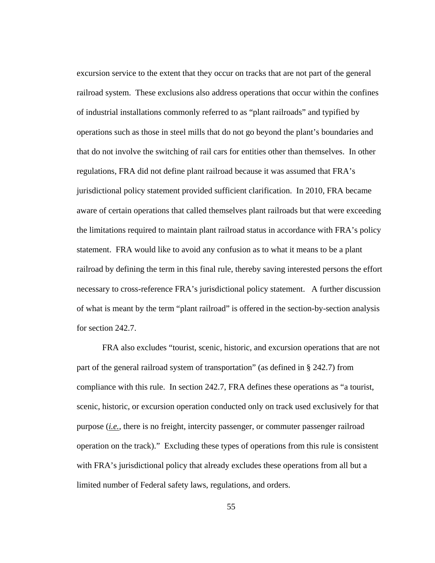excursion service to the extent that they occur on tracks that are not part of the general railroad system. These exclusions also address operations that occur within the confines of industrial installations commonly referred to as "plant railroads" and typified by operations such as those in steel mills that do not go beyond the plant's boundaries and that do not involve the switching of rail cars for entities other than themselves. In other regulations, FRA did not define plant railroad because it was assumed that FRA's jurisdictional policy statement provided sufficient clarification. In 2010, FRA became aware of certain operations that called themselves plant railroads but that were exceeding the limitations required to maintain plant railroad status in accordance with FRA's policy statement. FRA would like to avoid any confusion as to what it means to be a plant railroad by defining the term in this final rule, thereby saving interested persons the effort necessary to cross-reference FRA's jurisdictional policy statement. A further discussion of what is meant by the term "plant railroad" is offered in the section-by-section analysis for section 242.7.

FRA also excludes "tourist, scenic, historic, and excursion operations that are not part of the general railroad system of transportation" (as defined in § 242.7) from compliance with this rule. In section 242.7, FRA defines these operations as "a tourist, scenic, historic, or excursion operation conducted only on track used exclusively for that purpose (*i.e.*, there is no freight, intercity passenger, or commuter passenger railroad operation on the track)." Excluding these types of operations from this rule is consistent with FRA's jurisdictional policy that already excludes these operations from all but a limited number of Federal safety laws, regulations, and orders.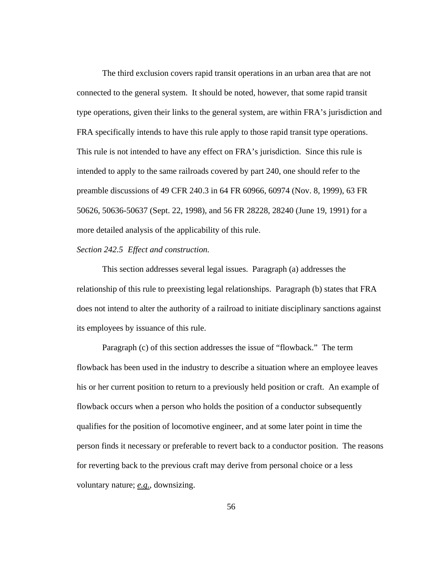The third exclusion covers rapid transit operations in an urban area that are not connected to the general system. It should be noted, however, that some rapid transit type operations, given their links to the general system, are within FRA's jurisdiction and FRA specifically intends to have this rule apply to those rapid transit type operations. This rule is not intended to have any effect on FRA's jurisdiction. Since this rule is intended to apply to the same railroads covered by part 240, one should refer to the preamble discussions of 49 CFR 240.3 in 64 FR 60966, 60974 (Nov. 8, 1999), 63 FR 50626, 50636-50637 (Sept. 22, 1998), and 56 FR 28228, 28240 (June 19, 1991) for a more detailed analysis of the applicability of this rule.

# *Section 242.5 Effect and construction.*

This section addresses several legal issues. Paragraph (a) addresses the relationship of this rule to preexisting legal relationships. Paragraph (b) states that FRA does not intend to alter the authority of a railroad to initiate disciplinary sanctions against its employees by issuance of this rule.

Paragraph (c) of this section addresses the issue of "flowback." The term flowback has been used in the industry to describe a situation where an employee leaves his or her current position to return to a previously held position or craft. An example of flowback occurs when a person who holds the position of a conductor subsequently qualifies for the position of locomotive engineer, and at some later point in time the person finds it necessary or preferable to revert back to a conductor position. The reasons for reverting back to the previous craft may derive from personal choice or a less voluntary nature; *e.g.*, downsizing.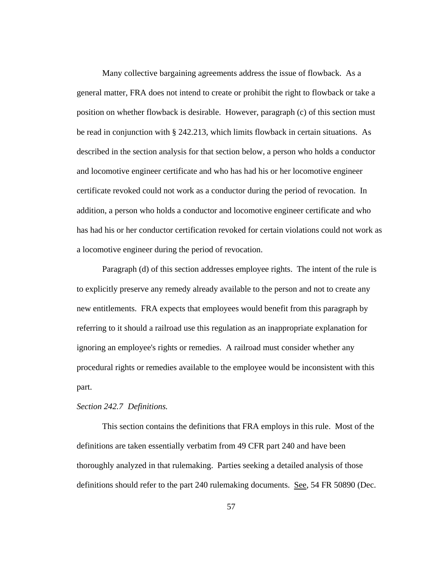Many collective bargaining agreements address the issue of flowback. As a general matter, FRA does not intend to create or prohibit the right to flowback or take a position on whether flowback is desirable. However, paragraph (c) of this section must be read in conjunction with § 242.213, which limits flowback in certain situations. As described in the section analysis for that section below, a person who holds a conductor and locomotive engineer certificate and who has had his or her locomotive engineer certificate revoked could not work as a conductor during the period of revocation. In addition, a person who holds a conductor and locomotive engineer certificate and who has had his or her conductor certification revoked for certain violations could not work as a locomotive engineer during the period of revocation.

Paragraph (d) of this section addresses employee rights. The intent of the rule is to explicitly preserve any remedy already available to the person and not to create any new entitlements. FRA expects that employees would benefit from this paragraph by referring to it should a railroad use this regulation as an inappropriate explanation for ignoring an employee's rights or remedies. A railroad must consider whether any procedural rights or remedies available to the employee would be inconsistent with this part.

# *Section 242.7 Definitions.*

This section contains the definitions that FRA employs in this rule. Most of the definitions are taken essentially verbatim from 49 CFR part 240 and have been thoroughly analyzed in that rulemaking. Parties seeking a detailed analysis of those definitions should refer to the part 240 rulemaking documents. See, 54 FR 50890 (Dec.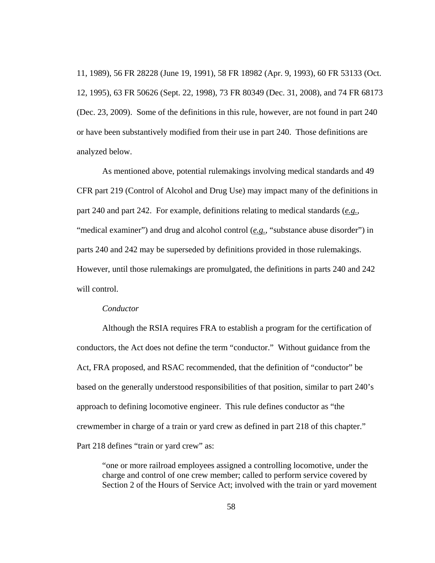11, 1989), 56 FR 28228 (June 19, 1991), 58 FR 18982 (Apr. 9, 1993), 60 FR 53133 (Oct. 12, 1995), 63 FR 50626 (Sept. 22, 1998), 73 FR 80349 (Dec. 31, 2008), and 74 FR 68173 (Dec. 23, 2009). Some of the definitions in this rule, however, are not found in part 240 or have been substantively modified from their use in part 240. Those definitions are analyzed below.

As mentioned above, potential rulemakings involving medical standards and 49 CFR part 219 (Control of Alcohol and Drug Use) may impact many of the definitions in part 240 and part 242. For example, definitions relating to medical standards (*e.g.*, "medical examiner") and drug and alcohol control (*e.g.*, "substance abuse disorder") in parts 240 and 242 may be superseded by definitions provided in those rulemakings. However, until those rulemakings are promulgated, the definitions in parts 240 and 242 will control.

# *Conductor*

Although the RSIA requires FRA to establish a program for the certification of conductors, the Act does not define the term "conductor." Without guidance from the Act, FRA proposed, and RSAC recommended, that the definition of "conductor" be based on the generally understood responsibilities of that position, similar to part 240's approach to defining locomotive engineer. This rule defines conductor as "the crewmember in charge of a train or yard crew as defined in part 218 of this chapter." Part 218 defines "train or yard crew" as:

"one or more railroad employees assigned a controlling locomotive, under the charge and control of one crew member; called to perform service covered by Section 2 of the Hours of Service Act; involved with the train or yard movement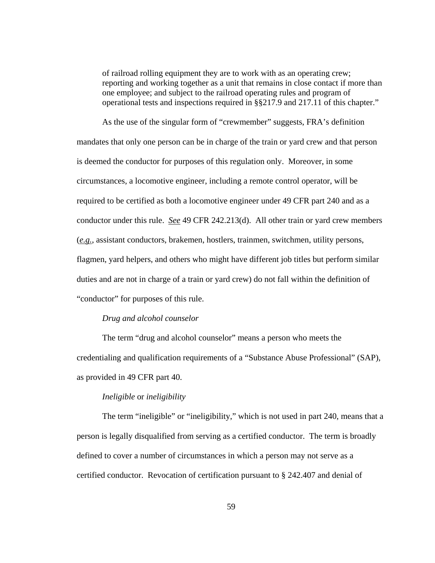of railroad rolling equipment they are to work with as an operating crew; reporting and working together as a unit that remains in close contact if more than one employee; and subject to the railroad operating rules and program of operational tests and inspections required in §§217.9 and 217.11 of this chapter."

 As the use of the singular form of "crewmember" suggests, FRA's definition mandates that only one person can be in charge of the train or yard crew and that person is deemed the conductor for purposes of this regulation only. Moreover, in some circumstances, a locomotive engineer, including a remote control operator, will be required to be certified as both a locomotive engineer under 49 CFR part 240 and as a conductor under this rule. *See* 49 CFR 242.213(d). All other train or yard crew members (*e.g.*, assistant conductors, brakemen, hostlers, trainmen, switchmen, utility persons, flagmen, yard helpers, and others who might have different job titles but perform similar duties and are not in charge of a train or yard crew) do not fall within the definition of "conductor" for purposes of this rule.

# *Drug and alcohol counselor*

 The term "drug and alcohol counselor" means a person who meets the credentialing and qualification requirements of a "Substance Abuse Professional" (SAP), as provided in 49 CFR part 40.

# *Ineligible* or *ineligibility*

The term "ineligible" or "ineligibility," which is not used in part 240, means that a person is legally disqualified from serving as a certified conductor. The term is broadly defined to cover a number of circumstances in which a person may not serve as a certified conductor. Revocation of certification pursuant to § 242.407 and denial of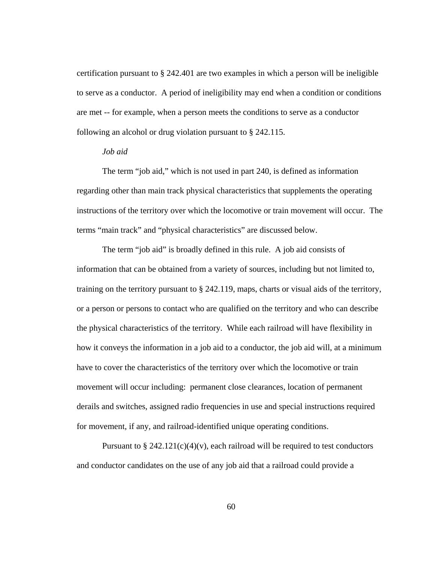certification pursuant to § 242.401 are two examples in which a person will be ineligible to serve as a conductor. A period of ineligibility may end when a condition or conditions are met -- for example, when a person meets the conditions to serve as a conductor following an alcohol or drug violation pursuant to § 242.115.

#### *Job aid*

The term "job aid," which is not used in part 240, is defined as information regarding other than main track physical characteristics that supplements the operating instructions of the territory over which the locomotive or train movement will occur. The terms "main track" and "physical characteristics" are discussed below.

The term "job aid" is broadly defined in this rule. A job aid consists of information that can be obtained from a variety of sources, including but not limited to, training on the territory pursuant to § 242.119, maps, charts or visual aids of the territory, or a person or persons to contact who are qualified on the territory and who can describe the physical characteristics of the territory. While each railroad will have flexibility in how it conveys the information in a job aid to a conductor, the job aid will, at a minimum have to cover the characteristics of the territory over which the locomotive or train movement will occur including: permanent close clearances, location of permanent derails and switches, assigned radio frequencies in use and special instructions required for movement, if any, and railroad-identified unique operating conditions.

Pursuant to § 242.121(c)(4)(v), each railroad will be required to test conductors and conductor candidates on the use of any job aid that a railroad could provide a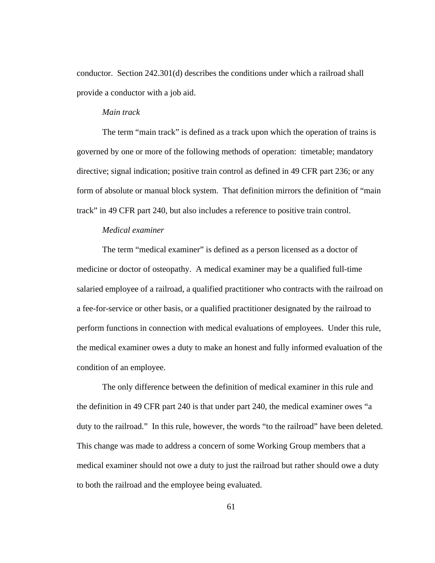conductor. Section 242.301(d) describes the conditions under which a railroad shall provide a conductor with a job aid.

### *Main track*

The term "main track" is defined as a track upon which the operation of trains is governed by one or more of the following methods of operation: timetable; mandatory directive; signal indication; positive train control as defined in 49 CFR part 236; or any form of absolute or manual block system. That definition mirrors the definition of "main track" in 49 CFR part 240, but also includes a reference to positive train control.

# *Medical examiner*

The term "medical examiner" is defined as a person licensed as a doctor of medicine or doctor of osteopathy. A medical examiner may be a qualified full-time salaried employee of a railroad, a qualified practitioner who contracts with the railroad on a fee-for-service or other basis, or a qualified practitioner designated by the railroad to perform functions in connection with medical evaluations of employees. Under this rule, the medical examiner owes a duty to make an honest and fully informed evaluation of the condition of an employee.

The only difference between the definition of medical examiner in this rule and the definition in 49 CFR part 240 is that under part 240, the medical examiner owes "a duty to the railroad." In this rule, however, the words "to the railroad" have been deleted. This change was made to address a concern of some Working Group members that a medical examiner should not owe a duty to just the railroad but rather should owe a duty to both the railroad and the employee being evaluated.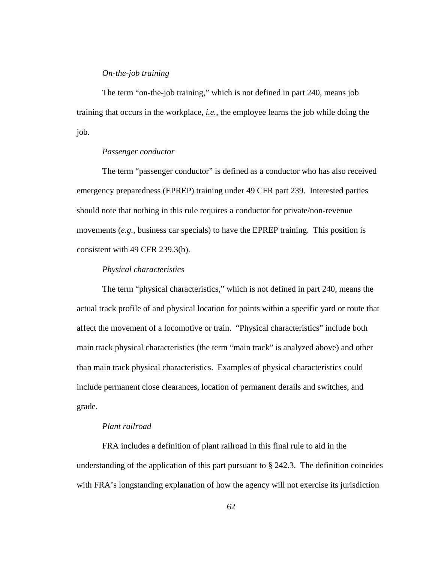### *On-the-job training*

The term "on-the-job training," which is not defined in part 240, means job training that occurs in the workplace, *i.e.*, the employee learns the job while doing the job.

# *Passenger conductor*

The term "passenger conductor" is defined as a conductor who has also received emergency preparedness (EPREP) training under 49 CFR part 239. Interested parties should note that nothing in this rule requires a conductor for private/non-revenue movements (*e.g.*, business car specials) to have the EPREP training. This position is consistent with 49 CFR 239.3(b).

# *Physical characteristics*

The term "physical characteristics," which is not defined in part 240, means the actual track profile of and physical location for points within a specific yard or route that affect the movement of a locomotive or train. "Physical characteristics" include both main track physical characteristics (the term "main track" is analyzed above) and other than main track physical characteristics. Examples of physical characteristics could include permanent close clearances, location of permanent derails and switches, and grade.

# *Plant railroad*

FRA includes a definition of plant railroad in this final rule to aid in the understanding of the application of this part pursuant to § 242.3. The definition coincides with FRA's longstanding explanation of how the agency will not exercise its jurisdiction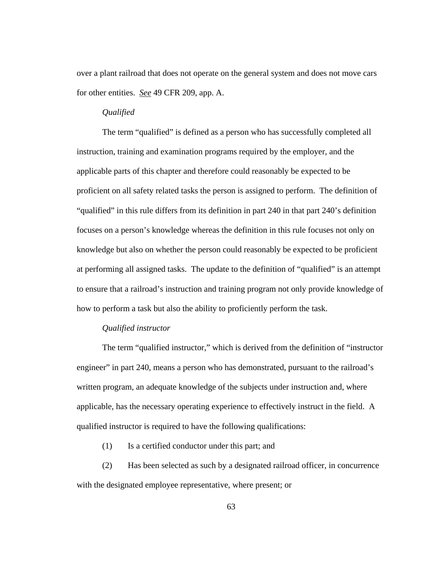over a plant railroad that does not operate on the general system and does not move cars for other entities. *See* 49 CFR 209, app. A.

#### *Qualified*

The term "qualified" is defined as a person who has successfully completed all instruction, training and examination programs required by the employer, and the applicable parts of this chapter and therefore could reasonably be expected to be proficient on all safety related tasks the person is assigned to perform. The definition of "qualified" in this rule differs from its definition in part 240 in that part 240's definition focuses on a person's knowledge whereas the definition in this rule focuses not only on knowledge but also on whether the person could reasonably be expected to be proficient at performing all assigned tasks. The update to the definition of "qualified" is an attempt to ensure that a railroad's instruction and training program not only provide knowledge of how to perform a task but also the ability to proficiently perform the task.

# *Qualified instructor*

The term "qualified instructor," which is derived from the definition of "instructor engineer" in part 240, means a person who has demonstrated, pursuant to the railroad's written program, an adequate knowledge of the subjects under instruction and, where applicable, has the necessary operating experience to effectively instruct in the field. A qualified instructor is required to have the following qualifications:

- (1) Is a certified conductor under this part; and
- (2) Has been selected as such by a designated railroad officer, in concurrence with the designated employee representative, where present; or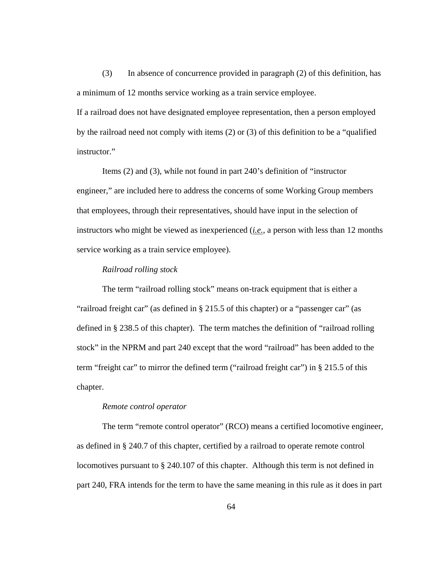(3) In absence of concurrence provided in paragraph (2) of this definition, has a minimum of 12 months service working as a train service employee.

If a railroad does not have designated employee representation, then a person employed by the railroad need not comply with items (2) or (3) of this definition to be a "qualified instructor."

 Items (2) and (3), while not found in part 240's definition of "instructor engineer," are included here to address the concerns of some Working Group members that employees, through their representatives, should have input in the selection of instructors who might be viewed as inexperienced (*i.e.*, a person with less than 12 months service working as a train service employee).

# *Railroad rolling stock*

The term "railroad rolling stock" means on-track equipment that is either a "railroad freight car" (as defined in § 215.5 of this chapter) or a "passenger car" (as defined in § 238.5 of this chapter). The term matches the definition of "railroad rolling stock" in the NPRM and part 240 except that the word "railroad" has been added to the term "freight car" to mirror the defined term ("railroad freight car") in § 215.5 of this chapter.

# *Remote control operator*

The term "remote control operator" (RCO) means a certified locomotive engineer, as defined in § 240.7 of this chapter, certified by a railroad to operate remote control locomotives pursuant to § 240.107 of this chapter. Although this term is not defined in part 240, FRA intends for the term to have the same meaning in this rule as it does in part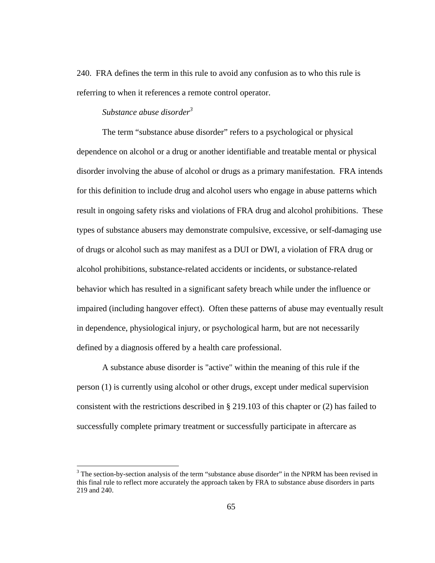240. FRA defines the term in this rule to avoid any confusion as to who this rule is referring to when it references a remote control operator.

# *Substance abuse disorder<sup>3</sup>*

1

The term "substance abuse disorder" refers to a psychological or physical dependence on alcohol or a drug or another identifiable and treatable mental or physical disorder involving the abuse of alcohol or drugs as a primary manifestation. FRA intends for this definition to include drug and alcohol users who engage in abuse patterns which result in ongoing safety risks and violations of FRA drug and alcohol prohibitions. These types of substance abusers may demonstrate compulsive, excessive, or self-damaging use of drugs or alcohol such as may manifest as a DUI or DWI, a violation of FRA drug or alcohol prohibitions, substance-related accidents or incidents, or substance-related behavior which has resulted in a significant safety breach while under the influence or impaired (including hangover effect). Often these patterns of abuse may eventually result in dependence, physiological injury, or psychological harm, but are not necessarily defined by a diagnosis offered by a health care professional.

A substance abuse disorder is "active" within the meaning of this rule if the person (1) is currently using alcohol or other drugs, except under medical supervision consistent with the restrictions described in § 219.103 of this chapter or (2) has failed to successfully complete primary treatment or successfully participate in aftercare as

 $3$  The section-by-section analysis of the term "substance abuse disorder" in the NPRM has been revised in this final rule to reflect more accurately the approach taken by FRA to substance abuse disorders in parts 219 and 240.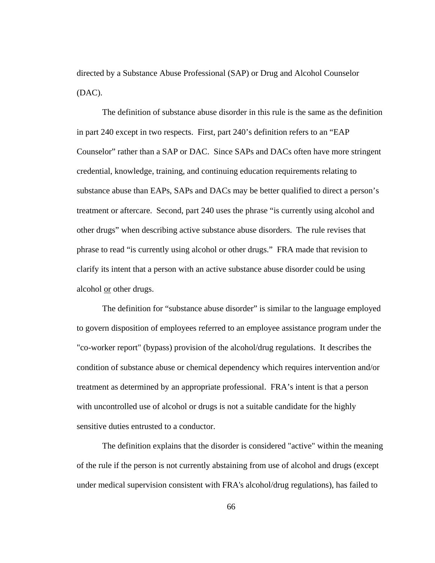directed by a Substance Abuse Professional (SAP) or Drug and Alcohol Counselor (DAC).

The definition of substance abuse disorder in this rule is the same as the definition in part 240 except in two respects. First, part 240's definition refers to an "EAP Counselor" rather than a SAP or DAC. Since SAPs and DACs often have more stringent credential, knowledge, training, and continuing education requirements relating to substance abuse than EAPs, SAPs and DACs may be better qualified to direct a person's treatment or aftercare. Second, part 240 uses the phrase "is currently using alcohol and other drugs" when describing active substance abuse disorders. The rule revises that phrase to read "is currently using alcohol or other drugs." FRA made that revision to clarify its intent that a person with an active substance abuse disorder could be using alcohol or other drugs.

The definition for "substance abuse disorder" is similar to the language employed to govern disposition of employees referred to an employee assistance program under the "co-worker report" (bypass) provision of the alcohol/drug regulations. It describes the condition of substance abuse or chemical dependency which requires intervention and/or treatment as determined by an appropriate professional. FRA's intent is that a person with uncontrolled use of alcohol or drugs is not a suitable candidate for the highly sensitive duties entrusted to a conductor.

The definition explains that the disorder is considered "active" within the meaning of the rule if the person is not currently abstaining from use of alcohol and drugs (except under medical supervision consistent with FRA's alcohol/drug regulations), has failed to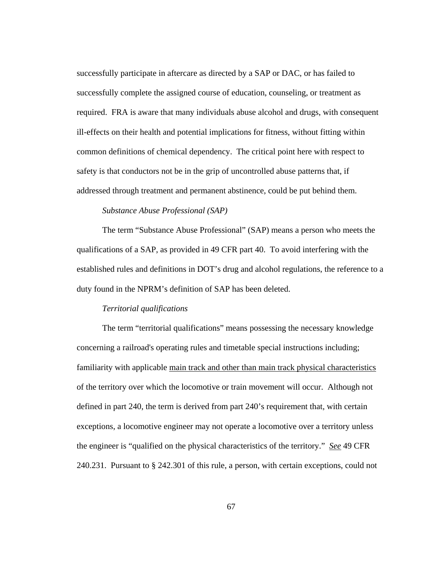successfully participate in aftercare as directed by a SAP or DAC, or has failed to successfully complete the assigned course of education, counseling, or treatment as required. FRA is aware that many individuals abuse alcohol and drugs, with consequent ill-effects on their health and potential implications for fitness, without fitting within common definitions of chemical dependency. The critical point here with respect to safety is that conductors not be in the grip of uncontrolled abuse patterns that, if addressed through treatment and permanent abstinence, could be put behind them.

# *Substance Abuse Professional (SAP)*

The term "Substance Abuse Professional" (SAP) means a person who meets the qualifications of a SAP, as provided in 49 CFR part 40. To avoid interfering with the established rules and definitions in DOT's drug and alcohol regulations, the reference to a duty found in the NPRM's definition of SAP has been deleted.

## *Territorial qualifications*

The term "territorial qualifications" means possessing the necessary knowledge concerning a railroad's operating rules and timetable special instructions including; familiarity with applicable main track and other than main track physical characteristics of the territory over which the locomotive or train movement will occur. Although not defined in part 240, the term is derived from part 240's requirement that, with certain exceptions, a locomotive engineer may not operate a locomotive over a territory unless the engineer is "qualified on the physical characteristics of the territory." *See* 49 CFR 240.231. Pursuant to § 242.301 of this rule, a person, with certain exceptions, could not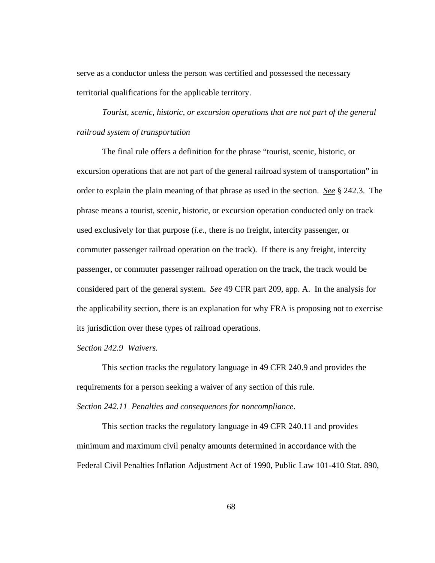serve as a conductor unless the person was certified and possessed the necessary territorial qualifications for the applicable territory.

*Tourist, scenic, historic, or excursion operations that are not part of the general railroad system of transportation* 

The final rule offers a definition for the phrase "tourist, scenic, historic, or excursion operations that are not part of the general railroad system of transportation" in order to explain the plain meaning of that phrase as used in the section. *See* § 242.3. The phrase means a tourist, scenic, historic, or excursion operation conducted only on track used exclusively for that purpose (*i.e.*, there is no freight, intercity passenger, or commuter passenger railroad operation on the track). If there is any freight, intercity passenger, or commuter passenger railroad operation on the track, the track would be considered part of the general system. *See* 49 CFR part 209, app. A. In the analysis for the applicability section, there is an explanation for why FRA is proposing not to exercise its jurisdiction over these types of railroad operations.

# *Section 242.9 Waivers.*

This section tracks the regulatory language in 49 CFR 240.9 and provides the requirements for a person seeking a waiver of any section of this rule. *Section 242.11 Penalties and consequences for noncompliance.* 

 This section tracks the regulatory language in 49 CFR 240.11 and provides minimum and maximum civil penalty amounts determined in accordance with the Federal Civil Penalties Inflation Adjustment Act of 1990, Public Law 101-410 Stat. 890,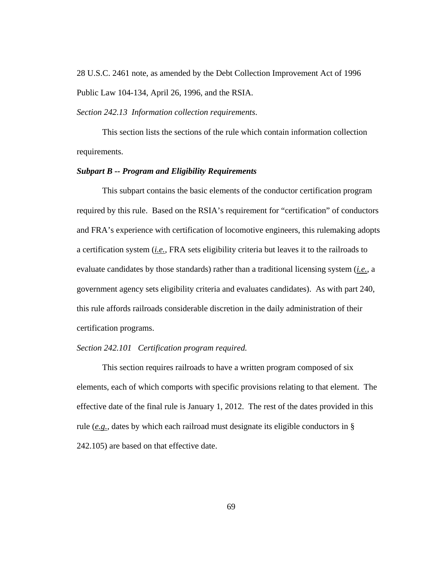28 U.S.C. 2461 note, as amended by the Debt Collection Improvement Act of 1996 Public Law 104-134, April 26, 1996, and the RSIA.

*Section 242.13 Information collection requirements*.

This section lists the sections of the rule which contain information collection requirements.

# *Subpart B -- Program and Eligibility Requirements*

 This subpart contains the basic elements of the conductor certification program required by this rule. Based on the RSIA's requirement for "certification" of conductors and FRA's experience with certification of locomotive engineers, this rulemaking adopts a certification system (*i.e.*, FRA sets eligibility criteria but leaves it to the railroads to evaluate candidates by those standards) rather than a traditional licensing system (*i.e.*, a government agency sets eligibility criteria and evaluates candidates). As with part 240, this rule affords railroads considerable discretion in the daily administration of their certification programs.

# *Section 242.101 Certification program required.*

 This section requires railroads to have a written program composed of six elements, each of which comports with specific provisions relating to that element. The effective date of the final rule is January 1, 2012. The rest of the dates provided in this rule (*e.g.*, dates by which each railroad must designate its eligible conductors in § 242.105) are based on that effective date.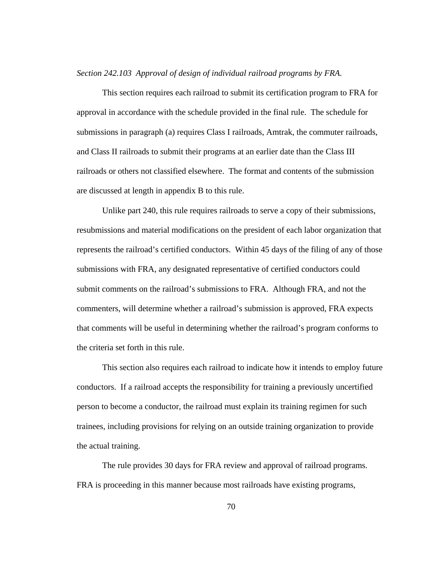*Section 242.103 Approval of design of individual railroad programs by FRA.* 

This section requires each railroad to submit its certification program to FRA for approval in accordance with the schedule provided in the final rule. The schedule for submissions in paragraph (a) requires Class I railroads, Amtrak, the commuter railroads, and Class II railroads to submit their programs at an earlier date than the Class III railroads or others not classified elsewhere. The format and contents of the submission are discussed at length in appendix B to this rule.

Unlike part 240, this rule requires railroads to serve a copy of their submissions, resubmissions and material modifications on the president of each labor organization that represents the railroad's certified conductors. Within 45 days of the filing of any of those submissions with FRA, any designated representative of certified conductors could submit comments on the railroad's submissions to FRA. Although FRA, and not the commenters, will determine whether a railroad's submission is approved, FRA expects that comments will be useful in determining whether the railroad's program conforms to the criteria set forth in this rule.

This section also requires each railroad to indicate how it intends to employ future conductors. If a railroad accepts the responsibility for training a previously uncertified person to become a conductor, the railroad must explain its training regimen for such trainees, including provisions for relying on an outside training organization to provide the actual training.

The rule provides 30 days for FRA review and approval of railroad programs. FRA is proceeding in this manner because most railroads have existing programs,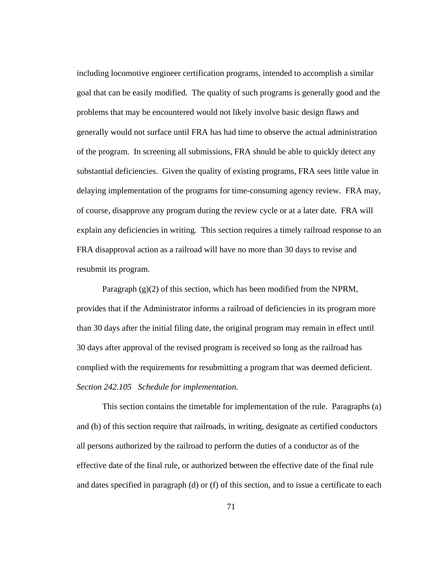including locomotive engineer certification programs, intended to accomplish a similar goal that can be easily modified. The quality of such programs is generally good and the problems that may be encountered would not likely involve basic design flaws and generally would not surface until FRA has had time to observe the actual administration of the program. In screening all submissions, FRA should be able to quickly detect any substantial deficiencies. Given the quality of existing programs, FRA sees little value in delaying implementation of the programs for time-consuming agency review. FRA may, of course, disapprove any program during the review cycle or at a later date. FRA will explain any deficiencies in writing. This section requires a timely railroad response to an FRA disapproval action as a railroad will have no more than 30 days to revise and resubmit its program.

Paragraph (g)(2) of this section, which has been modified from the NPRM, provides that if the Administrator informs a railroad of deficiencies in its program more than 30 days after the initial filing date, the original program may remain in effect until 30 days after approval of the revised program is received so long as the railroad has complied with the requirements for resubmitting a program that was deemed deficient. *Section 242.105 Schedule for implementation.*

 This section contains the timetable for implementation of the rule. Paragraphs (a) and (b) of this section require that railroads, in writing, designate as certified conductors all persons authorized by the railroad to perform the duties of a conductor as of the effective date of the final rule, or authorized between the effective date of the final rule and dates specified in paragraph (d) or (f) of this section, and to issue a certificate to each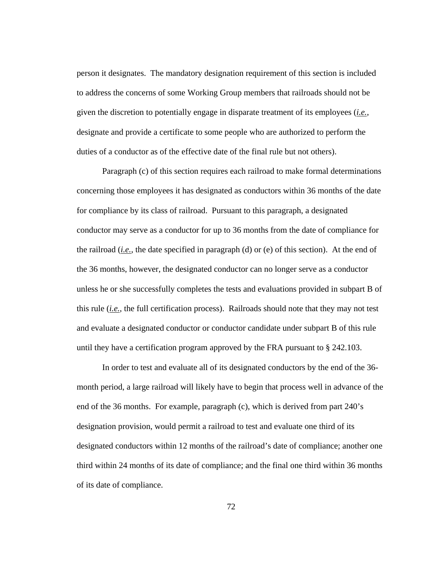person it designates. The mandatory designation requirement of this section is included to address the concerns of some Working Group members that railroads should not be given the discretion to potentially engage in disparate treatment of its employees (*i.e.*, designate and provide a certificate to some people who are authorized to perform the duties of a conductor as of the effective date of the final rule but not others).

Paragraph (c) of this section requires each railroad to make formal determinations concerning those employees it has designated as conductors within 36 months of the date for compliance by its class of railroad. Pursuant to this paragraph, a designated conductor may serve as a conductor for up to 36 months from the date of compliance for the railroad (*i.e.*, the date specified in paragraph (d) or (e) of this section). At the end of the 36 months, however, the designated conductor can no longer serve as a conductor unless he or she successfully completes the tests and evaluations provided in subpart B of this rule (*i.e.*, the full certification process). Railroads should note that they may not test and evaluate a designated conductor or conductor candidate under subpart B of this rule until they have a certification program approved by the FRA pursuant to § 242.103.

In order to test and evaluate all of its designated conductors by the end of the 36 month period, a large railroad will likely have to begin that process well in advance of the end of the 36 months. For example, paragraph (c), which is derived from part 240's designation provision, would permit a railroad to test and evaluate one third of its designated conductors within 12 months of the railroad's date of compliance; another one third within 24 months of its date of compliance; and the final one third within 36 months of its date of compliance.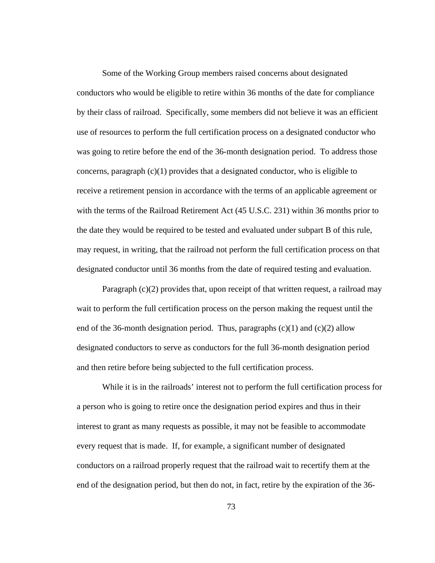Some of the Working Group members raised concerns about designated conductors who would be eligible to retire within 36 months of the date for compliance by their class of railroad. Specifically, some members did not believe it was an efficient use of resources to perform the full certification process on a designated conductor who was going to retire before the end of the 36-month designation period. To address those concerns, paragraph  $(c)(1)$  provides that a designated conductor, who is eligible to receive a retirement pension in accordance with the terms of an applicable agreement or with the terms of the Railroad Retirement Act (45 U.S.C. 231) within 36 months prior to the date they would be required to be tested and evaluated under subpart B of this rule, may request, in writing, that the railroad not perform the full certification process on that designated conductor until 36 months from the date of required testing and evaluation.

Paragraph (c)(2) provides that, upon receipt of that written request, a railroad may wait to perform the full certification process on the person making the request until the end of the 36-month designation period. Thus, paragraphs  $(c)(1)$  and  $(c)(2)$  allow designated conductors to serve as conductors for the full 36-month designation period and then retire before being subjected to the full certification process.

While it is in the railroads' interest not to perform the full certification process for a person who is going to retire once the designation period expires and thus in their interest to grant as many requests as possible, it may not be feasible to accommodate every request that is made. If, for example, a significant number of designated conductors on a railroad properly request that the railroad wait to recertify them at the end of the designation period, but then do not, in fact, retire by the expiration of the 36-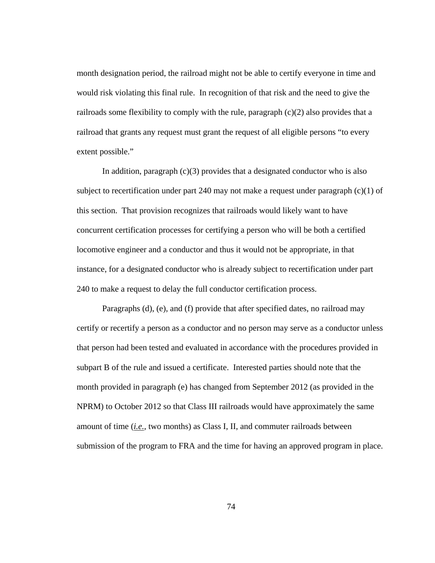month designation period, the railroad might not be able to certify everyone in time and would risk violating this final rule. In recognition of that risk and the need to give the railroads some flexibility to comply with the rule, paragraph  $(c)(2)$  also provides that a railroad that grants any request must grant the request of all eligible persons "to every extent possible."

In addition, paragraph  $(c)(3)$  provides that a designated conductor who is also subject to recertification under part 240 may not make a request under paragraph  $(c)(1)$  of this section. That provision recognizes that railroads would likely want to have concurrent certification processes for certifying a person who will be both a certified locomotive engineer and a conductor and thus it would not be appropriate, in that instance, for a designated conductor who is already subject to recertification under part 240 to make a request to delay the full conductor certification process.

 Paragraphs (d), (e), and (f) provide that after specified dates, no railroad may certify or recertify a person as a conductor and no person may serve as a conductor unless that person had been tested and evaluated in accordance with the procedures provided in subpart B of the rule and issued a certificate. Interested parties should note that the month provided in paragraph (e) has changed from September 2012 (as provided in the NPRM) to October 2012 so that Class III railroads would have approximately the same amount of time (*i.e.*, two months) as Class I, II, and commuter railroads between submission of the program to FRA and the time for having an approved program in place.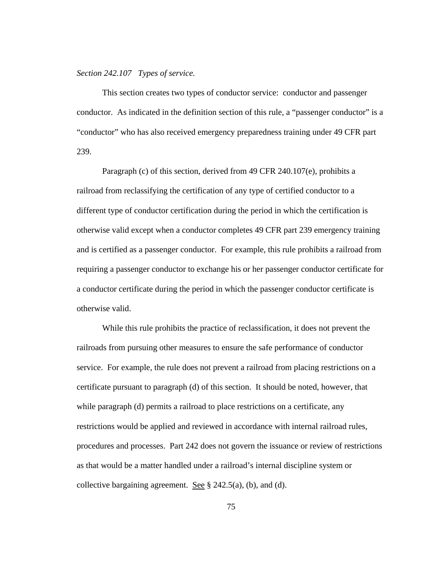### *Section 242.107 Types of service.*

This section creates two types of conductor service: conductor and passenger conductor. As indicated in the definition section of this rule, a "passenger conductor" is a "conductor" who has also received emergency preparedness training under 49 CFR part 239.

Paragraph (c) of this section, derived from 49 CFR 240.107(e), prohibits a railroad from reclassifying the certification of any type of certified conductor to a different type of conductor certification during the period in which the certification is otherwise valid except when a conductor completes 49 CFR part 239 emergency training and is certified as a passenger conductor. For example, this rule prohibits a railroad from requiring a passenger conductor to exchange his or her passenger conductor certificate for a conductor certificate during the period in which the passenger conductor certificate is otherwise valid.

While this rule prohibits the practice of reclassification, it does not prevent the railroads from pursuing other measures to ensure the safe performance of conductor service. For example, the rule does not prevent a railroad from placing restrictions on a certificate pursuant to paragraph (d) of this section. It should be noted, however, that while paragraph (d) permits a railroad to place restrictions on a certificate, any restrictions would be applied and reviewed in accordance with internal railroad rules, procedures and processes. Part 242 does not govern the issuance or review of restrictions as that would be a matter handled under a railroad's internal discipline system or collective bargaining agreement. See § 242.5(a), (b), and (d).

75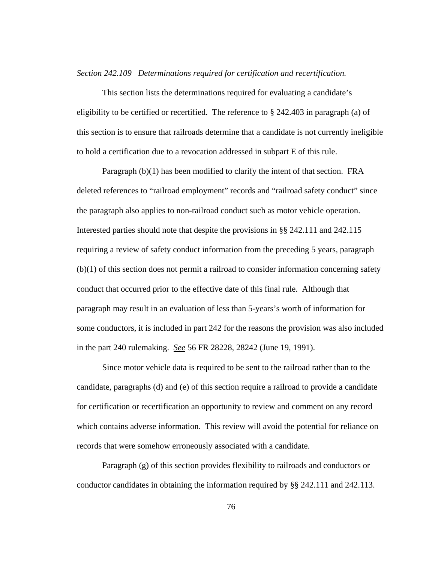*Section 242.109 Determinations required for certification and recertification.* 

This section lists the determinations required for evaluating a candidate's eligibility to be certified or recertified. The reference to  $\S 242.403$  in paragraph (a) of this section is to ensure that railroads determine that a candidate is not currently ineligible to hold a certification due to a revocation addressed in subpart E of this rule.

Paragraph (b)(1) has been modified to clarify the intent of that section. FRA deleted references to "railroad employment" records and "railroad safety conduct" since the paragraph also applies to non-railroad conduct such as motor vehicle operation. Interested parties should note that despite the provisions in §§ 242.111 and 242.115 requiring a review of safety conduct information from the preceding 5 years, paragraph (b)(1) of this section does not permit a railroad to consider information concerning safety conduct that occurred prior to the effective date of this final rule. Although that paragraph may result in an evaluation of less than 5-years's worth of information for some conductors, it is included in part 242 for the reasons the provision was also included in the part 240 rulemaking. *See* 56 FR 28228, 28242 (June 19, 1991).

Since motor vehicle data is required to be sent to the railroad rather than to the candidate, paragraphs (d) and (e) of this section require a railroad to provide a candidate for certification or recertification an opportunity to review and comment on any record which contains adverse information. This review will avoid the potential for reliance on records that were somehow erroneously associated with a candidate.

Paragraph (g) of this section provides flexibility to railroads and conductors or conductor candidates in obtaining the information required by §§ 242.111 and 242.113.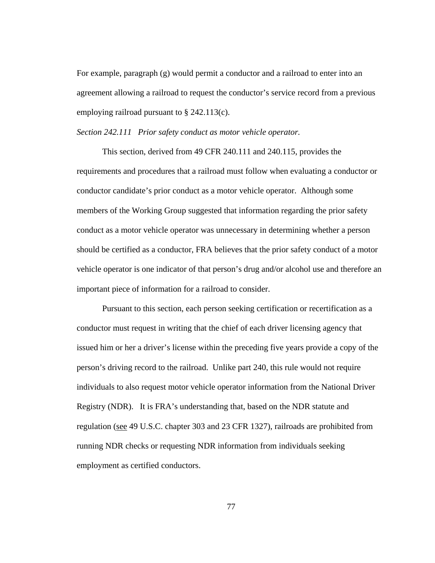For example, paragraph (g) would permit a conductor and a railroad to enter into an agreement allowing a railroad to request the conductor's service record from a previous employing railroad pursuant to § 242.113(c).

*Section 242.111 Prior safety conduct as motor vehicle operator.* 

 This section, derived from 49 CFR 240.111 and 240.115, provides the requirements and procedures that a railroad must follow when evaluating a conductor or conductor candidate's prior conduct as a motor vehicle operator. Although some members of the Working Group suggested that information regarding the prior safety conduct as a motor vehicle operator was unnecessary in determining whether a person should be certified as a conductor, FRA believes that the prior safety conduct of a motor vehicle operator is one indicator of that person's drug and/or alcohol use and therefore an important piece of information for a railroad to consider.

 Pursuant to this section, each person seeking certification or recertification as a conductor must request in writing that the chief of each driver licensing agency that issued him or her a driver's license within the preceding five years provide a copy of the person's driving record to the railroad. Unlike part 240, this rule would not require individuals to also request motor vehicle operator information from the National Driver Registry (NDR). It is FRA's understanding that, based on the NDR statute and regulation (see 49 U.S.C. chapter 303 and 23 CFR 1327), railroads are prohibited from running NDR checks or requesting NDR information from individuals seeking employment as certified conductors.

77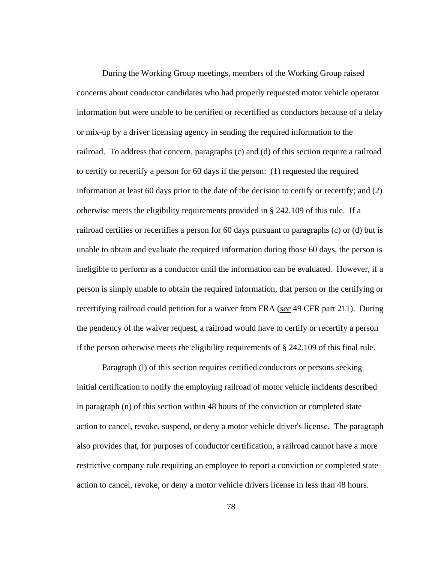During the Working Group meetings, members of the Working Group raised concerns about conductor candidates who had properly requested motor vehicle operator information but were unable to be certified or recertified as conductors because of a delay or mix-up by a driver licensing agency in sending the required information to the railroad. To address that concern, paragraphs (c) and (d) of this section require a railroad to certify or recertify a person for 60 days if the person: (1) requested the required information at least 60 days prior to the date of the decision to certify or recertify; and (2) otherwise meets the eligibility requirements provided in § 242.109 of this rule. If a railroad certifies or recertifies a person for 60 days pursuant to paragraphs (c) or (d) but is unable to obtain and evaluate the required information during those 60 days, the person is ineligible to perform as a conductor until the information can be evaluated. However, if a person is simply unable to obtain the required information, that person or the certifying or recertifying railroad could petition for a waiver from FRA (*see* 49 CFR part 211). During the pendency of the waiver request, a railroad would have to certify or recertify a person if the person otherwise meets the eligibility requirements of § 242.109 of this final rule.

 Paragraph (l) of this section requires certified conductors or persons seeking initial certification to notify the employing railroad of motor vehicle incidents described in paragraph (n) of this section within 48 hours of the conviction or completed state action to cancel, revoke, suspend, or deny a motor vehicle driver's license. The paragraph also provides that, for purposes of conductor certification, a railroad cannot have a more restrictive company rule requiring an employee to report a conviction or completed state action to cancel, revoke, or deny a motor vehicle drivers license in less than 48 hours.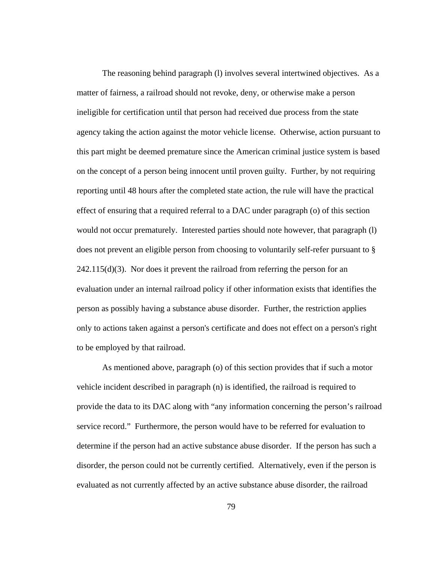The reasoning behind paragraph (l) involves several intertwined objectives. As a matter of fairness, a railroad should not revoke, deny, or otherwise make a person ineligible for certification until that person had received due process from the state agency taking the action against the motor vehicle license. Otherwise, action pursuant to this part might be deemed premature since the American criminal justice system is based on the concept of a person being innocent until proven guilty. Further, by not requiring reporting until 48 hours after the completed state action, the rule will have the practical effect of ensuring that a required referral to a DAC under paragraph (o) of this section would not occur prematurely. Interested parties should note however, that paragraph (l) does not prevent an eligible person from choosing to voluntarily self-refer pursuant to §  $242.115(d)(3)$ . Nor does it prevent the railroad from referring the person for an evaluation under an internal railroad policy if other information exists that identifies the person as possibly having a substance abuse disorder. Further, the restriction applies only to actions taken against a person's certificate and does not effect on a person's right to be employed by that railroad.

As mentioned above, paragraph (o) of this section provides that if such a motor vehicle incident described in paragraph (n) is identified, the railroad is required to provide the data to its DAC along with "any information concerning the person's railroad service record." Furthermore, the person would have to be referred for evaluation to determine if the person had an active substance abuse disorder. If the person has such a disorder, the person could not be currently certified. Alternatively, even if the person is evaluated as not currently affected by an active substance abuse disorder, the railroad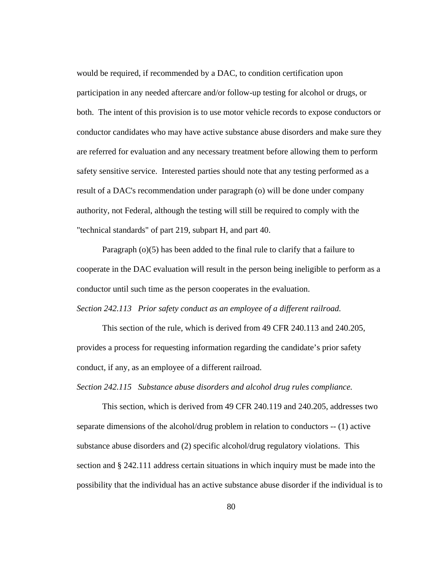would be required, if recommended by a DAC, to condition certification upon participation in any needed aftercare and/or follow-up testing for alcohol or drugs, or both. The intent of this provision is to use motor vehicle records to expose conductors or conductor candidates who may have active substance abuse disorders and make sure they are referred for evaluation and any necessary treatment before allowing them to perform safety sensitive service. Interested parties should note that any testing performed as a result of a DAC's recommendation under paragraph (o) will be done under company authority, not Federal, although the testing will still be required to comply with the "technical standards" of part 219, subpart H, and part 40.

Paragraph (o)(5) has been added to the final rule to clarify that a failure to cooperate in the DAC evaluation will result in the person being ineligible to perform as a conductor until such time as the person cooperates in the evaluation.

*Section 242.113 Prior safety conduct as an employee of a different railroad.* 

This section of the rule, which is derived from 49 CFR 240.113 and 240.205, provides a process for requesting information regarding the candidate's prior safety conduct, if any, as an employee of a different railroad.

*Section 242.115 Substance abuse disorders and alcohol drug rules compliance.* 

This section, which is derived from 49 CFR 240.119 and 240.205, addresses two separate dimensions of the alcohol/drug problem in relation to conductors -- (1) active substance abuse disorders and (2) specific alcohol/drug regulatory violations. This section and § 242.111 address certain situations in which inquiry must be made into the possibility that the individual has an active substance abuse disorder if the individual is to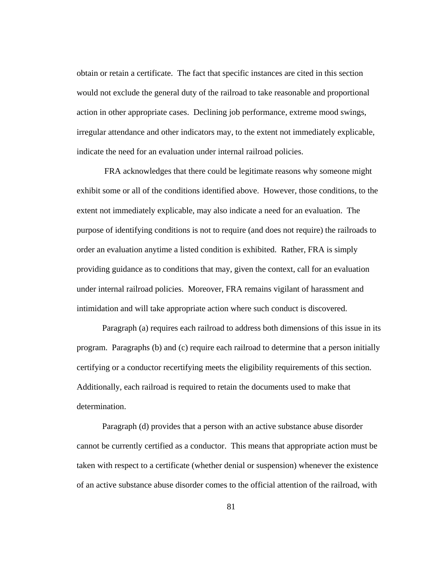obtain or retain a certificate. The fact that specific instances are cited in this section would not exclude the general duty of the railroad to take reasonable and proportional action in other appropriate cases. Declining job performance, extreme mood swings, irregular attendance and other indicators may, to the extent not immediately explicable, indicate the need for an evaluation under internal railroad policies.

 FRA acknowledges that there could be legitimate reasons why someone might exhibit some or all of the conditions identified above. However, those conditions, to the extent not immediately explicable, may also indicate a need for an evaluation. The purpose of identifying conditions is not to require (and does not require) the railroads to order an evaluation anytime a listed condition is exhibited. Rather, FRA is simply providing guidance as to conditions that may, given the context, call for an evaluation under internal railroad policies. Moreover, FRA remains vigilant of harassment and intimidation and will take appropriate action where such conduct is discovered.

Paragraph (a) requires each railroad to address both dimensions of this issue in its program. Paragraphs (b) and (c) require each railroad to determine that a person initially certifying or a conductor recertifying meets the eligibility requirements of this section. Additionally, each railroad is required to retain the documents used to make that determination.

Paragraph (d) provides that a person with an active substance abuse disorder cannot be currently certified as a conductor. This means that appropriate action must be taken with respect to a certificate (whether denial or suspension) whenever the existence of an active substance abuse disorder comes to the official attention of the railroad, with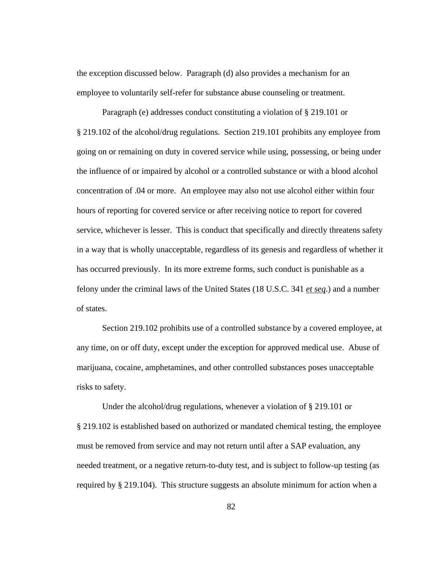the exception discussed below. Paragraph (d) also provides a mechanism for an employee to voluntarily self-refer for substance abuse counseling or treatment.

Paragraph (e) addresses conduct constituting a violation of § 219.101 or § 219.102 of the alcohol/drug regulations. Section 219.101 prohibits any employee from going on or remaining on duty in covered service while using, possessing, or being under the influence of or impaired by alcohol or a controlled substance or with a blood alcohol concentration of .04 or more. An employee may also not use alcohol either within four hours of reporting for covered service or after receiving notice to report for covered service, whichever is lesser. This is conduct that specifically and directly threatens safety in a way that is wholly unacceptable, regardless of its genesis and regardless of whether it has occurred previously. In its more extreme forms, such conduct is punishable as a felony under the criminal laws of the United States (18 U.S.C. 341 *et seq*.) and a number of states.

Section 219.102 prohibits use of a controlled substance by a covered employee, at any time, on or off duty, except under the exception for approved medical use. Abuse of marijuana, cocaine, amphetamines, and other controlled substances poses unacceptable risks to safety.

Under the alcohol/drug regulations, whenever a violation of § 219.101 or § 219.102 is established based on authorized or mandated chemical testing, the employee must be removed from service and may not return until after a SAP evaluation, any needed treatment, or a negative return-to-duty test, and is subject to follow-up testing (as required by § 219.104). This structure suggests an absolute minimum for action when a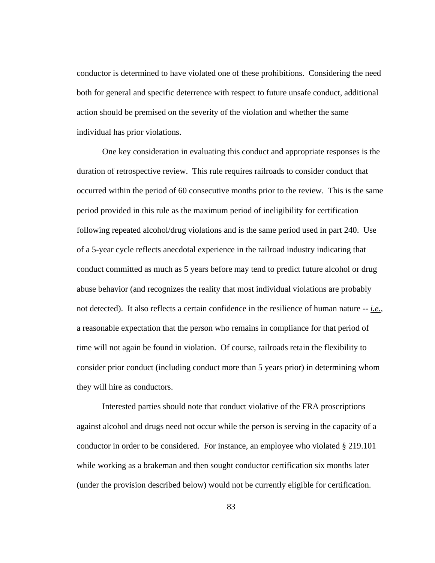conductor is determined to have violated one of these prohibitions. Considering the need both for general and specific deterrence with respect to future unsafe conduct, additional action should be premised on the severity of the violation and whether the same individual has prior violations.

One key consideration in evaluating this conduct and appropriate responses is the duration of retrospective review. This rule requires railroads to consider conduct that occurred within the period of 60 consecutive months prior to the review. This is the same period provided in this rule as the maximum period of ineligibility for certification following repeated alcohol/drug violations and is the same period used in part 240. Use of a 5-year cycle reflects anecdotal experience in the railroad industry indicating that conduct committed as much as 5 years before may tend to predict future alcohol or drug abuse behavior (and recognizes the reality that most individual violations are probably not detected). It also reflects a certain confidence in the resilience of human nature -- *i.e.*, a reasonable expectation that the person who remains in compliance for that period of time will not again be found in violation. Of course, railroads retain the flexibility to consider prior conduct (including conduct more than 5 years prior) in determining whom they will hire as conductors.

Interested parties should note that conduct violative of the FRA proscriptions against alcohol and drugs need not occur while the person is serving in the capacity of a conductor in order to be considered. For instance, an employee who violated § 219.101 while working as a brakeman and then sought conductor certification six months later (under the provision described below) would not be currently eligible for certification.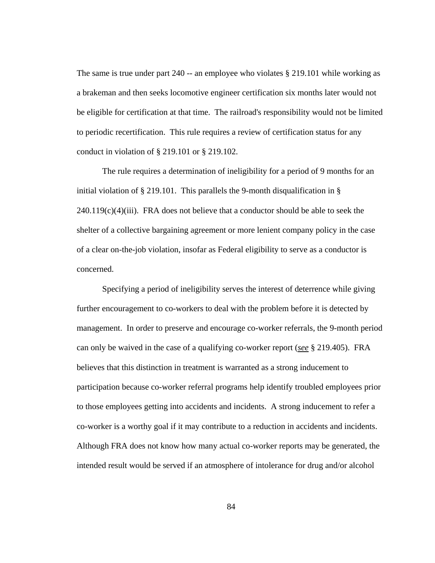The same is true under part 240 -- an employee who violates § 219.101 while working as a brakeman and then seeks locomotive engineer certification six months later would not be eligible for certification at that time. The railroad's responsibility would not be limited to periodic recertification. This rule requires a review of certification status for any conduct in violation of § 219.101 or § 219.102.

The rule requires a determination of ineligibility for a period of 9 months for an initial violation of § 219.101. This parallels the 9-month disqualification in §  $240.119(c)(4)(iii)$ . FRA does not believe that a conductor should be able to seek the shelter of a collective bargaining agreement or more lenient company policy in the case of a clear on-the-job violation, insofar as Federal eligibility to serve as a conductor is concerned.

Specifying a period of ineligibility serves the interest of deterrence while giving further encouragement to co-workers to deal with the problem before it is detected by management. In order to preserve and encourage co-worker referrals, the 9-month period can only be waived in the case of a qualifying co-worker report (*see* § 219.405). FRA believes that this distinction in treatment is warranted as a strong inducement to participation because co-worker referral programs help identify troubled employees prior to those employees getting into accidents and incidents. A strong inducement to refer a co-worker is a worthy goal if it may contribute to a reduction in accidents and incidents. Although FRA does not know how many actual co-worker reports may be generated, the intended result would be served if an atmosphere of intolerance for drug and/or alcohol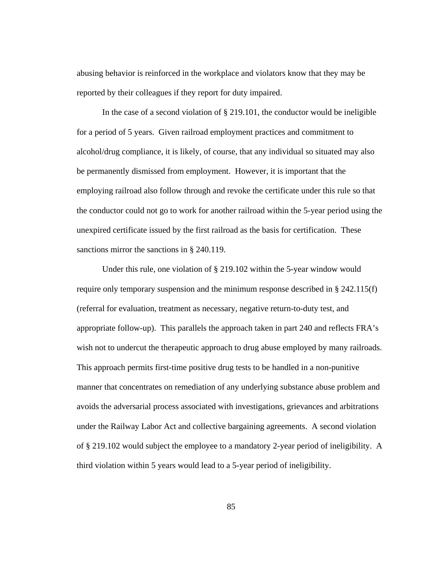abusing behavior is reinforced in the workplace and violators know that they may be reported by their colleagues if they report for duty impaired.

In the case of a second violation of  $\S$  219.101, the conductor would be ineligible for a period of 5 years. Given railroad employment practices and commitment to alcohol/drug compliance, it is likely, of course, that any individual so situated may also be permanently dismissed from employment. However, it is important that the employing railroad also follow through and revoke the certificate under this rule so that the conductor could not go to work for another railroad within the 5-year period using the unexpired certificate issued by the first railroad as the basis for certification. These sanctions mirror the sanctions in § 240.119.

Under this rule, one violation of § 219.102 within the 5-year window would require only temporary suspension and the minimum response described in § 242.115(f) (referral for evaluation, treatment as necessary, negative return-to-duty test, and appropriate follow-up). This parallels the approach taken in part 240 and reflects FRA's wish not to undercut the therapeutic approach to drug abuse employed by many railroads. This approach permits first-time positive drug tests to be handled in a non-punitive manner that concentrates on remediation of any underlying substance abuse problem and avoids the adversarial process associated with investigations, grievances and arbitrations under the Railway Labor Act and collective bargaining agreements. A second violation of § 219.102 would subject the employee to a mandatory 2-year period of ineligibility. A third violation within 5 years would lead to a 5-year period of ineligibility.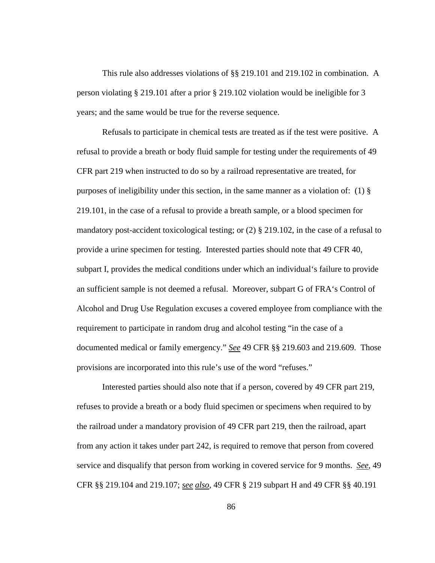This rule also addresses violations of §§ 219.101 and 219.102 in combination. A person violating § 219.101 after a prior § 219.102 violation would be ineligible for 3 years; and the same would be true for the reverse sequence.

Refusals to participate in chemical tests are treated as if the test were positive. A refusal to provide a breath or body fluid sample for testing under the requirements of 49 CFR part 219 when instructed to do so by a railroad representative are treated, for purposes of ineligibility under this section, in the same manner as a violation of: (1)  $\S$ 219.101, in the case of a refusal to provide a breath sample, or a blood specimen for mandatory post-accident toxicological testing; or  $(2)$  § 219.102, in the case of a refusal to provide a urine specimen for testing. Interested parties should note that 49 CFR 40, subpart I, provides the medical conditions under which an individual's failure to provide an sufficient sample is not deemed a refusal. Moreover, subpart G of FRA's Control of Alcohol and Drug Use Regulation excuses a covered employee from compliance with the requirement to participate in random drug and alcohol testing "in the case of a documented medical or family emergency." *See* 49 CFR §§ 219.603 and 219.609. Those provisions are incorporated into this rule's use of the word "refuses."

Interested parties should also note that if a person, covered by 49 CFR part 219, refuses to provide a breath or a body fluid specimen or specimens when required to by the railroad under a mandatory provision of 49 CFR part 219, then the railroad, apart from any action it takes under part 242, is required to remove that person from covered service and disqualify that person from working in covered service for 9 months. *See*, 49 CFR §§ 219.104 and 219.107; *see also*, 49 CFR § 219 subpart H and 49 CFR §§ 40.191

86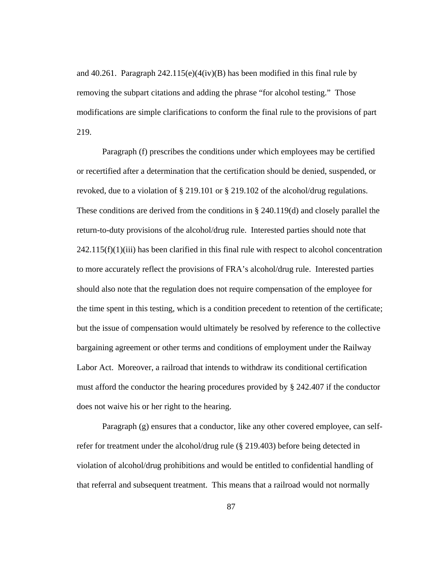and 40.261. Paragraph  $242.115(e)(4(iv)(B)$  has been modified in this final rule by removing the subpart citations and adding the phrase "for alcohol testing." Those modifications are simple clarifications to conform the final rule to the provisions of part 219.

Paragraph (f) prescribes the conditions under which employees may be certified or recertified after a determination that the certification should be denied, suspended, or revoked, due to a violation of § 219.101 or § 219.102 of the alcohol/drug regulations. These conditions are derived from the conditions in § 240.119(d) and closely parallel the return-to-duty provisions of the alcohol/drug rule. Interested parties should note that  $242.115(f)(1)(iii)$  has been clarified in this final rule with respect to alcohol concentration to more accurately reflect the provisions of FRA's alcohol/drug rule. Interested parties should also note that the regulation does not require compensation of the employee for the time spent in this testing, which is a condition precedent to retention of the certificate; but the issue of compensation would ultimately be resolved by reference to the collective bargaining agreement or other terms and conditions of employment under the Railway Labor Act. Moreover, a railroad that intends to withdraw its conditional certification must afford the conductor the hearing procedures provided by § 242.407 if the conductor does not waive his or her right to the hearing.

Paragraph (g) ensures that a conductor, like any other covered employee, can selfrefer for treatment under the alcohol/drug rule (§ 219.403) before being detected in violation of alcohol/drug prohibitions and would be entitled to confidential handling of that referral and subsequent treatment. This means that a railroad would not normally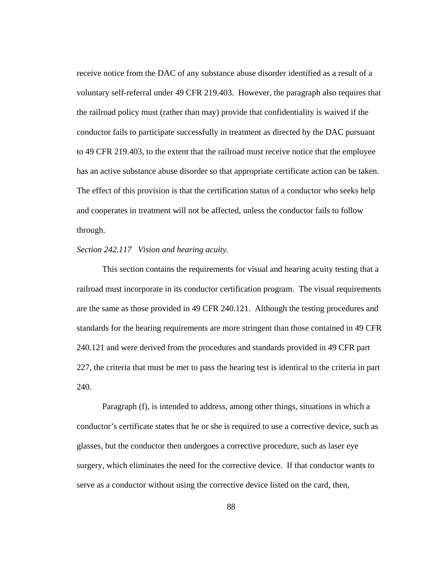receive notice from the DAC of any substance abuse disorder identified as a result of a voluntary self-referral under 49 CFR 219.403. However, the paragraph also requires that the railroad policy must (rather than may) provide that confidentiality is waived if the conductor fails to participate successfully in treatment as directed by the DAC pursuant to 49 CFR 219.403, to the extent that the railroad must receive notice that the employee has an active substance abuse disorder so that appropriate certificate action can be taken. The effect of this provision is that the certification status of a conductor who seeks help and cooperates in treatment will not be affected, unless the conductor fails to follow through.

## *Section 242.117 Vision and hearing acuity.*

This section contains the requirements for visual and hearing acuity testing that a railroad must incorporate in its conductor certification program. The visual requirements are the same as those provided in 49 CFR 240.121. Although the testing procedures and standards for the hearing requirements are more stringent than those contained in 49 CFR 240.121 and were derived from the procedures and standards provided in 49 CFR part 227, the criteria that must be met to pass the hearing test is identical to the criteria in part 240.

Paragraph (f), is intended to address, among other things, situations in which a conductor's certificate states that he or she is required to use a corrective device, such as glasses, but the conductor then undergoes a corrective procedure, such as laser eye surgery, which eliminates the need for the corrective device. If that conductor wants to serve as a conductor without using the corrective device listed on the card, then,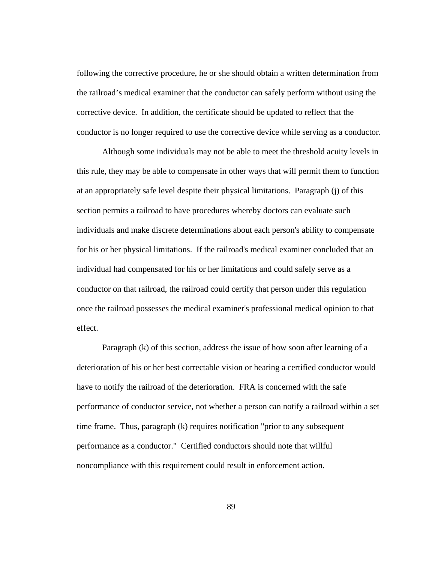following the corrective procedure, he or she should obtain a written determination from the railroad's medical examiner that the conductor can safely perform without using the corrective device. In addition, the certificate should be updated to reflect that the conductor is no longer required to use the corrective device while serving as a conductor.

Although some individuals may not be able to meet the threshold acuity levels in this rule, they may be able to compensate in other ways that will permit them to function at an appropriately safe level despite their physical limitations. Paragraph (j) of this section permits a railroad to have procedures whereby doctors can evaluate such individuals and make discrete determinations about each person's ability to compensate for his or her physical limitations. If the railroad's medical examiner concluded that an individual had compensated for his or her limitations and could safely serve as a conductor on that railroad, the railroad could certify that person under this regulation once the railroad possesses the medical examiner's professional medical opinion to that effect.

 Paragraph (k) of this section, address the issue of how soon after learning of a deterioration of his or her best correctable vision or hearing a certified conductor would have to notify the railroad of the deterioration. FRA is concerned with the safe performance of conductor service, not whether a person can notify a railroad within a set time frame. Thus, paragraph (k) requires notification "prior to any subsequent performance as a conductor." Certified conductors should note that willful noncompliance with this requirement could result in enforcement action.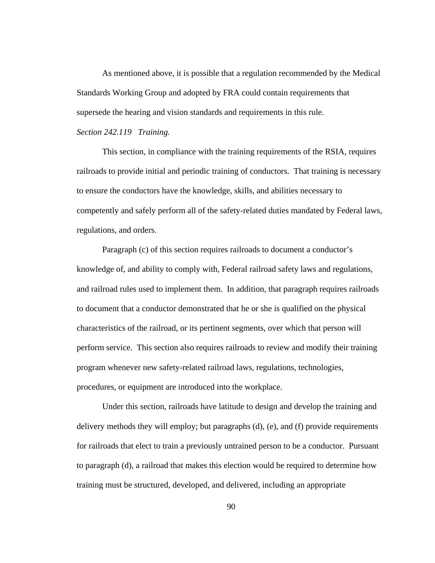As mentioned above, it is possible that a regulation recommended by the Medical Standards Working Group and adopted by FRA could contain requirements that supersede the hearing and vision standards and requirements in this rule.

# *Section 242.119 Training.*

This section, in compliance with the training requirements of the RSIA, requires railroads to provide initial and periodic training of conductors. That training is necessary to ensure the conductors have the knowledge, skills, and abilities necessary to competently and safely perform all of the safety-related duties mandated by Federal laws, regulations, and orders.

Paragraph (c) of this section requires railroads to document a conductor's knowledge of, and ability to comply with, Federal railroad safety laws and regulations, and railroad rules used to implement them. In addition, that paragraph requires railroads to document that a conductor demonstrated that he or she is qualified on the physical characteristics of the railroad, or its pertinent segments, over which that person will perform service. This section also requires railroads to review and modify their training program whenever new safety-related railroad laws, regulations, technologies, procedures, or equipment are introduced into the workplace.

Under this section, railroads have latitude to design and develop the training and delivery methods they will employ; but paragraphs (d), (e), and (f) provide requirements for railroads that elect to train a previously untrained person to be a conductor. Pursuant to paragraph (d), a railroad that makes this election would be required to determine how training must be structured, developed, and delivered, including an appropriate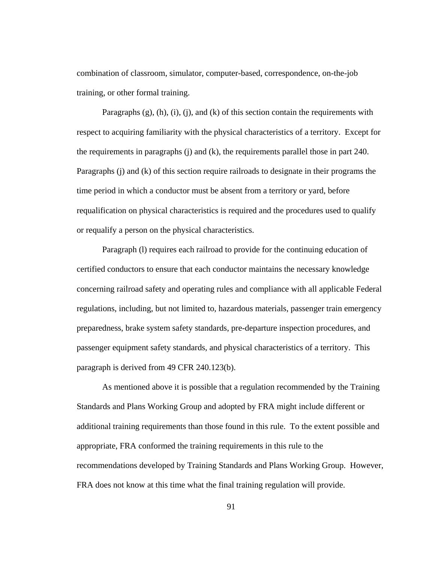combination of classroom, simulator, computer-based, correspondence, on-the-job training, or other formal training.

Paragraphs  $(g)$ ,  $(h)$ ,  $(i)$ ,  $(i)$ ,  $(n)$ ,  $(n)$  of this section contain the requirements with respect to acquiring familiarity with the physical characteristics of a territory. Except for the requirements in paragraphs (j) and (k), the requirements parallel those in part 240. Paragraphs (j) and (k) of this section require railroads to designate in their programs the time period in which a conductor must be absent from a territory or yard, before requalification on physical characteristics is required and the procedures used to qualify or requalify a person on the physical characteristics.

Paragraph (l) requires each railroad to provide for the continuing education of certified conductors to ensure that each conductor maintains the necessary knowledge concerning railroad safety and operating rules and compliance with all applicable Federal regulations, including, but not limited to, hazardous materials, passenger train emergency preparedness, brake system safety standards, pre-departure inspection procedures, and passenger equipment safety standards, and physical characteristics of a territory. This paragraph is derived from 49 CFR 240.123(b).

As mentioned above it is possible that a regulation recommended by the Training Standards and Plans Working Group and adopted by FRA might include different or additional training requirements than those found in this rule. To the extent possible and appropriate, FRA conformed the training requirements in this rule to the recommendations developed by Training Standards and Plans Working Group. However, FRA does not know at this time what the final training regulation will provide.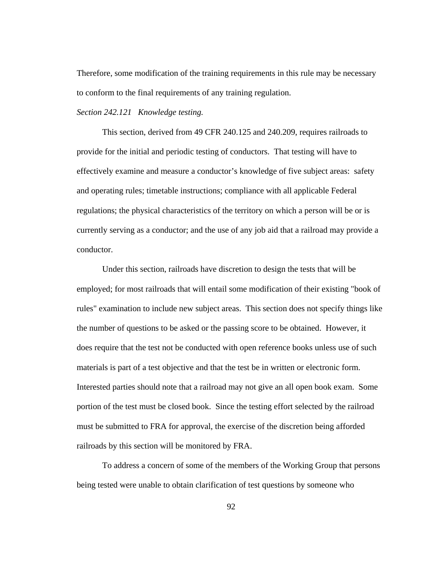Therefore, some modification of the training requirements in this rule may be necessary to conform to the final requirements of any training regulation.

### *Section 242.121 Knowledge testing.*

 This section, derived from 49 CFR 240.125 and 240.209, requires railroads to provide for the initial and periodic testing of conductors. That testing will have to effectively examine and measure a conductor's knowledge of five subject areas: safety and operating rules; timetable instructions; compliance with all applicable Federal regulations; the physical characteristics of the territory on which a person will be or is currently serving as a conductor; and the use of any job aid that a railroad may provide a conductor.

 Under this section, railroads have discretion to design the tests that will be employed; for most railroads that will entail some modification of their existing "book of rules" examination to include new subject areas. This section does not specify things like the number of questions to be asked or the passing score to be obtained. However, it does require that the test not be conducted with open reference books unless use of such materials is part of a test objective and that the test be in written or electronic form. Interested parties should note that a railroad may not give an all open book exam. Some portion of the test must be closed book. Since the testing effort selected by the railroad must be submitted to FRA for approval, the exercise of the discretion being afforded railroads by this section will be monitored by FRA.

To address a concern of some of the members of the Working Group that persons being tested were unable to obtain clarification of test questions by someone who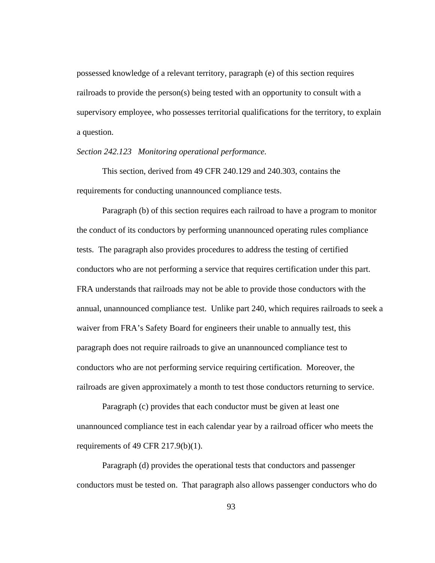possessed knowledge of a relevant territory, paragraph (e) of this section requires railroads to provide the person(s) being tested with an opportunity to consult with a supervisory employee, who possesses territorial qualifications for the territory, to explain a question.

*Section 242.123 Monitoring operational performance.* 

 This section, derived from 49 CFR 240.129 and 240.303, contains the requirements for conducting unannounced compliance tests.

Paragraph (b) of this section requires each railroad to have a program to monitor the conduct of its conductors by performing unannounced operating rules compliance tests. The paragraph also provides procedures to address the testing of certified conductors who are not performing a service that requires certification under this part. FRA understands that railroads may not be able to provide those conductors with the annual, unannounced compliance test. Unlike part 240, which requires railroads to seek a waiver from FRA's Safety Board for engineers their unable to annually test, this paragraph does not require railroads to give an unannounced compliance test to conductors who are not performing service requiring certification. Moreover, the railroads are given approximately a month to test those conductors returning to service.

Paragraph (c) provides that each conductor must be given at least one unannounced compliance test in each calendar year by a railroad officer who meets the requirements of 49 CFR  $217.9(b)(1)$ .

Paragraph (d) provides the operational tests that conductors and passenger conductors must be tested on. That paragraph also allows passenger conductors who do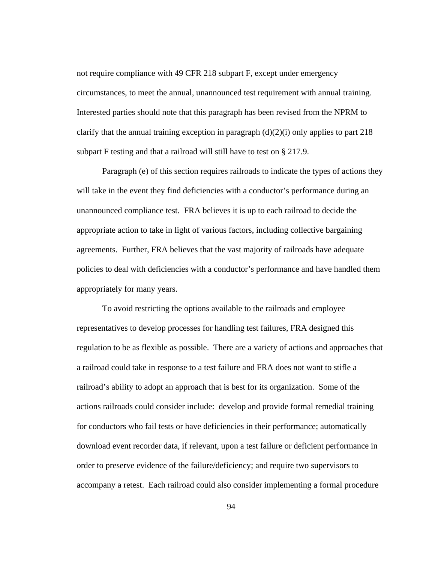not require compliance with 49 CFR 218 subpart F, except under emergency circumstances, to meet the annual, unannounced test requirement with annual training. Interested parties should note that this paragraph has been revised from the NPRM to clarify that the annual training exception in paragraph  $(d)(2)(i)$  only applies to part 218 subpart F testing and that a railroad will still have to test on § 217.9.

Paragraph (e) of this section requires railroads to indicate the types of actions they will take in the event they find deficiencies with a conductor's performance during an unannounced compliance test. FRA believes it is up to each railroad to decide the appropriate action to take in light of various factors, including collective bargaining agreements. Further, FRA believes that the vast majority of railroads have adequate policies to deal with deficiencies with a conductor's performance and have handled them appropriately for many years.

To avoid restricting the options available to the railroads and employee representatives to develop processes for handling test failures, FRA designed this regulation to be as flexible as possible. There are a variety of actions and approaches that a railroad could take in response to a test failure and FRA does not want to stifle a railroad's ability to adopt an approach that is best for its organization. Some of the actions railroads could consider include: develop and provide formal remedial training for conductors who fail tests or have deficiencies in their performance; automatically download event recorder data, if relevant, upon a test failure or deficient performance in order to preserve evidence of the failure/deficiency; and require two supervisors to accompany a retest. Each railroad could also consider implementing a formal procedure

94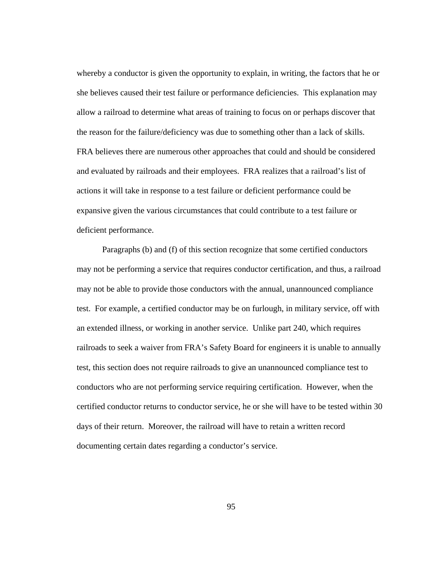whereby a conductor is given the opportunity to explain, in writing, the factors that he or she believes caused their test failure or performance deficiencies. This explanation may allow a railroad to determine what areas of training to focus on or perhaps discover that the reason for the failure/deficiency was due to something other than a lack of skills. FRA believes there are numerous other approaches that could and should be considered and evaluated by railroads and their employees. FRA realizes that a railroad's list of actions it will take in response to a test failure or deficient performance could be expansive given the various circumstances that could contribute to a test failure or deficient performance.

Paragraphs (b) and (f) of this section recognize that some certified conductors may not be performing a service that requires conductor certification, and thus, a railroad may not be able to provide those conductors with the annual, unannounced compliance test. For example, a certified conductor may be on furlough, in military service, off with an extended illness, or working in another service. Unlike part 240, which requires railroads to seek a waiver from FRA's Safety Board for engineers it is unable to annually test, this section does not require railroads to give an unannounced compliance test to conductors who are not performing service requiring certification. However, when the certified conductor returns to conductor service, he or she will have to be tested within 30 days of their return. Moreover, the railroad will have to retain a written record documenting certain dates regarding a conductor's service.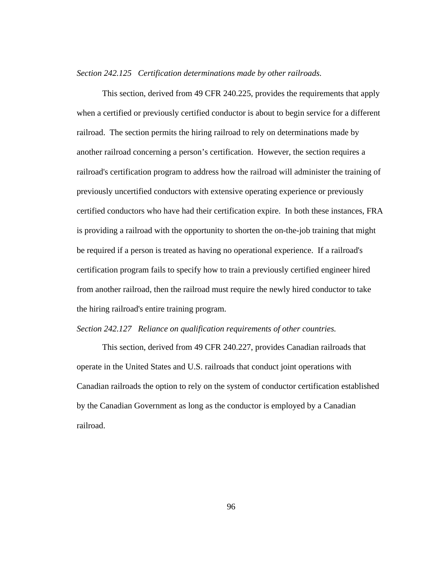#### *Section 242.125 Certification determinations made by other railroads.*

This section, derived from 49 CFR 240.225, provides the requirements that apply when a certified or previously certified conductor is about to begin service for a different railroad. The section permits the hiring railroad to rely on determinations made by another railroad concerning a person's certification. However, the section requires a railroad's certification program to address how the railroad will administer the training of previously uncertified conductors with extensive operating experience or previously certified conductors who have had their certification expire. In both these instances, FRA is providing a railroad with the opportunity to shorten the on-the-job training that might be required if a person is treated as having no operational experience. If a railroad's certification program fails to specify how to train a previously certified engineer hired from another railroad, then the railroad must require the newly hired conductor to take the hiring railroad's entire training program.

### *Section 242.127 Reliance on qualification requirements of other countries.*

This section, derived from 49 CFR 240.227, provides Canadian railroads that operate in the United States and U.S. railroads that conduct joint operations with Canadian railroads the option to rely on the system of conductor certification established by the Canadian Government as long as the conductor is employed by a Canadian railroad.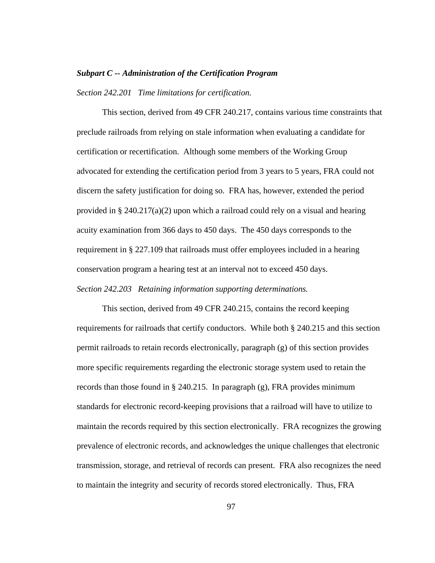### *Subpart C -- Administration of the Certification Program*

*Section 242.201 Time limitations for certification.* 

This section, derived from 49 CFR 240.217, contains various time constraints that preclude railroads from relying on stale information when evaluating a candidate for certification or recertification. Although some members of the Working Group advocated for extending the certification period from 3 years to 5 years, FRA could not discern the safety justification for doing so. FRA has, however, extended the period provided in § 240.217(a)(2) upon which a railroad could rely on a visual and hearing acuity examination from 366 days to 450 days. The 450 days corresponds to the requirement in § 227.109 that railroads must offer employees included in a hearing conservation program a hearing test at an interval not to exceed 450 days. *Section 242.203 Retaining information supporting determinations.* 

 This section, derived from 49 CFR 240.215, contains the record keeping requirements for railroads that certify conductors. While both § 240.215 and this section permit railroads to retain records electronically, paragraph (g) of this section provides more specific requirements regarding the electronic storage system used to retain the records than those found in § 240.215. In paragraph (g), FRA provides minimum standards for electronic record-keeping provisions that a railroad will have to utilize to maintain the records required by this section electronically. FRA recognizes the growing prevalence of electronic records, and acknowledges the unique challenges that electronic transmission, storage, and retrieval of records can present. FRA also recognizes the need to maintain the integrity and security of records stored electronically. Thus, FRA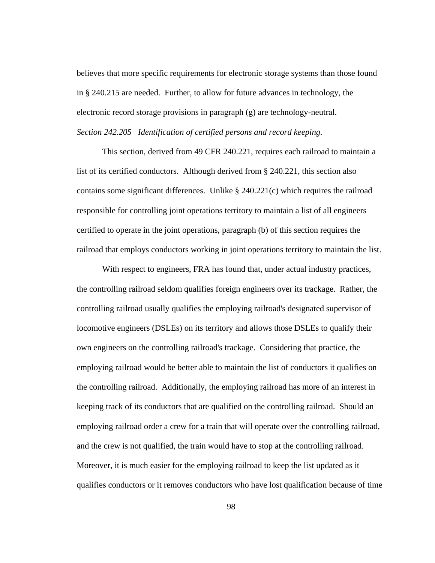believes that more specific requirements for electronic storage systems than those found in § 240.215 are needed. Further, to allow for future advances in technology, the electronic record storage provisions in paragraph (g) are technology-neutral. *Section 242.205 Identification of certified persons and record keeping.* 

 This section, derived from 49 CFR 240.221, requires each railroad to maintain a list of its certified conductors. Although derived from § 240.221, this section also contains some significant differences. Unlike  $\S 240.221(c)$  which requires the railroad responsible for controlling joint operations territory to maintain a list of all engineers certified to operate in the joint operations, paragraph (b) of this section requires the railroad that employs conductors working in joint operations territory to maintain the list.

With respect to engineers, FRA has found that, under actual industry practices, the controlling railroad seldom qualifies foreign engineers over its trackage. Rather, the controlling railroad usually qualifies the employing railroad's designated supervisor of locomotive engineers (DSLEs) on its territory and allows those DSLEs to qualify their own engineers on the controlling railroad's trackage. Considering that practice, the employing railroad would be better able to maintain the list of conductors it qualifies on the controlling railroad. Additionally, the employing railroad has more of an interest in keeping track of its conductors that are qualified on the controlling railroad. Should an employing railroad order a crew for a train that will operate over the controlling railroad, and the crew is not qualified, the train would have to stop at the controlling railroad. Moreover, it is much easier for the employing railroad to keep the list updated as it qualifies conductors or it removes conductors who have lost qualification because of time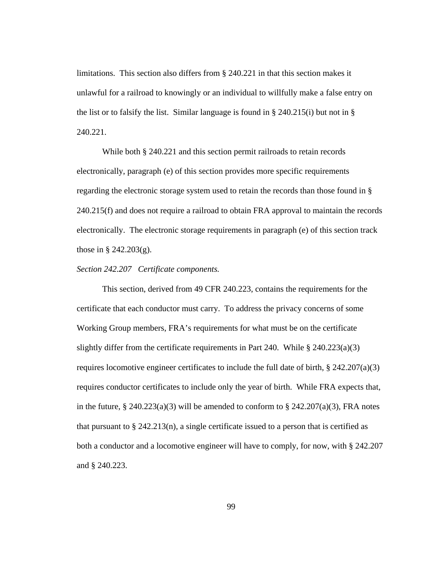limitations. This section also differs from § 240.221 in that this section makes it unlawful for a railroad to knowingly or an individual to willfully make a false entry on the list or to falsify the list. Similar language is found in  $\S$  240.215(i) but not in  $\S$ 240.221.

 While both § 240.221 and this section permit railroads to retain records electronically, paragraph (e) of this section provides more specific requirements regarding the electronic storage system used to retain the records than those found in § 240.215(f) and does not require a railroad to obtain FRA approval to maintain the records electronically. The electronic storage requirements in paragraph (e) of this section track those in § 242.203(g).

## *Section 242.207 Certificate components.*

 This section, derived from 49 CFR 240.223, contains the requirements for the certificate that each conductor must carry. To address the privacy concerns of some Working Group members, FRA's requirements for what must be on the certificate slightly differ from the certificate requirements in Part 240. While § 240.223(a)(3) requires locomotive engineer certificates to include the full date of birth, § 242.207(a)(3) requires conductor certificates to include only the year of birth. While FRA expects that, in the future,  $\S 240.223(a)(3)$  will be amended to conform to  $\S 242.207(a)(3)$ , FRA notes that pursuant to  $\S 242.213(n)$ , a single certificate issued to a person that is certified as both a conductor and a locomotive engineer will have to comply, for now, with § 242.207 and § 240.223.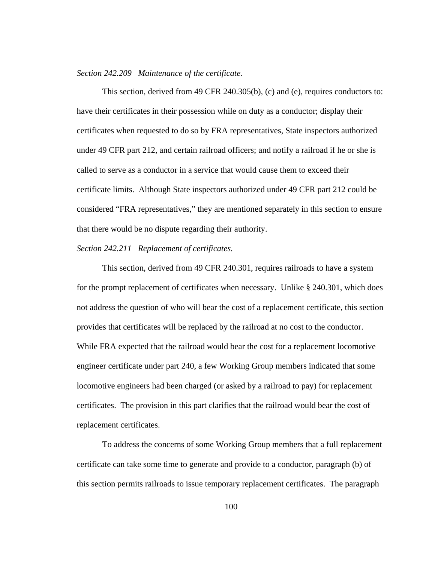### *Section 242.209 Maintenance of the certificate.*

This section, derived from 49 CFR 240.305(b), (c) and (e), requires conductors to: have their certificates in their possession while on duty as a conductor; display their certificates when requested to do so by FRA representatives, State inspectors authorized under 49 CFR part 212, and certain railroad officers; and notify a railroad if he or she is called to serve as a conductor in a service that would cause them to exceed their certificate limits. Although State inspectors authorized under 49 CFR part 212 could be considered "FRA representatives," they are mentioned separately in this section to ensure that there would be no dispute regarding their authority.

### *Section 242.211 Replacement of certificates.*

 This section, derived from 49 CFR 240.301, requires railroads to have a system for the prompt replacement of certificates when necessary. Unlike § 240.301, which does not address the question of who will bear the cost of a replacement certificate, this section provides that certificates will be replaced by the railroad at no cost to the conductor. While FRA expected that the railroad would bear the cost for a replacement locomotive engineer certificate under part 240, a few Working Group members indicated that some locomotive engineers had been charged (or asked by a railroad to pay) for replacement certificates. The provision in this part clarifies that the railroad would bear the cost of replacement certificates.

 To address the concerns of some Working Group members that a full replacement certificate can take some time to generate and provide to a conductor, paragraph (b) of this section permits railroads to issue temporary replacement certificates. The paragraph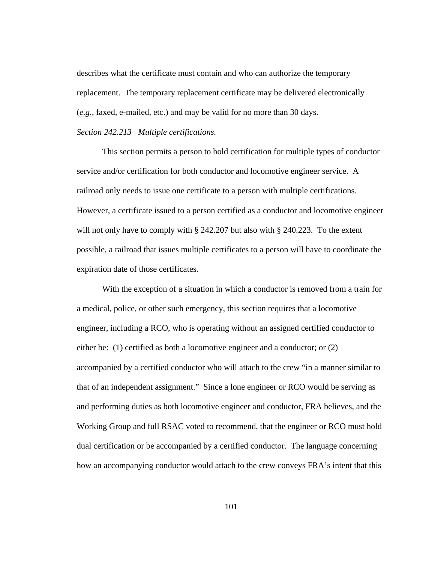describes what the certificate must contain and who can authorize the temporary replacement. The temporary replacement certificate may be delivered electronically (*e.g.*, faxed, e-mailed, etc.) and may be valid for no more than 30 days.

### *Section 242.213 Multiple certifications.*

This section permits a person to hold certification for multiple types of conductor service and/or certification for both conductor and locomotive engineer service. A railroad only needs to issue one certificate to a person with multiple certifications. However, a certificate issued to a person certified as a conductor and locomotive engineer will not only have to comply with § 242.207 but also with § 240.223. To the extent possible, a railroad that issues multiple certificates to a person will have to coordinate the expiration date of those certificates.

With the exception of a situation in which a conductor is removed from a train for a medical, police, or other such emergency, this section requires that a locomotive engineer, including a RCO, who is operating without an assigned certified conductor to either be: (1) certified as both a locomotive engineer and a conductor; or (2) accompanied by a certified conductor who will attach to the crew "in a manner similar to that of an independent assignment." Since a lone engineer or RCO would be serving as and performing duties as both locomotive engineer and conductor, FRA believes, and the Working Group and full RSAC voted to recommend, that the engineer or RCO must hold dual certification or be accompanied by a certified conductor. The language concerning how an accompanying conductor would attach to the crew conveys FRA's intent that this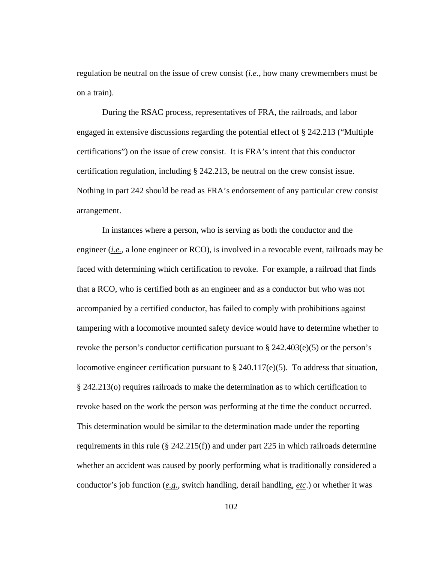regulation be neutral on the issue of crew consist (*i.e.*, how many crewmembers must be on a train).

During the RSAC process, representatives of FRA, the railroads, and labor engaged in extensive discussions regarding the potential effect of § 242.213 ("Multiple certifications") on the issue of crew consist. It is FRA's intent that this conductor certification regulation, including § 242.213, be neutral on the crew consist issue. Nothing in part 242 should be read as FRA's endorsement of any particular crew consist arrangement.

In instances where a person, who is serving as both the conductor and the engineer (*i.e.*, a lone engineer or RCO), is involved in a revocable event, railroads may be faced with determining which certification to revoke. For example, a railroad that finds that a RCO, who is certified both as an engineer and as a conductor but who was not accompanied by a certified conductor, has failed to comply with prohibitions against tampering with a locomotive mounted safety device would have to determine whether to revoke the person's conductor certification pursuant to  $\S 242.403(e)(5)$  or the person's locomotive engineer certification pursuant to  $\S$  240.117(e)(5). To address that situation, § 242.213(o) requires railroads to make the determination as to which certification to revoke based on the work the person was performing at the time the conduct occurred. This determination would be similar to the determination made under the reporting requirements in this rule ( $\S 242.215(f)$ ) and under part 225 in which railroads determine whether an accident was caused by poorly performing what is traditionally considered a conductor's job function (*e.g.*, switch handling, derail handling, *etc*.) or whether it was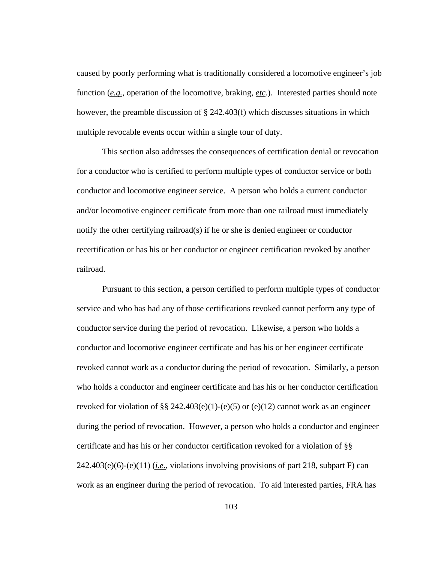caused by poorly performing what is traditionally considered a locomotive engineer's job function (*e.g.*, operation of the locomotive, braking, *etc*.). Interested parties should note however, the preamble discussion of § 242.403(f) which discusses situations in which multiple revocable events occur within a single tour of duty.

This section also addresses the consequences of certification denial or revocation for a conductor who is certified to perform multiple types of conductor service or both conductor and locomotive engineer service. A person who holds a current conductor and/or locomotive engineer certificate from more than one railroad must immediately notify the other certifying railroad(s) if he or she is denied engineer or conductor recertification or has his or her conductor or engineer certification revoked by another railroad.

Pursuant to this section, a person certified to perform multiple types of conductor service and who has had any of those certifications revoked cannot perform any type of conductor service during the period of revocation. Likewise, a person who holds a conductor and locomotive engineer certificate and has his or her engineer certificate revoked cannot work as a conductor during the period of revocation. Similarly, a person who holds a conductor and engineer certificate and has his or her conductor certification revoked for violation of §§ 242.403(e)(1)-(e)(5) or (e)(12) cannot work as an engineer during the period of revocation. However, a person who holds a conductor and engineer certificate and has his or her conductor certification revoked for a violation of §§ 242.403(e)(6)-(e)(11) (*i.e.*, violations involving provisions of part 218, subpart F) can work as an engineer during the period of revocation. To aid interested parties, FRA has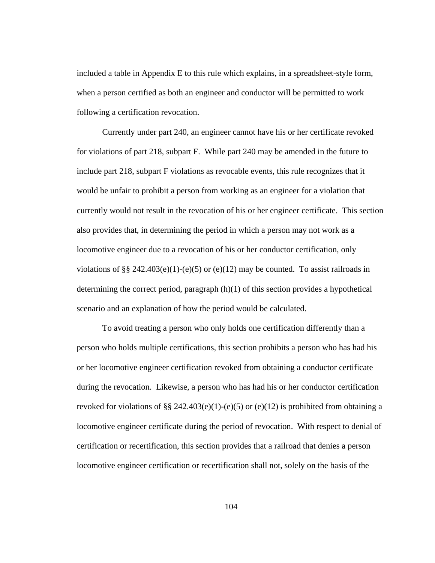included a table in Appendix E to this rule which explains, in a spreadsheet-style form, when a person certified as both an engineer and conductor will be permitted to work following a certification revocation.

Currently under part 240, an engineer cannot have his or her certificate revoked for violations of part 218, subpart F. While part 240 may be amended in the future to include part 218, subpart F violations as revocable events, this rule recognizes that it would be unfair to prohibit a person from working as an engineer for a violation that currently would not result in the revocation of his or her engineer certificate. This section also provides that, in determining the period in which a person may not work as a locomotive engineer due to a revocation of his or her conductor certification, only violations of §§ 242.403(e)(1)-(e)(5) or (e)(12) may be counted. To assist railroads in determining the correct period, paragraph (h)(1) of this section provides a hypothetical scenario and an explanation of how the period would be calculated.

To avoid treating a person who only holds one certification differently than a person who holds multiple certifications, this section prohibits a person who has had his or her locomotive engineer certification revoked from obtaining a conductor certificate during the revocation. Likewise, a person who has had his or her conductor certification revoked for violations of §§ 242.403(e)(1)-(e)(5) or (e)(12) is prohibited from obtaining a locomotive engineer certificate during the period of revocation. With respect to denial of certification or recertification, this section provides that a railroad that denies a person locomotive engineer certification or recertification shall not, solely on the basis of the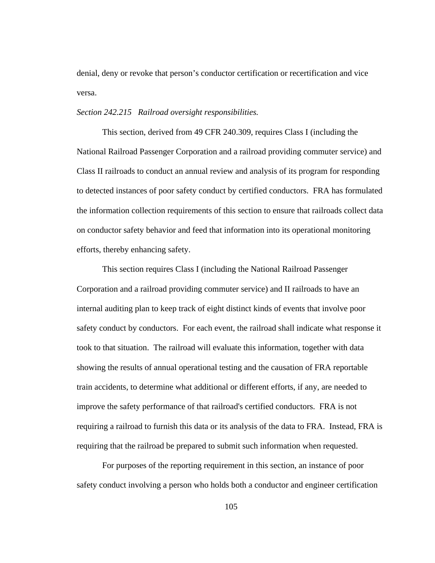denial, deny or revoke that person's conductor certification or recertification and vice versa.

#### *Section 242.215 Railroad oversight responsibilities.*

 This section, derived from 49 CFR 240.309, requires Class I (including the National Railroad Passenger Corporation and a railroad providing commuter service) and Class II railroads to conduct an annual review and analysis of its program for responding to detected instances of poor safety conduct by certified conductors. FRA has formulated the information collection requirements of this section to ensure that railroads collect data on conductor safety behavior and feed that information into its operational monitoring efforts, thereby enhancing safety.

This section requires Class I (including the National Railroad Passenger Corporation and a railroad providing commuter service) and II railroads to have an internal auditing plan to keep track of eight distinct kinds of events that involve poor safety conduct by conductors. For each event, the railroad shall indicate what response it took to that situation. The railroad will evaluate this information, together with data showing the results of annual operational testing and the causation of FRA reportable train accidents, to determine what additional or different efforts, if any, are needed to improve the safety performance of that railroad's certified conductors. FRA is not requiring a railroad to furnish this data or its analysis of the data to FRA. Instead, FRA is requiring that the railroad be prepared to submit such information when requested.

For purposes of the reporting requirement in this section, an instance of poor safety conduct involving a person who holds both a conductor and engineer certification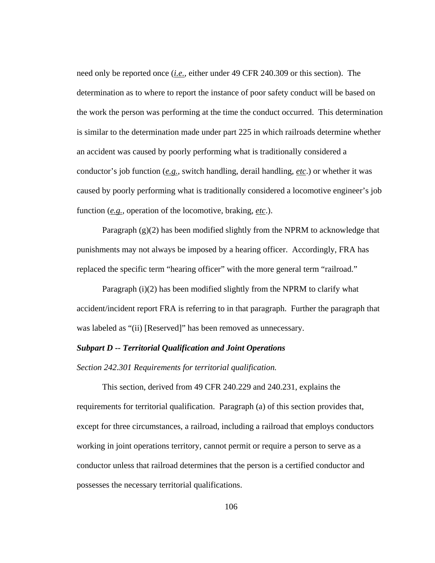need only be reported once (*i.e.*, either under 49 CFR 240.309 or this section). The determination as to where to report the instance of poor safety conduct will be based on the work the person was performing at the time the conduct occurred. This determination is similar to the determination made under part 225 in which railroads determine whether an accident was caused by poorly performing what is traditionally considered a conductor's job function (*e.g.*, switch handling, derail handling, *etc*.) or whether it was caused by poorly performing what is traditionally considered a locomotive engineer's job function (*e.g.*, operation of the locomotive, braking, *etc*.).

Paragraph (g)(2) has been modified slightly from the NPRM to acknowledge that punishments may not always be imposed by a hearing officer. Accordingly, FRA has replaced the specific term "hearing officer" with the more general term "railroad."

Paragraph (i)(2) has been modified slightly from the NPRM to clarify what accident/incident report FRA is referring to in that paragraph. Further the paragraph that was labeled as "(ii) [Reserved]" has been removed as unnecessary.

# *Subpart D -- Territorial Qualification and Joint Operations*

*Section 242.301 Requirements for territorial qualification.* 

 This section, derived from 49 CFR 240.229 and 240.231, explains the requirements for territorial qualification. Paragraph (a) of this section provides that, except for three circumstances, a railroad, including a railroad that employs conductors working in joint operations territory, cannot permit or require a person to serve as a conductor unless that railroad determines that the person is a certified conductor and possesses the necessary territorial qualifications.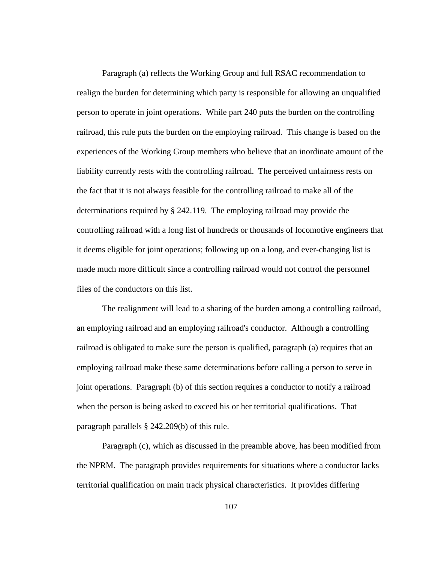Paragraph (a) reflects the Working Group and full RSAC recommendation to realign the burden for determining which party is responsible for allowing an unqualified person to operate in joint operations. While part 240 puts the burden on the controlling railroad, this rule puts the burden on the employing railroad. This change is based on the experiences of the Working Group members who believe that an inordinate amount of the liability currently rests with the controlling railroad. The perceived unfairness rests on the fact that it is not always feasible for the controlling railroad to make all of the determinations required by § 242.119. The employing railroad may provide the controlling railroad with a long list of hundreds or thousands of locomotive engineers that it deems eligible for joint operations; following up on a long, and ever-changing list is made much more difficult since a controlling railroad would not control the personnel files of the conductors on this list.

The realignment will lead to a sharing of the burden among a controlling railroad, an employing railroad and an employing railroad's conductor. Although a controlling railroad is obligated to make sure the person is qualified, paragraph (a) requires that an employing railroad make these same determinations before calling a person to serve in joint operations. Paragraph (b) of this section requires a conductor to notify a railroad when the person is being asked to exceed his or her territorial qualifications. That paragraph parallels § 242.209(b) of this rule.

Paragraph (c), which as discussed in the preamble above, has been modified from the NPRM. The paragraph provides requirements for situations where a conductor lacks territorial qualification on main track physical characteristics. It provides differing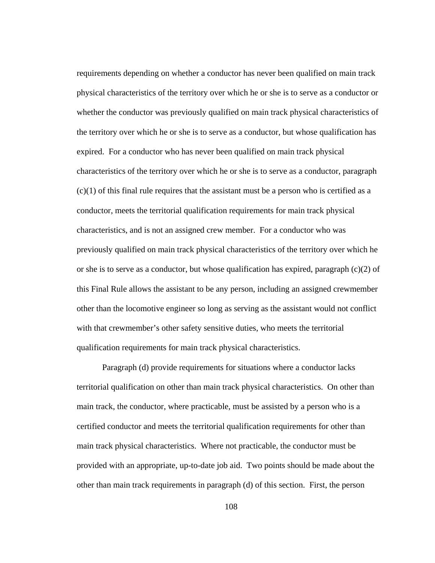requirements depending on whether a conductor has never been qualified on main track physical characteristics of the territory over which he or she is to serve as a conductor or whether the conductor was previously qualified on main track physical characteristics of the territory over which he or she is to serve as a conductor, but whose qualification has expired. For a conductor who has never been qualified on main track physical characteristics of the territory over which he or she is to serve as a conductor, paragraph  $(c)(1)$  of this final rule requires that the assistant must be a person who is certified as a conductor, meets the territorial qualification requirements for main track physical characteristics, and is not an assigned crew member. For a conductor who was previously qualified on main track physical characteristics of the territory over which he or she is to serve as a conductor, but whose qualification has expired, paragraph  $(c)(2)$  of this Final Rule allows the assistant to be any person, including an assigned crewmember other than the locomotive engineer so long as serving as the assistant would not conflict with that crewmember's other safety sensitive duties, who meets the territorial qualification requirements for main track physical characteristics.

Paragraph (d) provide requirements for situations where a conductor lacks territorial qualification on other than main track physical characteristics. On other than main track, the conductor, where practicable, must be assisted by a person who is a certified conductor and meets the territorial qualification requirements for other than main track physical characteristics. Where not practicable, the conductor must be provided with an appropriate, up-to-date job aid. Two points should be made about the other than main track requirements in paragraph (d) of this section. First, the person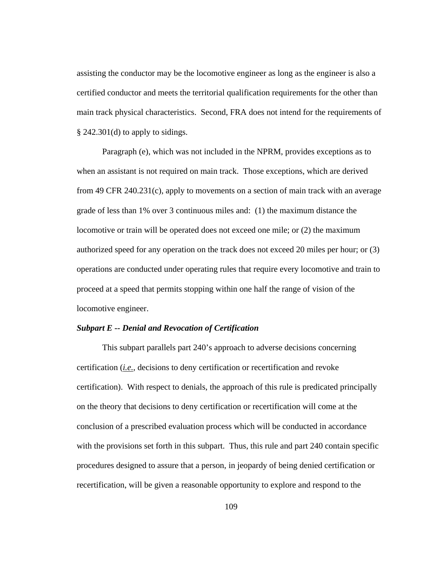assisting the conductor may be the locomotive engineer as long as the engineer is also a certified conductor and meets the territorial qualification requirements for the other than main track physical characteristics. Second, FRA does not intend for the requirements of § 242.301(d) to apply to sidings.

Paragraph (e), which was not included in the NPRM, provides exceptions as to when an assistant is not required on main track. Those exceptions, which are derived from 49 CFR 240.231(c), apply to movements on a section of main track with an average grade of less than 1% over 3 continuous miles and: (1) the maximum distance the locomotive or train will be operated does not exceed one mile; or (2) the maximum authorized speed for any operation on the track does not exceed 20 miles per hour; or (3) operations are conducted under operating rules that require every locomotive and train to proceed at a speed that permits stopping within one half the range of vision of the locomotive engineer.

## *Subpart E -- Denial and Revocation of Certification*

This subpart parallels part 240's approach to adverse decisions concerning certification (*i.e.*, decisions to deny certification or recertification and revoke certification). With respect to denials, the approach of this rule is predicated principally on the theory that decisions to deny certification or recertification will come at the conclusion of a prescribed evaluation process which will be conducted in accordance with the provisions set forth in this subpart. Thus, this rule and part 240 contain specific procedures designed to assure that a person, in jeopardy of being denied certification or recertification, will be given a reasonable opportunity to explore and respond to the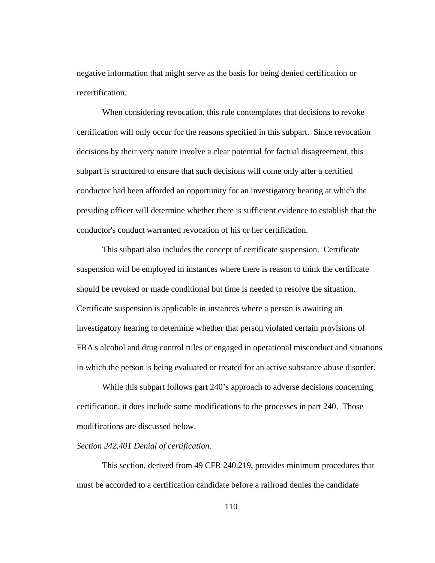negative information that might serve as the basis for being denied certification or recertification.

When considering revocation, this rule contemplates that decisions to revoke certification will only occur for the reasons specified in this subpart. Since revocation decisions by their very nature involve a clear potential for factual disagreement, this subpart is structured to ensure that such decisions will come only after a certified conductor had been afforded an opportunity for an investigatory hearing at which the presiding officer will determine whether there is sufficient evidence to establish that the conductor's conduct warranted revocation of his or her certification.

This subpart also includes the concept of certificate suspension. Certificate suspension will be employed in instances where there is reason to think the certificate should be revoked or made conditional but time is needed to resolve the situation. Certificate suspension is applicable in instances where a person is awaiting an investigatory hearing to determine whether that person violated certain provisions of FRA's alcohol and drug control rules or engaged in operational misconduct and situations in which the person is being evaluated or treated for an active substance abuse disorder.

 While this subpart follows part 240's approach to adverse decisions concerning certification, it does include some modifications to the processes in part 240. Those modifications are discussed below.

# *Section 242.401 Denial of certification.*

This section, derived from 49 CFR 240.219, provides minimum procedures that must be accorded to a certification candidate before a railroad denies the candidate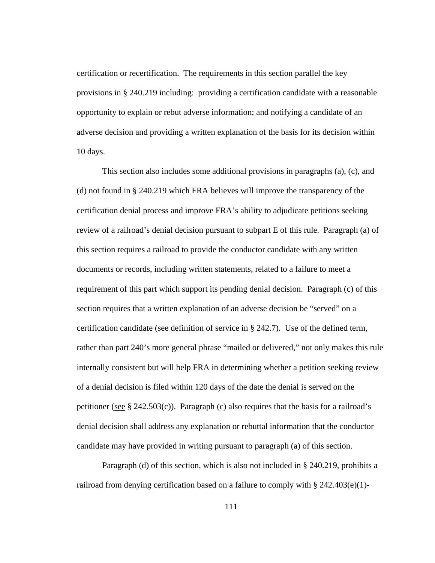certification or recertification. The requirements in this section parallel the key provisions in § 240.219 including: providing a certification candidate with a reasonable opportunity to explain or rebut adverse information; and notifying a candidate of an adverse decision and providing a written explanation of the basis for its decision within 10 days.

This section also includes some additional provisions in paragraphs (a), (c), and (d) not found in § 240.219 which FRA believes will improve the transparency of the certification denial process and improve FRA's ability to adjudicate petitions seeking review of a railroad's denial decision pursuant to subpart E of this rule. Paragraph (a) of this section requires a railroad to provide the conductor candidate with any written documents or records, including written statements, related to a failure to meet a requirement of this part which support its pending denial decision. Paragraph (c) of this section requires that a written explanation of an adverse decision be "served" on a certification candidate (see definition of service in § 242.7). Use of the defined term, rather than part 240's more general phrase "mailed or delivered," not only makes this rule internally consistent but will help FRA in determining whether a petition seeking review of a denial decision is filed within 120 days of the date the denial is served on the petitioner (see  $\S$  242.503(c)). Paragraph (c) also requires that the basis for a railroad's denial decision shall address any explanation or rebuttal information that the conductor candidate may have provided in writing pursuant to paragraph (a) of this section.

Paragraph (d) of this section, which is also not included in § 240.219, prohibits a railroad from denying certification based on a failure to comply with  $\S 242.403(e)(1)$ -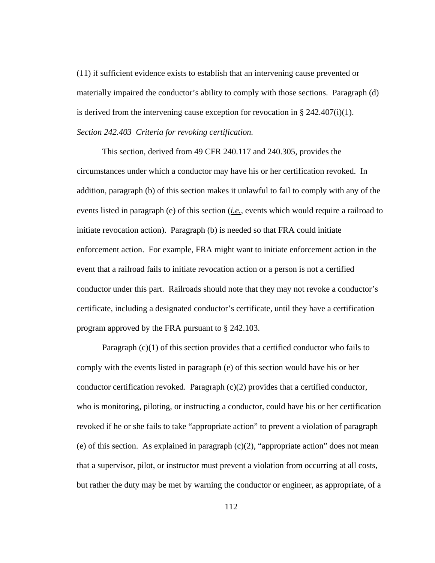(11) if sufficient evidence exists to establish that an intervening cause prevented or materially impaired the conductor's ability to comply with those sections. Paragraph (d) is derived from the intervening cause exception for revocation in § 242.407(i)(1). *Section 242.403 Criteria for revoking certification.* 

This section, derived from 49 CFR 240.117 and 240.305, provides the circumstances under which a conductor may have his or her certification revoked. In addition, paragraph (b) of this section makes it unlawful to fail to comply with any of the events listed in paragraph (e) of this section (*i.e.*, events which would require a railroad to initiate revocation action). Paragraph (b) is needed so that FRA could initiate enforcement action. For example, FRA might want to initiate enforcement action in the event that a railroad fails to initiate revocation action or a person is not a certified conductor under this part. Railroads should note that they may not revoke a conductor's certificate, including a designated conductor's certificate, until they have a certification program approved by the FRA pursuant to § 242.103.

Paragraph  $(c)(1)$  of this section provides that a certified conductor who fails to comply with the events listed in paragraph (e) of this section would have his or her conductor certification revoked. Paragraph  $(c)(2)$  provides that a certified conductor, who is monitoring, piloting, or instructing a conductor, could have his or her certification revoked if he or she fails to take "appropriate action" to prevent a violation of paragraph (e) of this section. As explained in paragraph  $(c)(2)$ , "appropriate action" does not mean that a supervisor, pilot, or instructor must prevent a violation from occurring at all costs, but rather the duty may be met by warning the conductor or engineer, as appropriate, of a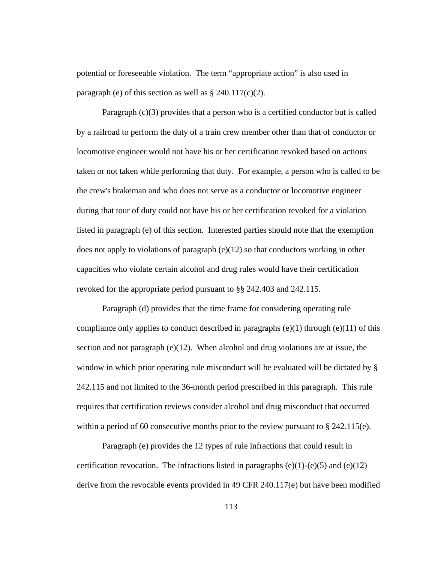potential or foreseeable violation. The term "appropriate action" is also used in paragraph (e) of this section as well as  $\S 240.117(c)(2)$ .

Paragraph  $(c)(3)$  provides that a person who is a certified conductor but is called by a railroad to perform the duty of a train crew member other than that of conductor or locomotive engineer would not have his or her certification revoked based on actions taken or not taken while performing that duty. For example, a person who is called to be the crew's brakeman and who does not serve as a conductor or locomotive engineer during that tour of duty could not have his or her certification revoked for a violation listed in paragraph (e) of this section. Interested parties should note that the exemption does not apply to violations of paragraph (e)(12) so that conductors working in other capacities who violate certain alcohol and drug rules would have their certification revoked for the appropriate period pursuant to §§ 242.403 and 242.115.

Paragraph (d) provides that the time frame for considering operating rule compliance only applies to conduct described in paragraphs  $(e)(1)$  through  $(e)(11)$  of this section and not paragraph  $(e)(12)$ . When alcohol and drug violations are at issue, the window in which prior operating rule misconduct will be evaluated will be dictated by § 242.115 and not limited to the 36-month period prescribed in this paragraph. This rule requires that certification reviews consider alcohol and drug misconduct that occurred within a period of 60 consecutive months prior to the review pursuant to  $\S$  242.115(e).

 Paragraph (e) provides the 12 types of rule infractions that could result in certification revocation. The infractions listed in paragraphs  $(e)(1)-(e)(5)$  and  $(e)(12)$ derive from the revocable events provided in 49 CFR 240.117(e) but have been modified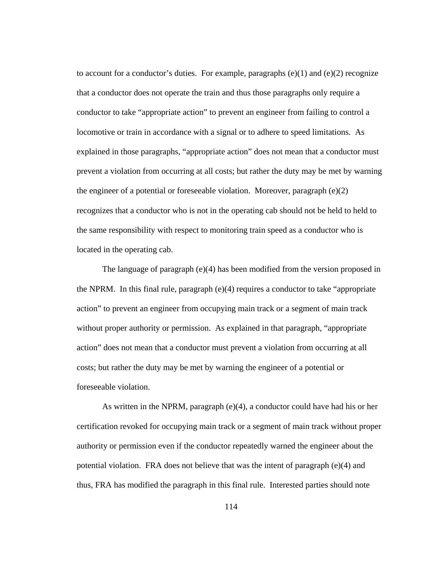to account for a conductor's duties. For example, paragraphs  $(e)(1)$  and  $(e)(2)$  recognize that a conductor does not operate the train and thus those paragraphs only require a conductor to take "appropriate action" to prevent an engineer from failing to control a locomotive or train in accordance with a signal or to adhere to speed limitations. As explained in those paragraphs, "appropriate action" does not mean that a conductor must prevent a violation from occurring at all costs; but rather the duty may be met by warning the engineer of a potential or foreseeable violation. Moreover, paragraph  $(e)(2)$ recognizes that a conductor who is not in the operating cab should not be held to held to the same responsibility with respect to monitoring train speed as a conductor who is located in the operating cab.

The language of paragraph (e)(4) has been modified from the version proposed in the NPRM. In this final rule, paragraph (e)(4) requires a conductor to take "appropriate action" to prevent an engineer from occupying main track or a segment of main track without proper authority or permission. As explained in that paragraph, "appropriate action" does not mean that a conductor must prevent a violation from occurring at all costs; but rather the duty may be met by warning the engineer of a potential or foreseeable violation.

As written in the NPRM, paragraph (e)(4), a conductor could have had his or her certification revoked for occupying main track or a segment of main track without proper authority or permission even if the conductor repeatedly warned the engineer about the potential violation. FRA does not believe that was the intent of paragraph (e)(4) and thus, FRA has modified the paragraph in this final rule. Interested parties should note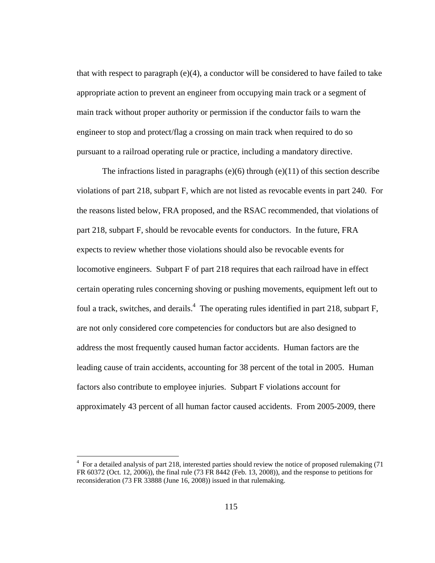that with respect to paragraph  $(e)(4)$ , a conductor will be considered to have failed to take appropriate action to prevent an engineer from occupying main track or a segment of main track without proper authority or permission if the conductor fails to warn the engineer to stop and protect/flag a crossing on main track when required to do so pursuant to a railroad operating rule or practice, including a mandatory directive.

The infractions listed in paragraphs (e)(6) through (e)(11) of this section describe violations of part 218, subpart F, which are not listed as revocable events in part 240. For the reasons listed below, FRA proposed, and the RSAC recommended, that violations of part 218, subpart F, should be revocable events for conductors. In the future, FRA expects to review whether those violations should also be revocable events for locomotive engineers. Subpart F of part 218 requires that each railroad have in effect certain operating rules concerning shoving or pushing movements, equipment left out to foul a track, switches, and derails.<sup>4</sup> The operating rules identified in part 218, subpart  $F$ , are not only considered core competencies for conductors but are also designed to address the most frequently caused human factor accidents. Human factors are the leading cause of train accidents, accounting for 38 percent of the total in 2005. Human factors also contribute to employee injuries. Subpart F violations account for approximately 43 percent of all human factor caused accidents. From 2005-2009, there

 $\overline{a}$ 

<sup>&</sup>lt;sup>4</sup> For a detailed analysis of part 218, interested parties should review the notice of proposed rulemaking (71 FR 60372 (Oct. 12, 2006)), the final rule (73 FR 8442 (Feb. 13, 2008)), and the response to petitions for reconsideration (73 FR 33888 (June 16, 2008)) issued in that rulemaking.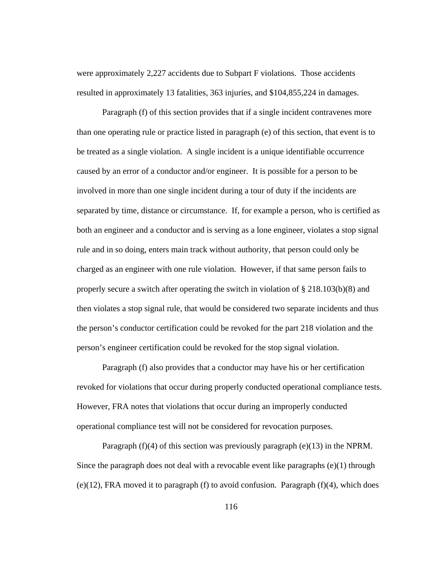were approximately 2,227 accidents due to Subpart F violations. Those accidents resulted in approximately 13 fatalities, 363 injuries, and \$104,855,224 in damages.

 Paragraph (f) of this section provides that if a single incident contravenes more than one operating rule or practice listed in paragraph (e) of this section, that event is to be treated as a single violation. A single incident is a unique identifiable occurrence caused by an error of a conductor and/or engineer. It is possible for a person to be involved in more than one single incident during a tour of duty if the incidents are separated by time, distance or circumstance. If, for example a person, who is certified as both an engineer and a conductor and is serving as a lone engineer, violates a stop signal rule and in so doing, enters main track without authority, that person could only be charged as an engineer with one rule violation. However, if that same person fails to properly secure a switch after operating the switch in violation of § 218.103(b)(8) and then violates a stop signal rule, that would be considered two separate incidents and thus the person's conductor certification could be revoked for the part 218 violation and the person's engineer certification could be revoked for the stop signal violation.

Paragraph (f) also provides that a conductor may have his or her certification revoked for violations that occur during properly conducted operational compliance tests. However, FRA notes that violations that occur during an improperly conducted operational compliance test will not be considered for revocation purposes.

Paragraph  $(f)(4)$  of this section was previously paragraph (e)(13) in the NPRM. Since the paragraph does not deal with a revocable event like paragraphs  $(e)(1)$  through  $(e)(12)$ , FRA moved it to paragraph (f) to avoid confusion. Paragraph (f)(4), which does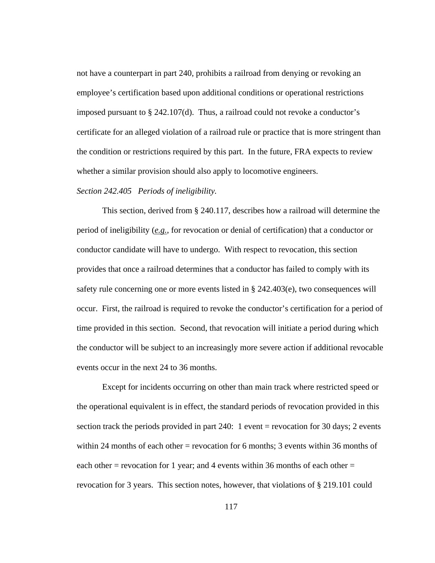not have a counterpart in part 240, prohibits a railroad from denying or revoking an employee's certification based upon additional conditions or operational restrictions imposed pursuant to § 242.107(d). Thus, a railroad could not revoke a conductor's certificate for an alleged violation of a railroad rule or practice that is more stringent than the condition or restrictions required by this part. In the future, FRA expects to review whether a similar provision should also apply to locomotive engineers.

### *Section 242.405 Periods of ineligibility.*

This section, derived from § 240.117, describes how a railroad will determine the period of ineligibility (*e.g.*, for revocation or denial of certification) that a conductor or conductor candidate will have to undergo. With respect to revocation, this section provides that once a railroad determines that a conductor has failed to comply with its safety rule concerning one or more events listed in § 242.403(e), two consequences will occur. First, the railroad is required to revoke the conductor's certification for a period of time provided in this section. Second, that revocation will initiate a period during which the conductor will be subject to an increasingly more severe action if additional revocable events occur in the next 24 to 36 months.

Except for incidents occurring on other than main track where restricted speed or the operational equivalent is in effect, the standard periods of revocation provided in this section track the periods provided in part 240: 1 event = revocation for 30 days; 2 events within 24 months of each other = revocation for 6 months; 3 events within 36 months of each other = revocation for 1 year; and 4 events within 36 months of each other = revocation for 3 years. This section notes, however, that violations of § 219.101 could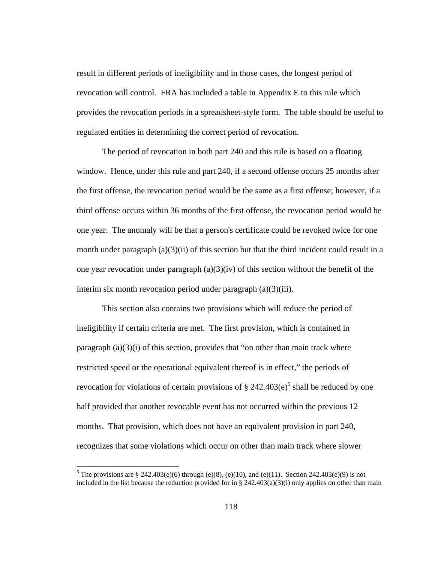result in different periods of ineligibility and in those cases, the longest period of revocation will control. FRA has included a table in Appendix E to this rule which provides the revocation periods in a spreadsheet-style form. The table should be useful to regulated entities in determining the correct period of revocation.

The period of revocation in both part 240 and this rule is based on a floating window. Hence, under this rule and part 240, if a second offense occurs 25 months after the first offense, the revocation period would be the same as a first offense; however, if a third offense occurs within 36 months of the first offense, the revocation period would be one year. The anomaly will be that a person's certificate could be revoked twice for one month under paragraph  $(a)(3)(ii)$  of this section but that the third incident could result in a one year revocation under paragraph  $(a)(3)(iv)$  of this section without the benefit of the interim six month revocation period under paragraph (a)(3)(iii).

This section also contains two provisions which will reduce the period of ineligibility if certain criteria are met. The first provision, which is contained in paragraph  $(a)(3)(i)$  of this section, provides that "on other than main track where restricted speed or the operational equivalent thereof is in effect," the periods of revocation for violations of certain provisions of  $\S 242.403(e)^5$  shall be reduced by one half provided that another revocable event has not occurred within the previous 12 months. That provision, which does not have an equivalent provision in part 240, recognizes that some violations which occur on other than main track where slower

1

<sup>&</sup>lt;sup>5</sup> The provisions are § 242.403(e)(6) through (e)(8), (e)(10), and (e)(11). Section 242.403(e)(9) is not included in the list because the reduction provided for in §  $242.403(a)(3)(i)$  only applies on other than main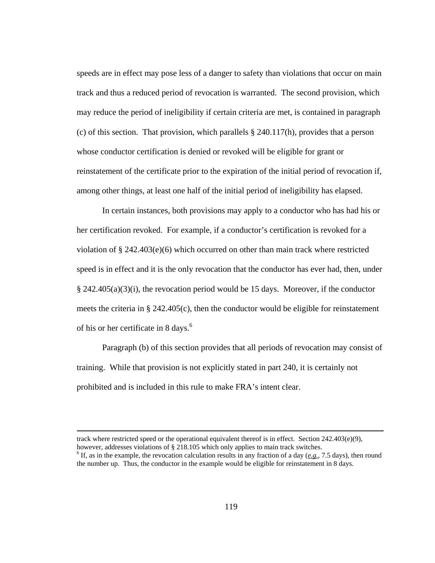speeds are in effect may pose less of a danger to safety than violations that occur on main track and thus a reduced period of revocation is warranted. The second provision, which may reduce the period of ineligibility if certain criteria are met, is contained in paragraph (c) of this section. That provision, which parallels § 240.117(h), provides that a person whose conductor certification is denied or revoked will be eligible for grant or reinstatement of the certificate prior to the expiration of the initial period of revocation if, among other things, at least one half of the initial period of ineligibility has elapsed.

In certain instances, both provisions may apply to a conductor who has had his or her certification revoked. For example, if a conductor's certification is revoked for a violation of  $\S$  242.403(e)(6) which occurred on other than main track where restricted speed is in effect and it is the only revocation that the conductor has ever had, then, under § 242.405(a)(3)(i), the revocation period would be 15 days. Moreover, if the conductor meets the criteria in § 242.405(c), then the conductor would be eligible for reinstatement of his or her certificate in 8 days.<sup>6</sup>

Paragraph (b) of this section provides that all periods of revocation may consist of training. While that provision is not explicitly stated in part 240, it is certainly not prohibited and is included in this rule to make FRA's intent clear.

 track where restricted speed or the operational equivalent thereof is in effect. Section 242.403(e)(9), however, addresses violations of § 218.105 which only applies to main track switches.

 $<sup>6</sup>$  If, as in the example, the revocation calculation results in any fraction of a day ( $e.g., 7.5$  days), then round</sup> the number up. Thus, the conductor in the example would be eligible for reinstatement in 8 days.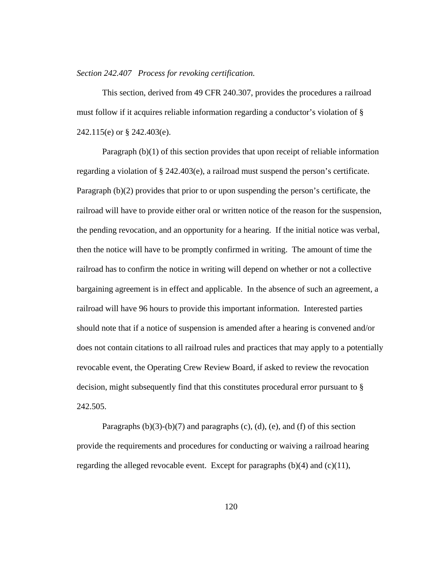#### *Section 242.407 Process for revoking certification.*

 This section, derived from 49 CFR 240.307, provides the procedures a railroad must follow if it acquires reliable information regarding a conductor's violation of § 242.115(e) or § 242.403(e).

 Paragraph (b)(1) of this section provides that upon receipt of reliable information regarding a violation of § 242.403(e), a railroad must suspend the person's certificate. Paragraph (b)(2) provides that prior to or upon suspending the person's certificate, the railroad will have to provide either oral or written notice of the reason for the suspension, the pending revocation, and an opportunity for a hearing. If the initial notice was verbal, then the notice will have to be promptly confirmed in writing. The amount of time the railroad has to confirm the notice in writing will depend on whether or not a collective bargaining agreement is in effect and applicable. In the absence of such an agreement, a railroad will have 96 hours to provide this important information. Interested parties should note that if a notice of suspension is amended after a hearing is convened and/or does not contain citations to all railroad rules and practices that may apply to a potentially revocable event, the Operating Crew Review Board, if asked to review the revocation decision, might subsequently find that this constitutes procedural error pursuant to § 242.505.

Paragraphs  $(b)(3)-(b)(7)$  and paragraphs  $(c)$ ,  $(d)$ ,  $(e)$ , and  $(f)$  of this section provide the requirements and procedures for conducting or waiving a railroad hearing regarding the alleged revocable event. Except for paragraphs (b)(4) and (c)(11),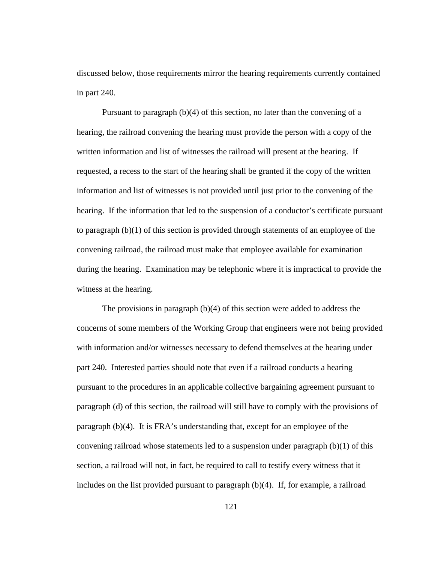discussed below, those requirements mirror the hearing requirements currently contained in part 240.

 Pursuant to paragraph (b)(4) of this section, no later than the convening of a hearing, the railroad convening the hearing must provide the person with a copy of the written information and list of witnesses the railroad will present at the hearing. If requested, a recess to the start of the hearing shall be granted if the copy of the written information and list of witnesses is not provided until just prior to the convening of the hearing. If the information that led to the suspension of a conductor's certificate pursuant to paragraph (b)(1) of this section is provided through statements of an employee of the convening railroad, the railroad must make that employee available for examination during the hearing. Examination may be telephonic where it is impractical to provide the witness at the hearing.

The provisions in paragraph (b)(4) of this section were added to address the concerns of some members of the Working Group that engineers were not being provided with information and/or witnesses necessary to defend themselves at the hearing under part 240. Interested parties should note that even if a railroad conducts a hearing pursuant to the procedures in an applicable collective bargaining agreement pursuant to paragraph (d) of this section, the railroad will still have to comply with the provisions of paragraph (b)(4). It is FRA's understanding that, except for an employee of the convening railroad whose statements led to a suspension under paragraph  $(b)(1)$  of this section, a railroad will not, in fact, be required to call to testify every witness that it includes on the list provided pursuant to paragraph (b)(4). If, for example, a railroad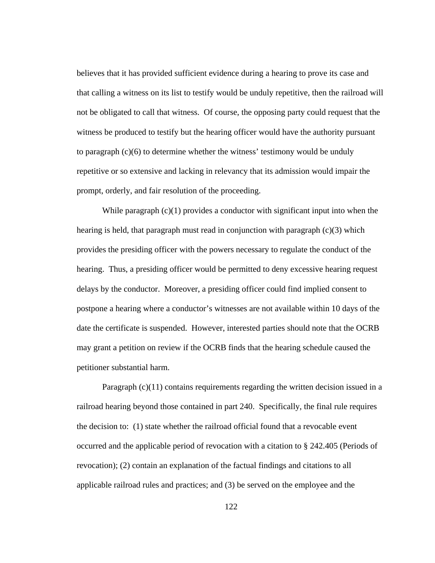believes that it has provided sufficient evidence during a hearing to prove its case and that calling a witness on its list to testify would be unduly repetitive, then the railroad will not be obligated to call that witness. Of course, the opposing party could request that the witness be produced to testify but the hearing officer would have the authority pursuant to paragraph (c)(6) to determine whether the witness' testimony would be unduly repetitive or so extensive and lacking in relevancy that its admission would impair the prompt, orderly, and fair resolution of the proceeding.

While paragraph  $(c)(1)$  provides a conductor with significant input into when the hearing is held, that paragraph must read in conjunction with paragraph  $(c)(3)$  which provides the presiding officer with the powers necessary to regulate the conduct of the hearing. Thus, a presiding officer would be permitted to deny excessive hearing request delays by the conductor. Moreover, a presiding officer could find implied consent to postpone a hearing where a conductor's witnesses are not available within 10 days of the date the certificate is suspended. However, interested parties should note that the OCRB may grant a petition on review if the OCRB finds that the hearing schedule caused the petitioner substantial harm.

Paragraph (c)(11) contains requirements regarding the written decision issued in a railroad hearing beyond those contained in part 240. Specifically, the final rule requires the decision to: (1) state whether the railroad official found that a revocable event occurred and the applicable period of revocation with a citation to § 242.405 (Periods of revocation); (2) contain an explanation of the factual findings and citations to all applicable railroad rules and practices; and (3) be served on the employee and the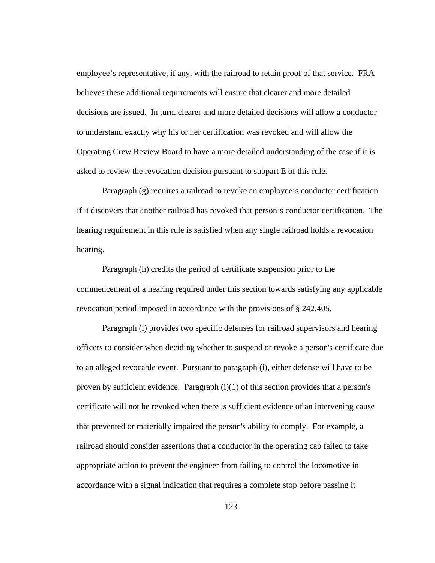employee's representative, if any, with the railroad to retain proof of that service. FRA believes these additional requirements will ensure that clearer and more detailed decisions are issued. In turn, clearer and more detailed decisions will allow a conductor to understand exactly why his or her certification was revoked and will allow the Operating Crew Review Board to have a more detailed understanding of the case if it is asked to review the revocation decision pursuant to subpart E of this rule.

Paragraph (g) requires a railroad to revoke an employee's conductor certification if it discovers that another railroad has revoked that person's conductor certification. The hearing requirement in this rule is satisfied when any single railroad holds a revocation hearing.

 Paragraph (h) credits the period of certificate suspension prior to the commencement of a hearing required under this section towards satisfying any applicable revocation period imposed in accordance with the provisions of § 242.405.

Paragraph (i) provides two specific defenses for railroad supervisors and hearing officers to consider when deciding whether to suspend or revoke a person's certificate due to an alleged revocable event. Pursuant to paragraph (i), either defense will have to be proven by sufficient evidence. Paragraph  $(i)(1)$  of this section provides that a person's certificate will not be revoked when there is sufficient evidence of an intervening cause that prevented or materially impaired the person's ability to comply. For example, a railroad should consider assertions that a conductor in the operating cab failed to take appropriate action to prevent the engineer from failing to control the locomotive in accordance with a signal indication that requires a complete stop before passing it

123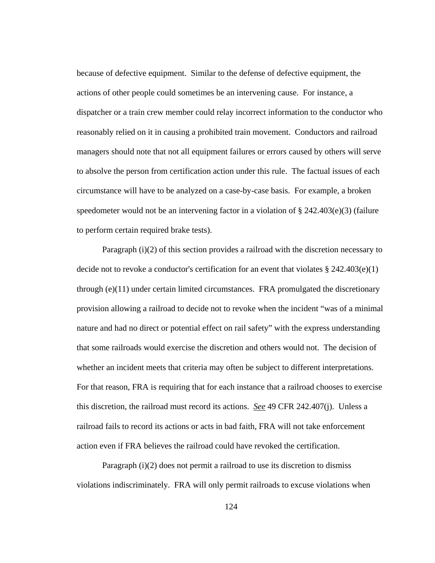because of defective equipment. Similar to the defense of defective equipment, the actions of other people could sometimes be an intervening cause. For instance, a dispatcher or a train crew member could relay incorrect information to the conductor who reasonably relied on it in causing a prohibited train movement. Conductors and railroad managers should note that not all equipment failures or errors caused by others will serve to absolve the person from certification action under this rule. The factual issues of each circumstance will have to be analyzed on a case-by-case basis. For example, a broken speedometer would not be an intervening factor in a violation of  $\S 242.403(e)(3)$  (failure to perform certain required brake tests).

Paragraph (i)(2) of this section provides a railroad with the discretion necessary to decide not to revoke a conductor's certification for an event that violates § 242.403(e)(1) through (e)(11) under certain limited circumstances. FRA promulgated the discretionary provision allowing a railroad to decide not to revoke when the incident "was of a minimal nature and had no direct or potential effect on rail safety" with the express understanding that some railroads would exercise the discretion and others would not. The decision of whether an incident meets that criteria may often be subject to different interpretations. For that reason, FRA is requiring that for each instance that a railroad chooses to exercise this discretion, the railroad must record its actions. *See* 49 CFR 242.407(j). Unless a railroad fails to record its actions or acts in bad faith, FRA will not take enforcement action even if FRA believes the railroad could have revoked the certification.

Paragraph (i)(2) does not permit a railroad to use its discretion to dismiss violations indiscriminately. FRA will only permit railroads to excuse violations when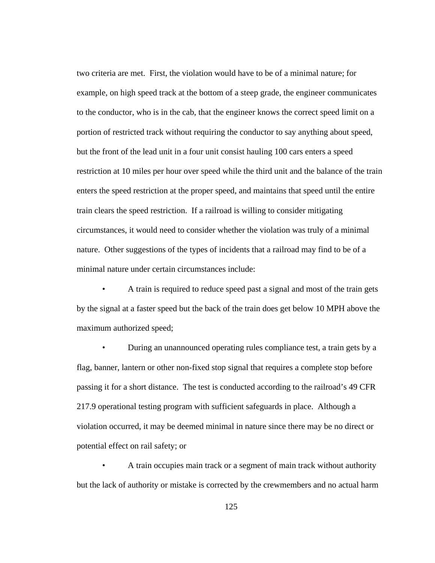two criteria are met. First, the violation would have to be of a minimal nature; for example, on high speed track at the bottom of a steep grade, the engineer communicates to the conductor, who is in the cab, that the engineer knows the correct speed limit on a portion of restricted track without requiring the conductor to say anything about speed, but the front of the lead unit in a four unit consist hauling 100 cars enters a speed restriction at 10 miles per hour over speed while the third unit and the balance of the train enters the speed restriction at the proper speed, and maintains that speed until the entire train clears the speed restriction. If a railroad is willing to consider mitigating circumstances, it would need to consider whether the violation was truly of a minimal nature. Other suggestions of the types of incidents that a railroad may find to be of a minimal nature under certain circumstances include:

• A train is required to reduce speed past a signal and most of the train gets by the signal at a faster speed but the back of the train does get below 10 MPH above the maximum authorized speed;

• During an unannounced operating rules compliance test, a train gets by a flag, banner, lantern or other non-fixed stop signal that requires a complete stop before passing it for a short distance. The test is conducted according to the railroad's 49 CFR 217.9 operational testing program with sufficient safeguards in place. Although a violation occurred, it may be deemed minimal in nature since there may be no direct or potential effect on rail safety; or

• A train occupies main track or a segment of main track without authority but the lack of authority or mistake is corrected by the crewmembers and no actual harm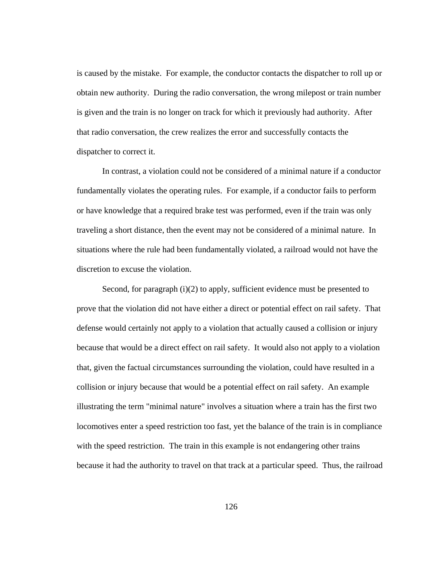is caused by the mistake. For example, the conductor contacts the dispatcher to roll up or obtain new authority. During the radio conversation, the wrong milepost or train number is given and the train is no longer on track for which it previously had authority. After that radio conversation, the crew realizes the error and successfully contacts the dispatcher to correct it.

In contrast, a violation could not be considered of a minimal nature if a conductor fundamentally violates the operating rules. For example, if a conductor fails to perform or have knowledge that a required brake test was performed, even if the train was only traveling a short distance, then the event may not be considered of a minimal nature. In situations where the rule had been fundamentally violated, a railroad would not have the discretion to excuse the violation.

Second, for paragraph (i)(2) to apply, sufficient evidence must be presented to prove that the violation did not have either a direct or potential effect on rail safety. That defense would certainly not apply to a violation that actually caused a collision or injury because that would be a direct effect on rail safety. It would also not apply to a violation that, given the factual circumstances surrounding the violation, could have resulted in a collision or injury because that would be a potential effect on rail safety. An example illustrating the term "minimal nature" involves a situation where a train has the first two locomotives enter a speed restriction too fast, yet the balance of the train is in compliance with the speed restriction. The train in this example is not endangering other trains because it had the authority to travel on that track at a particular speed. Thus, the railroad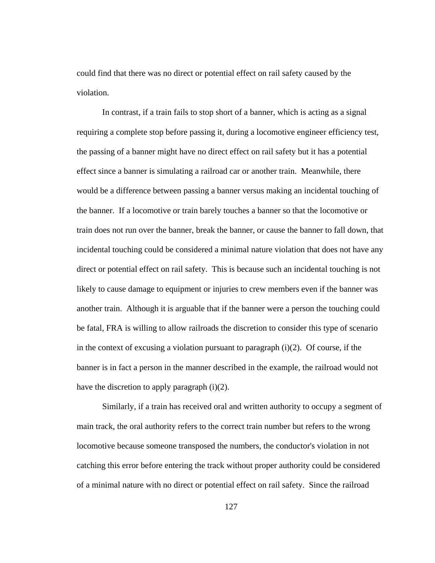could find that there was no direct or potential effect on rail safety caused by the violation.

In contrast, if a train fails to stop short of a banner, which is acting as a signal requiring a complete stop before passing it, during a locomotive engineer efficiency test, the passing of a banner might have no direct effect on rail safety but it has a potential effect since a banner is simulating a railroad car or another train. Meanwhile, there would be a difference between passing a banner versus making an incidental touching of the banner. If a locomotive or train barely touches a banner so that the locomotive or train does not run over the banner, break the banner, or cause the banner to fall down, that incidental touching could be considered a minimal nature violation that does not have any direct or potential effect on rail safety. This is because such an incidental touching is not likely to cause damage to equipment or injuries to crew members even if the banner was another train. Although it is arguable that if the banner were a person the touching could be fatal, FRA is willing to allow railroads the discretion to consider this type of scenario in the context of excusing a violation pursuant to paragraph  $(i)(2)$ . Of course, if the banner is in fact a person in the manner described in the example, the railroad would not have the discretion to apply paragraph (i)(2).

Similarly, if a train has received oral and written authority to occupy a segment of main track, the oral authority refers to the correct train number but refers to the wrong locomotive because someone transposed the numbers, the conductor's violation in not catching this error before entering the track without proper authority could be considered of a minimal nature with no direct or potential effect on rail safety. Since the railroad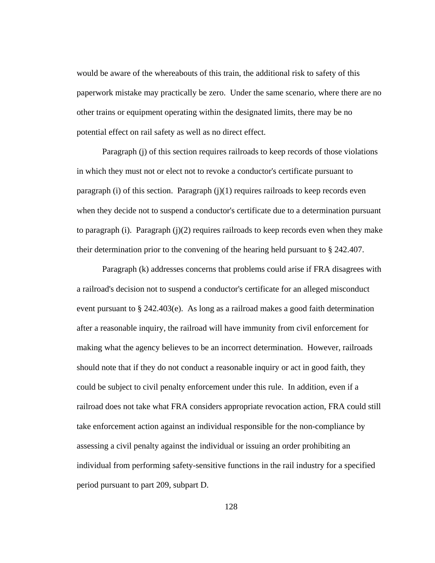would be aware of the whereabouts of this train, the additional risk to safety of this paperwork mistake may practically be zero. Under the same scenario, where there are no other trains or equipment operating within the designated limits, there may be no potential effect on rail safety as well as no direct effect.

Paragraph (j) of this section requires railroads to keep records of those violations in which they must not or elect not to revoke a conductor's certificate pursuant to paragraph (i) of this section. Paragraph  $(j)(1)$  requires railroads to keep records even when they decide not to suspend a conductor's certificate due to a determination pursuant to paragraph (i). Paragraph (j)(2) requires railroads to keep records even when they make their determination prior to the convening of the hearing held pursuant to § 242.407.

Paragraph (k) addresses concerns that problems could arise if FRA disagrees with a railroad's decision not to suspend a conductor's certificate for an alleged misconduct event pursuant to § 242.403(e). As long as a railroad makes a good faith determination after a reasonable inquiry, the railroad will have immunity from civil enforcement for making what the agency believes to be an incorrect determination. However, railroads should note that if they do not conduct a reasonable inquiry or act in good faith, they could be subject to civil penalty enforcement under this rule. In addition, even if a railroad does not take what FRA considers appropriate revocation action, FRA could still take enforcement action against an individual responsible for the non-compliance by assessing a civil penalty against the individual or issuing an order prohibiting an individual from performing safety-sensitive functions in the rail industry for a specified period pursuant to part 209, subpart D.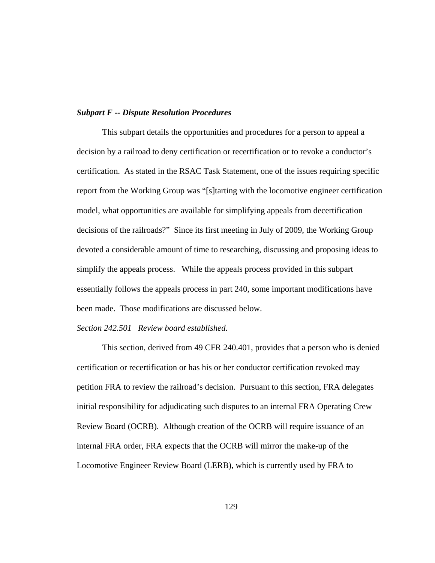#### *Subpart F -- Dispute Resolution Procedures*

This subpart details the opportunities and procedures for a person to appeal a decision by a railroad to deny certification or recertification or to revoke a conductor's certification. As stated in the RSAC Task Statement, one of the issues requiring specific report from the Working Group was "[s]tarting with the locomotive engineer certification model, what opportunities are available for simplifying appeals from decertification decisions of the railroads?" Since its first meeting in July of 2009, the Working Group devoted a considerable amount of time to researching, discussing and proposing ideas to simplify the appeals process. While the appeals process provided in this subpart essentially follows the appeals process in part 240, some important modifications have been made. Those modifications are discussed below.

### *Section 242.501 Review board established.*

 This section, derived from 49 CFR 240.401, provides that a person who is denied certification or recertification or has his or her conductor certification revoked may petition FRA to review the railroad's decision. Pursuant to this section, FRA delegates initial responsibility for adjudicating such disputes to an internal FRA Operating Crew Review Board (OCRB). Although creation of the OCRB will require issuance of an internal FRA order, FRA expects that the OCRB will mirror the make-up of the Locomotive Engineer Review Board (LERB), which is currently used by FRA to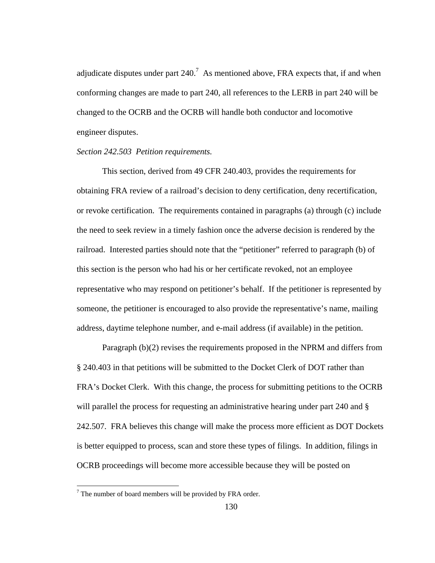adjudicate disputes under part  $240$ .<sup>7</sup> As mentioned above, FRA expects that, if and when conforming changes are made to part 240, all references to the LERB in part 240 will be changed to the OCRB and the OCRB will handle both conductor and locomotive engineer disputes.

### *Section 242.503 Petition requirements.*

 This section, derived from 49 CFR 240.403, provides the requirements for obtaining FRA review of a railroad's decision to deny certification, deny recertification, or revoke certification. The requirements contained in paragraphs (a) through (c) include the need to seek review in a timely fashion once the adverse decision is rendered by the railroad. Interested parties should note that the "petitioner" referred to paragraph (b) of this section is the person who had his or her certificate revoked, not an employee representative who may respond on petitioner's behalf. If the petitioner is represented by someone, the petitioner is encouraged to also provide the representative's name, mailing address, daytime telephone number, and e-mail address (if available) in the petition.

 Paragraph (b)(2) revises the requirements proposed in the NPRM and differs from § 240.403 in that petitions will be submitted to the Docket Clerk of DOT rather than FRA's Docket Clerk. With this change, the process for submitting petitions to the OCRB will parallel the process for requesting an administrative hearing under part 240 and § 242.507. FRA believes this change will make the process more efficient as DOT Dockets is better equipped to process, scan and store these types of filings. In addition, filings in OCRB proceedings will become more accessible because they will be posted on

 $\overline{a}$ 

 $7$  The number of board members will be provided by FRA order.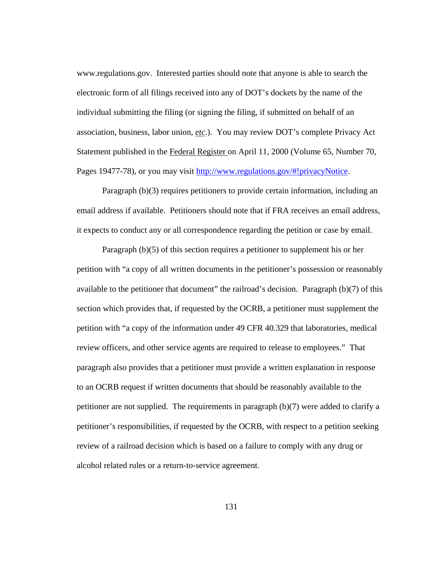www.regulations.gov. Interested parties should note that anyone is able to search the electronic form of all filings received into any of DOT's dockets by the name of the individual submitting the filing (or signing the filing, if submitted on behalf of an association, business, labor union, *etc*.). You may review DOT's complete Privacy Act Statement published in the Federal Register on April 11, 2000 (Volume 65, Number 70, Pages 19477-78), or you may visit http://www.regulations.gov/#!privacyNotice.

Paragraph (b)(3) requires petitioners to provide certain information, including an email address if available. Petitioners should note that if FRA receives an email address, it expects to conduct any or all correspondence regarding the petition or case by email.

Paragraph (b)(5) of this section requires a petitioner to supplement his or her petition with "a copy of all written documents in the petitioner's possession or reasonably available to the petitioner that document" the railroad's decision. Paragraph (b)(7) of this section which provides that, if requested by the OCRB, a petitioner must supplement the petition with "a copy of the information under 49 CFR 40.329 that laboratories, medical review officers, and other service agents are required to release to employees." That paragraph also provides that a petitioner must provide a written explanation in response to an OCRB request if written documents that should be reasonably available to the petitioner are not supplied. The requirements in paragraph (b)(7) were added to clarify a petitioner's responsibilities, if requested by the OCRB, with respect to a petition seeking review of a railroad decision which is based on a failure to comply with any drug or alcohol related rules or a return-to-service agreement.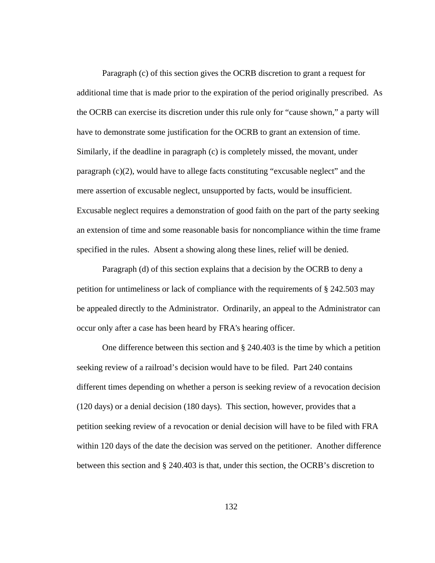Paragraph (c) of this section gives the OCRB discretion to grant a request for additional time that is made prior to the expiration of the period originally prescribed. As the OCRB can exercise its discretion under this rule only for "cause shown," a party will have to demonstrate some justification for the OCRB to grant an extension of time. Similarly, if the deadline in paragraph (c) is completely missed, the movant, under paragraph (c)(2), would have to allege facts constituting "excusable neglect" and the mere assertion of excusable neglect, unsupported by facts, would be insufficient. Excusable neglect requires a demonstration of good faith on the part of the party seeking an extension of time and some reasonable basis for noncompliance within the time frame specified in the rules. Absent a showing along these lines, relief will be denied.

Paragraph (d) of this section explains that a decision by the OCRB to deny a petition for untimeliness or lack of compliance with the requirements of § 242.503 may be appealed directly to the Administrator. Ordinarily, an appeal to the Administrator can occur only after a case has been heard by FRA's hearing officer.

 One difference between this section and § 240.403 is the time by which a petition seeking review of a railroad's decision would have to be filed. Part 240 contains different times depending on whether a person is seeking review of a revocation decision (120 days) or a denial decision (180 days). This section, however, provides that a petition seeking review of a revocation or denial decision will have to be filed with FRA within 120 days of the date the decision was served on the petitioner. Another difference between this section and § 240.403 is that, under this section, the OCRB's discretion to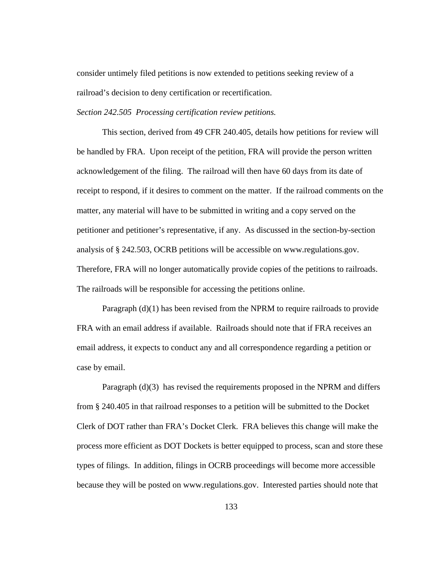consider untimely filed petitions is now extended to petitions seeking review of a railroad's decision to deny certification or recertification.

*Section 242.505 Processing certification review petitions.* 

 This section, derived from 49 CFR 240.405, details how petitions for review will be handled by FRA. Upon receipt of the petition, FRA will provide the person written acknowledgement of the filing. The railroad will then have 60 days from its date of receipt to respond, if it desires to comment on the matter. If the railroad comments on the matter, any material will have to be submitted in writing and a copy served on the petitioner and petitioner's representative, if any. As discussed in the section-by-section analysis of § 242.503, OCRB petitions will be accessible on www.regulations.gov. Therefore, FRA will no longer automatically provide copies of the petitions to railroads. The railroads will be responsible for accessing the petitions online.

Paragraph (d)(1) has been revised from the NPRM to require railroads to provide FRA with an email address if available. Railroads should note that if FRA receives an email address, it expects to conduct any and all correspondence regarding a petition or case by email.

 Paragraph (d)(3) has revised the requirements proposed in the NPRM and differs from § 240.405 in that railroad responses to a petition will be submitted to the Docket Clerk of DOT rather than FRA's Docket Clerk. FRA believes this change will make the process more efficient as DOT Dockets is better equipped to process, scan and store these types of filings. In addition, filings in OCRB proceedings will become more accessible because they will be posted on www.regulations.gov. Interested parties should note that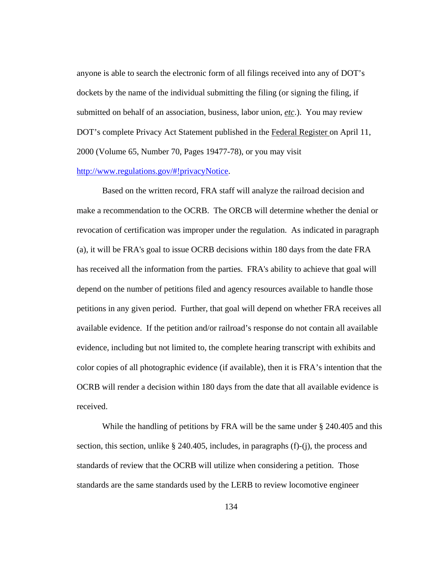anyone is able to search the electronic form of all filings received into any of DOT's dockets by the name of the individual submitting the filing (or signing the filing, if submitted on behalf of an association, business, labor union, *etc*.). You may review DOT's complete Privacy Act Statement published in the Federal Register on April 11, 2000 (Volume 65, Number 70, Pages 19477-78), or you may visit http://www.regulations.gov/#!privacyNotice.

Based on the written record, FRA staff will analyze the railroad decision and make a recommendation to the OCRB. The ORCB will determine whether the denial or revocation of certification was improper under the regulation. As indicated in paragraph (a), it will be FRA's goal to issue OCRB decisions within 180 days from the date FRA has received all the information from the parties. FRA's ability to achieve that goal will depend on the number of petitions filed and agency resources available to handle those petitions in any given period. Further, that goal will depend on whether FRA receives all available evidence. If the petition and/or railroad's response do not contain all available evidence, including but not limited to, the complete hearing transcript with exhibits and color copies of all photographic evidence (if available), then it is FRA's intention that the OCRB will render a decision within 180 days from the date that all available evidence is received.

While the handling of petitions by FRA will be the same under § 240.405 and this section, this section, unlike  $\S$  240.405, includes, in paragraphs (f)-(j), the process and standards of review that the OCRB will utilize when considering a petition. Those standards are the same standards used by the LERB to review locomotive engineer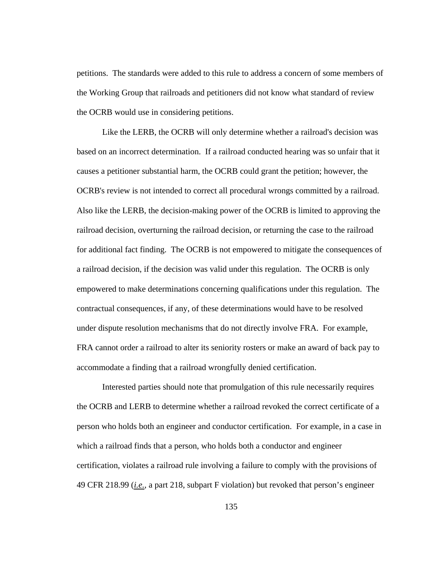petitions. The standards were added to this rule to address a concern of some members of the Working Group that railroads and petitioners did not know what standard of review the OCRB would use in considering petitions.

Like the LERB, the OCRB will only determine whether a railroad's decision was based on an incorrect determination. If a railroad conducted hearing was so unfair that it causes a petitioner substantial harm, the OCRB could grant the petition; however, the OCRB's review is not intended to correct all procedural wrongs committed by a railroad. Also like the LERB, the decision-making power of the OCRB is limited to approving the railroad decision, overturning the railroad decision, or returning the case to the railroad for additional fact finding. The OCRB is not empowered to mitigate the consequences of a railroad decision, if the decision was valid under this regulation. The OCRB is only empowered to make determinations concerning qualifications under this regulation. The contractual consequences, if any, of these determinations would have to be resolved under dispute resolution mechanisms that do not directly involve FRA. For example, FRA cannot order a railroad to alter its seniority rosters or make an award of back pay to accommodate a finding that a railroad wrongfully denied certification.

Interested parties should note that promulgation of this rule necessarily requires the OCRB and LERB to determine whether a railroad revoked the correct certificate of a person who holds both an engineer and conductor certification. For example, in a case in which a railroad finds that a person, who holds both a conductor and engineer certification, violates a railroad rule involving a failure to comply with the provisions of 49 CFR 218.99 (*i.e.*, a part 218, subpart F violation) but revoked that person's engineer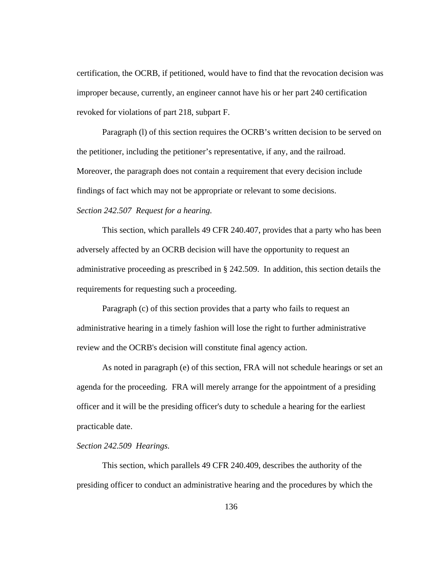certification, the OCRB, if petitioned, would have to find that the revocation decision was improper because, currently, an engineer cannot have his or her part 240 certification revoked for violations of part 218, subpart F.

Paragraph (l) of this section requires the OCRB's written decision to be served on the petitioner, including the petitioner's representative, if any, and the railroad. Moreover, the paragraph does not contain a requirement that every decision include findings of fact which may not be appropriate or relevant to some decisions. *Section 242.507 Request for a hearing.* 

 This section, which parallels 49 CFR 240.407, provides that a party who has been adversely affected by an OCRB decision will have the opportunity to request an administrative proceeding as prescribed in § 242.509. In addition, this section details the requirements for requesting such a proceeding.

Paragraph (c) of this section provides that a party who fails to request an administrative hearing in a timely fashion will lose the right to further administrative review and the OCRB's decision will constitute final agency action.

As noted in paragraph (e) of this section, FRA will not schedule hearings or set an agenda for the proceeding. FRA will merely arrange for the appointment of a presiding officer and it will be the presiding officer's duty to schedule a hearing for the earliest practicable date.

# *Section 242.509 Hearings.*

This section, which parallels 49 CFR 240.409, describes the authority of the presiding officer to conduct an administrative hearing and the procedures by which the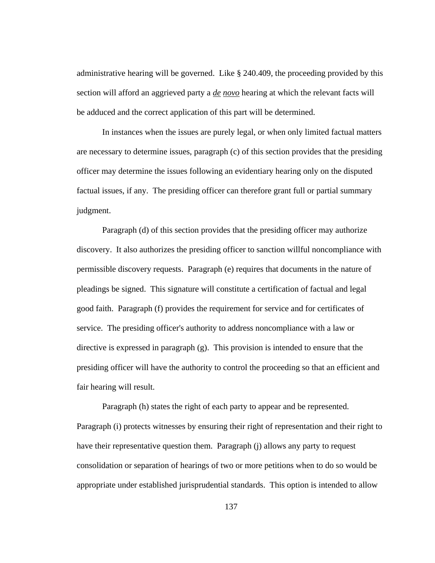administrative hearing will be governed. Like § 240.409, the proceeding provided by this section will afford an aggrieved party a *de novo* hearing at which the relevant facts will be adduced and the correct application of this part will be determined.

In instances when the issues are purely legal, or when only limited factual matters are necessary to determine issues, paragraph (c) of this section provides that the presiding officer may determine the issues following an evidentiary hearing only on the disputed factual issues, if any. The presiding officer can therefore grant full or partial summary judgment.

Paragraph (d) of this section provides that the presiding officer may authorize discovery. It also authorizes the presiding officer to sanction willful noncompliance with permissible discovery requests. Paragraph (e) requires that documents in the nature of pleadings be signed. This signature will constitute a certification of factual and legal good faith. Paragraph (f) provides the requirement for service and for certificates of service. The presiding officer's authority to address noncompliance with a law or directive is expressed in paragraph (g). This provision is intended to ensure that the presiding officer will have the authority to control the proceeding so that an efficient and fair hearing will result.

Paragraph (h) states the right of each party to appear and be represented. Paragraph (i) protects witnesses by ensuring their right of representation and their right to have their representative question them. Paragraph (j) allows any party to request consolidation or separation of hearings of two or more petitions when to do so would be appropriate under established jurisprudential standards. This option is intended to allow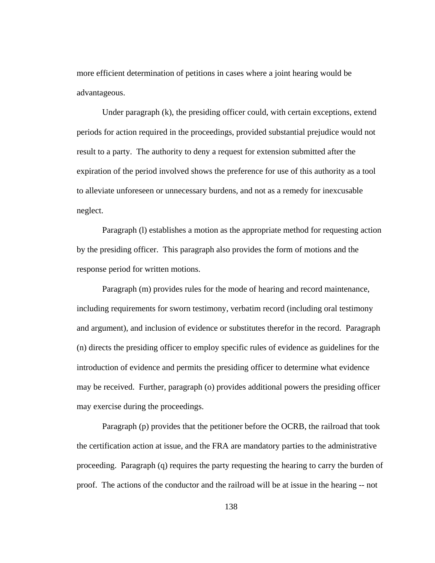more efficient determination of petitions in cases where a joint hearing would be advantageous.

Under paragraph (k), the presiding officer could, with certain exceptions, extend periods for action required in the proceedings, provided substantial prejudice would not result to a party. The authority to deny a request for extension submitted after the expiration of the period involved shows the preference for use of this authority as a tool to alleviate unforeseen or unnecessary burdens, and not as a remedy for inexcusable neglect.

Paragraph (l) establishes a motion as the appropriate method for requesting action by the presiding officer. This paragraph also provides the form of motions and the response period for written motions.

Paragraph (m) provides rules for the mode of hearing and record maintenance, including requirements for sworn testimony, verbatim record (including oral testimony and argument), and inclusion of evidence or substitutes therefor in the record. Paragraph (n) directs the presiding officer to employ specific rules of evidence as guidelines for the introduction of evidence and permits the presiding officer to determine what evidence may be received. Further, paragraph (o) provides additional powers the presiding officer may exercise during the proceedings.

Paragraph (p) provides that the petitioner before the OCRB, the railroad that took the certification action at issue, and the FRA are mandatory parties to the administrative proceeding. Paragraph (q) requires the party requesting the hearing to carry the burden of proof. The actions of the conductor and the railroad will be at issue in the hearing -- not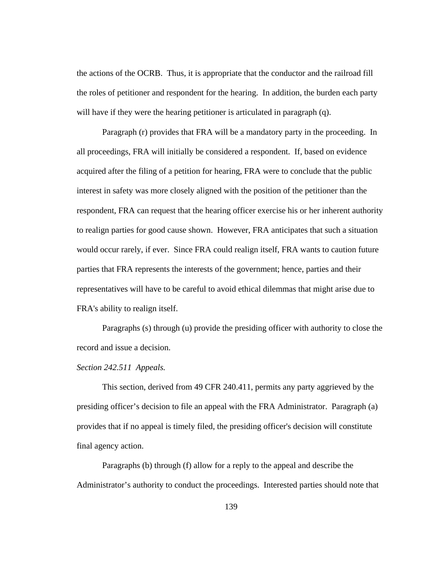the actions of the OCRB. Thus, it is appropriate that the conductor and the railroad fill the roles of petitioner and respondent for the hearing. In addition, the burden each party will have if they were the hearing petitioner is articulated in paragraph (q).

Paragraph (r) provides that FRA will be a mandatory party in the proceeding. In all proceedings, FRA will initially be considered a respondent. If, based on evidence acquired after the filing of a petition for hearing, FRA were to conclude that the public interest in safety was more closely aligned with the position of the petitioner than the respondent, FRA can request that the hearing officer exercise his or her inherent authority to realign parties for good cause shown. However, FRA anticipates that such a situation would occur rarely, if ever. Since FRA could realign itself, FRA wants to caution future parties that FRA represents the interests of the government; hence, parties and their representatives will have to be careful to avoid ethical dilemmas that might arise due to FRA's ability to realign itself.

Paragraphs (s) through (u) provide the presiding officer with authority to close the record and issue a decision.

### *Section 242.511 Appeals.*

 This section, derived from 49 CFR 240.411, permits any party aggrieved by the presiding officer's decision to file an appeal with the FRA Administrator. Paragraph (a) provides that if no appeal is timely filed, the presiding officer's decision will constitute final agency action.

 Paragraphs (b) through (f) allow for a reply to the appeal and describe the Administrator's authority to conduct the proceedings. Interested parties should note that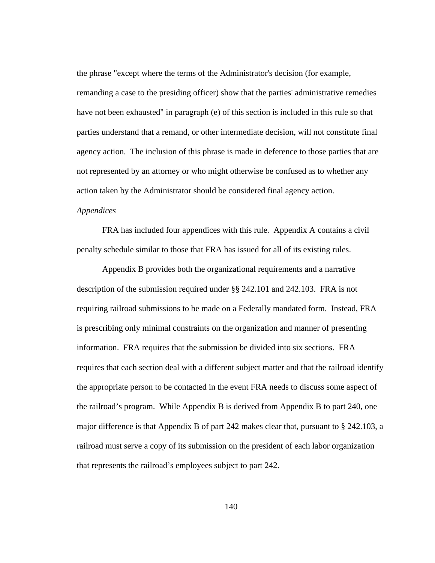the phrase "except where the terms of the Administrator's decision (for example, remanding a case to the presiding officer) show that the parties' administrative remedies have not been exhausted" in paragraph (e) of this section is included in this rule so that parties understand that a remand, or other intermediate decision, will not constitute final agency action. The inclusion of this phrase is made in deference to those parties that are not represented by an attorney or who might otherwise be confused as to whether any action taken by the Administrator should be considered final agency action.

# *Appendices*

FRA has included four appendices with this rule. Appendix A contains a civil penalty schedule similar to those that FRA has issued for all of its existing rules.

 Appendix B provides both the organizational requirements and a narrative description of the submission required under §§ 242.101 and 242.103. FRA is not requiring railroad submissions to be made on a Federally mandated form. Instead, FRA is prescribing only minimal constraints on the organization and manner of presenting information. FRA requires that the submission be divided into six sections. FRA requires that each section deal with a different subject matter and that the railroad identify the appropriate person to be contacted in the event FRA needs to discuss some aspect of the railroad's program. While Appendix B is derived from Appendix B to part 240, one major difference is that Appendix B of part 242 makes clear that, pursuant to § 242.103, a railroad must serve a copy of its submission on the president of each labor organization that represents the railroad's employees subject to part 242.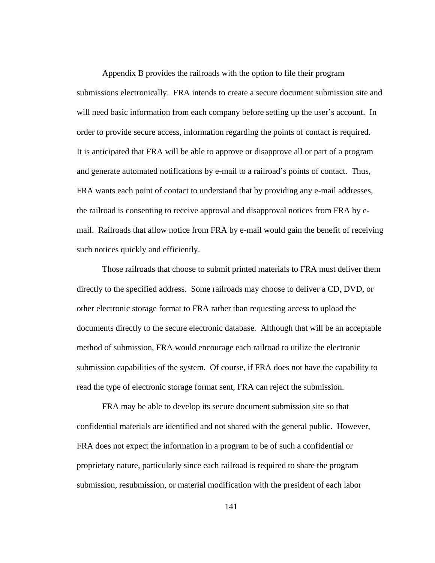Appendix B provides the railroads with the option to file their program submissions electronically. FRA intends to create a secure document submission site and will need basic information from each company before setting up the user's account. In order to provide secure access, information regarding the points of contact is required. It is anticipated that FRA will be able to approve or disapprove all or part of a program and generate automated notifications by e-mail to a railroad's points of contact. Thus, FRA wants each point of contact to understand that by providing any e-mail addresses, the railroad is consenting to receive approval and disapproval notices from FRA by email. Railroads that allow notice from FRA by e-mail would gain the benefit of receiving such notices quickly and efficiently.

Those railroads that choose to submit printed materials to FRA must deliver them directly to the specified address. Some railroads may choose to deliver a CD, DVD, or other electronic storage format to FRA rather than requesting access to upload the documents directly to the secure electronic database. Although that will be an acceptable method of submission, FRA would encourage each railroad to utilize the electronic submission capabilities of the system. Of course, if FRA does not have the capability to read the type of electronic storage format sent, FRA can reject the submission.

FRA may be able to develop its secure document submission site so that confidential materials are identified and not shared with the general public. However, FRA does not expect the information in a program to be of such a confidential or proprietary nature, particularly since each railroad is required to share the program submission, resubmission, or material modification with the president of each labor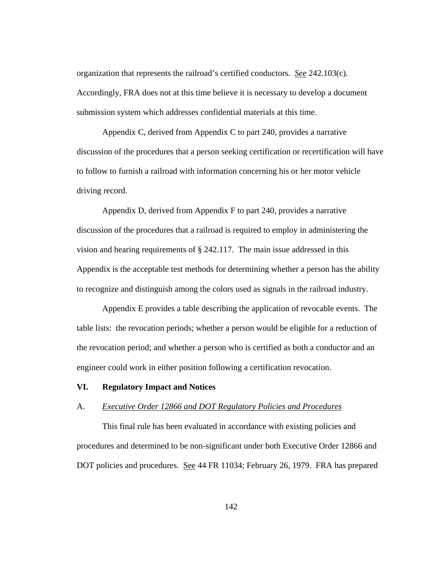organization that represents the railroad's certified conductors. *See* 242.103(c). Accordingly, FRA does not at this time believe it is necessary to develop a document submission system which addresses confidential materials at this time.

 Appendix C, derived from Appendix C to part 240, provides a narrative discussion of the procedures that a person seeking certification or recertification will have to follow to furnish a railroad with information concerning his or her motor vehicle driving record.

 Appendix D, derived from Appendix F to part 240, provides a narrative discussion of the procedures that a railroad is required to employ in administering the vision and hearing requirements of § 242.117. The main issue addressed in this Appendix is the acceptable test methods for determining whether a person has the ability to recognize and distinguish among the colors used as signals in the railroad industry.

 Appendix E provides a table describing the application of revocable events. The table lists: the revocation periods; whether a person would be eligible for a reduction of the revocation period; and whether a person who is certified as both a conductor and an engineer could work in either position following a certification revocation.

### **VI. Regulatory Impact and Notices**

# A. *Executive Order 12866 and DOT Regulatory Policies and Procedures*

This final rule has been evaluated in accordance with existing policies and procedures and determined to be non-significant under both Executive Order 12866 and DOT policies and procedures. See 44 FR 11034; February 26, 1979. FRA has prepared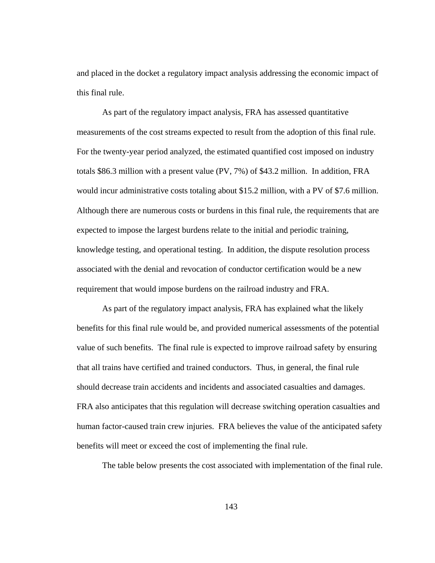and placed in the docket a regulatory impact analysis addressing the economic impact of this final rule.

As part of the regulatory impact analysis, FRA has assessed quantitative measurements of the cost streams expected to result from the adoption of this final rule. For the twenty-year period analyzed, the estimated quantified cost imposed on industry totals \$86.3 million with a present value (PV, 7%) of \$43.2 million. In addition, FRA would incur administrative costs totaling about \$15.2 million, with a PV of \$7.6 million. Although there are numerous costs or burdens in this final rule, the requirements that are expected to impose the largest burdens relate to the initial and periodic training, knowledge testing, and operational testing. In addition, the dispute resolution process associated with the denial and revocation of conductor certification would be a new requirement that would impose burdens on the railroad industry and FRA.

As part of the regulatory impact analysis, FRA has explained what the likely benefits for this final rule would be, and provided numerical assessments of the potential value of such benefits. The final rule is expected to improve railroad safety by ensuring that all trains have certified and trained conductors. Thus, in general, the final rule should decrease train accidents and incidents and associated casualties and damages. FRA also anticipates that this regulation will decrease switching operation casualties and human factor-caused train crew injuries. FRA believes the value of the anticipated safety benefits will meet or exceed the cost of implementing the final rule.

The table below presents the cost associated with implementation of the final rule.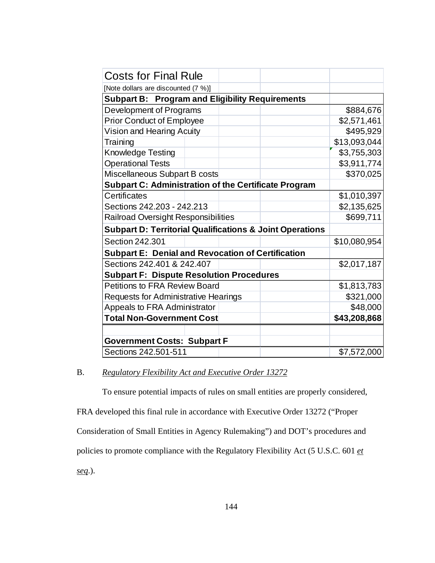| <b>Costs for Final Rule</b>                                         |  |  |              |              |
|---------------------------------------------------------------------|--|--|--------------|--------------|
| [Note dollars are discounted (7 %)]                                 |  |  |              |              |
| <b>Subpart B: Program and Eligibility Requirements</b>              |  |  |              |              |
| Development of Programs                                             |  |  |              | \$884,676    |
| <b>Prior Conduct of Employee</b>                                    |  |  |              | \$2,571,461  |
| Vision and Hearing Acuity                                           |  |  |              | \$495,929    |
| Training                                                            |  |  |              | \$13,093,044 |
| <b>Knowledge Testing</b>                                            |  |  |              | \$3,755,303  |
| <b>Operational Tests</b>                                            |  |  |              | \$3,911,774  |
| Miscellaneous Subpart B costs                                       |  |  |              | \$370,025    |
| <b>Subpart C: Administration of the Certificate Program</b>         |  |  |              |              |
| Certificates                                                        |  |  |              | \$1,010,397  |
| Sections 242, 203 - 242, 213                                        |  |  |              | \$2,135,625  |
| <b>Railroad Oversight Responsibilities</b>                          |  |  |              | \$699,711    |
| <b>Subpart D: Territorial Qualifications &amp; Joint Operations</b> |  |  |              |              |
| Section 242,301                                                     |  |  |              | \$10,080,954 |
| <b>Subpart E: Denial and Revocation of Certification</b>            |  |  |              |              |
| Sections 242,401 & 242,407                                          |  |  |              | \$2,017,187  |
| <b>Subpart F: Dispute Resolution Procedures</b>                     |  |  |              |              |
| <b>Petitions to FRA Review Board</b>                                |  |  |              | \$1,813,783  |
| <b>Requests for Administrative Hearings</b>                         |  |  | \$321,000    |              |
| Appeals to FRA Administrator                                        |  |  | \$48,000     |              |
| <b>Total Non-Government Cost</b>                                    |  |  | \$43,208,868 |              |
|                                                                     |  |  |              |              |
| <b>Government Costs: Subpart F</b>                                  |  |  |              |              |
| Sections 242.501-511                                                |  |  | \$7,572,000  |              |

# B. *Regulatory Flexibility Act and Executive Order 13272*

 To ensure potential impacts of rules on small entities are properly considered, FRA developed this final rule in accordance with Executive Order 13272 ("Proper Consideration of Small Entities in Agency Rulemaking") and DOT's procedures and policies to promote compliance with the Regulatory Flexibility Act (5 U.S.C. 601 *et seq*.).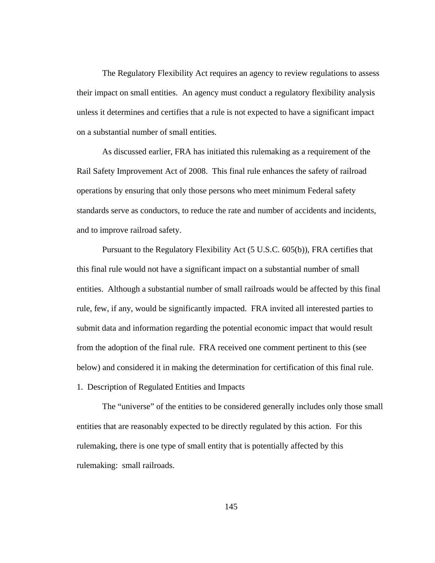The Regulatory Flexibility Act requires an agency to review regulations to assess their impact on small entities. An agency must conduct a regulatory flexibility analysis unless it determines and certifies that a rule is not expected to have a significant impact on a substantial number of small entities.

 As discussed earlier, FRA has initiated this rulemaking as a requirement of the Rail Safety Improvement Act of 2008. This final rule enhances the safety of railroad operations by ensuring that only those persons who meet minimum Federal safety standards serve as conductors, to reduce the rate and number of accidents and incidents, and to improve railroad safety.

 Pursuant to the Regulatory Flexibility Act (5 U.S.C. 605(b)), FRA certifies that this final rule would not have a significant impact on a substantial number of small entities. Although a substantial number of small railroads would be affected by this final rule, few, if any, would be significantly impacted. FRA invited all interested parties to submit data and information regarding the potential economic impact that would result from the adoption of the final rule. FRA received one comment pertinent to this (see below) and considered it in making the determination for certification of this final rule. 1. Description of Regulated Entities and Impacts

 The "universe" of the entities to be considered generally includes only those small entities that are reasonably expected to be directly regulated by this action. For this rulemaking, there is one type of small entity that is potentially affected by this rulemaking: small railroads.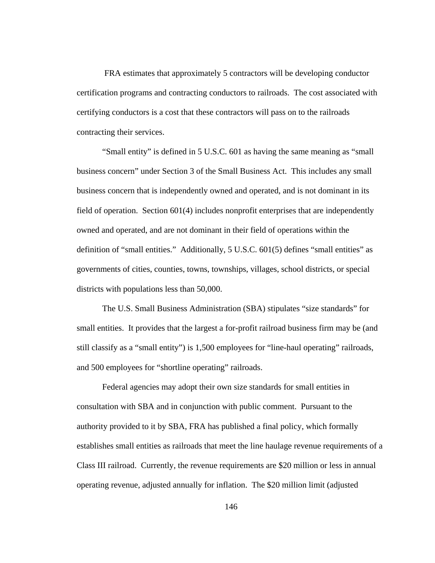FRA estimates that approximately 5 contractors will be developing conductor certification programs and contracting conductors to railroads. The cost associated with certifying conductors is a cost that these contractors will pass on to the railroads contracting their services.

 "Small entity" is defined in 5 U.S.C. 601 as having the same meaning as "small business concern" under Section 3 of the Small Business Act. This includes any small business concern that is independently owned and operated, and is not dominant in its field of operation. Section 601(4) includes nonprofit enterprises that are independently owned and operated, and are not dominant in their field of operations within the definition of "small entities." Additionally, 5 U.S.C. 601(5) defines "small entities" as governments of cities, counties, towns, townships, villages, school districts, or special districts with populations less than 50,000.

 The U.S. Small Business Administration (SBA) stipulates "size standards" for small entities. It provides that the largest a for-profit railroad business firm may be (and still classify as a "small entity") is 1,500 employees for "line-haul operating" railroads, and 500 employees for "shortline operating" railroads.

 Federal agencies may adopt their own size standards for small entities in consultation with SBA and in conjunction with public comment. Pursuant to the authority provided to it by SBA, FRA has published a final policy, which formally establishes small entities as railroads that meet the line haulage revenue requirements of a Class III railroad. Currently, the revenue requirements are \$20 million or less in annual operating revenue, adjusted annually for inflation. The \$20 million limit (adjusted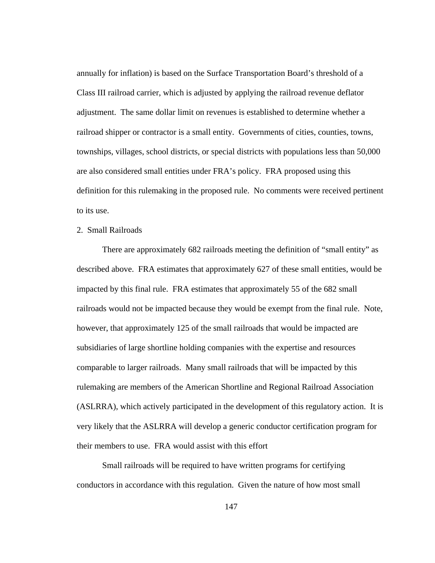annually for inflation) is based on the Surface Transportation Board's threshold of a Class III railroad carrier, which is adjusted by applying the railroad revenue deflator adjustment. The same dollar limit on revenues is established to determine whether a railroad shipper or contractor is a small entity. Governments of cities, counties, towns, townships, villages, school districts, or special districts with populations less than 50,000 are also considered small entities under FRA's policy. FRA proposed using this definition for this rulemaking in the proposed rule. No comments were received pertinent to its use.

### 2. Small Railroads

 There are approximately 682 railroads meeting the definition of "small entity" as described above. FRA estimates that approximately 627 of these small entities, would be impacted by this final rule. FRA estimates that approximately 55 of the 682 small railroads would not be impacted because they would be exempt from the final rule. Note, however, that approximately 125 of the small railroads that would be impacted are subsidiaries of large shortline holding companies with the expertise and resources comparable to larger railroads. Many small railroads that will be impacted by this rulemaking are members of the American Shortline and Regional Railroad Association (ASLRRA), which actively participated in the development of this regulatory action. It is very likely that the ASLRRA will develop a generic conductor certification program for their members to use. FRA would assist with this effort

 Small railroads will be required to have written programs for certifying conductors in accordance with this regulation. Given the nature of how most small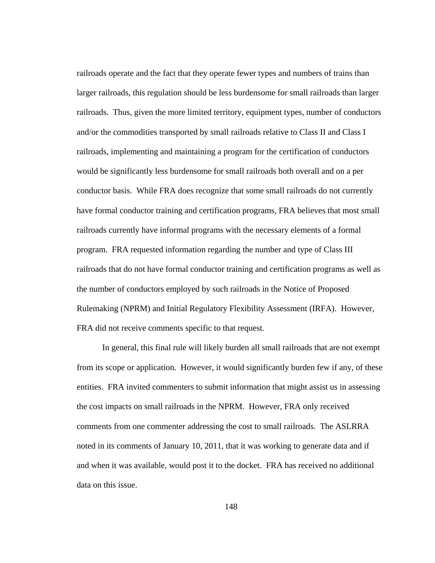railroads operate and the fact that they operate fewer types and numbers of trains than larger railroads, this regulation should be less burdensome for small railroads than larger railroads. Thus, given the more limited territory, equipment types, number of conductors and/or the commodities transported by small railroads relative to Class II and Class I railroads, implementing and maintaining a program for the certification of conductors would be significantly less burdensome for small railroads both overall and on a per conductor basis. While FRA does recognize that some small railroads do not currently have formal conductor training and certification programs, FRA believes that most small railroads currently have informal programs with the necessary elements of a formal program. FRA requested information regarding the number and type of Class III railroads that do not have formal conductor training and certification programs as well as the number of conductors employed by such railroads in the Notice of Proposed Rulemaking (NPRM) and Initial Regulatory Flexibility Assessment (IRFA). However, FRA did not receive comments specific to that request.

 In general, this final rule will likely burden all small railroads that are not exempt from its scope or application. However, it would significantly burden few if any, of these entities. FRA invited commenters to submit information that might assist us in assessing the cost impacts on small railroads in the NPRM. However, FRA only received comments from one commenter addressing the cost to small railroads. The ASLRRA noted in its comments of January 10, 2011, that it was working to generate data and if and when it was available, would post it to the docket. FRA has received no additional data on this issue.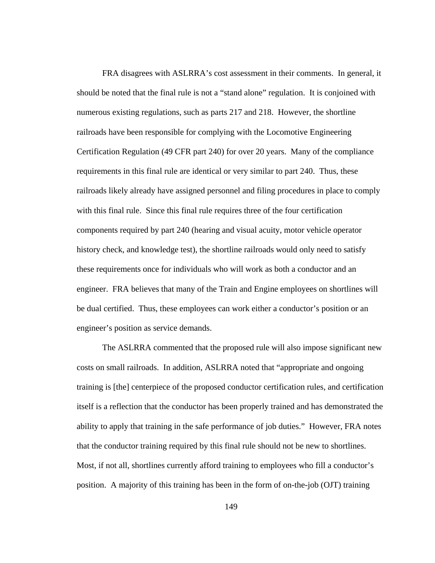FRA disagrees with ASLRRA's cost assessment in their comments. In general, it should be noted that the final rule is not a "stand alone" regulation. It is conjoined with numerous existing regulations, such as parts 217 and 218. However, the shortline railroads have been responsible for complying with the Locomotive Engineering Certification Regulation (49 CFR part 240) for over 20 years. Many of the compliance requirements in this final rule are identical or very similar to part 240. Thus, these railroads likely already have assigned personnel and filing procedures in place to comply with this final rule. Since this final rule requires three of the four certification components required by part 240 (hearing and visual acuity, motor vehicle operator history check, and knowledge test), the shortline railroads would only need to satisfy these requirements once for individuals who will work as both a conductor and an engineer. FRA believes that many of the Train and Engine employees on shortlines will be dual certified. Thus, these employees can work either a conductor's position or an engineer's position as service demands.

 The ASLRRA commented that the proposed rule will also impose significant new costs on small railroads. In addition, ASLRRA noted that "appropriate and ongoing training is [the] centerpiece of the proposed conductor certification rules, and certification itself is a reflection that the conductor has been properly trained and has demonstrated the ability to apply that training in the safe performance of job duties." However, FRA notes that the conductor training required by this final rule should not be new to shortlines. Most, if not all, shortlines currently afford training to employees who fill a conductor's position. A majority of this training has been in the form of on-the-job (OJT) training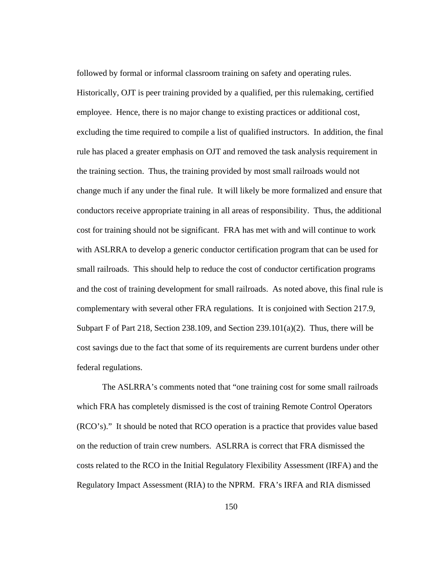followed by formal or informal classroom training on safety and operating rules. Historically, OJT is peer training provided by a qualified, per this rulemaking, certified employee. Hence, there is no major change to existing practices or additional cost, excluding the time required to compile a list of qualified instructors. In addition, the final rule has placed a greater emphasis on OJT and removed the task analysis requirement in the training section. Thus, the training provided by most small railroads would not change much if any under the final rule. It will likely be more formalized and ensure that conductors receive appropriate training in all areas of responsibility. Thus, the additional cost for training should not be significant. FRA has met with and will continue to work with ASLRRA to develop a generic conductor certification program that can be used for small railroads. This should help to reduce the cost of conductor certification programs and the cost of training development for small railroads. As noted above, this final rule is complementary with several other FRA regulations. It is conjoined with Section 217.9, Subpart F of Part 218, Section 238.109, and Section 239.101 $(a)(2)$ . Thus, there will be cost savings due to the fact that some of its requirements are current burdens under other federal regulations.

 The ASLRRA's comments noted that "one training cost for some small railroads which FRA has completely dismissed is the cost of training Remote Control Operators (RCO's)." It should be noted that RCO operation is a practice that provides value based on the reduction of train crew numbers. ASLRRA is correct that FRA dismissed the costs related to the RCO in the Initial Regulatory Flexibility Assessment (IRFA) and the Regulatory Impact Assessment (RIA) to the NPRM. FRA's IRFA and RIA dismissed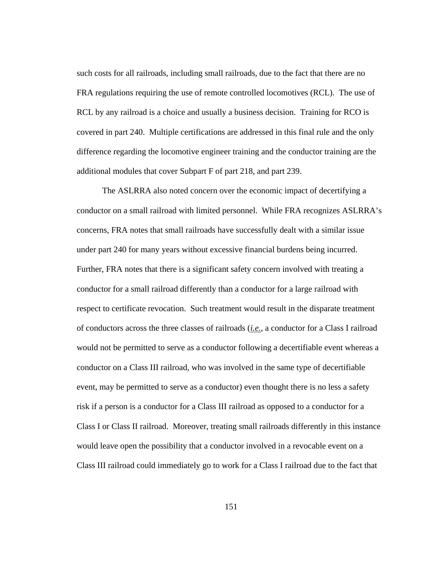such costs for all railroads, including small railroads, due to the fact that there are no FRA regulations requiring the use of remote controlled locomotives (RCL). The use of RCL by any railroad is a choice and usually a business decision. Training for RCO is covered in part 240. Multiple certifications are addressed in this final rule and the only difference regarding the locomotive engineer training and the conductor training are the additional modules that cover Subpart F of part 218, and part 239.

 The ASLRRA also noted concern over the economic impact of decertifying a conductor on a small railroad with limited personnel. While FRA recognizes ASLRRA's concerns, FRA notes that small railroads have successfully dealt with a similar issue under part 240 for many years without excessive financial burdens being incurred. Further, FRA notes that there is a significant safety concern involved with treating a conductor for a small railroad differently than a conductor for a large railroad with respect to certificate revocation. Such treatment would result in the disparate treatment of conductors across the three classes of railroads (*i.e.*, a conductor for a Class I railroad would not be permitted to serve as a conductor following a decertifiable event whereas a conductor on a Class III railroad, who was involved in the same type of decertifiable event, may be permitted to serve as a conductor) even thought there is no less a safety risk if a person is a conductor for a Class III railroad as opposed to a conductor for a Class I or Class II railroad. Moreover, treating small railroads differently in this instance would leave open the possibility that a conductor involved in a revocable event on a Class III railroad could immediately go to work for a Class I railroad due to the fact that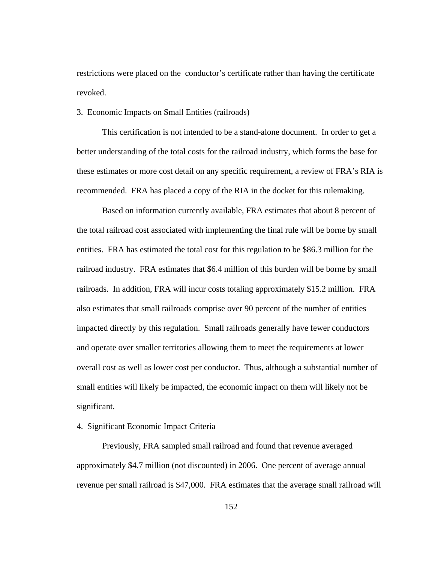restrictions were placed on the conductor's certificate rather than having the certificate revoked.

#### 3. Economic Impacts on Small Entities (railroads)

 This certification is not intended to be a stand-alone document. In order to get a better understanding of the total costs for the railroad industry, which forms the base for these estimates or more cost detail on any specific requirement, a review of FRA's RIA is recommended. FRA has placed a copy of the RIA in the docket for this rulemaking.

 Based on information currently available, FRA estimates that about 8 percent of the total railroad cost associated with implementing the final rule will be borne by small entities. FRA has estimated the total cost for this regulation to be \$86.3 million for the railroad industry. FRA estimates that \$6.4 million of this burden will be borne by small railroads. In addition, FRA will incur costs totaling approximately \$15.2 million. FRA also estimates that small railroads comprise over 90 percent of the number of entities impacted directly by this regulation. Small railroads generally have fewer conductors and operate over smaller territories allowing them to meet the requirements at lower overall cost as well as lower cost per conductor. Thus, although a substantial number of small entities will likely be impacted, the economic impact on them will likely not be significant.

# 4. Significant Economic Impact Criteria

 Previously, FRA sampled small railroad and found that revenue averaged approximately \$4.7 million (not discounted) in 2006. One percent of average annual revenue per small railroad is \$47,000. FRA estimates that the average small railroad will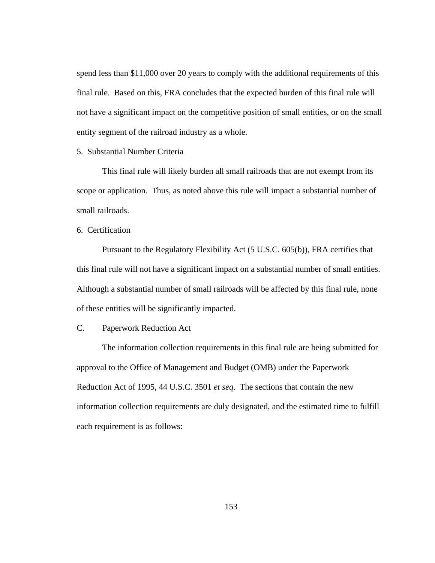spend less than \$11,000 over 20 years to comply with the additional requirements of this final rule. Based on this, FRA concludes that the expected burden of this final rule will not have a significant impact on the competitive position of small entities, or on the small entity segment of the railroad industry as a whole.

#### 5. Substantial Number Criteria

 This final rule will likely burden all small railroads that are not exempt from its scope or application. Thus, as noted above this rule will impact a substantial number of small railroads.

6. Certification

 Pursuant to the Regulatory Flexibility Act (5 U.S.C. 605(b)), FRA certifies that this final rule will not have a significant impact on a substantial number of small entities. Although a substantial number of small railroads will be affected by this final rule, none of these entities will be significantly impacted.

### C. Paperwork Reduction Act

The information collection requirements in this final rule are being submitted for approval to the Office of Management and Budget (OMB) under the Paperwork Reduction Act of 1995, 44 U.S.C. 3501 *et seq.* The sections that contain the new information collection requirements are duly designated, and the estimated time to fulfill each requirement is as follows: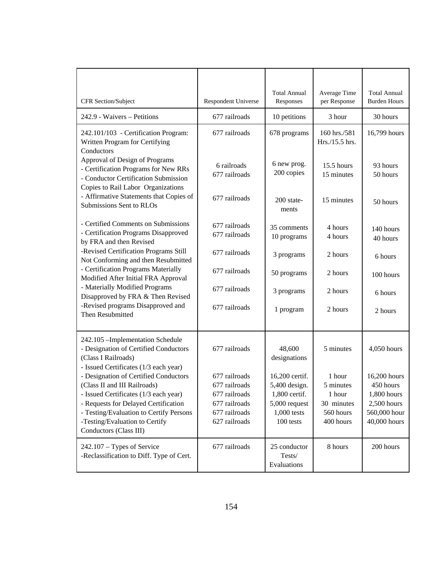|                                                                                                                                                                                                                                                                                            |                                                                  | <b>Total Annual</b>                                        | Average Time                                   | <b>Total Annual</b>                                        |
|--------------------------------------------------------------------------------------------------------------------------------------------------------------------------------------------------------------------------------------------------------------------------------------------|------------------------------------------------------------------|------------------------------------------------------------|------------------------------------------------|------------------------------------------------------------|
| CFR Section/Subject                                                                                                                                                                                                                                                                        | Respondent Universe                                              | Responses                                                  | per Response                                   | <b>Burden Hours</b>                                        |
| 242.9 - Waivers - Petitions                                                                                                                                                                                                                                                                | 677 railroads                                                    | 10 petitions                                               | 3 hour                                         | 30 hours                                                   |
| 242.101/103 - Certification Program:<br>Written Program for Certifying<br>Conductors                                                                                                                                                                                                       | 677 railroads                                                    | 678 programs                                               | 160 hrs./581<br>Hrs./15.5 hrs.                 | 16,799 hours                                               |
| Approval of Design of Programs<br>- Certification Programs for New RRs<br>- Conductor Certification Submission<br>Copies to Rail Labor Organizations                                                                                                                                       | 6 railroads<br>677 railroads                                     | 6 new prog.<br>200 copies                                  | 15.5 hours<br>15 minutes                       | 93 hours<br>50 hours                                       |
| - Affirmative Statements that Copies of<br>Submissions Sent to RLOs                                                                                                                                                                                                                        | 677 railroads                                                    | 200 state-<br>ments                                        | 15 minutes                                     | 50 hours                                                   |
| - Certified Comments on Submissions<br>- Certification Programs Disapproved<br>by FRA and then Revised                                                                                                                                                                                     | 677 railroads<br>677 railroads                                   | 35 comments<br>10 programs                                 | 4 hours<br>4 hours                             | 140 hours<br>40 hours                                      |
| -Revised Certification Programs Still<br>Not Conforming and then Resubmitted<br>- Certification Programs Materially<br>Modified After Initial FRA Approval<br>- Materially Modified Programs<br>Disapproved by FRA & Then Revised<br>-Revised programs Disapproved and<br>Then Resubmitted | 677 railroads                                                    | 3 programs                                                 | 2 hours                                        | 6 hours                                                    |
|                                                                                                                                                                                                                                                                                            | 677 railroads                                                    | 50 programs                                                | 2 hours                                        | 100 hours                                                  |
|                                                                                                                                                                                                                                                                                            | 677 railroads                                                    | 3 programs                                                 | 2 hours                                        | 6 hours                                                    |
|                                                                                                                                                                                                                                                                                            | 677 railroads                                                    | 1 program                                                  | 2 hours                                        | 2 hours                                                    |
| 242.105 - Implementation Schedule<br>- Designation of Certified Conductors<br>(Class I Railroads)<br>- Issued Certificates (1/3 each year)                                                                                                                                                 | 677 railroads                                                    | 48,600<br>designations                                     | 5 minutes                                      | 4,050 hours                                                |
| - Designation of Certified Conductors<br>(Class II and III Railroads)                                                                                                                                                                                                                      | 677 railroads<br>677 railroads                                   | 16,200 certif.<br>5,400 design.                            | 1 hour<br>5 minutes                            | 16,200 hours<br>450 hours                                  |
| - Issued Certificates (1/3 each year)<br>- Requests for Delayed Certification<br>- Testing/Evaluation to Certify Persons<br>-Testing/Evaluation to Certify<br>Conductors (Class III)                                                                                                       | 677 railroads<br>677 railroads<br>677 railroads<br>627 railroads | 1,800 certif.<br>5,000 request<br>1,000 tests<br>100 tests | 1 hour<br>30 minutes<br>560 hours<br>400 hours | 1,800 hours<br>2,500 hours<br>560,000 hour<br>40,000 hours |
| 242.107 - Types of Service<br>-Reclassification to Diff. Type of Cert.                                                                                                                                                                                                                     | 677 railroads                                                    | 25 conductor<br>Tests/<br>Evaluations                      | 8 hours                                        | 200 hours                                                  |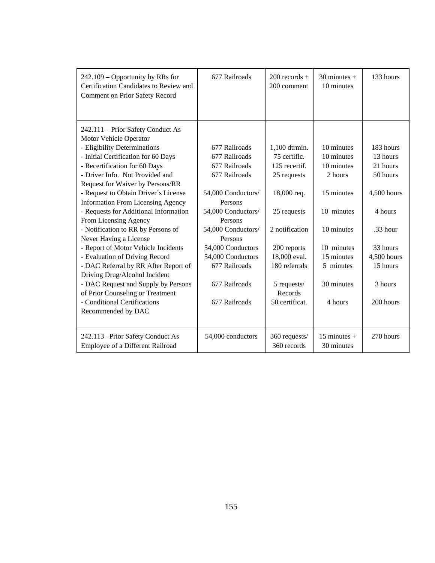| 242.109 – Opportunity by RRs for<br>Certification Candidates to Review and<br>Comment on Prior Safety Record                                                                                                                                                                                                                                                                                                                                                                                                                                                                                                                                                                                                                  | 677 Railroads                                                                                                                                                                                                                                                    | $200$ records $+$<br>200 comment                                                                                                                                                                          | $30$ minutes +<br>10 minutes                                                                                                                                  | 133 hours                                                                                                                                          |
|-------------------------------------------------------------------------------------------------------------------------------------------------------------------------------------------------------------------------------------------------------------------------------------------------------------------------------------------------------------------------------------------------------------------------------------------------------------------------------------------------------------------------------------------------------------------------------------------------------------------------------------------------------------------------------------------------------------------------------|------------------------------------------------------------------------------------------------------------------------------------------------------------------------------------------------------------------------------------------------------------------|-----------------------------------------------------------------------------------------------------------------------------------------------------------------------------------------------------------|---------------------------------------------------------------------------------------------------------------------------------------------------------------|----------------------------------------------------------------------------------------------------------------------------------------------------|
| 242.111 – Prior Safety Conduct As<br>Motor Vehicle Operator<br>- Eligibility Determinations<br>- Initial Certification for 60 Days<br>- Recertification for 60 Days<br>- Driver Info. Not Provided and<br>Request for Waiver by Persons/RR<br>- Request to Obtain Driver's License<br><b>Information From Licensing Agency</b><br>- Requests for Additional Information<br>From Licensing Agency<br>- Notification to RR by Persons of<br>Never Having a License<br>- Report of Motor Vehicle Incidents<br>- Evaluation of Driving Record<br>- DAC Referral by RR After Report of<br>Driving Drug/Alcohol Incident<br>- DAC Request and Supply by Persons<br>of Prior Counseling or Treatment<br>- Conditional Certifications | 677 Railroads<br>677 Railroads<br>677 Railroads<br>677 Railroads<br>54,000 Conductors/<br>Persons<br>54,000 Conductors/<br>Persons<br>54,000 Conductors/<br>Persons<br>54,000 Conductors<br>54,000 Conductors<br>677 Railroads<br>677 Railroads<br>677 Railroads | 1,100 dtrmin.<br>75 certific.<br>125 recertif.<br>25 requests<br>18,000 req.<br>25 requests<br>2 notification<br>200 reports<br>18,000 eval.<br>180 referrals<br>5 requests/<br>Records<br>50 certificat. | 10 minutes<br>10 minutes<br>10 minutes<br>2 hours<br>15 minutes<br>10 minutes<br>10 minutes<br>10 minutes<br>15 minutes<br>5 minutes<br>30 minutes<br>4 hours | 183 hours<br>13 hours<br>21 hours<br>50 hours<br>4,500 hours<br>4 hours<br>.33 hour<br>33 hours<br>4,500 hours<br>15 hours<br>3 hours<br>200 hours |
| Recommended by DAC                                                                                                                                                                                                                                                                                                                                                                                                                                                                                                                                                                                                                                                                                                            |                                                                                                                                                                                                                                                                  |                                                                                                                                                                                                           |                                                                                                                                                               |                                                                                                                                                    |
| 242.113 - Prior Safety Conduct As<br>Employee of a Different Railroad                                                                                                                                                                                                                                                                                                                                                                                                                                                                                                                                                                                                                                                         | 54,000 conductors                                                                                                                                                                                                                                                | 360 requests/<br>360 records                                                                                                                                                                              | 15 minutes $+$<br>30 minutes                                                                                                                                  | 270 hours                                                                                                                                          |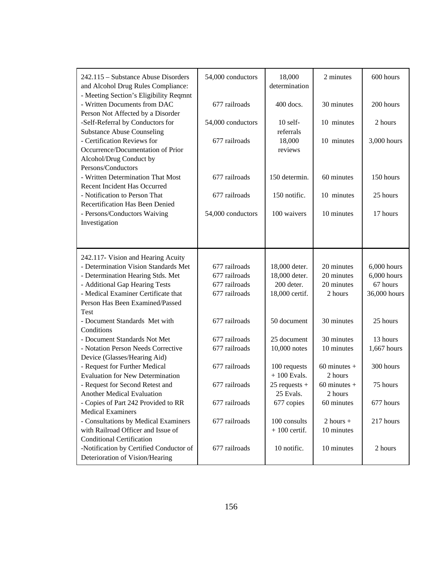| 242.115 - Substance Abuse Disorders<br>and Alcohol Drug Rules Compliance:                                         | 54,000 conductors | 18,000<br>determination        | 2 minutes                   | 600 hours     |
|-------------------------------------------------------------------------------------------------------------------|-------------------|--------------------------------|-----------------------------|---------------|
| - Meeting Section's Eligibility Reqmnt<br>- Written Documents from DAC<br>Person Not Affected by a Disorder       | 677 railroads     | $400$ docs.                    | 30 minutes                  | 200 hours     |
| -Self-Referral by Conductors for<br><b>Substance Abuse Counseling</b>                                             | 54,000 conductors | $10$ self-<br>referrals        | 10 minutes                  | 2 hours       |
| - Certification Reviews for<br>Occurrence/Documentation of Prior<br>Alcohol/Drug Conduct by<br>Persons/Conductors | 677 railroads     | 18,000<br>reviews              | 10 minutes                  | 3,000 hours   |
| - Written Determination That Most<br>Recent Incident Has Occurred                                                 | 677 railroads     | 150 determin.                  | 60 minutes                  | 150 hours     |
| - Notification to Person That<br>Recertification Has Been Denied                                                  | 677 railroads     | 150 notific.                   | 10 minutes                  | 25 hours      |
| - Persons/Conductors Waiving<br>Investigation                                                                     | 54,000 conductors | 100 waivers                    | 10 minutes                  | 17 hours      |
|                                                                                                                   |                   |                                |                             |               |
| 242.117- Vision and Hearing Acuity                                                                                |                   |                                |                             |               |
| - Determination Vision Standards Met                                                                              | 677 railroads     | 18,000 deter.                  | 20 minutes                  | 6,000 hours   |
| - Determination Hearing Stds. Met                                                                                 | 677 railroads     | 18,000 deter.                  | 20 minutes                  | $6,000$ hours |
| - Additional Gap Hearing Tests                                                                                    | 677 railroads     | 200 deter.                     | 20 minutes                  | 67 hours      |
| - Medical Examiner Certificate that                                                                               | 677 railroads     | 18,000 certif.                 | 2 hours                     | 36,000 hours  |
| Person Has Been Examined/Passed                                                                                   |                   |                                |                             |               |
| Test                                                                                                              |                   |                                |                             |               |
| - Document Standards Met with<br>Conditions                                                                       | 677 railroads     | 50 document                    | 30 minutes                  | 25 hours      |
| - Document Standards Not Met                                                                                      | 677 railroads     | 25 document                    | 30 minutes                  | 13 hours      |
| - Notation Person Needs Corrective                                                                                | 677 railroads     | 10,000 notes                   | 10 minutes                  | 1,667 hours   |
| Device (Glasses/Hearing Aid)                                                                                      |                   |                                |                             |               |
| - Request for Further Medical<br><b>Evaluation for New Determination</b>                                          | 677 railroads     | 100 requests<br>$+100$ Evals.  | $60$ minutes +<br>2 hours   | 300 hours     |
| - Request for Second Retest and<br><b>Another Medical Evaluation</b>                                              | 677 railroads     | $25$ requests +<br>25 Evals.   | $60$ minutes $+$<br>2 hours | 75 hours      |
| - Copies of Part 242 Provided to RR<br><b>Medical Examiners</b>                                                   | 677 railroads     | 677 copies                     | 60 minutes                  | 677 hours     |
| - Consultations by Medical Examiners<br>with Railroad Officer and Issue of                                        | 677 railroads     | 100 consults<br>$+100$ certif. | $2$ hours $+$<br>10 minutes | 217 hours     |
| <b>Conditional Certification</b><br>-Notification by Certified Conductor of<br>Deterioration of Vision/Hearing    | 677 railroads     | 10 notific.                    | 10 minutes                  | 2 hours       |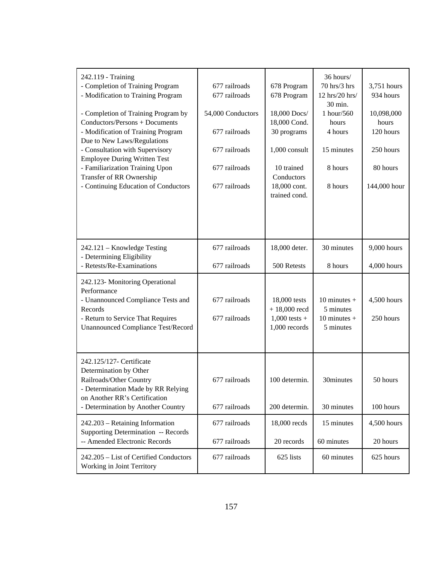| 242.119 - Training<br>- Completion of Training Program<br>- Modification to Training Program<br>- Completion of Training Program by<br>Conductors/Persons + Documents<br>- Modification of Training Program<br>Due to New Laws/Regulations<br>- Consultation with Supervisory<br><b>Employee During Written Test</b><br>- Familiarization Training Upon<br>Transfer of RR Ownership<br>- Continuing Education of Conductors | 677 railroads<br>677 railroads<br>54,000 Conductors<br>677 railroads<br>677 railroads<br>677 railroads<br>677 railroads | 678 Program<br>678 Program<br>18,000 Docs/<br>18,000 Cond.<br>30 programs<br>1,000 consult<br>10 trained<br>Conductors<br>18,000 cont.<br>trained cond. | 36 hours/<br>70 hrs/3 hrs<br>12 hrs/20 hrs/<br>30 min.<br>1 hour/560<br>hours<br>4 hours<br>15 minutes<br>8 hours<br>8 hours | 3,751 hours<br>934 hours<br>10,098,000<br>hours<br>120 hours<br>250 hours<br>80 hours<br>144,000 hour |
|-----------------------------------------------------------------------------------------------------------------------------------------------------------------------------------------------------------------------------------------------------------------------------------------------------------------------------------------------------------------------------------------------------------------------------|-------------------------------------------------------------------------------------------------------------------------|---------------------------------------------------------------------------------------------------------------------------------------------------------|------------------------------------------------------------------------------------------------------------------------------|-------------------------------------------------------------------------------------------------------|
| 242.121 – Knowledge Testing<br>- Determining Eligibility<br>- Retests/Re-Examinations                                                                                                                                                                                                                                                                                                                                       | 677 railroads<br>677 railroads                                                                                          | 18,000 deter.<br>500 Retests                                                                                                                            | 30 minutes<br>8 hours                                                                                                        | 9,000 hours<br>4,000 hours                                                                            |
| 242.123- Monitoring Operational<br>Performance<br>- Unannounced Compliance Tests and<br>Records<br>- Return to Service That Requires<br><b>Unannounced Compliance Test/Record</b>                                                                                                                                                                                                                                           | 677 railroads<br>677 railroads                                                                                          | 18,000 tests<br>$+18,000$ recd<br>$1,000$ tests +<br>1,000 records                                                                                      | 10 minutes $+$<br>5 minutes<br>10 minutes $+$<br>5 minutes                                                                   | 4,500 hours<br>250 hours                                                                              |
| 242.125/127- Certificate<br>Determination by Other<br>Railroads/Other Country<br>- Determination Made by RR Relying<br>on Another RR's Certification<br>- Determination by Another Country                                                                                                                                                                                                                                  | 677 railroads<br>677 railroads                                                                                          | 100 determin.<br>200 determin.                                                                                                                          | 30minutes<br>30 minutes                                                                                                      | 50 hours<br>100 hours                                                                                 |
| 242.203 - Retaining Information<br>Supporting Determination -- Records<br>-- Amended Electronic Records                                                                                                                                                                                                                                                                                                                     | 677 railroads<br>677 railroads                                                                                          | 18,000 recds<br>20 records                                                                                                                              | 15 minutes<br>60 minutes                                                                                                     | 4,500 hours<br>20 hours                                                                               |
| 242.205 - List of Certified Conductors<br>Working in Joint Territory                                                                                                                                                                                                                                                                                                                                                        | 677 railroads                                                                                                           | 625 lists                                                                                                                                               | 60 minutes                                                                                                                   | 625 hours                                                                                             |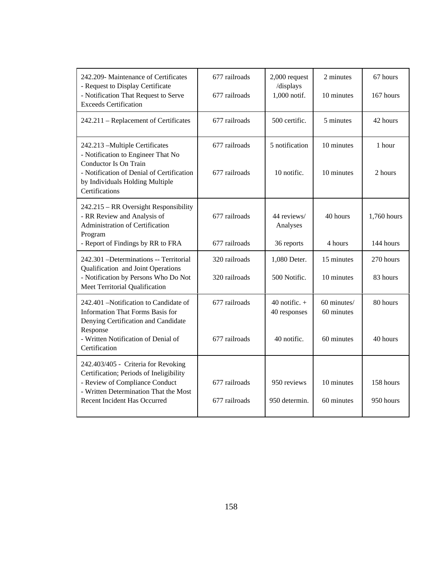| 242.209- Maintenance of Certificates<br>- Request to Display Certificate<br>- Notification That Request to Serve<br><b>Exceeds Certification</b>                                                 | 677 railroads<br>677 railroads | 2,000 request<br>/displays<br>1,000 notif.     | 2 minutes<br>10 minutes                 | 67 hours<br>167 hours    |
|--------------------------------------------------------------------------------------------------------------------------------------------------------------------------------------------------|--------------------------------|------------------------------------------------|-----------------------------------------|--------------------------|
| 242.211 – Replacement of Certificates                                                                                                                                                            | 677 railroads                  | 500 certific.                                  | 5 minutes                               | 42 hours                 |
| 242.213 - Multiple Certificates<br>- Notification to Engineer That No<br>Conductor Is On Train<br>- Notification of Denial of Certification<br>by Individuals Holding Multiple<br>Certifications | 677 railroads<br>677 railroads | 5 notification<br>10 notific.                  | 10 minutes<br>10 minutes                | 1 hour<br>2 hours        |
| 242.215 – RR Oversight Responsibility<br>- RR Review and Analysis of<br>Administration of Certification<br>Program<br>- Report of Findings by RR to FRA                                          | 677 railroads<br>677 railroads | 44 reviews/<br>Analyses<br>36 reports          | 40 hours<br>4 hours                     | 1,760 hours<br>144 hours |
| 242.301 - Determinations -- Territorial                                                                                                                                                          | 320 railroads                  | 1,080 Deter.                                   | 15 minutes                              | 270 hours                |
| Qualification and Joint Operations<br>- Notification by Persons Who Do Not<br>Meet Territorial Qualification                                                                                     | 320 railroads                  | 500 Notific.                                   | 10 minutes                              | 83 hours                 |
| 242.401 – Notification to Candidate of<br><b>Information That Forms Basis for</b><br>Denying Certification and Candidate<br>Response<br>- Written Notification of Denial of                      | 677 railroads<br>677 railroads | 40 notific. $+$<br>40 responses<br>40 notific. | 60 minutes/<br>60 minutes<br>60 minutes | 80 hours<br>40 hours     |
| Certification                                                                                                                                                                                    |                                |                                                |                                         |                          |
| 242.403/405 - Criteria for Revoking<br>Certification; Periods of Ineligibility<br>- Review of Compliance Conduct<br>- Written Determination That the Most<br>Recent Incident Has Occurred        | 677 railroads<br>677 railroads | 950 reviews<br>950 determin.                   | 10 minutes<br>60 minutes                | 158 hours<br>950 hours   |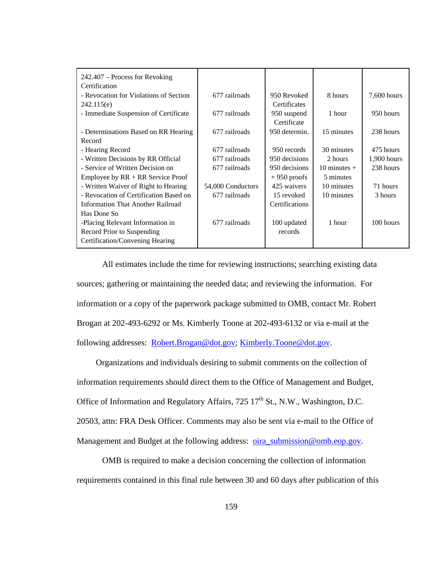| $242.407 - Process for Revoking$         |                   |                |                |               |
|------------------------------------------|-------------------|----------------|----------------|---------------|
| Certification                            |                   |                |                |               |
| - Revocation for Violations of Section   | 677 railroads     | 950 Revoked    | 8 hours        | 7,600 hours   |
| 242.115(e)                               |                   | Certificates   |                |               |
| - Immediate Suspension of Certificate    | 677 railroads     | 950 suspend    | 1 hour         | 950 hours     |
|                                          |                   | Certificate    |                |               |
| - Determinations Based on RR Hearing     | 677 railroads     | 950 determin.  | 15 minutes     | 238 hours     |
| Record                                   |                   |                |                |               |
| - Hearing Record                         | 677 railroads     | 950 records    | 30 minutes     | 475 hours     |
| - Written Decisions by RR Official       | 677 railroads     | 950 decisions  | 2 hours        | $1,900$ hours |
| - Service of Written Decision on         | 677 railroads     | 950 decisions  | 10 minutes $+$ | 238 hours     |
| Employee by $RR + RR$ Service Proof      |                   | $+950$ proofs  | 5 minutes      |               |
| - Written Waiver of Right to Hearing     | 54,000 Conductors | 425 waivers    | 10 minutes     | 71 hours      |
| - Revocation of Certification Based on   | 677 railroads     | 15 revoked     | 10 minutes     | 3 hours       |
| <b>Information That Another Railroad</b> |                   | Certifications |                |               |
| Has Done So                              |                   |                |                |               |
| -Placing Relevant Information in         | 677 railroads     | 100 updated    | 1 hour         | 100 hours     |
| Record Prior to Suspending               |                   | records        |                |               |
| Certification/Convening Hearing          |                   |                |                |               |

All estimates include the time for reviewing instructions; searching existing data sources; gathering or maintaining the needed data; and reviewing the information. For information or a copy of the paperwork package submitted to OMB, contact Mr. Robert Brogan at 202-493-6292 or Ms. Kimberly Toone at 202-493-6132 or via e-mail at the following addresses: Robert.Brogan@dot.gov; Kimberly.Toone@dot.gov.

 Organizations and individuals desiring to submit comments on the collection of information requirements should direct them to the Office of Management and Budget, Office of Information and Regulatory Affairs,  $725 \times 17^{th}$  St., N.W., Washington, D.C. 20503, attn: FRA Desk Officer. Comments may also be sent via e-mail to the Office of Management and Budget at the following address: oira\_submission@omb.eop.gov.

OMB is required to make a decision concerning the collection of information requirements contained in this final rule between 30 and 60 days after publication of this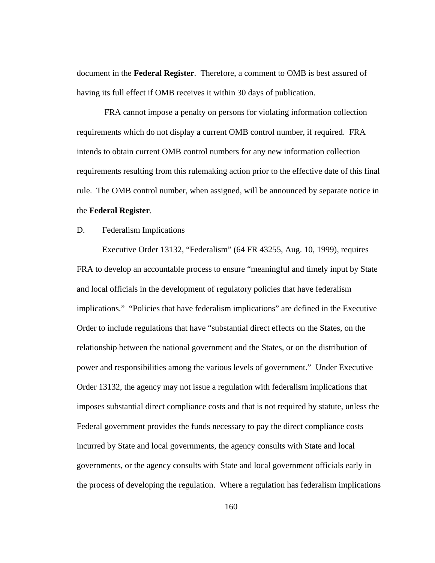document in the **Federal Register**. Therefore, a comment to OMB is best assured of having its full effect if OMB receives it within 30 days of publication.

 FRA cannot impose a penalty on persons for violating information collection requirements which do not display a current OMB control number, if required. FRA intends to obtain current OMB control numbers for any new information collection requirements resulting from this rulemaking action prior to the effective date of this final rule. The OMB control number, when assigned, will be announced by separate notice in the **Federal Register**.

#### D. Federalism Implications

 Executive Order 13132, "Federalism" (64 FR 43255, Aug. 10, 1999), requires FRA to develop an accountable process to ensure "meaningful and timely input by State and local officials in the development of regulatory policies that have federalism implications." "Policies that have federalism implications" are defined in the Executive Order to include regulations that have "substantial direct effects on the States, on the relationship between the national government and the States, or on the distribution of power and responsibilities among the various levels of government." Under Executive Order 13132, the agency may not issue a regulation with federalism implications that imposes substantial direct compliance costs and that is not required by statute, unless the Federal government provides the funds necessary to pay the direct compliance costs incurred by State and local governments, the agency consults with State and local governments, or the agency consults with State and local government officials early in the process of developing the regulation. Where a regulation has federalism implications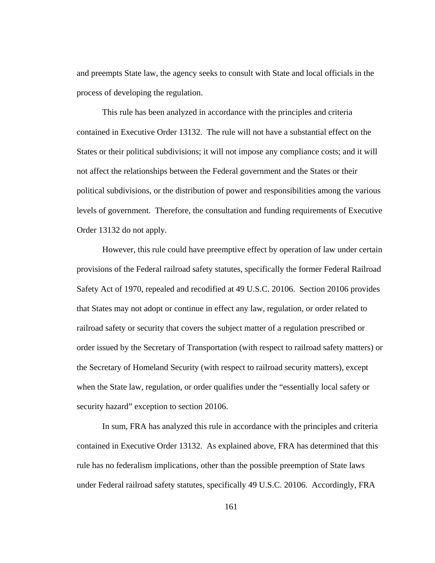and preempts State law, the agency seeks to consult with State and local officials in the process of developing the regulation.

 This rule has been analyzed in accordance with the principles and criteria contained in Executive Order 13132. The rule will not have a substantial effect on the States or their political subdivisions; it will not impose any compliance costs; and it will not affect the relationships between the Federal government and the States or their political subdivisions, or the distribution of power and responsibilities among the various levels of government. Therefore, the consultation and funding requirements of Executive Order 13132 do not apply.

 However, this rule could have preemptive effect by operation of law under certain provisions of the Federal railroad safety statutes, specifically the former Federal Railroad Safety Act of 1970, repealed and recodified at 49 U.S.C. 20106. Section 20106 provides that States may not adopt or continue in effect any law, regulation, or order related to railroad safety or security that covers the subject matter of a regulation prescribed or order issued by the Secretary of Transportation (with respect to railroad safety matters) or the Secretary of Homeland Security (with respect to railroad security matters), except when the State law, regulation, or order qualifies under the "essentially local safety or security hazard" exception to section 20106.

 In sum, FRA has analyzed this rule in accordance with the principles and criteria contained in Executive Order 13132. As explained above, FRA has determined that this rule has no federalism implications, other than the possible preemption of State laws under Federal railroad safety statutes, specifically 49 U.S.C. 20106. Accordingly, FRA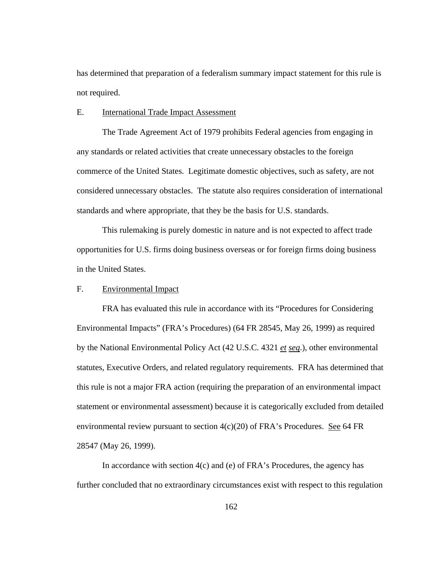has determined that preparation of a federalism summary impact statement for this rule is not required.

### E. International Trade Impact Assessment

The Trade Agreement Act of 1979 prohibits Federal agencies from engaging in any standards or related activities that create unnecessary obstacles to the foreign commerce of the United States. Legitimate domestic objectives, such as safety, are not considered unnecessary obstacles. The statute also requires consideration of international standards and where appropriate, that they be the basis for U.S. standards.

 This rulemaking is purely domestic in nature and is not expected to affect trade opportunities for U.S. firms doing business overseas or for foreign firms doing business in the United States.

## F. Environmental Impact

 FRA has evaluated this rule in accordance with its "Procedures for Considering Environmental Impacts" (FRA's Procedures) (64 FR 28545, May 26, 1999) as required by the National Environmental Policy Act (42 U.S.C. 4321 *et seq*.), other environmental statutes, Executive Orders, and related regulatory requirements. FRA has determined that this rule is not a major FRA action (requiring the preparation of an environmental impact statement or environmental assessment) because it is categorically excluded from detailed environmental review pursuant to section  $4(c)(20)$  of FRA's Procedures. See 64 FR 28547 (May 26, 1999).

In accordance with section  $4(c)$  and (e) of FRA's Procedures, the agency has further concluded that no extraordinary circumstances exist with respect to this regulation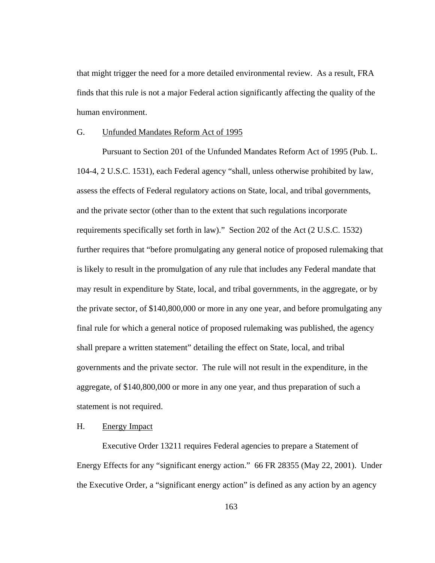that might trigger the need for a more detailed environmental review. As a result, FRA finds that this rule is not a major Federal action significantly affecting the quality of the human environment.

#### G. Unfunded Mandates Reform Act of 1995

 Pursuant to Section 201 of the Unfunded Mandates Reform Act of 1995 (Pub. L. 104-4, 2 U.S.C. 1531), each Federal agency "shall, unless otherwise prohibited by law, assess the effects of Federal regulatory actions on State, local, and tribal governments, and the private sector (other than to the extent that such regulations incorporate requirements specifically set forth in law)." Section 202 of the Act (2 U.S.C. 1532) further requires that "before promulgating any general notice of proposed rulemaking that is likely to result in the promulgation of any rule that includes any Federal mandate that may result in expenditure by State, local, and tribal governments, in the aggregate, or by the private sector, of \$140,800,000 or more in any one year, and before promulgating any final rule for which a general notice of proposed rulemaking was published, the agency shall prepare a written statement" detailing the effect on State, local, and tribal governments and the private sector. The rule will not result in the expenditure, in the aggregate, of \$140,800,000 or more in any one year, and thus preparation of such a statement is not required.

# H. Energy Impact

 Executive Order 13211 requires Federal agencies to prepare a Statement of Energy Effects for any "significant energy action." 66 FR 28355 (May 22, 2001). Under the Executive Order, a "significant energy action" is defined as any action by an agency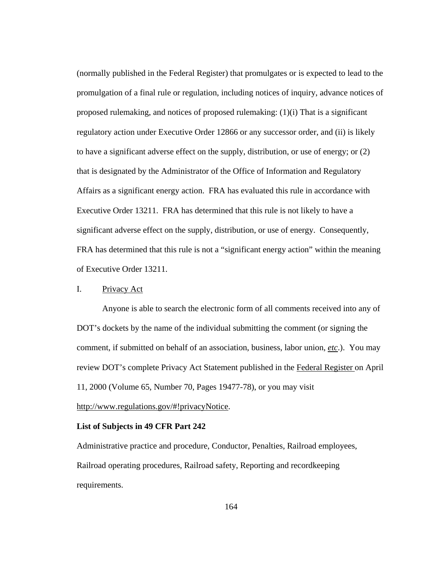(normally published in the Federal Register) that promulgates or is expected to lead to the promulgation of a final rule or regulation, including notices of inquiry, advance notices of proposed rulemaking, and notices of proposed rulemaking:  $(1)(i)$  That is a significant regulatory action under Executive Order 12866 or any successor order, and (ii) is likely to have a significant adverse effect on the supply, distribution, or use of energy; or (2) that is designated by the Administrator of the Office of Information and Regulatory Affairs as a significant energy action. FRA has evaluated this rule in accordance with Executive Order 13211. FRA has determined that this rule is not likely to have a significant adverse effect on the supply, distribution, or use of energy. Consequently, FRA has determined that this rule is not a "significant energy action" within the meaning of Executive Order 13211.

## I. Privacy Act

Anyone is able to search the electronic form of all comments received into any of DOT's dockets by the name of the individual submitting the comment (or signing the comment, if submitted on behalf of an association, business, labor union, *etc*.). You may review DOT's complete Privacy Act Statement published in the Federal Register on April 11, 2000 (Volume 65, Number 70, Pages 19477-78), or you may visit

# http://www.regulations.gov/#!privacyNotice.

### **List of Subjects in 49 CFR Part 242**

Administrative practice and procedure, Conductor, Penalties, Railroad employees, Railroad operating procedures, Railroad safety, Reporting and recordkeeping requirements.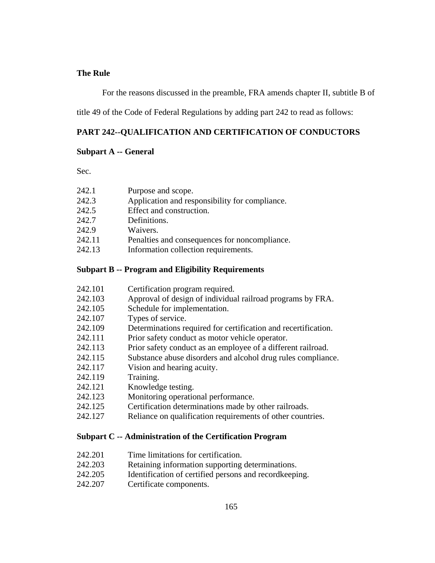### **The Rule**

For the reasons discussed in the preamble, FRA amends chapter II, subtitle B of

title 49 of the Code of Federal Regulations by adding part 242 to read as follows:

### **PART 242--QUALIFICATION AND CERTIFICATION OF CONDUCTORS**

### **Subpart A -- General**

Sec.

| 242.1 | Purpose and scope.                             |
|-------|------------------------------------------------|
| 242.3 | Application and responsibility for compliance. |

- 242.5 Effect and construction.
- 242.7 Definitions.
- 242.9 Waivers.
- 242.11 Penalties and consequences for noncompliance.
- 242.13 Information collection requirements.

# **Subpart B -- Program and Eligibility Requirements**

- 242.101 Certification program required.
- 242.103 Approval of design of individual railroad programs by FRA.
- 242.105 Schedule for implementation.
- 242.107 Types of service.
- 242.109 Determinations required for certification and recertification.
- 242.111 Prior safety conduct as motor vehicle operator.
- 242.113 Prior safety conduct as an employee of a different railroad.
- 242.115 Substance abuse disorders and alcohol drug rules compliance.
- 242.117 Vision and hearing acuity.
- 242.119 Training.
- 242.121 Knowledge testing.
- 242.123 Monitoring operational performance.
- 242.125 Certification determinations made by other railroads.
- 242.127 Reliance on qualification requirements of other countries.

### **Subpart C -- Administration of the Certification Program**

- 242.201 Time limitations for certification.
- 242.203 Retaining information supporting determinations.
- 242.205 Identification of certified persons and recordkeeping.
- 242.207 Certificate components.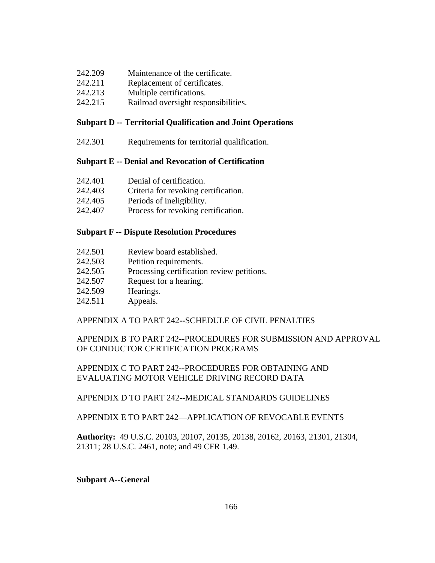- 242.209 Maintenance of the certificate.
- 242.211 Replacement of certificates.
- 242.213 Multiple certifications.
- 242.215 Railroad oversight responsibilities.

# **Subpart D -- Territorial Qualification and Joint Operations**

242.301 Requirements for territorial qualification.

# **Subpart E -- Denial and Revocation of Certification**

- 242.401 Denial of certification.
- 242.403 Criteria for revoking certification.
- 242.405 Periods of ineligibility.
- 242.407 Process for revoking certification.

# **Subpart F -- Dispute Resolution Procedures**

- 242.501 Review board established.
- 242.503 Petition requirements.
- 242.505 Processing certification review petitions.
- 242.507 Request for a hearing.
- 242.509 Hearings.
- 242.511 Appeals.

# APPENDIX A TO PART 242**--**SCHEDULE OF CIVIL PENALTIES

# APPENDIX B TO PART 242**--**PROCEDURES FOR SUBMISSION AND APPROVAL OF CONDUCTOR CERTIFICATION PROGRAMS

# APPENDIX C TO PART 242**--**PROCEDURES FOR OBTAINING AND EVALUATING MOTOR VEHICLE DRIVING RECORD DATA

# APPENDIX D TO PART 242**--**MEDICAL STANDARDS GUIDELINES

# APPENDIX E TO PART 242—APPLICATION OF REVOCABLE EVENTS

**Authority:** 49 U.S.C. 20103, 20107, 20135, 20138, 20162, 20163, 21301, 21304, 21311; 28 U.S.C. 2461, note; and 49 CFR 1.49.

### **Subpart A--General**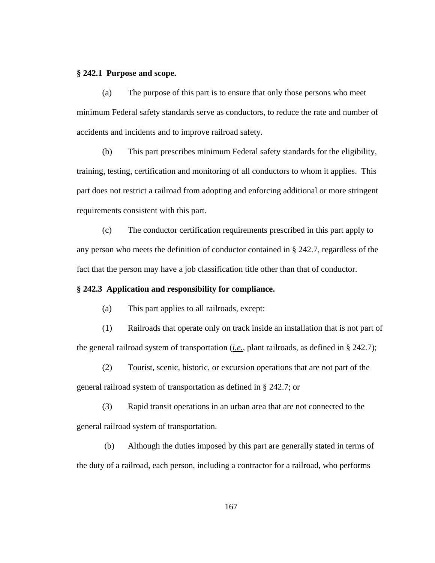#### **§ 242.1 Purpose and scope.**

(a) The purpose of this part is to ensure that only those persons who meet minimum Federal safety standards serve as conductors, to reduce the rate and number of accidents and incidents and to improve railroad safety.

(b) This part prescribes minimum Federal safety standards for the eligibility, training, testing, certification and monitoring of all conductors to whom it applies. This part does not restrict a railroad from adopting and enforcing additional or more stringent requirements consistent with this part.

(c) The conductor certification requirements prescribed in this part apply to any person who meets the definition of conductor contained in § 242.7, regardless of the fact that the person may have a job classification title other than that of conductor.

## **§ 242.3 Application and responsibility for compliance.**

(a) This part applies to all railroads, except:

(1) Railroads that operate only on track inside an installation that is not part of the general railroad system of transportation (*i.e.*, plant railroads, as defined in § 242.7);

(2) Tourist, scenic, historic, or excursion operations that are not part of the general railroad system of transportation as defined in § 242.7; or

(3) Rapid transit operations in an urban area that are not connected to the general railroad system of transportation.

 (b) Although the duties imposed by this part are generally stated in terms of the duty of a railroad, each person, including a contractor for a railroad, who performs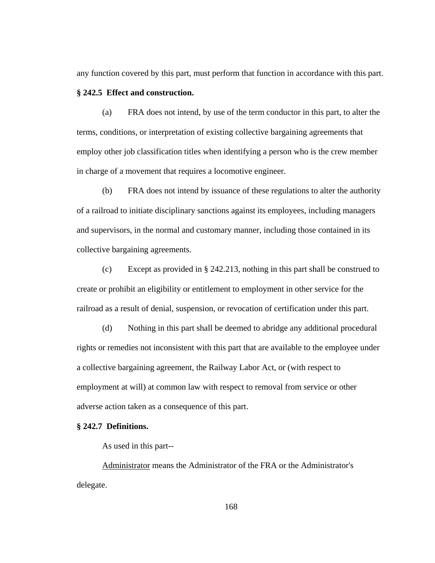any function covered by this part, must perform that function in accordance with this part.

### **§ 242.5 Effect and construction.**

(a) FRA does not intend, by use of the term conductor in this part, to alter the terms, conditions, or interpretation of existing collective bargaining agreements that employ other job classification titles when identifying a person who is the crew member in charge of a movement that requires a locomotive engineer.

(b) FRA does not intend by issuance of these regulations to alter the authority of a railroad to initiate disciplinary sanctions against its employees, including managers and supervisors, in the normal and customary manner, including those contained in its collective bargaining agreements.

(c) Except as provided in § 242.213, nothing in this part shall be construed to create or prohibit an eligibility or entitlement to employment in other service for the railroad as a result of denial, suspension, or revocation of certification under this part.

(d) Nothing in this part shall be deemed to abridge any additional procedural rights or remedies not inconsistent with this part that are available to the employee under a collective bargaining agreement, the Railway Labor Act, or (with respect to employment at will) at common law with respect to removal from service or other adverse action taken as a consequence of this part.

### **§ 242.7 Definitions.**

As used in this part--

Administrator means the Administrator of the FRA or the Administrator's delegate.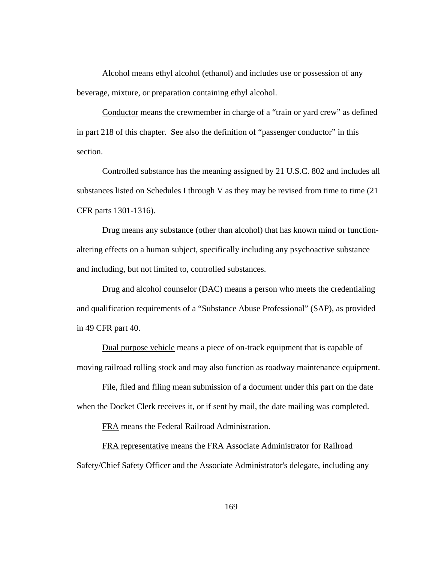Alcohol means ethyl alcohol (ethanol) and includes use or possession of any beverage, mixture, or preparation containing ethyl alcohol.

Conductor means the crewmember in charge of a "train or yard crew" as defined in part 218 of this chapter. See also the definition of "passenger conductor" in this section.

Controlled substance has the meaning assigned by 21 U.S.C. 802 and includes all substances listed on Schedules I through V as they may be revised from time to time (21 CFR parts 1301-1316).

Drug means any substance (other than alcohol) that has known mind or functionaltering effects on a human subject, specifically including any psychoactive substance and including, but not limited to, controlled substances.

Drug and alcohol counselor (DAC) means a person who meets the credentialing and qualification requirements of a "Substance Abuse Professional" (SAP), as provided in 49 CFR part 40.

Dual purpose vehicle means a piece of on-track equipment that is capable of moving railroad rolling stock and may also function as roadway maintenance equipment.

File, filed and filing mean submission of a document under this part on the date when the Docket Clerk receives it, or if sent by mail, the date mailing was completed.

FRA means the Federal Railroad Administration.

FRA representative means the FRA Associate Administrator for Railroad Safety/Chief Safety Officer and the Associate Administrator's delegate, including any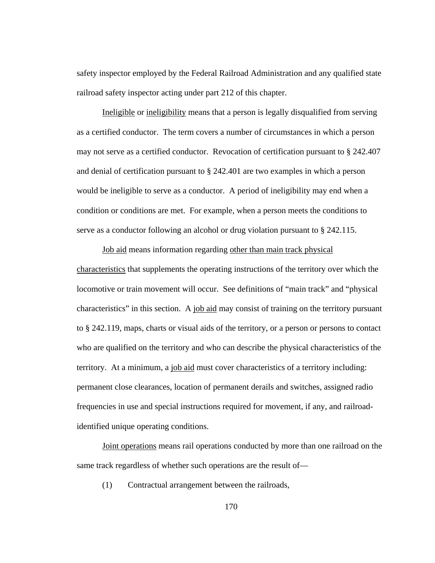safety inspector employed by the Federal Railroad Administration and any qualified state railroad safety inspector acting under part 212 of this chapter.

Ineligible or ineligibility means that a person is legally disqualified from serving as a certified conductor. The term covers a number of circumstances in which a person may not serve as a certified conductor. Revocation of certification pursuant to § 242.407 and denial of certification pursuant to § 242.401 are two examples in which a person would be ineligible to serve as a conductor. A period of ineligibility may end when a condition or conditions are met. For example, when a person meets the conditions to serve as a conductor following an alcohol or drug violation pursuant to § 242.115.

Job aid means information regarding other than main track physical characteristics that supplements the operating instructions of the territory over which the locomotive or train movement will occur. See definitions of "main track" and "physical characteristics" in this section. A job aid may consist of training on the territory pursuant to § 242.119, maps, charts or visual aids of the territory, or a person or persons to contact who are qualified on the territory and who can describe the physical characteristics of the territory. At a minimum, a job aid must cover characteristics of a territory including: permanent close clearances, location of permanent derails and switches, assigned radio frequencies in use and special instructions required for movement, if any, and railroadidentified unique operating conditions.

Joint operations means rail operations conducted by more than one railroad on the same track regardless of whether such operations are the result of—

(1) Contractual arrangement between the railroads,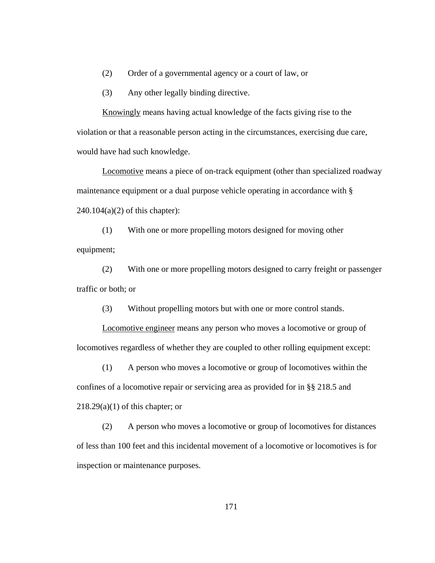(2) Order of a governmental agency or a court of law, or

(3) Any other legally binding directive.

Knowingly means having actual knowledge of the facts giving rise to the violation or that a reasonable person acting in the circumstances, exercising due care, would have had such knowledge.

Locomotive means a piece of on-track equipment (other than specialized roadway maintenance equipment or a dual purpose vehicle operating in accordance with §  $240.104(a)(2)$  of this chapter):

(1) With one or more propelling motors designed for moving other equipment;

(2) With one or more propelling motors designed to carry freight or passenger traffic or both; or

(3) Without propelling motors but with one or more control stands.

Locomotive engineer means any person who moves a locomotive or group of locomotives regardless of whether they are coupled to other rolling equipment except:

(1) A person who moves a locomotive or group of locomotives within the confines of a locomotive repair or servicing area as provided for in §§ 218.5 and  $218.29(a)(1)$  of this chapter; or

(2) A person who moves a locomotive or group of locomotives for distances of less than 100 feet and this incidental movement of a locomotive or locomotives is for inspection or maintenance purposes.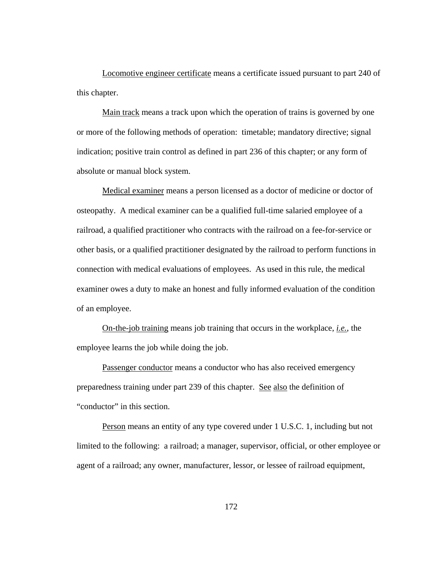Locomotive engineer certificate means a certificate issued pursuant to part 240 of this chapter.

Main track means a track upon which the operation of trains is governed by one or more of the following methods of operation: timetable; mandatory directive; signal indication; positive train control as defined in part 236 of this chapter; or any form of absolute or manual block system.

Medical examiner means a person licensed as a doctor of medicine or doctor of osteopathy. A medical examiner can be a qualified full-time salaried employee of a railroad, a qualified practitioner who contracts with the railroad on a fee-for-service or other basis, or a qualified practitioner designated by the railroad to perform functions in connection with medical evaluations of employees. As used in this rule, the medical examiner owes a duty to make an honest and fully informed evaluation of the condition of an employee.

On-the-job training means job training that occurs in the workplace, *i.e.*, the employee learns the job while doing the job.

Passenger conductor means a conductor who has also received emergency preparedness training under part 239 of this chapter. See also the definition of "conductor" in this section.

Person means an entity of any type covered under 1 U.S.C. 1, including but not limited to the following: a railroad; a manager, supervisor, official, or other employee or agent of a railroad; any owner, manufacturer, lessor, or lessee of railroad equipment,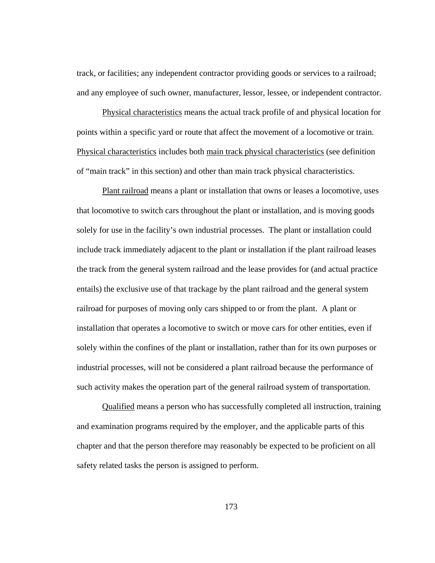track, or facilities; any independent contractor providing goods or services to a railroad; and any employee of such owner, manufacturer, lessor, lessee, or independent contractor.

Physical characteristics means the actual track profile of and physical location for points within a specific yard or route that affect the movement of a locomotive or train. Physical characteristics includes both main track physical characteristics (see definition of "main track" in this section) and other than main track physical characteristics.

Plant railroad means a plant or installation that owns or leases a locomotive, uses that locomotive to switch cars throughout the plant or installation, and is moving goods solely for use in the facility's own industrial processes. The plant or installation could include track immediately adjacent to the plant or installation if the plant railroad leases the track from the general system railroad and the lease provides for (and actual practice entails) the exclusive use of that trackage by the plant railroad and the general system railroad for purposes of moving only cars shipped to or from the plant. A plant or installation that operates a locomotive to switch or move cars for other entities, even if solely within the confines of the plant or installation, rather than for its own purposes or industrial processes, will not be considered a plant railroad because the performance of such activity makes the operation part of the general railroad system of transportation.

Qualified means a person who has successfully completed all instruction, training and examination programs required by the employer, and the applicable parts of this chapter and that the person therefore may reasonably be expected to be proficient on all safety related tasks the person is assigned to perform.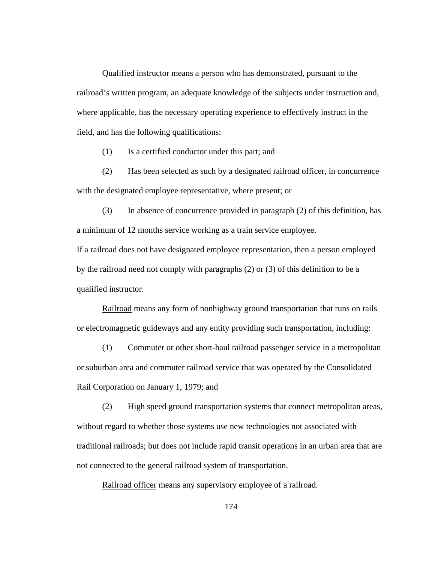Qualified instructor means a person who has demonstrated, pursuant to the railroad's written program, an adequate knowledge of the subjects under instruction and, where applicable, has the necessary operating experience to effectively instruct in the field, and has the following qualifications:

(1) Is a certified conductor under this part; and

 (2) Has been selected as such by a designated railroad officer, in concurrence with the designated employee representative, where present; or

 (3) In absence of concurrence provided in paragraph (2) of this definition, has a minimum of 12 months service working as a train service employee.

If a railroad does not have designated employee representation, then a person employed by the railroad need not comply with paragraphs (2) or (3) of this definition to be a qualified instructor.

Railroad means any form of nonhighway ground transportation that runs on rails or electromagnetic guideways and any entity providing such transportation, including:

(1) Commuter or other short-haul railroad passenger service in a metropolitan or suburban area and commuter railroad service that was operated by the Consolidated Rail Corporation on January 1, 1979; and

(2) High speed ground transportation systems that connect metropolitan areas, without regard to whether those systems use new technologies not associated with traditional railroads; but does not include rapid transit operations in an urban area that are not connected to the general railroad system of transportation.

Railroad officer means any supervisory employee of a railroad.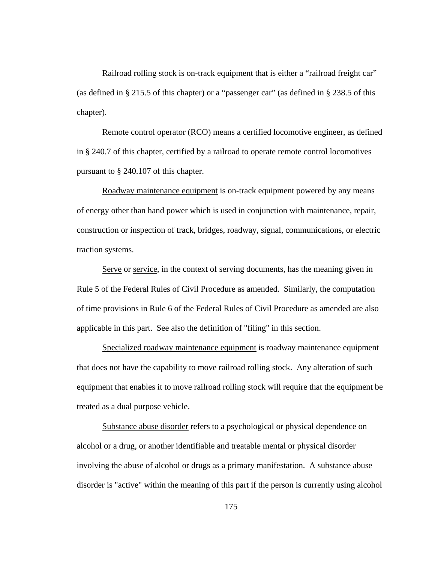Railroad rolling stock is on-track equipment that is either a "railroad freight car" (as defined in § 215.5 of this chapter) or a "passenger car" (as defined in § 238.5 of this chapter).

Remote control operator (RCO) means a certified locomotive engineer, as defined in § 240.7 of this chapter, certified by a railroad to operate remote control locomotives pursuant to § 240.107 of this chapter.

Roadway maintenance equipment is on-track equipment powered by any means of energy other than hand power which is used in conjunction with maintenance, repair, construction or inspection of track, bridges, roadway, signal, communications, or electric traction systems.

Serve or service, in the context of serving documents, has the meaning given in Rule 5 of the Federal Rules of Civil Procedure as amended. Similarly, the computation of time provisions in Rule 6 of the Federal Rules of Civil Procedure as amended are also applicable in this part. See also the definition of "filing" in this section.

Specialized roadway maintenance equipment is roadway maintenance equipment that does not have the capability to move railroad rolling stock. Any alteration of such equipment that enables it to move railroad rolling stock will require that the equipment be treated as a dual purpose vehicle.

Substance abuse disorder refers to a psychological or physical dependence on alcohol or a drug, or another identifiable and treatable mental or physical disorder involving the abuse of alcohol or drugs as a primary manifestation. A substance abuse disorder is "active" within the meaning of this part if the person is currently using alcohol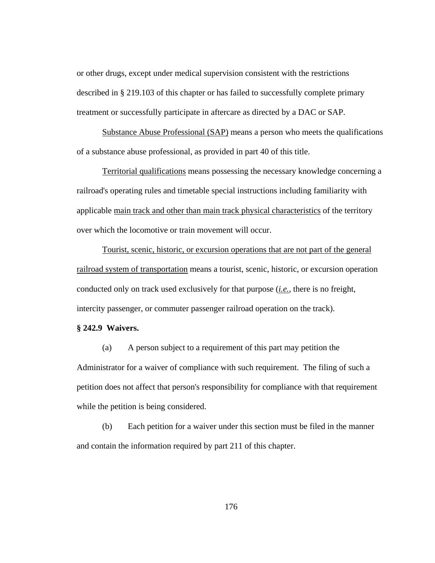or other drugs, except under medical supervision consistent with the restrictions described in § 219.103 of this chapter or has failed to successfully complete primary treatment or successfully participate in aftercare as directed by a DAC or SAP.

Substance Abuse Professional (SAP) means a person who meets the qualifications of a substance abuse professional, as provided in part 40 of this title.

Territorial qualifications means possessing the necessary knowledge concerning a railroad's operating rules and timetable special instructions including familiarity with applicable main track and other than main track physical characteristics of the territory over which the locomotive or train movement will occur.

Tourist, scenic, historic, or excursion operations that are not part of the general railroad system of transportation means a tourist, scenic, historic, or excursion operation conducted only on track used exclusively for that purpose (*i.e.*, there is no freight, intercity passenger, or commuter passenger railroad operation on the track).

### **§ 242.9 Waivers.**

(a) A person subject to a requirement of this part may petition the Administrator for a waiver of compliance with such requirement. The filing of such a petition does not affect that person's responsibility for compliance with that requirement while the petition is being considered.

(b) Each petition for a waiver under this section must be filed in the manner and contain the information required by part 211 of this chapter.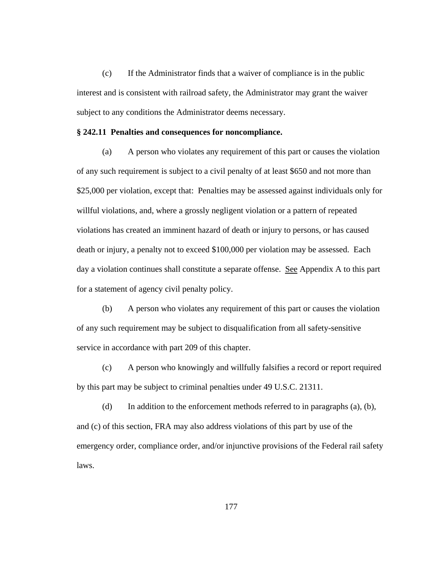(c) If the Administrator finds that a waiver of compliance is in the public interest and is consistent with railroad safety, the Administrator may grant the waiver subject to any conditions the Administrator deems necessary.

#### **§ 242.11 Penalties and consequences for noncompliance.**

(a) A person who violates any requirement of this part or causes the violation of any such requirement is subject to a civil penalty of at least \$650 and not more than \$25,000 per violation, except that: Penalties may be assessed against individuals only for willful violations, and, where a grossly negligent violation or a pattern of repeated violations has created an imminent hazard of death or injury to persons, or has caused death or injury, a penalty not to exceed \$100,000 per violation may be assessed. Each day a violation continues shall constitute a separate offense. See Appendix A to this part for a statement of agency civil penalty policy.

(b) A person who violates any requirement of this part or causes the violation of any such requirement may be subject to disqualification from all safety-sensitive service in accordance with part 209 of this chapter.

(c) A person who knowingly and willfully falsifies a record or report required by this part may be subject to criminal penalties under 49 U.S.C. 21311.

(d) In addition to the enforcement methods referred to in paragraphs (a), (b), and (c) of this section, FRA may also address violations of this part by use of the emergency order, compliance order, and/or injunctive provisions of the Federal rail safety laws.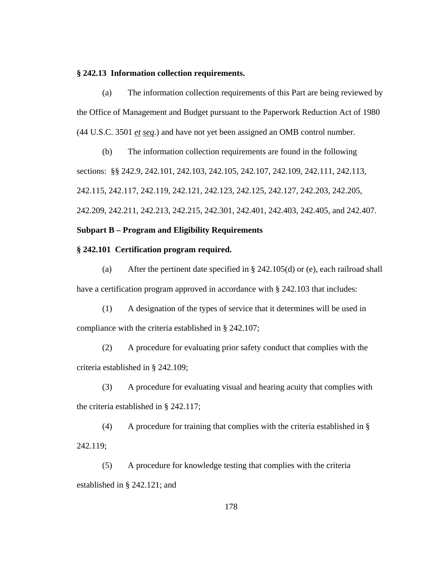#### **§ 242.13 Information collection requirements.**

(a) The information collection requirements of this Part are being reviewed by the Office of Management and Budget pursuant to the Paperwork Reduction Act of 1980 (44 U.S.C. 3501 *et seq*.) and have not yet been assigned an OMB control number.

(b) The information collection requirements are found in the following sections: §§ 242.9, 242.101, 242.103, 242.105, 242.107, 242.109, 242.111, 242.113, 242.115, 242.117, 242.119, 242.121, 242.123, 242.125, 242.127, 242.203, 242.205, 242.209, 242.211, 242.213, 242.215, 242.301, 242.401, 242.403, 242.405, and 242.407.

## **Subpart B – Program and Eligibility Requirements**

# **§ 242.101 Certification program required.**

(a) After the pertinent date specified in § 242.105(d) or (e), each railroad shall have a certification program approved in accordance with § 242.103 that includes:

(1) A designation of the types of service that it determines will be used in compliance with the criteria established in § 242.107;

(2) A procedure for evaluating prior safety conduct that complies with the criteria established in § 242.109;

(3) A procedure for evaluating visual and hearing acuity that complies with the criteria established in § 242.117;

(4) A procedure for training that complies with the criteria established in § 242.119;

(5) A procedure for knowledge testing that complies with the criteria established in § 242.121; and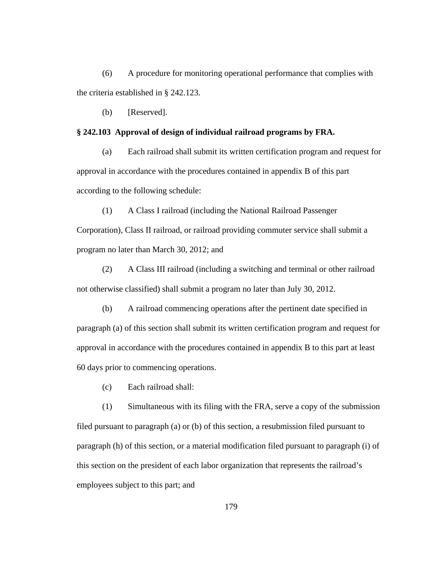(6) A procedure for monitoring operational performance that complies with the criteria established in § 242.123.

(b) [Reserved].

## **§ 242.103 Approval of design of individual railroad programs by FRA.**

(a) Each railroad shall submit its written certification program and request for approval in accordance with the procedures contained in appendix B of this part according to the following schedule:

(1) A Class I railroad (including the National Railroad Passenger

Corporation), Class II railroad, or railroad providing commuter service shall submit a program no later than March 30, 2012; and

(2) A Class III railroad (including a switching and terminal or other railroad not otherwise classified) shall submit a program no later than July 30, 2012.

(b) A railroad commencing operations after the pertinent date specified in paragraph (a) of this section shall submit its written certification program and request for approval in accordance with the procedures contained in appendix B to this part at least 60 days prior to commencing operations.

(c) Each railroad shall:

(1) Simultaneous with its filing with the FRA, serve a copy of the submission filed pursuant to paragraph (a) or (b) of this section, a resubmission filed pursuant to paragraph (h) of this section, or a material modification filed pursuant to paragraph (i) of this section on the president of each labor organization that represents the railroad's employees subject to this part; and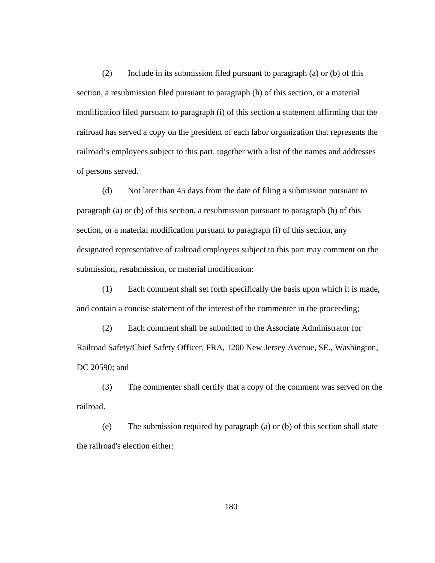(2) Include in its submission filed pursuant to paragraph (a) or (b) of this section, a resubmission filed pursuant to paragraph (h) of this section, or a material modification filed pursuant to paragraph (i) of this section a statement affirming that the railroad has served a copy on the president of each labor organization that represents the railroad's employees subject to this part, together with a list of the names and addresses of persons served.

(d) Not later than 45 days from the date of filing a submission pursuant to paragraph (a) or (b) of this section, a resubmission pursuant to paragraph (h) of this section, or a material modification pursuant to paragraph (i) of this section, any designated representative of railroad employees subject to this part may comment on the submission, resubmission, or material modification:

(1) Each comment shall set forth specifically the basis upon which it is made, and contain a concise statement of the interest of the commenter in the proceeding;

(2) Each comment shall be submitted to the Associate Administrator for Railroad Safety/Chief Safety Officer, FRA, 1200 New Jersey Avenue, SE., Washington, DC 20590; and

(3) The commenter shall certify that a copy of the comment was served on the railroad.

(e) The submission required by paragraph (a) or (b) of this section shall state the railroad's election either: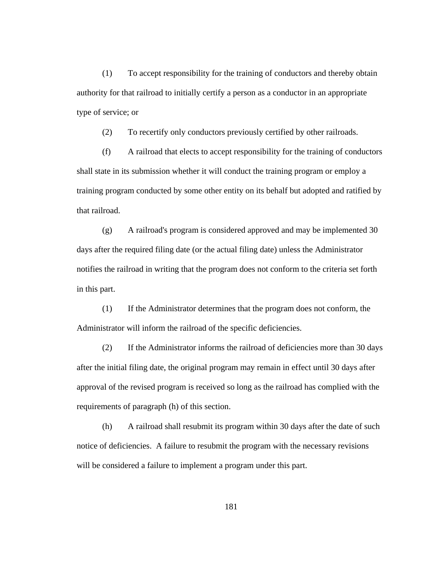(1) To accept responsibility for the training of conductors and thereby obtain authority for that railroad to initially certify a person as a conductor in an appropriate type of service; or

(2) To recertify only conductors previously certified by other railroads.

(f) A railroad that elects to accept responsibility for the training of conductors shall state in its submission whether it will conduct the training program or employ a training program conducted by some other entity on its behalf but adopted and ratified by that railroad.

(g) A railroad's program is considered approved and may be implemented 30 days after the required filing date (or the actual filing date) unless the Administrator notifies the railroad in writing that the program does not conform to the criteria set forth in this part.

(1) If the Administrator determines that the program does not conform, the Administrator will inform the railroad of the specific deficiencies.

(2) If the Administrator informs the railroad of deficiencies more than 30 days after the initial filing date, the original program may remain in effect until 30 days after approval of the revised program is received so long as the railroad has complied with the requirements of paragraph (h) of this section.

(h) A railroad shall resubmit its program within 30 days after the date of such notice of deficiencies. A failure to resubmit the program with the necessary revisions will be considered a failure to implement a program under this part.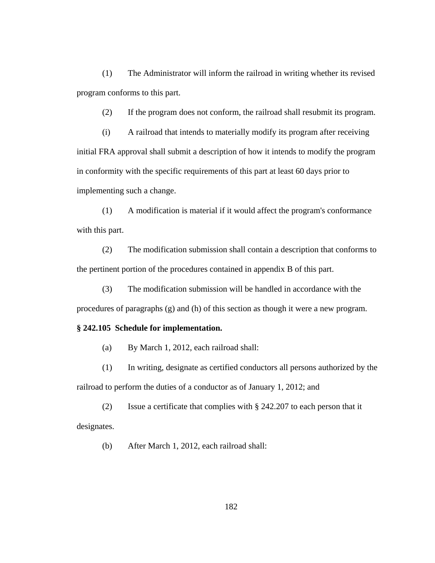(1) The Administrator will inform the railroad in writing whether its revised program conforms to this part.

(2) If the program does not conform, the railroad shall resubmit its program.

(i) A railroad that intends to materially modify its program after receiving initial FRA approval shall submit a description of how it intends to modify the program in conformity with the specific requirements of this part at least 60 days prior to implementing such a change.

(1) A modification is material if it would affect the program's conformance with this part.

(2) The modification submission shall contain a description that conforms to the pertinent portion of the procedures contained in appendix B of this part.

(3) The modification submission will be handled in accordance with the procedures of paragraphs (g) and (h) of this section as though it were a new program.

## **§ 242.105 Schedule for implementation.**

- (a) By March 1, 2012, each railroad shall:
- (1) In writing, designate as certified conductors all persons authorized by the railroad to perform the duties of a conductor as of January 1, 2012; and

(2) Issue a certificate that complies with § 242.207 to each person that it designates.

(b) After March 1, 2012, each railroad shall: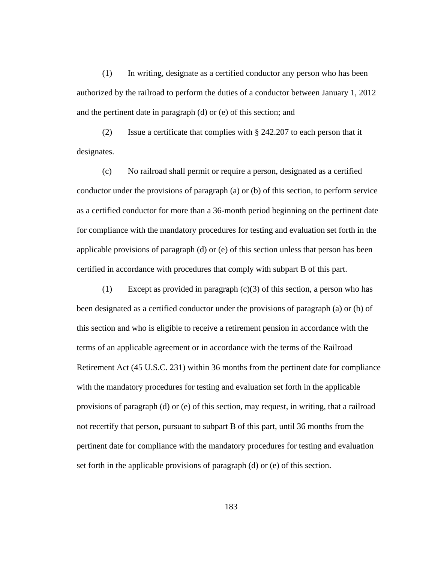(1) In writing, designate as a certified conductor any person who has been authorized by the railroad to perform the duties of a conductor between January 1, 2012 and the pertinent date in paragraph (d) or (e) of this section; and

(2) Issue a certificate that complies with § 242.207 to each person that it designates.

(c) No railroad shall permit or require a person, designated as a certified conductor under the provisions of paragraph (a) or (b) of this section, to perform service as a certified conductor for more than a 36-month period beginning on the pertinent date for compliance with the mandatory procedures for testing and evaluation set forth in the applicable provisions of paragraph (d) or (e) of this section unless that person has been certified in accordance with procedures that comply with subpart B of this part.

(1) Except as provided in paragraph (c)(3) of this section, a person who has been designated as a certified conductor under the provisions of paragraph (a) or (b) of this section and who is eligible to receive a retirement pension in accordance with the terms of an applicable agreement or in accordance with the terms of the Railroad Retirement Act (45 U.S.C. 231) within 36 months from the pertinent date for compliance with the mandatory procedures for testing and evaluation set forth in the applicable provisions of paragraph (d) or (e) of this section, may request, in writing, that a railroad not recertify that person, pursuant to subpart B of this part, until 36 months from the pertinent date for compliance with the mandatory procedures for testing and evaluation set forth in the applicable provisions of paragraph (d) or (e) of this section.

183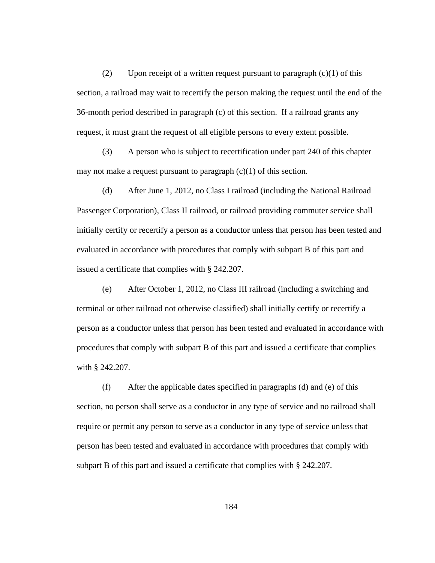(2) Upon receipt of a written request pursuant to paragraph  $(c)(1)$  of this section, a railroad may wait to recertify the person making the request until the end of the 36-month period described in paragraph (c) of this section. If a railroad grants any request, it must grant the request of all eligible persons to every extent possible.

(3) A person who is subject to recertification under part 240 of this chapter may not make a request pursuant to paragraph  $(c)(1)$  of this section.

(d) After June 1, 2012, no Class I railroad (including the National Railroad Passenger Corporation), Class II railroad, or railroad providing commuter service shall initially certify or recertify a person as a conductor unless that person has been tested and evaluated in accordance with procedures that comply with subpart B of this part and issued a certificate that complies with § 242.207.

(e) After October 1, 2012, no Class III railroad (including a switching and terminal or other railroad not otherwise classified) shall initially certify or recertify a person as a conductor unless that person has been tested and evaluated in accordance with procedures that comply with subpart B of this part and issued a certificate that complies with § 242.207.

(f) After the applicable dates specified in paragraphs (d) and (e) of this section, no person shall serve as a conductor in any type of service and no railroad shall require or permit any person to serve as a conductor in any type of service unless that person has been tested and evaluated in accordance with procedures that comply with subpart B of this part and issued a certificate that complies with § 242.207.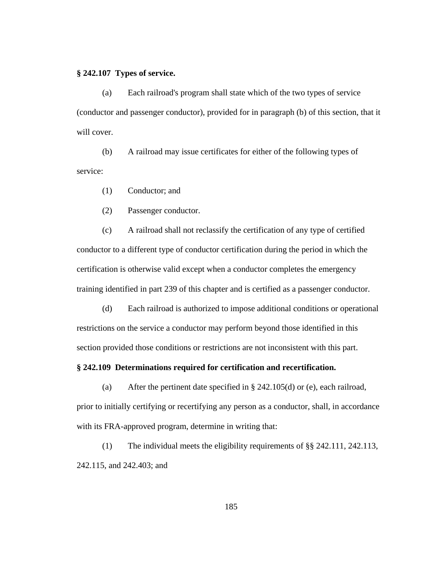#### **§ 242.107 Types of service.**

(a) Each railroad's program shall state which of the two types of service (conductor and passenger conductor), provided for in paragraph (b) of this section, that it will cover.

(b) A railroad may issue certificates for either of the following types of service:

- (1) Conductor; and
- (2) Passenger conductor.

(c) A railroad shall not reclassify the certification of any type of certified conductor to a different type of conductor certification during the period in which the certification is otherwise valid except when a conductor completes the emergency training identified in part 239 of this chapter and is certified as a passenger conductor.

(d) Each railroad is authorized to impose additional conditions or operational restrictions on the service a conductor may perform beyond those identified in this section provided those conditions or restrictions are not inconsistent with this part.

## **§ 242.109 Determinations required for certification and recertification.**

(a) After the pertinent date specified in § 242.105(d) or (e), each railroad, prior to initially certifying or recertifying any person as a conductor, shall, in accordance with its FRA-approved program, determine in writing that:

(1) The individual meets the eligibility requirements of §§ 242.111, 242.113, 242.115, and 242.403; and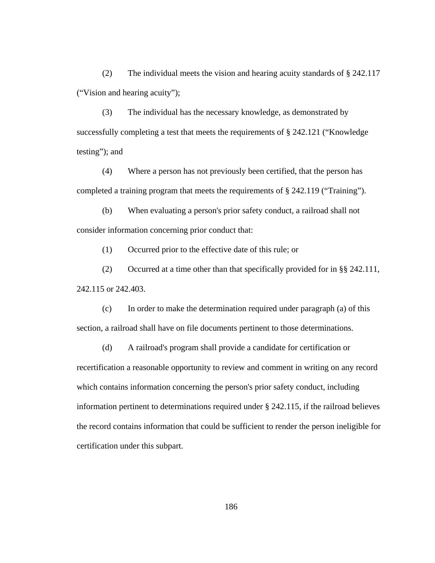(2) The individual meets the vision and hearing acuity standards of § 242.117 ("Vision and hearing acuity");

(3) The individual has the necessary knowledge, as demonstrated by successfully completing a test that meets the requirements of § 242.121 ("Knowledge testing"); and

(4) Where a person has not previously been certified, that the person has completed a training program that meets the requirements of § 242.119 ("Training").

(b) When evaluating a person's prior safety conduct, a railroad shall not consider information concerning prior conduct that:

(1) Occurred prior to the effective date of this rule; or

(2) Occurred at a time other than that specifically provided for in §§ 242.111, 242.115 or 242.403.

(c) In order to make the determination required under paragraph (a) of this section, a railroad shall have on file documents pertinent to those determinations.

(d) A railroad's program shall provide a candidate for certification or recertification a reasonable opportunity to review and comment in writing on any record which contains information concerning the person's prior safety conduct, including information pertinent to determinations required under § 242.115, if the railroad believes the record contains information that could be sufficient to render the person ineligible for certification under this subpart.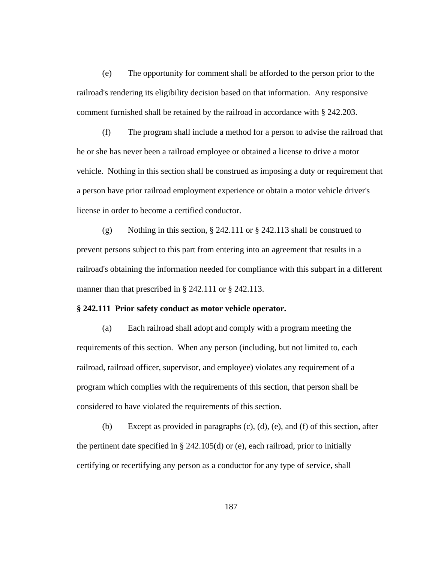(e) The opportunity for comment shall be afforded to the person prior to the railroad's rendering its eligibility decision based on that information. Any responsive comment furnished shall be retained by the railroad in accordance with § 242.203.

(f) The program shall include a method for a person to advise the railroad that he or she has never been a railroad employee or obtained a license to drive a motor vehicle. Nothing in this section shall be construed as imposing a duty or requirement that a person have prior railroad employment experience or obtain a motor vehicle driver's license in order to become a certified conductor.

(g) Nothing in this section, § 242.111 or § 242.113 shall be construed to prevent persons subject to this part from entering into an agreement that results in a railroad's obtaining the information needed for compliance with this subpart in a different manner than that prescribed in § 242.111 or § 242.113.

### **§ 242.111 Prior safety conduct as motor vehicle operator.**

(a) Each railroad shall adopt and comply with a program meeting the requirements of this section. When any person (including, but not limited to, each railroad, railroad officer, supervisor, and employee) violates any requirement of a program which complies with the requirements of this section, that person shall be considered to have violated the requirements of this section.

(b) Except as provided in paragraphs  $(c)$ ,  $(d)$ ,  $(e)$ , and  $(f)$  of this section, after the pertinent date specified in  $\S$  242.105(d) or (e), each railroad, prior to initially certifying or recertifying any person as a conductor for any type of service, shall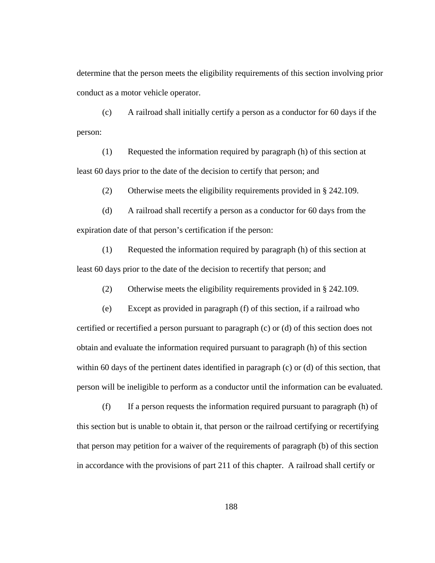determine that the person meets the eligibility requirements of this section involving prior conduct as a motor vehicle operator.

(c) A railroad shall initially certify a person as a conductor for 60 days if the person:

(1) Requested the information required by paragraph (h) of this section at least 60 days prior to the date of the decision to certify that person; and

(2) Otherwise meets the eligibility requirements provided in § 242.109.

(d) A railroad shall recertify a person as a conductor for 60 days from the expiration date of that person's certification if the person:

(1) Requested the information required by paragraph (h) of this section at least 60 days prior to the date of the decision to recertify that person; and

(2) Otherwise meets the eligibility requirements provided in § 242.109.

(e) Except as provided in paragraph (f) of this section, if a railroad who certified or recertified a person pursuant to paragraph (c) or (d) of this section does not obtain and evaluate the information required pursuant to paragraph (h) of this section within 60 days of the pertinent dates identified in paragraph (c) or (d) of this section, that person will be ineligible to perform as a conductor until the information can be evaluated.

(f) If a person requests the information required pursuant to paragraph (h) of this section but is unable to obtain it, that person or the railroad certifying or recertifying that person may petition for a waiver of the requirements of paragraph (b) of this section in accordance with the provisions of part 211 of this chapter. A railroad shall certify or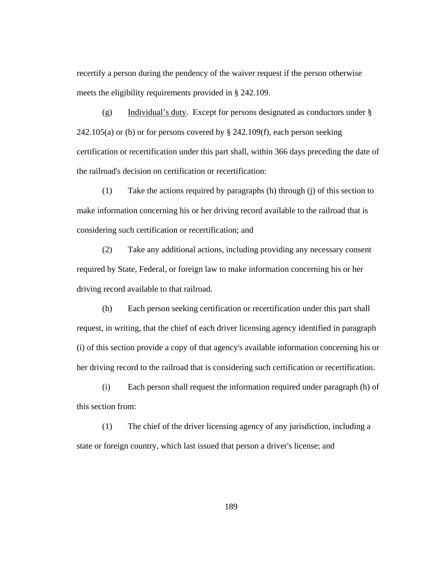recertify a person during the pendency of the waiver request if the person otherwise meets the eligibility requirements provided in § 242.109.

(g) Individual's duty. Except for persons designated as conductors under §  $242.105(a)$  or (b) or for persons covered by § 242.109(f), each person seeking certification or recertification under this part shall, within 366 days preceding the date of the railroad's decision on certification or recertification:

(1) Take the actions required by paragraphs (h) through (j) of this section to make information concerning his or her driving record available to the railroad that is considering such certification or recertification; and

(2) Take any additional actions, including providing any necessary consent required by State, Federal, or foreign law to make information concerning his or her driving record available to that railroad.

(h) Each person seeking certification or recertification under this part shall request, in writing, that the chief of each driver licensing agency identified in paragraph (i) of this section provide a copy of that agency's available information concerning his or her driving record to the railroad that is considering such certification or recertification.

(i) Each person shall request the information required under paragraph (h) of this section from:

(1) The chief of the driver licensing agency of any jurisdiction, including a state or foreign country, which last issued that person a driver's license; and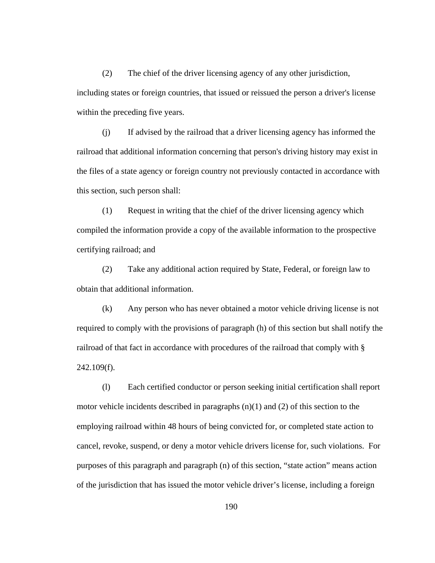(2) The chief of the driver licensing agency of any other jurisdiction, including states or foreign countries, that issued or reissued the person a driver's license within the preceding five years.

(j) If advised by the railroad that a driver licensing agency has informed the railroad that additional information concerning that person's driving history may exist in the files of a state agency or foreign country not previously contacted in accordance with this section, such person shall:

(1) Request in writing that the chief of the driver licensing agency which compiled the information provide a copy of the available information to the prospective certifying railroad; and

(2) Take any additional action required by State, Federal, or foreign law to obtain that additional information.

(k) Any person who has never obtained a motor vehicle driving license is not required to comply with the provisions of paragraph (h) of this section but shall notify the railroad of that fact in accordance with procedures of the railroad that comply with § 242.109(f).

(l) Each certified conductor or person seeking initial certification shall report motor vehicle incidents described in paragraphs (n)(1) and (2) of this section to the employing railroad within 48 hours of being convicted for, or completed state action to cancel, revoke, suspend, or deny a motor vehicle drivers license for, such violations. For purposes of this paragraph and paragraph (n) of this section, "state action" means action of the jurisdiction that has issued the motor vehicle driver's license, including a foreign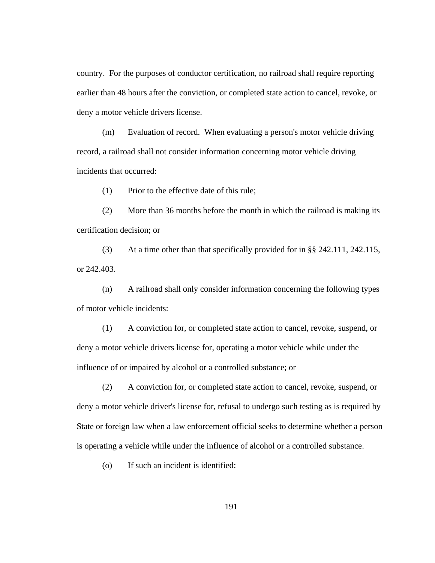country. For the purposes of conductor certification, no railroad shall require reporting earlier than 48 hours after the conviction, or completed state action to cancel, revoke, or deny a motor vehicle drivers license.

(m) Evaluation of record. When evaluating a person's motor vehicle driving record, a railroad shall not consider information concerning motor vehicle driving incidents that occurred:

(1) Prior to the effective date of this rule;

(2) More than 36 months before the month in which the railroad is making its certification decision; or

(3) At a time other than that specifically provided for in §§ 242.111, 242.115, or 242.403.

(n) A railroad shall only consider information concerning the following types of motor vehicle incidents:

(1) A conviction for, or completed state action to cancel, revoke, suspend, or deny a motor vehicle drivers license for, operating a motor vehicle while under the influence of or impaired by alcohol or a controlled substance; or

(2) A conviction for, or completed state action to cancel, revoke, suspend, or deny a motor vehicle driver's license for, refusal to undergo such testing as is required by State or foreign law when a law enforcement official seeks to determine whether a person is operating a vehicle while under the influence of alcohol or a controlled substance.

(o) If such an incident is identified: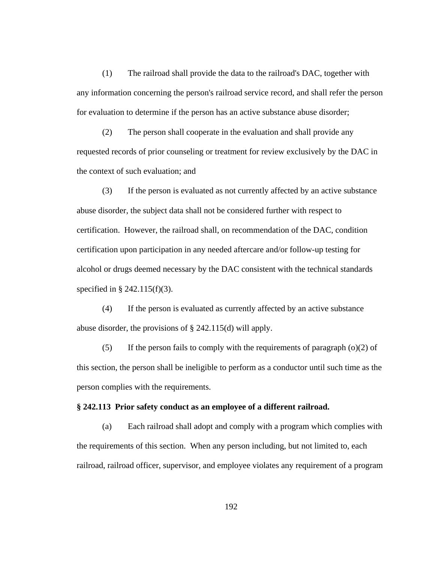(1) The railroad shall provide the data to the railroad's DAC, together with any information concerning the person's railroad service record, and shall refer the person for evaluation to determine if the person has an active substance abuse disorder;

(2) The person shall cooperate in the evaluation and shall provide any requested records of prior counseling or treatment for review exclusively by the DAC in the context of such evaluation; and

(3) If the person is evaluated as not currently affected by an active substance abuse disorder, the subject data shall not be considered further with respect to certification. However, the railroad shall, on recommendation of the DAC, condition certification upon participation in any needed aftercare and/or follow-up testing for alcohol or drugs deemed necessary by the DAC consistent with the technical standards specified in § 242.115(f)(3).

(4) If the person is evaluated as currently affected by an active substance abuse disorder, the provisions of § 242.115(d) will apply.

(5) If the person fails to comply with the requirements of paragraph  $(o)(2)$  of this section, the person shall be ineligible to perform as a conductor until such time as the person complies with the requirements.

## **§ 242.113 Prior safety conduct as an employee of a different railroad.**

(a) Each railroad shall adopt and comply with a program which complies with the requirements of this section. When any person including, but not limited to, each railroad, railroad officer, supervisor, and employee violates any requirement of a program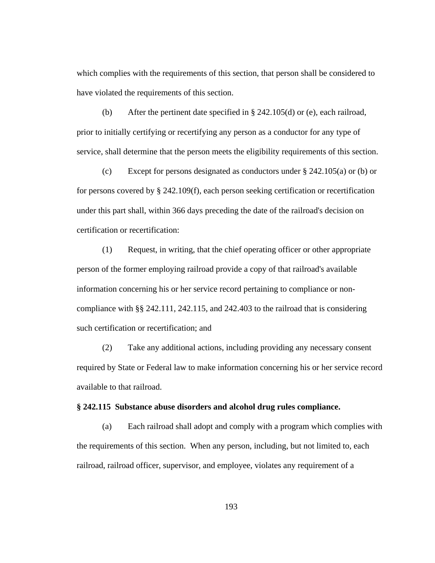which complies with the requirements of this section, that person shall be considered to have violated the requirements of this section.

(b) After the pertinent date specified in § 242.105(d) or (e), each railroad, prior to initially certifying or recertifying any person as a conductor for any type of service, shall determine that the person meets the eligibility requirements of this section.

(c) Except for persons designated as conductors under  $\S$  242.105(a) or (b) or for persons covered by § 242.109(f), each person seeking certification or recertification under this part shall, within 366 days preceding the date of the railroad's decision on certification or recertification:

(1) Request, in writing, that the chief operating officer or other appropriate person of the former employing railroad provide a copy of that railroad's available information concerning his or her service record pertaining to compliance or noncompliance with §§ 242.111, 242.115, and 242.403 to the railroad that is considering such certification or recertification; and

(2) Take any additional actions, including providing any necessary consent required by State or Federal law to make information concerning his or her service record available to that railroad.

# **§ 242.115 Substance abuse disorders and alcohol drug rules compliance.**

(a) Each railroad shall adopt and comply with a program which complies with the requirements of this section. When any person, including, but not limited to, each railroad, railroad officer, supervisor, and employee, violates any requirement of a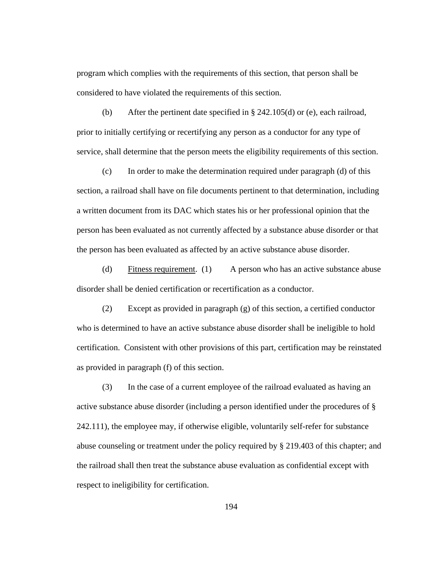program which complies with the requirements of this section, that person shall be considered to have violated the requirements of this section.

(b) After the pertinent date specified in § 242.105(d) or (e), each railroad, prior to initially certifying or recertifying any person as a conductor for any type of service, shall determine that the person meets the eligibility requirements of this section.

(c) In order to make the determination required under paragraph (d) of this section, a railroad shall have on file documents pertinent to that determination, including a written document from its DAC which states his or her professional opinion that the person has been evaluated as not currently affected by a substance abuse disorder or that the person has been evaluated as affected by an active substance abuse disorder.

(d) Fitness requirement. (1) A person who has an active substance abuse disorder shall be denied certification or recertification as a conductor.

(2) Except as provided in paragraph (g) of this section, a certified conductor who is determined to have an active substance abuse disorder shall be ineligible to hold certification. Consistent with other provisions of this part, certification may be reinstated as provided in paragraph (f) of this section.

(3) In the case of a current employee of the railroad evaluated as having an active substance abuse disorder (including a person identified under the procedures of § 242.111), the employee may, if otherwise eligible, voluntarily self-refer for substance abuse counseling or treatment under the policy required by § 219.403 of this chapter; and the railroad shall then treat the substance abuse evaluation as confidential except with respect to ineligibility for certification.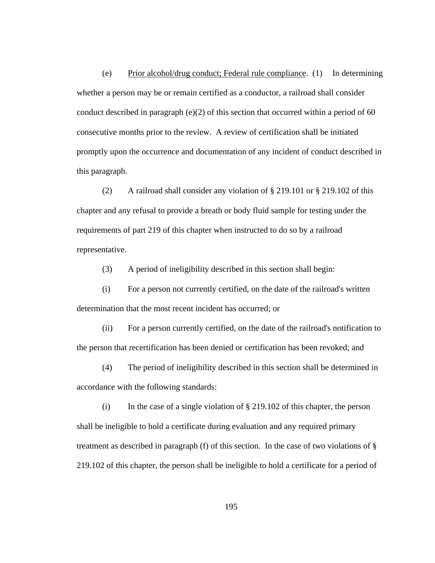(e) Prior alcohol/drug conduct; Federal rule compliance. (1) In determining whether a person may be or remain certified as a conductor, a railroad shall consider conduct described in paragraph (e)(2) of this section that occurred within a period of 60 consecutive months prior to the review. A review of certification shall be initiated promptly upon the occurrence and documentation of any incident of conduct described in this paragraph.

(2) A railroad shall consider any violation of § 219.101 or § 219.102 of this chapter and any refusal to provide a breath or body fluid sample for testing under the requirements of part 219 of this chapter when instructed to do so by a railroad representative.

(3) A period of ineligibility described in this section shall begin:

(i) For a person not currently certified, on the date of the railroad's written determination that the most recent incident has occurred; or

(ii) For a person currently certified, on the date of the railroad's notification to the person that recertification has been denied or certification has been revoked; and

(4) The period of ineligibility described in this section shall be determined in accordance with the following standards:

(i) In the case of a single violation of  $\S 219.102$  of this chapter, the person shall be ineligible to hold a certificate during evaluation and any required primary treatment as described in paragraph (f) of this section. In the case of two violations of § 219.102 of this chapter, the person shall be ineligible to hold a certificate for a period of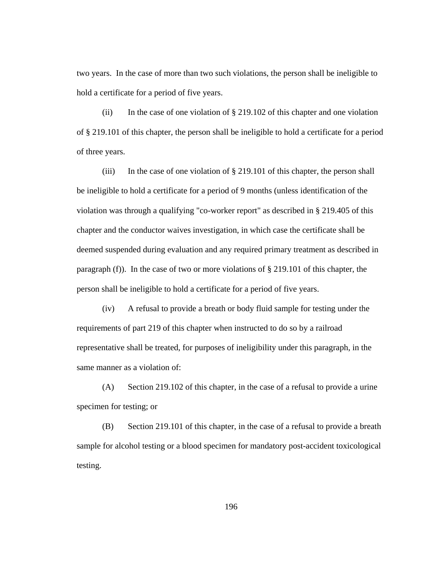two years. In the case of more than two such violations, the person shall be ineligible to hold a certificate for a period of five years.

(ii) In the case of one violation of  $\S 219.102$  of this chapter and one violation of § 219.101 of this chapter, the person shall be ineligible to hold a certificate for a period of three years.

(iii) In the case of one violation of  $\S 219.101$  of this chapter, the person shall be ineligible to hold a certificate for a period of 9 months (unless identification of the violation was through a qualifying "co-worker report" as described in § 219.405 of this chapter and the conductor waives investigation, in which case the certificate shall be deemed suspended during evaluation and any required primary treatment as described in paragraph (f)). In the case of two or more violations of § 219.101 of this chapter, the person shall be ineligible to hold a certificate for a period of five years.

(iv) A refusal to provide a breath or body fluid sample for testing under the requirements of part 219 of this chapter when instructed to do so by a railroad representative shall be treated, for purposes of ineligibility under this paragraph, in the same manner as a violation of:

(A) Section 219.102 of this chapter, in the case of a refusal to provide a urine specimen for testing; or

(B) Section 219.101 of this chapter, in the case of a refusal to provide a breath sample for alcohol testing or a blood specimen for mandatory post-accident toxicological testing.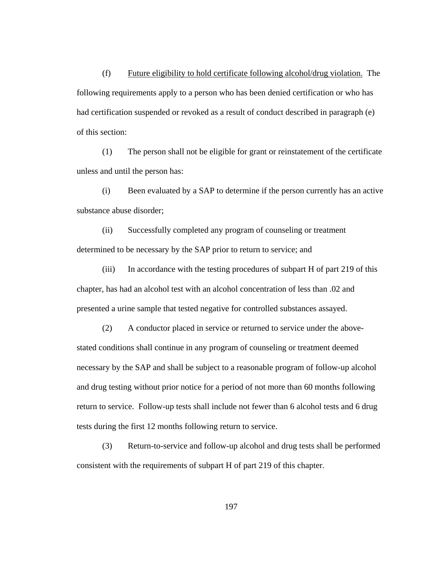(f) Future eligibility to hold certificate following alcohol/drug violation. The following requirements apply to a person who has been denied certification or who has had certification suspended or revoked as a result of conduct described in paragraph (e) of this section:

(1) The person shall not be eligible for grant or reinstatement of the certificate unless and until the person has:

(i) Been evaluated by a SAP to determine if the person currently has an active substance abuse disorder;

(ii) Successfully completed any program of counseling or treatment determined to be necessary by the SAP prior to return to service; and

(iii) In accordance with the testing procedures of subpart H of part 219 of this chapter, has had an alcohol test with an alcohol concentration of less than .02 and presented a urine sample that tested negative for controlled substances assayed.

(2) A conductor placed in service or returned to service under the abovestated conditions shall continue in any program of counseling or treatment deemed necessary by the SAP and shall be subject to a reasonable program of follow-up alcohol and drug testing without prior notice for a period of not more than 60 months following return to service. Follow-up tests shall include not fewer than 6 alcohol tests and 6 drug tests during the first 12 months following return to service.

(3) Return-to-service and follow-up alcohol and drug tests shall be performed consistent with the requirements of subpart H of part 219 of this chapter.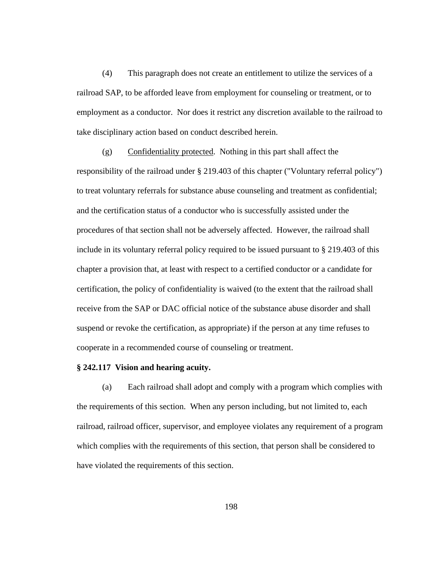(4) This paragraph does not create an entitlement to utilize the services of a railroad SAP, to be afforded leave from employment for counseling or treatment, or to employment as a conductor. Nor does it restrict any discretion available to the railroad to take disciplinary action based on conduct described herein.

(g) Confidentiality protected. Nothing in this part shall affect the responsibility of the railroad under § 219.403 of this chapter ("Voluntary referral policy") to treat voluntary referrals for substance abuse counseling and treatment as confidential; and the certification status of a conductor who is successfully assisted under the procedures of that section shall not be adversely affected. However, the railroad shall include in its voluntary referral policy required to be issued pursuant to § 219.403 of this chapter a provision that, at least with respect to a certified conductor or a candidate for certification, the policy of confidentiality is waived (to the extent that the railroad shall receive from the SAP or DAC official notice of the substance abuse disorder and shall suspend or revoke the certification, as appropriate) if the person at any time refuses to cooperate in a recommended course of counseling or treatment.

## **§ 242.117 Vision and hearing acuity.**

(a) Each railroad shall adopt and comply with a program which complies with the requirements of this section. When any person including, but not limited to, each railroad, railroad officer, supervisor, and employee violates any requirement of a program which complies with the requirements of this section, that person shall be considered to have violated the requirements of this section.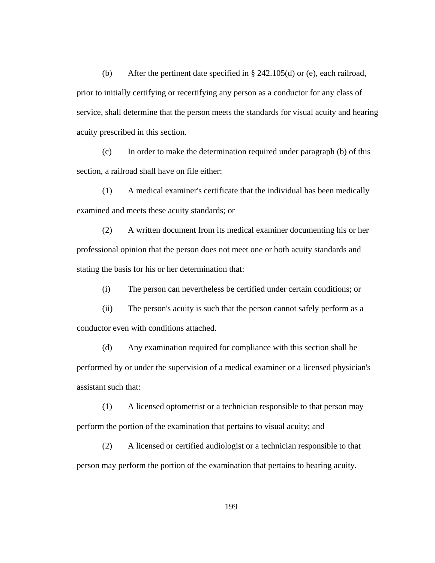(b) After the pertinent date specified in § 242.105(d) or (e), each railroad, prior to initially certifying or recertifying any person as a conductor for any class of service, shall determine that the person meets the standards for visual acuity and hearing acuity prescribed in this section.

(c) In order to make the determination required under paragraph (b) of this section, a railroad shall have on file either:

(1) A medical examiner's certificate that the individual has been medically examined and meets these acuity standards; or

(2) A written document from its medical examiner documenting his or her professional opinion that the person does not meet one or both acuity standards and stating the basis for his or her determination that:

(i) The person can nevertheless be certified under certain conditions; or

(ii) The person's acuity is such that the person cannot safely perform as a conductor even with conditions attached.

(d) Any examination required for compliance with this section shall be performed by or under the supervision of a medical examiner or a licensed physician's assistant such that:

(1) A licensed optometrist or a technician responsible to that person may perform the portion of the examination that pertains to visual acuity; and

(2) A licensed or certified audiologist or a technician responsible to that person may perform the portion of the examination that pertains to hearing acuity.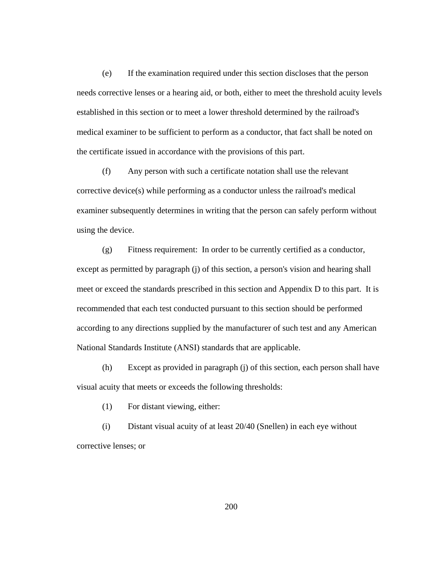(e) If the examination required under this section discloses that the person needs corrective lenses or a hearing aid, or both, either to meet the threshold acuity levels established in this section or to meet a lower threshold determined by the railroad's medical examiner to be sufficient to perform as a conductor, that fact shall be noted on the certificate issued in accordance with the provisions of this part.

(f) Any person with such a certificate notation shall use the relevant corrective device(s) while performing as a conductor unless the railroad's medical examiner subsequently determines in writing that the person can safely perform without using the device.

(g) Fitness requirement: In order to be currently certified as a conductor, except as permitted by paragraph (j) of this section, a person's vision and hearing shall meet or exceed the standards prescribed in this section and Appendix D to this part. It is recommended that each test conducted pursuant to this section should be performed according to any directions supplied by the manufacturer of such test and any American National Standards Institute (ANSI) standards that are applicable.

(h) Except as provided in paragraph (j) of this section, each person shall have visual acuity that meets or exceeds the following thresholds:

(1) For distant viewing, either:

(i) Distant visual acuity of at least 20/40 (Snellen) in each eye without corrective lenses; or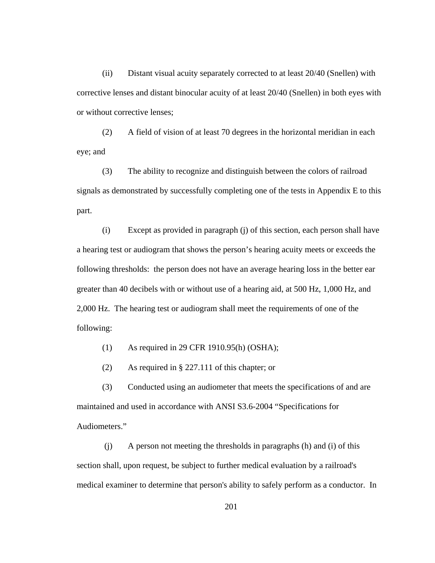(ii) Distant visual acuity separately corrected to at least 20/40 (Snellen) with corrective lenses and distant binocular acuity of at least 20/40 (Snellen) in both eyes with or without corrective lenses;

(2) A field of vision of at least 70 degrees in the horizontal meridian in each eye; and

(3) The ability to recognize and distinguish between the colors of railroad signals as demonstrated by successfully completing one of the tests in Appendix E to this part.

(i) Except as provided in paragraph (j) of this section, each person shall have a hearing test or audiogram that shows the person's hearing acuity meets or exceeds the following thresholds: the person does not have an average hearing loss in the better ear greater than 40 decibels with or without use of a hearing aid, at 500 Hz, 1,000 Hz, and 2,000 Hz. The hearing test or audiogram shall meet the requirements of one of the following:

(1) As required in 29 CFR 1910.95(h) (OSHA);

(2) As required in § 227.111 of this chapter; or

(3) Conducted using an audiometer that meets the specifications of and are maintained and used in accordance with ANSI S3.6-2004 "Specifications for Audiometers."

 (j) A person not meeting the thresholds in paragraphs (h) and (i) of this section shall, upon request, be subject to further medical evaluation by a railroad's medical examiner to determine that person's ability to safely perform as a conductor. In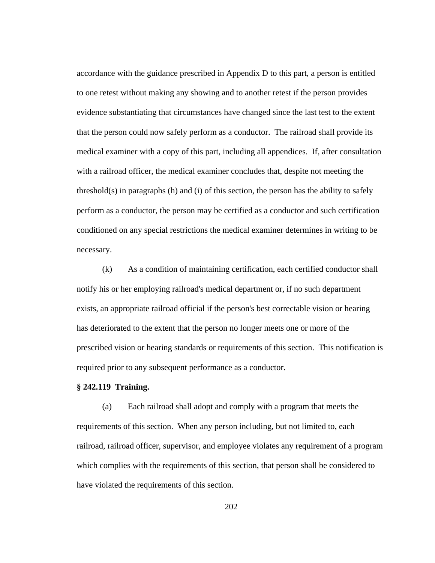accordance with the guidance prescribed in Appendix D to this part, a person is entitled to one retest without making any showing and to another retest if the person provides evidence substantiating that circumstances have changed since the last test to the extent that the person could now safely perform as a conductor. The railroad shall provide its medical examiner with a copy of this part, including all appendices. If, after consultation with a railroad officer, the medical examiner concludes that, despite not meeting the threshold(s) in paragraphs (h) and (i) of this section, the person has the ability to safely perform as a conductor, the person may be certified as a conductor and such certification conditioned on any special restrictions the medical examiner determines in writing to be necessary.

(k) As a condition of maintaining certification, each certified conductor shall notify his or her employing railroad's medical department or, if no such department exists, an appropriate railroad official if the person's best correctable vision or hearing has deteriorated to the extent that the person no longer meets one or more of the prescribed vision or hearing standards or requirements of this section. This notification is required prior to any subsequent performance as a conductor.

### **§ 242.119 Training.**

(a) Each railroad shall adopt and comply with a program that meets the requirements of this section. When any person including, but not limited to, each railroad, railroad officer, supervisor, and employee violates any requirement of a program which complies with the requirements of this section, that person shall be considered to have violated the requirements of this section.

202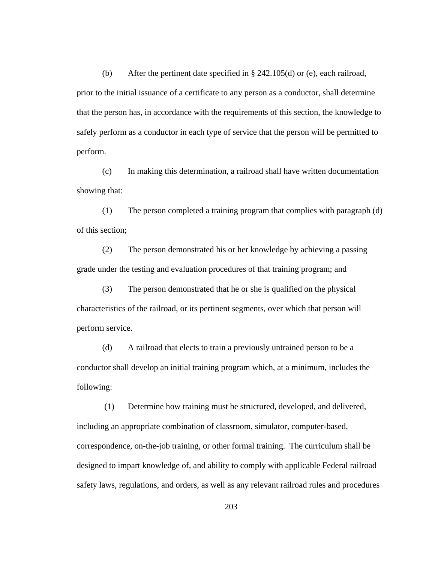(b) After the pertinent date specified in § 242.105(d) or (e), each railroad, prior to the initial issuance of a certificate to any person as a conductor, shall determine that the person has, in accordance with the requirements of this section, the knowledge to safely perform as a conductor in each type of service that the person will be permitted to perform.

(c) In making this determination, a railroad shall have written documentation showing that:

(1) The person completed a training program that complies with paragraph (d) of this section;

(2) The person demonstrated his or her knowledge by achieving a passing grade under the testing and evaluation procedures of that training program; and

(3) The person demonstrated that he or she is qualified on the physical characteristics of the railroad, or its pertinent segments, over which that person will perform service.

(d) A railroad that elects to train a previously untrained person to be a conductor shall develop an initial training program which, at a minimum, includes the following:

 (1) Determine how training must be structured, developed, and delivered, including an appropriate combination of classroom, simulator, computer-based, correspondence, on-the-job training, or other formal training. The curriculum shall be designed to impart knowledge of, and ability to comply with applicable Federal railroad safety laws, regulations, and orders, as well as any relevant railroad rules and procedures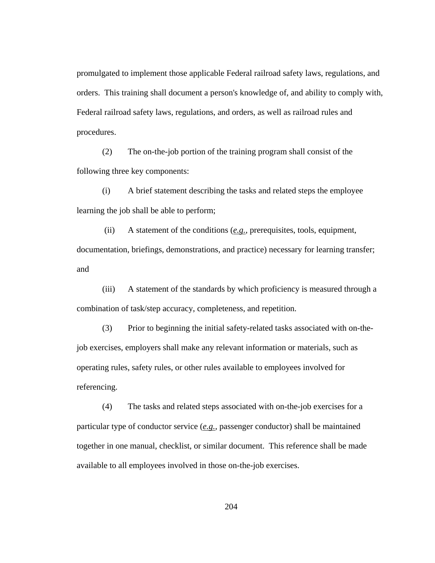promulgated to implement those applicable Federal railroad safety laws, regulations, and orders. This training shall document a person's knowledge of, and ability to comply with, Federal railroad safety laws, regulations, and orders, as well as railroad rules and procedures.

(2) The on-the-job portion of the training program shall consist of the following three key components:

(i) A brief statement describing the tasks and related steps the employee learning the job shall be able to perform;

 (ii) A statement of the conditions (*e.g.*, prerequisites, tools, equipment, documentation, briefings, demonstrations, and practice) necessary for learning transfer; and

(iii) A statement of the standards by which proficiency is measured through a combination of task/step accuracy, completeness, and repetition.

(3) Prior to beginning the initial safety-related tasks associated with on-thejob exercises, employers shall make any relevant information or materials, such as operating rules, safety rules, or other rules available to employees involved for referencing.

(4) The tasks and related steps associated with on-the-job exercises for a particular type of conductor service (*e.g.*, passenger conductor) shall be maintained together in one manual, checklist, or similar document. This reference shall be made available to all employees involved in those on-the-job exercises.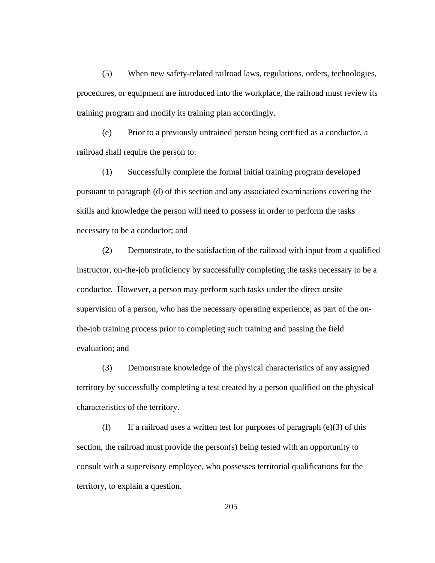(5) When new safety-related railroad laws, regulations, orders, technologies, procedures, or equipment are introduced into the workplace, the railroad must review its training program and modify its training plan accordingly.

(e) Prior to a previously untrained person being certified as a conductor, a railroad shall require the person to:

(1) Successfully complete the formal initial training program developed pursuant to paragraph (d) of this section and any associated examinations covering the skills and knowledge the person will need to possess in order to perform the tasks necessary to be a conductor; and

(2) Demonstrate, to the satisfaction of the railroad with input from a qualified instructor, on-the-job proficiency by successfully completing the tasks necessary to be a conductor. However, a person may perform such tasks under the direct onsite supervision of a person, who has the necessary operating experience, as part of the onthe-job training process prior to completing such training and passing the field evaluation; and

(3) Demonstrate knowledge of the physical characteristics of any assigned territory by successfully completing a test created by a person qualified on the physical characteristics of the territory.

(f) If a railroad uses a written test for purposes of paragraph  $(e)(3)$  of this section, the railroad must provide the person(s) being tested with an opportunity to consult with a supervisory employee, who possesses territorial qualifications for the territory, to explain a question.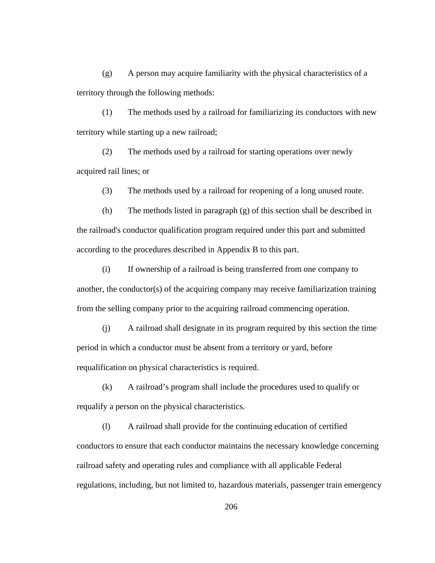(g) A person may acquire familiarity with the physical characteristics of a territory through the following methods:

(1) The methods used by a railroad for familiarizing its conductors with new territory while starting up a new railroad;

(2) The methods used by a railroad for starting operations over newly acquired rail lines; or

(3) The methods used by a railroad for reopening of a long unused route.

(h) The methods listed in paragraph (g) of this section shall be described in the railroad's conductor qualification program required under this part and submitted according to the procedures described in Appendix B to this part.

(i) If ownership of a railroad is being transferred from one company to another, the conductor(s) of the acquiring company may receive familiarization training from the selling company prior to the acquiring railroad commencing operation.

(j) A railroad shall designate in its program required by this section the time period in which a conductor must be absent from a territory or yard, before requalification on physical characteristics is required.

(k) A railroad's program shall include the procedures used to qualify or requalify a person on the physical characteristics.

(l) A railroad shall provide for the continuing education of certified conductors to ensure that each conductor maintains the necessary knowledge concerning railroad safety and operating rules and compliance with all applicable Federal regulations, including, but not limited to, hazardous materials, passenger train emergency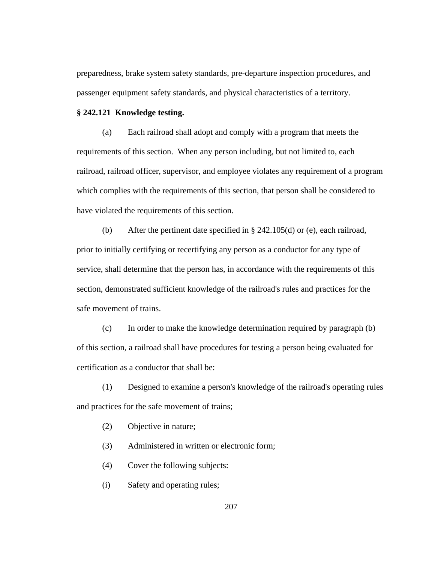preparedness, brake system safety standards, pre-departure inspection procedures, and passenger equipment safety standards, and physical characteristics of a territory.

#### **§ 242.121 Knowledge testing.**

(a) Each railroad shall adopt and comply with a program that meets the requirements of this section. When any person including, but not limited to, each railroad, railroad officer, supervisor, and employee violates any requirement of a program which complies with the requirements of this section, that person shall be considered to have violated the requirements of this section.

(b) After the pertinent date specified in § 242.105(d) or (e), each railroad, prior to initially certifying or recertifying any person as a conductor for any type of service, shall determine that the person has, in accordance with the requirements of this section, demonstrated sufficient knowledge of the railroad's rules and practices for the safe movement of trains.

(c) In order to make the knowledge determination required by paragraph (b) of this section, a railroad shall have procedures for testing a person being evaluated for certification as a conductor that shall be:

(1) Designed to examine a person's knowledge of the railroad's operating rules and practices for the safe movement of trains;

(2) Objective in nature;

(3) Administered in written or electronic form;

- (4) Cover the following subjects:
- (i) Safety and operating rules;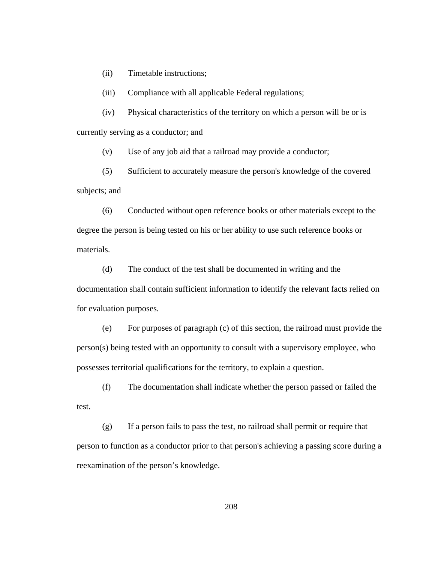(ii) Timetable instructions;

(iii) Compliance with all applicable Federal regulations;

(iv) Physical characteristics of the territory on which a person will be or is currently serving as a conductor; and

(v) Use of any job aid that a railroad may provide a conductor;

(5) Sufficient to accurately measure the person's knowledge of the covered subjects; and

(6) Conducted without open reference books or other materials except to the degree the person is being tested on his or her ability to use such reference books or materials.

(d) The conduct of the test shall be documented in writing and the documentation shall contain sufficient information to identify the relevant facts relied on for evaluation purposes.

(e) For purposes of paragraph (c) of this section, the railroad must provide the person(s) being tested with an opportunity to consult with a supervisory employee, who possesses territorial qualifications for the territory, to explain a question.

(f) The documentation shall indicate whether the person passed or failed the test.

(g) If a person fails to pass the test, no railroad shall permit or require that person to function as a conductor prior to that person's achieving a passing score during a reexamination of the person's knowledge.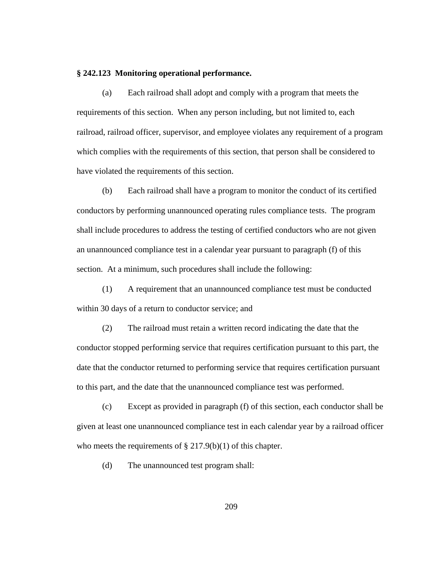### **§ 242.123 Monitoring operational performance.**

(a) Each railroad shall adopt and comply with a program that meets the requirements of this section. When any person including, but not limited to, each railroad, railroad officer, supervisor, and employee violates any requirement of a program which complies with the requirements of this section, that person shall be considered to have violated the requirements of this section.

(b) Each railroad shall have a program to monitor the conduct of its certified conductors by performing unannounced operating rules compliance tests. The program shall include procedures to address the testing of certified conductors who are not given an unannounced compliance test in a calendar year pursuant to paragraph (f) of this section. At a minimum, such procedures shall include the following:

(1) A requirement that an unannounced compliance test must be conducted within 30 days of a return to conductor service; and

(2) The railroad must retain a written record indicating the date that the conductor stopped performing service that requires certification pursuant to this part, the date that the conductor returned to performing service that requires certification pursuant to this part, and the date that the unannounced compliance test was performed.

(c) Except as provided in paragraph (f) of this section, each conductor shall be given at least one unannounced compliance test in each calendar year by a railroad officer who meets the requirements of  $\S 217.9(b)(1)$  of this chapter.

(d) The unannounced test program shall: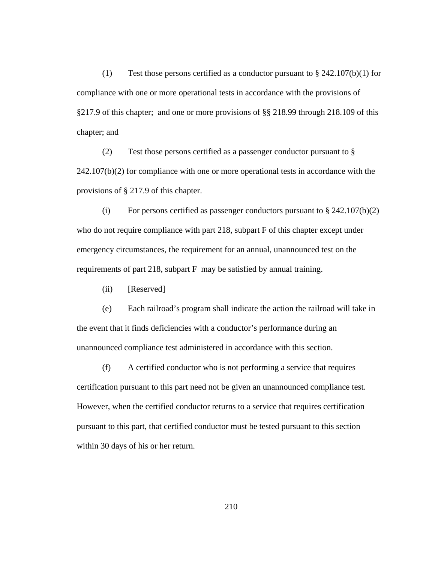(1) Test those persons certified as a conductor pursuant to  $\S$  242.107(b)(1) for compliance with one or more operational tests in accordance with the provisions of §217.9 of this chapter; and one or more provisions of §§ 218.99 through 218.109 of this chapter; and

(2) Test those persons certified as a passenger conductor pursuant to §  $242.107(b)(2)$  for compliance with one or more operational tests in accordance with the provisions of § 217.9 of this chapter.

(i) For persons certified as passenger conductors pursuant to  $\S 242.107(b)(2)$ who do not require compliance with part 218, subpart F of this chapter except under emergency circumstances, the requirement for an annual, unannounced test on the requirements of part 218, subpart F may be satisfied by annual training.

(ii) [Reserved]

(e) Each railroad's program shall indicate the action the railroad will take in the event that it finds deficiencies with a conductor's performance during an unannounced compliance test administered in accordance with this section.

(f) A certified conductor who is not performing a service that requires certification pursuant to this part need not be given an unannounced compliance test. However, when the certified conductor returns to a service that requires certification pursuant to this part, that certified conductor must be tested pursuant to this section within 30 days of his or her return.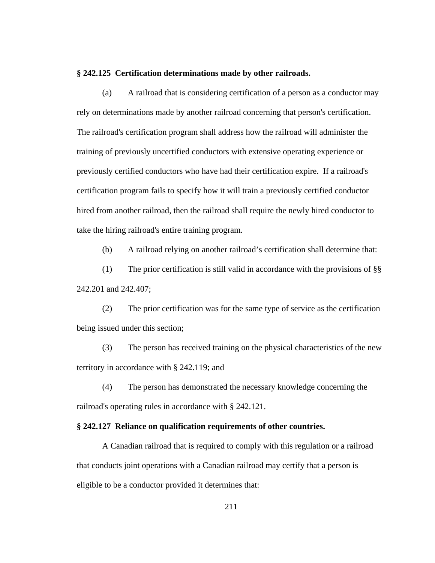#### **§ 242.125 Certification determinations made by other railroads.**

(a) A railroad that is considering certification of a person as a conductor may rely on determinations made by another railroad concerning that person's certification. The railroad's certification program shall address how the railroad will administer the training of previously uncertified conductors with extensive operating experience or previously certified conductors who have had their certification expire. If a railroad's certification program fails to specify how it will train a previously certified conductor hired from another railroad, then the railroad shall require the newly hired conductor to take the hiring railroad's entire training program.

(b) A railroad relying on another railroad's certification shall determine that:

(1) The prior certification is still valid in accordance with the provisions of §§ 242.201 and 242.407;

(2) The prior certification was for the same type of service as the certification being issued under this section;

(3) The person has received training on the physical characteristics of the new territory in accordance with § 242.119; and

(4) The person has demonstrated the necessary knowledge concerning the railroad's operating rules in accordance with § 242.121.

### **§ 242.127 Reliance on qualification requirements of other countries.**

A Canadian railroad that is required to comply with this regulation or a railroad that conducts joint operations with a Canadian railroad may certify that a person is eligible to be a conductor provided it determines that: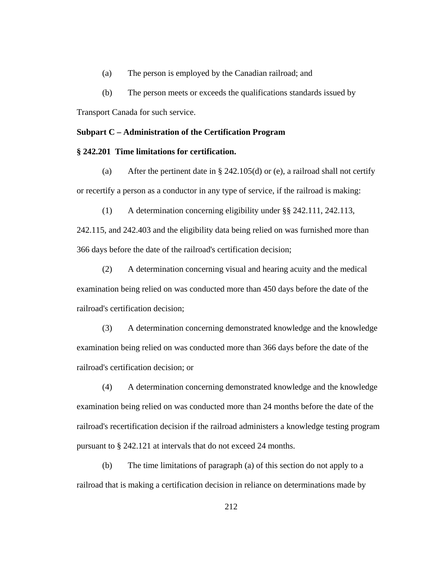(a) The person is employed by the Canadian railroad; and

(b) The person meets or exceeds the qualifications standards issued by

Transport Canada for such service.

## **Subpart C – Administration of the Certification Program**

### **§ 242.201 Time limitations for certification.**

(a) After the pertinent date in § 242.105(d) or (e), a railroad shall not certify or recertify a person as a conductor in any type of service, if the railroad is making:

(1) A determination concerning eligibility under §§ 242.111, 242.113,

242.115, and 242.403 and the eligibility data being relied on was furnished more than 366 days before the date of the railroad's certification decision;

(2) A determination concerning visual and hearing acuity and the medical examination being relied on was conducted more than 450 days before the date of the railroad's certification decision;

(3) A determination concerning demonstrated knowledge and the knowledge examination being relied on was conducted more than 366 days before the date of the railroad's certification decision; or

(4) A determination concerning demonstrated knowledge and the knowledge examination being relied on was conducted more than 24 months before the date of the railroad's recertification decision if the railroad administers a knowledge testing program pursuant to § 242.121 at intervals that do not exceed 24 months.

(b) The time limitations of paragraph (a) of this section do not apply to a railroad that is making a certification decision in reliance on determinations made by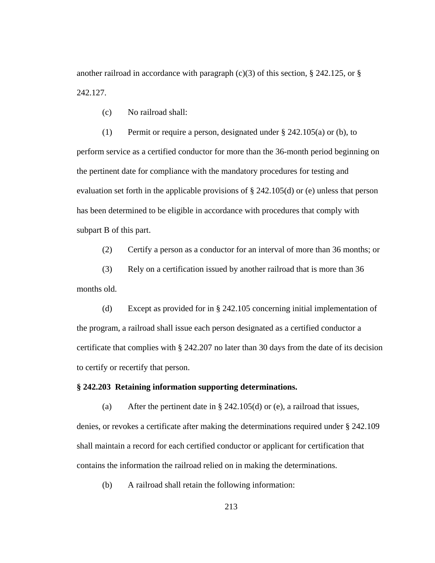another railroad in accordance with paragraph  $(c)(3)$  of this section, § 242.125, or § 242.127.

(c) No railroad shall:

(1) Permit or require a person, designated under § 242.105(a) or (b), to perform service as a certified conductor for more than the 36-month period beginning on the pertinent date for compliance with the mandatory procedures for testing and evaluation set forth in the applicable provisions of § 242.105(d) or (e) unless that person has been determined to be eligible in accordance with procedures that comply with subpart B of this part.

(2) Certify a person as a conductor for an interval of more than 36 months; or

(3) Rely on a certification issued by another railroad that is more than 36 months old.

(d) Except as provided for in § 242.105 concerning initial implementation of the program, a railroad shall issue each person designated as a certified conductor a certificate that complies with § 242.207 no later than 30 days from the date of its decision to certify or recertify that person.

## **§ 242.203 Retaining information supporting determinations.**

(a) After the pertinent date in  $\S$  242.105(d) or (e), a railroad that issues, denies, or revokes a certificate after making the determinations required under § 242.109 shall maintain a record for each certified conductor or applicant for certification that contains the information the railroad relied on in making the determinations.

(b) A railroad shall retain the following information: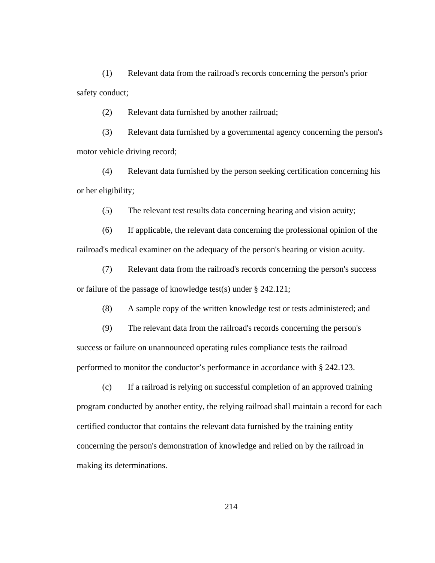(1) Relevant data from the railroad's records concerning the person's prior safety conduct;

(2) Relevant data furnished by another railroad;

(3) Relevant data furnished by a governmental agency concerning the person's motor vehicle driving record;

(4) Relevant data furnished by the person seeking certification concerning his or her eligibility;

(5) The relevant test results data concerning hearing and vision acuity;

(6) If applicable, the relevant data concerning the professional opinion of the railroad's medical examiner on the adequacy of the person's hearing or vision acuity.

(7) Relevant data from the railroad's records concerning the person's success or failure of the passage of knowledge test(s) under § 242.121;

(8) A sample copy of the written knowledge test or tests administered; and

(9) The relevant data from the railroad's records concerning the person's success or failure on unannounced operating rules compliance tests the railroad performed to monitor the conductor's performance in accordance with § 242.123.

(c) If a railroad is relying on successful completion of an approved training program conducted by another entity, the relying railroad shall maintain a record for each certified conductor that contains the relevant data furnished by the training entity concerning the person's demonstration of knowledge and relied on by the railroad in making its determinations.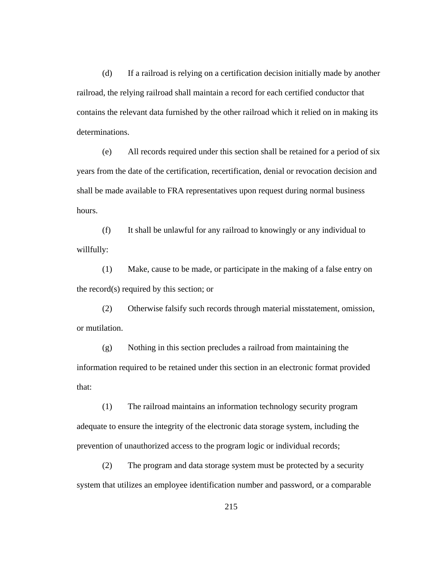(d) If a railroad is relying on a certification decision initially made by another railroad, the relying railroad shall maintain a record for each certified conductor that contains the relevant data furnished by the other railroad which it relied on in making its determinations.

(e) All records required under this section shall be retained for a period of six years from the date of the certification, recertification, denial or revocation decision and shall be made available to FRA representatives upon request during normal business hours.

(f) It shall be unlawful for any railroad to knowingly or any individual to willfully:

(1) Make, cause to be made, or participate in the making of a false entry on the record(s) required by this section; or

(2) Otherwise falsify such records through material misstatement, omission, or mutilation.

(g) Nothing in this section precludes a railroad from maintaining the information required to be retained under this section in an electronic format provided that:

(1) The railroad maintains an information technology security program adequate to ensure the integrity of the electronic data storage system, including the prevention of unauthorized access to the program logic or individual records;

(2) The program and data storage system must be protected by a security system that utilizes an employee identification number and password, or a comparable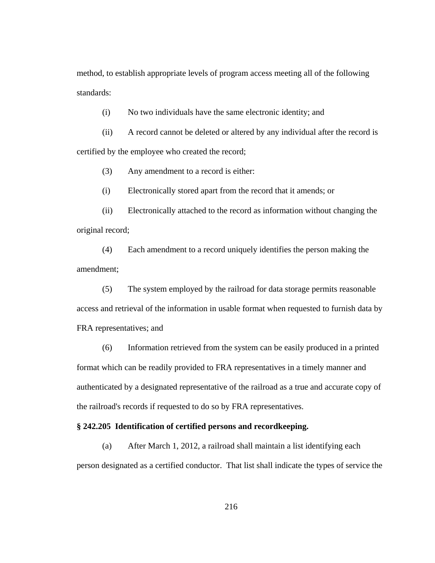method, to establish appropriate levels of program access meeting all of the following standards:

(i) No two individuals have the same electronic identity; and

(ii) A record cannot be deleted or altered by any individual after the record is certified by the employee who created the record;

(3) Any amendment to a record is either:

(i) Electronically stored apart from the record that it amends; or

(ii) Electronically attached to the record as information without changing the original record;

(4) Each amendment to a record uniquely identifies the person making the amendment;

(5) The system employed by the railroad for data storage permits reasonable access and retrieval of the information in usable format when requested to furnish data by FRA representatives; and

(6) Information retrieved from the system can be easily produced in a printed format which can be readily provided to FRA representatives in a timely manner and authenticated by a designated representative of the railroad as a true and accurate copy of the railroad's records if requested to do so by FRA representatives.

# **§ 242.205 Identification of certified persons and recordkeeping.**

(a) After March 1, 2012, a railroad shall maintain a list identifying each person designated as a certified conductor. That list shall indicate the types of service the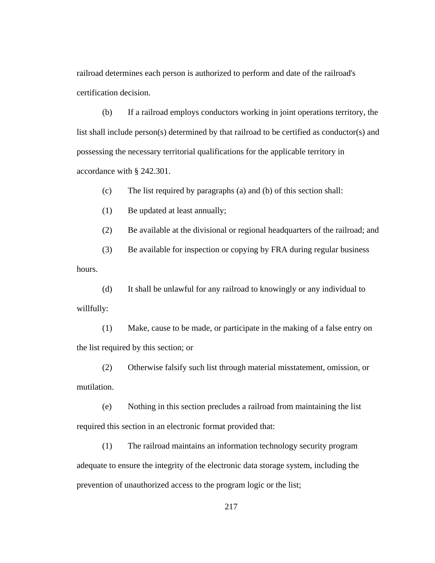railroad determines each person is authorized to perform and date of the railroad's certification decision.

(b) If a railroad employs conductors working in joint operations territory, the list shall include person(s) determined by that railroad to be certified as conductor(s) and possessing the necessary territorial qualifications for the applicable territory in accordance with § 242.301.

(c) The list required by paragraphs (a) and (b) of this section shall:

(1) Be updated at least annually;

(2) Be available at the divisional or regional headquarters of the railroad; and

(3) Be available for inspection or copying by FRA during regular business hours.

(d) It shall be unlawful for any railroad to knowingly or any individual to willfully:

(1) Make, cause to be made, or participate in the making of a false entry on the list required by this section; or

(2) Otherwise falsify such list through material misstatement, omission, or mutilation.

(e) Nothing in this section precludes a railroad from maintaining the list required this section in an electronic format provided that:

(1) The railroad maintains an information technology security program adequate to ensure the integrity of the electronic data storage system, including the prevention of unauthorized access to the program logic or the list;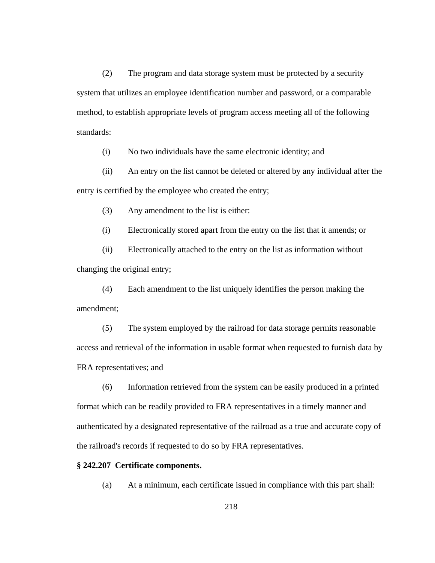(2) The program and data storage system must be protected by a security system that utilizes an employee identification number and password, or a comparable method, to establish appropriate levels of program access meeting all of the following standards:

(i) No two individuals have the same electronic identity; and

(ii) An entry on the list cannot be deleted or altered by any individual after the entry is certified by the employee who created the entry;

(3) Any amendment to the list is either:

(i) Electronically stored apart from the entry on the list that it amends; or

(ii) Electronically attached to the entry on the list as information without changing the original entry;

(4) Each amendment to the list uniquely identifies the person making the amendment;

(5) The system employed by the railroad for data storage permits reasonable access and retrieval of the information in usable format when requested to furnish data by FRA representatives; and

(6) Information retrieved from the system can be easily produced in a printed format which can be readily provided to FRA representatives in a timely manner and authenticated by a designated representative of the railroad as a true and accurate copy of the railroad's records if requested to do so by FRA representatives.

### **§ 242.207 Certificate components.**

(a) At a minimum, each certificate issued in compliance with this part shall: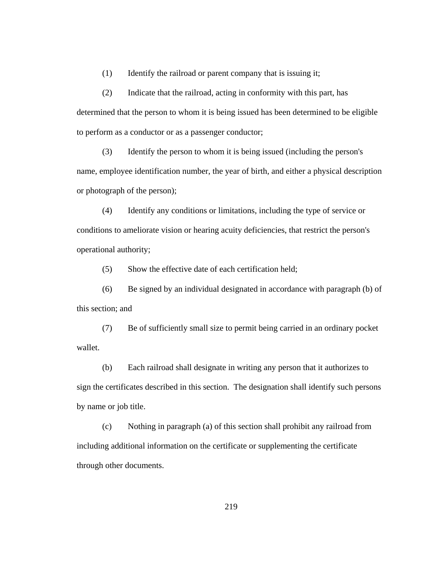(1) Identify the railroad or parent company that is issuing it;

(2) Indicate that the railroad, acting in conformity with this part, has determined that the person to whom it is being issued has been determined to be eligible to perform as a conductor or as a passenger conductor;

(3) Identify the person to whom it is being issued (including the person's name, employee identification number, the year of birth, and either a physical description or photograph of the person);

(4) Identify any conditions or limitations, including the type of service or conditions to ameliorate vision or hearing acuity deficiencies, that restrict the person's operational authority;

(5) Show the effective date of each certification held;

(6) Be signed by an individual designated in accordance with paragraph (b) of this section; and

(7) Be of sufficiently small size to permit being carried in an ordinary pocket wallet.

(b) Each railroad shall designate in writing any person that it authorizes to sign the certificates described in this section. The designation shall identify such persons by name or job title.

(c) Nothing in paragraph (a) of this section shall prohibit any railroad from including additional information on the certificate or supplementing the certificate through other documents.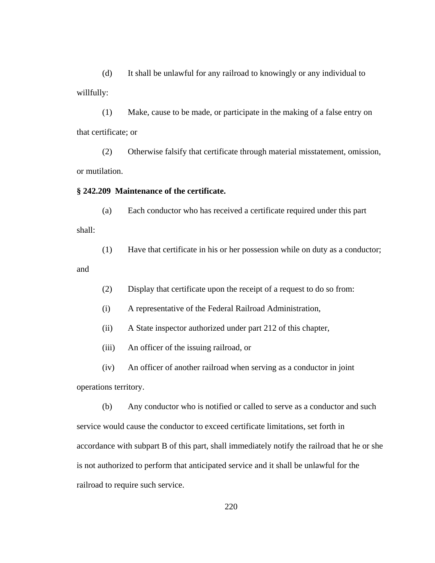(d) It shall be unlawful for any railroad to knowingly or any individual to willfully:

(1) Make, cause to be made, or participate in the making of a false entry on that certificate; or

(2) Otherwise falsify that certificate through material misstatement, omission, or mutilation.

#### **§ 242.209 Maintenance of the certificate.**

(a) Each conductor who has received a certificate required under this part shall:

(1) Have that certificate in his or her possession while on duty as a conductor;

and

(2) Display that certificate upon the receipt of a request to do so from:

(i) A representative of the Federal Railroad Administration,

(ii) A State inspector authorized under part 212 of this chapter,

(iii) An officer of the issuing railroad, or

(iv) An officer of another railroad when serving as a conductor in joint

operations territory.

(b) Any conductor who is notified or called to serve as a conductor and such service would cause the conductor to exceed certificate limitations, set forth in accordance with subpart B of this part, shall immediately notify the railroad that he or she is not authorized to perform that anticipated service and it shall be unlawful for the railroad to require such service.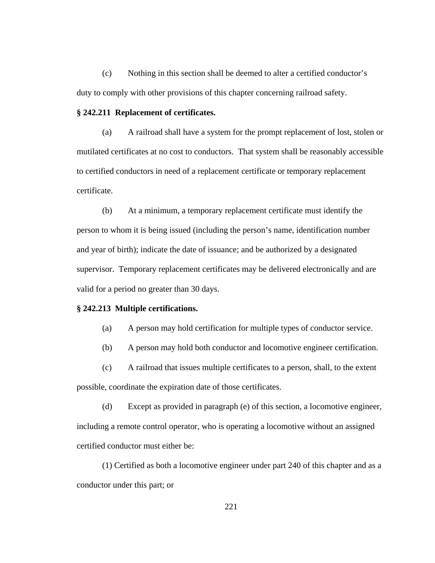(c) Nothing in this section shall be deemed to alter a certified conductor's duty to comply with other provisions of this chapter concerning railroad safety.

#### **§ 242.211 Replacement of certificates.**

(a) A railroad shall have a system for the prompt replacement of lost, stolen or mutilated certificates at no cost to conductors. That system shall be reasonably accessible to certified conductors in need of a replacement certificate or temporary replacement certificate.

(b) At a minimum, a temporary replacement certificate must identify the person to whom it is being issued (including the person's name, identification number and year of birth); indicate the date of issuance; and be authorized by a designated supervisor. Temporary replacement certificates may be delivered electronically and are valid for a period no greater than 30 days.

### **§ 242.213 Multiple certifications.**

- (a) A person may hold certification for multiple types of conductor service.
- (b) A person may hold both conductor and locomotive engineer certification.

(c) A railroad that issues multiple certificates to a person, shall, to the extent possible, coordinate the expiration date of those certificates.

(d) Except as provided in paragraph (e) of this section, a locomotive engineer, including a remote control operator, who is operating a locomotive without an assigned certified conductor must either be:

(1) Certified as both a locomotive engineer under part 240 of this chapter and as a conductor under this part; or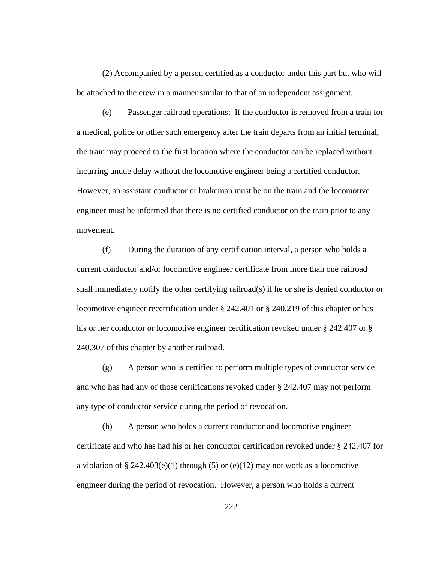(2) Accompanied by a person certified as a conductor under this part but who will be attached to the crew in a manner similar to that of an independent assignment.

(e) Passenger railroad operations: If the conductor is removed from a train for a medical, police or other such emergency after the train departs from an initial terminal, the train may proceed to the first location where the conductor can be replaced without incurring undue delay without the locomotive engineer being a certified conductor. However, an assistant conductor or brakeman must be on the train and the locomotive engineer must be informed that there is no certified conductor on the train prior to any movement.

(f) During the duration of any certification interval, a person who holds a current conductor and/or locomotive engineer certificate from more than one railroad shall immediately notify the other certifying railroad(s) if he or she is denied conductor or locomotive engineer recertification under § 242.401 or § 240.219 of this chapter or has his or her conductor or locomotive engineer certification revoked under § 242.407 or § 240.307 of this chapter by another railroad.

(g) A person who is certified to perform multiple types of conductor service and who has had any of those certifications revoked under § 242.407 may not perform any type of conductor service during the period of revocation.

(h) A person who holds a current conductor and locomotive engineer certificate and who has had his or her conductor certification revoked under § 242.407 for a violation of  $\S 242.403(e)(1)$  through (5) or (e)(12) may not work as a locomotive engineer during the period of revocation. However, a person who holds a current

222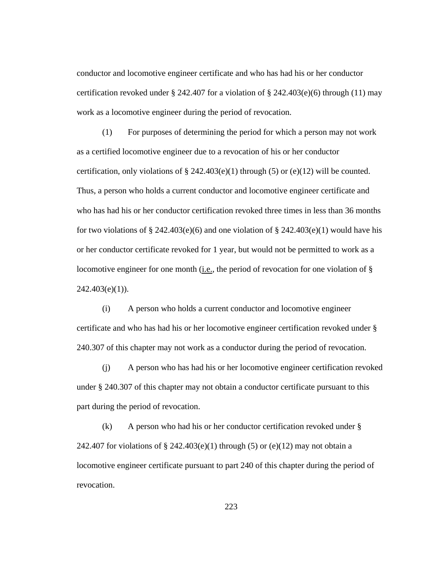conductor and locomotive engineer certificate and who has had his or her conductor certification revoked under § 242.407 for a violation of § 242.403(e)(6) through (11) may work as a locomotive engineer during the period of revocation.

(1) For purposes of determining the period for which a person may not work as a certified locomotive engineer due to a revocation of his or her conductor certification, only violations of  $\S$  242.403(e)(1) through (5) or (e)(12) will be counted. Thus, a person who holds a current conductor and locomotive engineer certificate and who has had his or her conductor certification revoked three times in less than 36 months for two violations of § 242.403(e)(6) and one violation of § 242.403(e)(1) would have his or her conductor certificate revoked for 1 year, but would not be permitted to work as a locomotive engineer for one month (i.e., the period of revocation for one violation of  $\S$  $242.403(e)(1)$ ).

(i) A person who holds a current conductor and locomotive engineer certificate and who has had his or her locomotive engineer certification revoked under § 240.307 of this chapter may not work as a conductor during the period of revocation.

(j) A person who has had his or her locomotive engineer certification revoked under § 240.307 of this chapter may not obtain a conductor certificate pursuant to this part during the period of revocation.

(k) A person who had his or her conductor certification revoked under § 242.407 for violations of  $\S$  242.403(e)(1) through (5) or (e)(12) may not obtain a locomotive engineer certificate pursuant to part 240 of this chapter during the period of revocation.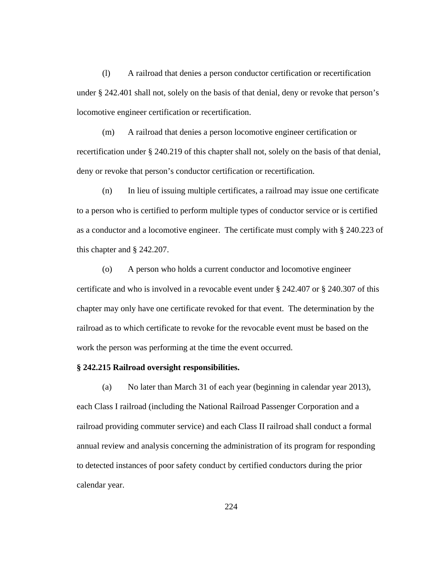(l) A railroad that denies a person conductor certification or recertification under § 242.401 shall not, solely on the basis of that denial, deny or revoke that person's locomotive engineer certification or recertification.

(m) A railroad that denies a person locomotive engineer certification or recertification under § 240.219 of this chapter shall not, solely on the basis of that denial, deny or revoke that person's conductor certification or recertification.

(n) In lieu of issuing multiple certificates, a railroad may issue one certificate to a person who is certified to perform multiple types of conductor service or is certified as a conductor and a locomotive engineer. The certificate must comply with § 240.223 of this chapter and § 242.207.

(o) A person who holds a current conductor and locomotive engineer certificate and who is involved in a revocable event under § 242.407 or § 240.307 of this chapter may only have one certificate revoked for that event. The determination by the railroad as to which certificate to revoke for the revocable event must be based on the work the person was performing at the time the event occurred.

### **§ 242.215 Railroad oversight responsibilities.**

(a) No later than March 31 of each year (beginning in calendar year 2013), each Class I railroad (including the National Railroad Passenger Corporation and a railroad providing commuter service) and each Class II railroad shall conduct a formal annual review and analysis concerning the administration of its program for responding to detected instances of poor safety conduct by certified conductors during the prior calendar year.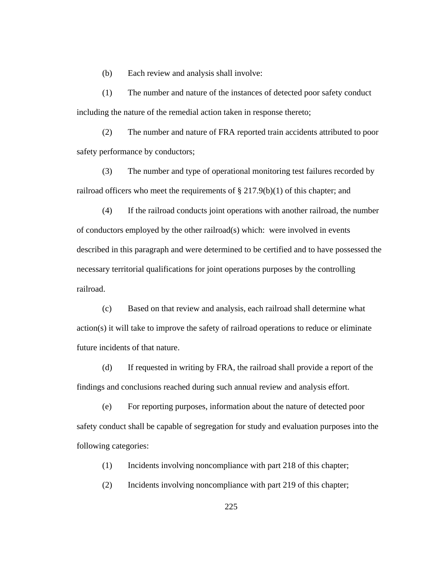(b) Each review and analysis shall involve:

(1) The number and nature of the instances of detected poor safety conduct including the nature of the remedial action taken in response thereto;

(2) The number and nature of FRA reported train accidents attributed to poor safety performance by conductors;

(3) The number and type of operational monitoring test failures recorded by railroad officers who meet the requirements of  $\S 217.9(b)(1)$  of this chapter; and

(4) If the railroad conducts joint operations with another railroad, the number of conductors employed by the other railroad(s) which: were involved in events described in this paragraph and were determined to be certified and to have possessed the necessary territorial qualifications for joint operations purposes by the controlling railroad.

(c) Based on that review and analysis, each railroad shall determine what action(s) it will take to improve the safety of railroad operations to reduce or eliminate future incidents of that nature.

(d) If requested in writing by FRA, the railroad shall provide a report of the findings and conclusions reached during such annual review and analysis effort.

(e) For reporting purposes, information about the nature of detected poor safety conduct shall be capable of segregation for study and evaluation purposes into the following categories:

(1) Incidents involving noncompliance with part 218 of this chapter;

(2) Incidents involving noncompliance with part 219 of this chapter;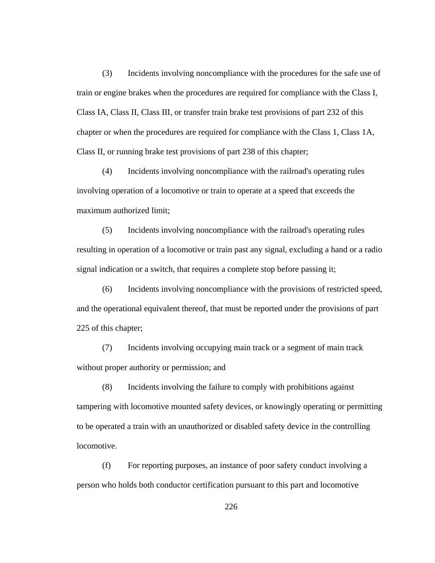(3) Incidents involving noncompliance with the procedures for the safe use of train or engine brakes when the procedures are required for compliance with the Class I, Class IA, Class II, Class III, or transfer train brake test provisions of part 232 of this chapter or when the procedures are required for compliance with the Class 1, Class 1A, Class II, or running brake test provisions of part 238 of this chapter;

(4) Incidents involving noncompliance with the railroad's operating rules involving operation of a locomotive or train to operate at a speed that exceeds the maximum authorized limit;

(5) Incidents involving noncompliance with the railroad's operating rules resulting in operation of a locomotive or train past any signal, excluding a hand or a radio signal indication or a switch, that requires a complete stop before passing it;

(6) Incidents involving noncompliance with the provisions of restricted speed, and the operational equivalent thereof, that must be reported under the provisions of part 225 of this chapter;

(7) Incidents involving occupying main track or a segment of main track without proper authority or permission; and

(8) Incidents involving the failure to comply with prohibitions against tampering with locomotive mounted safety devices, or knowingly operating or permitting to be operated a train with an unauthorized or disabled safety device in the controlling locomotive.

(f) For reporting purposes, an instance of poor safety conduct involving a person who holds both conductor certification pursuant to this part and locomotive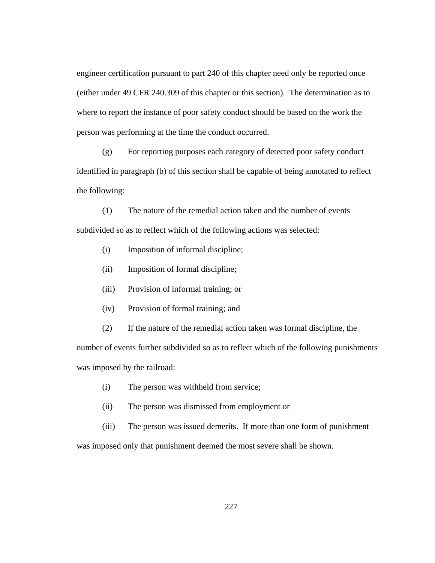engineer certification pursuant to part 240 of this chapter need only be reported once (either under 49 CFR 240.309 of this chapter or this section). The determination as to where to report the instance of poor safety conduct should be based on the work the person was performing at the time the conduct occurred.

(g) For reporting purposes each category of detected poor safety conduct identified in paragraph (b) of this section shall be capable of being annotated to reflect the following:

(1) The nature of the remedial action taken and the number of events subdivided so as to reflect which of the following actions was selected:

- (i) Imposition of informal discipline;
- (ii) Imposition of formal discipline;
- (iii) Provision of informal training; or
- (iv) Provision of formal training; and
- (2) If the nature of the remedial action taken was formal discipline, the

number of events further subdivided so as to reflect which of the following punishments was imposed by the railroad:

- (i) The person was withheld from service;
- (ii) The person was dismissed from employment or
- (iii) The person was issued demerits. If more than one form of punishment

was imposed only that punishment deemed the most severe shall be shown.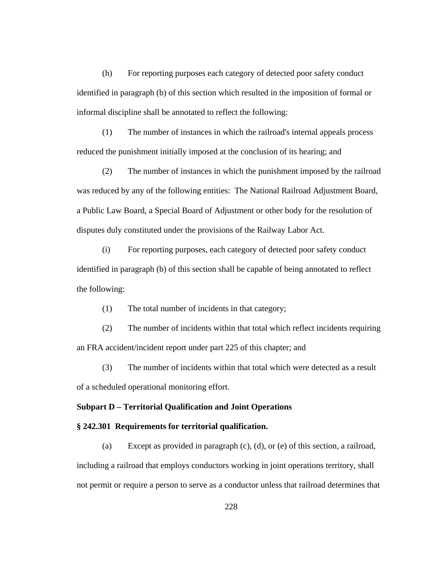(h) For reporting purposes each category of detected poor safety conduct identified in paragraph (b) of this section which resulted in the imposition of formal or informal discipline shall be annotated to reflect the following:

(1) The number of instances in which the railroad's internal appeals process reduced the punishment initially imposed at the conclusion of its hearing; and

(2) The number of instances in which the punishment imposed by the railroad was reduced by any of the following entities: The National Railroad Adjustment Board, a Public Law Board, a Special Board of Adjustment or other body for the resolution of disputes duly constituted under the provisions of the Railway Labor Act.

(i) For reporting purposes, each category of detected poor safety conduct identified in paragraph (b) of this section shall be capable of being annotated to reflect the following:

(1) The total number of incidents in that category;

(2) The number of incidents within that total which reflect incidents requiring an FRA accident/incident report under part 225 of this chapter; and

(3) The number of incidents within that total which were detected as a result of a scheduled operational monitoring effort.

## **Subpart D – Territorial Qualification and Joint Operations**

### **§ 242.301 Requirements for territorial qualification.**

(a) Except as provided in paragraph (c), (d), or (e) of this section, a railroad, including a railroad that employs conductors working in joint operations territory, shall not permit or require a person to serve as a conductor unless that railroad determines that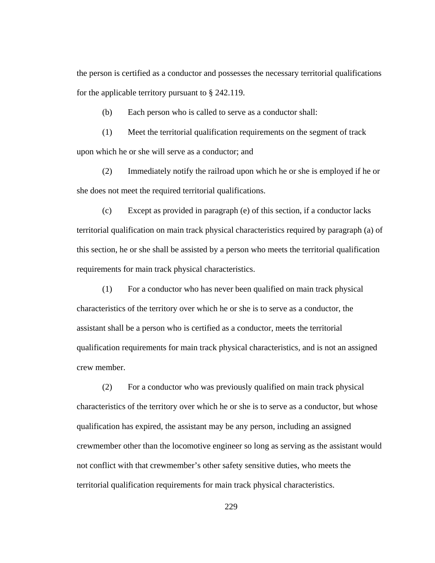the person is certified as a conductor and possesses the necessary territorial qualifications for the applicable territory pursuant to § 242.119.

(b) Each person who is called to serve as a conductor shall:

(1) Meet the territorial qualification requirements on the segment of track upon which he or she will serve as a conductor; and

(2) Immediately notify the railroad upon which he or she is employed if he or she does not meet the required territorial qualifications.

(c) Except as provided in paragraph (e) of this section, if a conductor lacks territorial qualification on main track physical characteristics required by paragraph (a) of this section, he or she shall be assisted by a person who meets the territorial qualification requirements for main track physical characteristics.

(1) For a conductor who has never been qualified on main track physical characteristics of the territory over which he or she is to serve as a conductor, the assistant shall be a person who is certified as a conductor, meets the territorial qualification requirements for main track physical characteristics, and is not an assigned crew member.

(2) For a conductor who was previously qualified on main track physical characteristics of the territory over which he or she is to serve as a conductor, but whose qualification has expired, the assistant may be any person, including an assigned crewmember other than the locomotive engineer so long as serving as the assistant would not conflict with that crewmember's other safety sensitive duties, who meets the territorial qualification requirements for main track physical characteristics.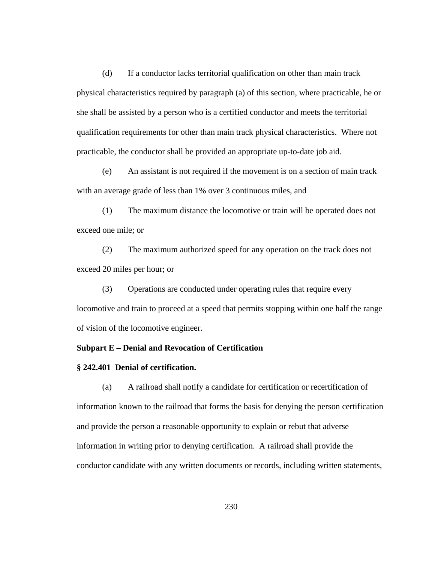(d) If a conductor lacks territorial qualification on other than main track physical characteristics required by paragraph (a) of this section, where practicable, he or she shall be assisted by a person who is a certified conductor and meets the territorial qualification requirements for other than main track physical characteristics. Where not practicable, the conductor shall be provided an appropriate up-to-date job aid.

(e) An assistant is not required if the movement is on a section of main track with an average grade of less than 1% over 3 continuous miles, and

(1) The maximum distance the locomotive or train will be operated does not exceed one mile; or

(2) The maximum authorized speed for any operation on the track does not exceed 20 miles per hour; or

(3) Operations are conducted under operating rules that require every locomotive and train to proceed at a speed that permits stopping within one half the range of vision of the locomotive engineer.

# **Subpart E – Denial and Revocation of Certification**

### **§ 242.401 Denial of certification.**

(a) A railroad shall notify a candidate for certification or recertification of information known to the railroad that forms the basis for denying the person certification and provide the person a reasonable opportunity to explain or rebut that adverse information in writing prior to denying certification. A railroad shall provide the conductor candidate with any written documents or records, including written statements,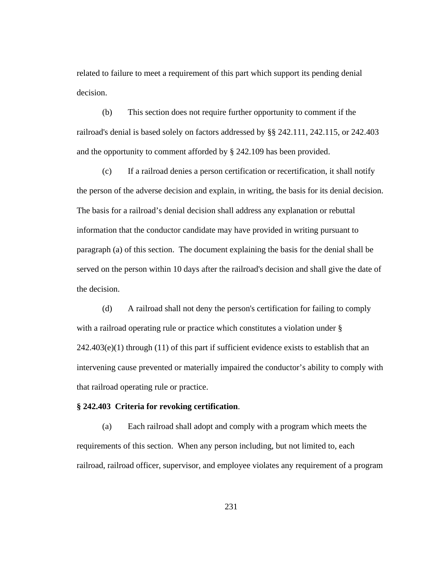related to failure to meet a requirement of this part which support its pending denial decision.

(b) This section does not require further opportunity to comment if the railroad's denial is based solely on factors addressed by §§ 242.111, 242.115, or 242.403 and the opportunity to comment afforded by § 242.109 has been provided.

(c) If a railroad denies a person certification or recertification, it shall notify the person of the adverse decision and explain, in writing, the basis for its denial decision. The basis for a railroad's denial decision shall address any explanation or rebuttal information that the conductor candidate may have provided in writing pursuant to paragraph (a) of this section. The document explaining the basis for the denial shall be served on the person within 10 days after the railroad's decision and shall give the date of the decision.

(d) A railroad shall not deny the person's certification for failing to comply with a railroad operating rule or practice which constitutes a violation under §  $242.403(e)(1)$  through (11) of this part if sufficient evidence exists to establish that an intervening cause prevented or materially impaired the conductor's ability to comply with that railroad operating rule or practice.

### **§ 242.403 Criteria for revoking certification**.

(a) Each railroad shall adopt and comply with a program which meets the requirements of this section. When any person including, but not limited to, each railroad, railroad officer, supervisor, and employee violates any requirement of a program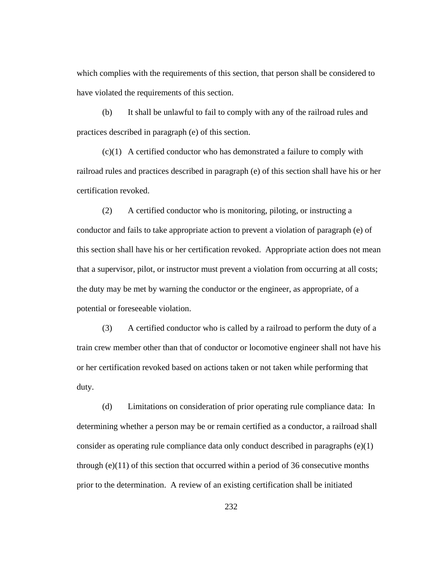which complies with the requirements of this section, that person shall be considered to have violated the requirements of this section.

(b) It shall be unlawful to fail to comply with any of the railroad rules and practices described in paragraph (e) of this section.

(c)(1) A certified conductor who has demonstrated a failure to comply with railroad rules and practices described in paragraph (e) of this section shall have his or her certification revoked.

(2) A certified conductor who is monitoring, piloting, or instructing a conductor and fails to take appropriate action to prevent a violation of paragraph (e) of this section shall have his or her certification revoked. Appropriate action does not mean that a supervisor, pilot, or instructor must prevent a violation from occurring at all costs; the duty may be met by warning the conductor or the engineer, as appropriate, of a potential or foreseeable violation.

(3) A certified conductor who is called by a railroad to perform the duty of a train crew member other than that of conductor or locomotive engineer shall not have his or her certification revoked based on actions taken or not taken while performing that duty.

(d) Limitations on consideration of prior operating rule compliance data: In determining whether a person may be or remain certified as a conductor, a railroad shall consider as operating rule compliance data only conduct described in paragraphs (e)(1) through (e)(11) of this section that occurred within a period of 36 consecutive months prior to the determination. A review of an existing certification shall be initiated

232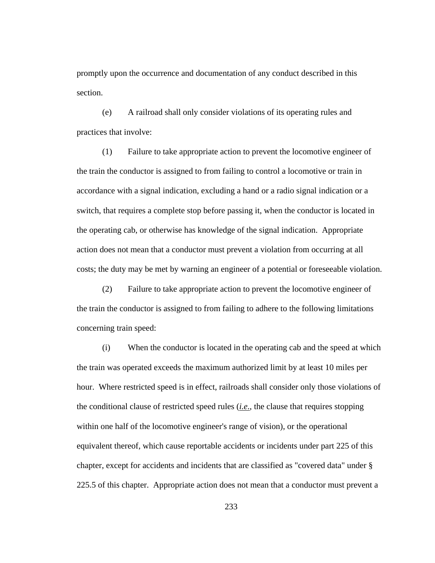promptly upon the occurrence and documentation of any conduct described in this section.

(e) A railroad shall only consider violations of its operating rules and practices that involve:

(1) Failure to take appropriate action to prevent the locomotive engineer of the train the conductor is assigned to from failing to control a locomotive or train in accordance with a signal indication, excluding a hand or a radio signal indication or a switch, that requires a complete stop before passing it, when the conductor is located in the operating cab, or otherwise has knowledge of the signal indication. Appropriate action does not mean that a conductor must prevent a violation from occurring at all costs; the duty may be met by warning an engineer of a potential or foreseeable violation.

(2) Failure to take appropriate action to prevent the locomotive engineer of the train the conductor is assigned to from failing to adhere to the following limitations concerning train speed:

(i) When the conductor is located in the operating cab and the speed at which the train was operated exceeds the maximum authorized limit by at least 10 miles per hour. Where restricted speed is in effect, railroads shall consider only those violations of the conditional clause of restricted speed rules (*i.e*., the clause that requires stopping within one half of the locomotive engineer's range of vision), or the operational equivalent thereof, which cause reportable accidents or incidents under part 225 of this chapter, except for accidents and incidents that are classified as "covered data" under § 225.5 of this chapter. Appropriate action does not mean that a conductor must prevent a

233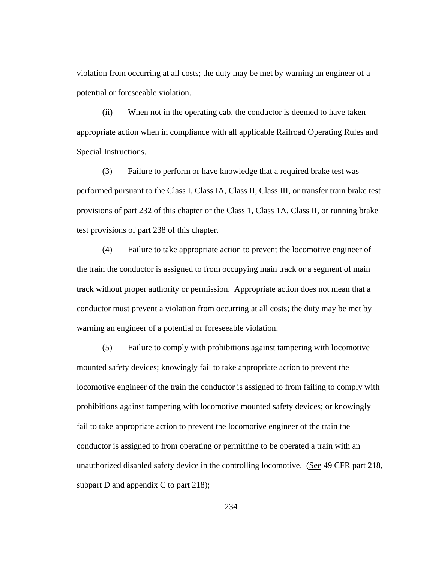violation from occurring at all costs; the duty may be met by warning an engineer of a potential or foreseeable violation.

(ii) When not in the operating cab, the conductor is deemed to have taken appropriate action when in compliance with all applicable Railroad Operating Rules and Special Instructions.

(3) Failure to perform or have knowledge that a required brake test was performed pursuant to the Class I, Class IA, Class II, Class III, or transfer train brake test provisions of part 232 of this chapter or the Class 1, Class 1A, Class II, or running brake test provisions of part 238 of this chapter.

(4) Failure to take appropriate action to prevent the locomotive engineer of the train the conductor is assigned to from occupying main track or a segment of main track without proper authority or permission. Appropriate action does not mean that a conductor must prevent a violation from occurring at all costs; the duty may be met by warning an engineer of a potential or foreseeable violation.

(5) Failure to comply with prohibitions against tampering with locomotive mounted safety devices; knowingly fail to take appropriate action to prevent the locomotive engineer of the train the conductor is assigned to from failing to comply with prohibitions against tampering with locomotive mounted safety devices; or knowingly fail to take appropriate action to prevent the locomotive engineer of the train the conductor is assigned to from operating or permitting to be operated a train with an unauthorized disabled safety device in the controlling locomotive. (See 49 CFR part 218, subpart D and appendix C to part 218);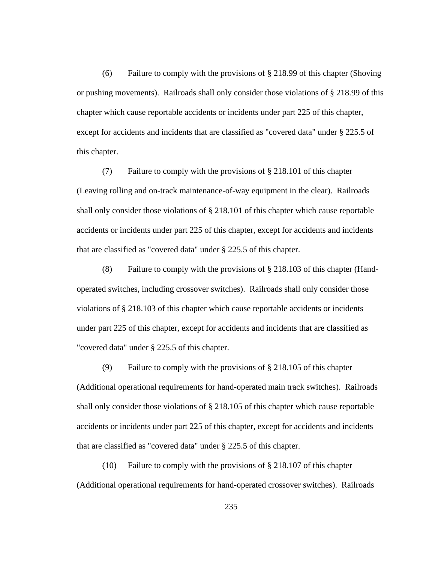(6) Failure to comply with the provisions of  $\S 218.99$  of this chapter (Shoving or pushing movements). Railroads shall only consider those violations of § 218.99 of this chapter which cause reportable accidents or incidents under part 225 of this chapter, except for accidents and incidents that are classified as "covered data" under § 225.5 of this chapter.

(7) Failure to comply with the provisions of § 218.101 of this chapter (Leaving rolling and on-track maintenance-of-way equipment in the clear). Railroads shall only consider those violations of § 218.101 of this chapter which cause reportable accidents or incidents under part 225 of this chapter, except for accidents and incidents that are classified as "covered data" under § 225.5 of this chapter.

(8) Failure to comply with the provisions of § 218.103 of this chapter (Handoperated switches, including crossover switches). Railroads shall only consider those violations of § 218.103 of this chapter which cause reportable accidents or incidents under part 225 of this chapter, except for accidents and incidents that are classified as "covered data" under § 225.5 of this chapter.

(9) Failure to comply with the provisions of § 218.105 of this chapter (Additional operational requirements for hand-operated main track switches). Railroads shall only consider those violations of § 218.105 of this chapter which cause reportable accidents or incidents under part 225 of this chapter, except for accidents and incidents that are classified as "covered data" under § 225.5 of this chapter.

(10) Failure to comply with the provisions of § 218.107 of this chapter (Additional operational requirements for hand-operated crossover switches). Railroads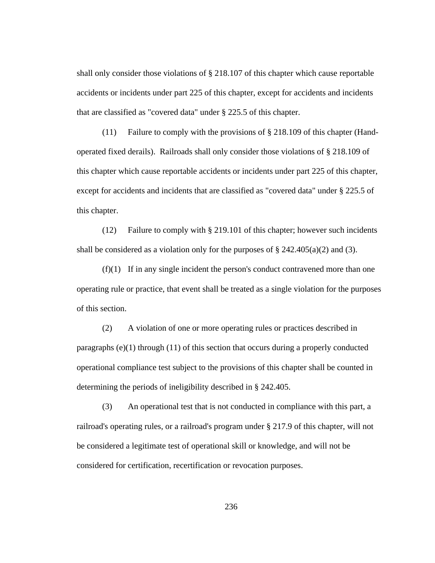shall only consider those violations of § 218.107 of this chapter which cause reportable accidents or incidents under part 225 of this chapter, except for accidents and incidents that are classified as "covered data" under § 225.5 of this chapter.

(11) Failure to comply with the provisions of § 218.109 of this chapter (Handoperated fixed derails). Railroads shall only consider those violations of § 218.109 of this chapter which cause reportable accidents or incidents under part 225 of this chapter, except for accidents and incidents that are classified as "covered data" under § 225.5 of this chapter.

(12) Failure to comply with § 219.101 of this chapter; however such incidents shall be considered as a violation only for the purposes of  $\S 242.405(a)(2)$  and (3).

(f)(1) If in any single incident the person's conduct contravened more than one operating rule or practice, that event shall be treated as a single violation for the purposes of this section.

(2) A violation of one or more operating rules or practices described in paragraphs (e)(1) through (11) of this section that occurs during a properly conducted operational compliance test subject to the provisions of this chapter shall be counted in determining the periods of ineligibility described in § 242.405.

(3) An operational test that is not conducted in compliance with this part, a railroad's operating rules, or a railroad's program under § 217.9 of this chapter, will not be considered a legitimate test of operational skill or knowledge, and will not be considered for certification, recertification or revocation purposes.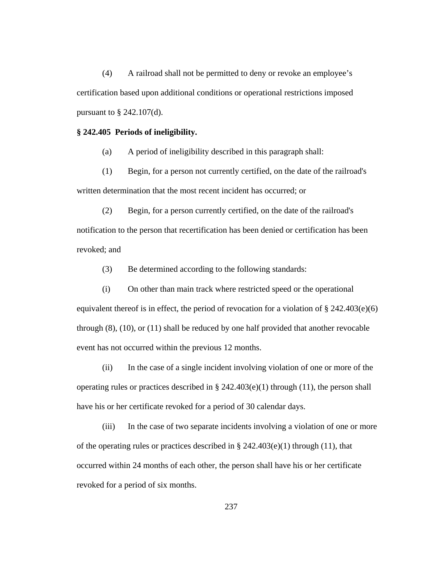(4) A railroad shall not be permitted to deny or revoke an employee's certification based upon additional conditions or operational restrictions imposed pursuant to  $\S$  242.107(d).

#### **§ 242.405 Periods of ineligibility.**

(a) A period of ineligibility described in this paragraph shall:

(1) Begin, for a person not currently certified, on the date of the railroad's written determination that the most recent incident has occurred; or

(2) Begin, for a person currently certified, on the date of the railroad's notification to the person that recertification has been denied or certification has been revoked; and

(3) Be determined according to the following standards:

(i) On other than main track where restricted speed or the operational equivalent thereof is in effect, the period of revocation for a violation of  $\S 242.403(e)(6)$ through (8), (10), or (11) shall be reduced by one half provided that another revocable event has not occurred within the previous 12 months.

(ii) In the case of a single incident involving violation of one or more of the operating rules or practices described in  $\S$  242.403(e)(1) through (11), the person shall have his or her certificate revoked for a period of 30 calendar days.

(iii) In the case of two separate incidents involving a violation of one or more of the operating rules or practices described in  $\S$  242.403(e)(1) through (11), that occurred within 24 months of each other, the person shall have his or her certificate revoked for a period of six months.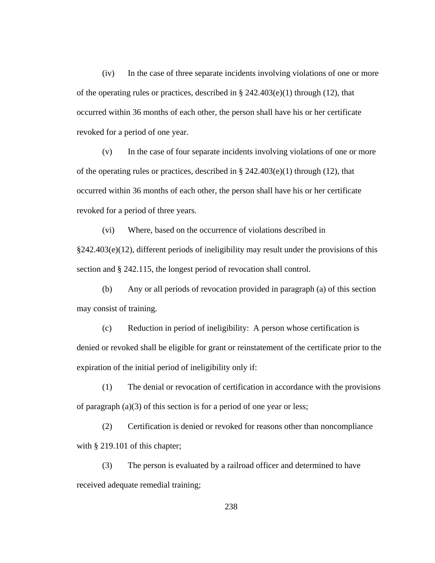(iv) In the case of three separate incidents involving violations of one or more of the operating rules or practices, described in § 242.403(e)(1) through (12), that occurred within 36 months of each other, the person shall have his or her certificate revoked for a period of one year.

(v) In the case of four separate incidents involving violations of one or more of the operating rules or practices, described in § 242.403(e)(1) through (12), that occurred within 36 months of each other, the person shall have his or her certificate revoked for a period of three years.

(vi) Where, based on the occurrence of violations described in §242.403(e)(12), different periods of ineligibility may result under the provisions of this section and § 242.115, the longest period of revocation shall control.

(b) Any or all periods of revocation provided in paragraph (a) of this section may consist of training.

(c) Reduction in period of ineligibility: A person whose certification is denied or revoked shall be eligible for grant or reinstatement of the certificate prior to the expiration of the initial period of ineligibility only if:

(1) The denial or revocation of certification in accordance with the provisions of paragraph (a)(3) of this section is for a period of one year or less;

(2) Certification is denied or revoked for reasons other than noncompliance with § 219.101 of this chapter;

(3) The person is evaluated by a railroad officer and determined to have received adequate remedial training;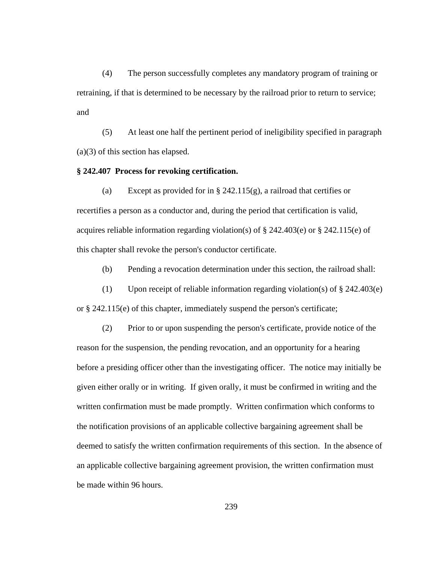(4) The person successfully completes any mandatory program of training or retraining, if that is determined to be necessary by the railroad prior to return to service; and

(5) At least one half the pertinent period of ineligibility specified in paragraph (a)(3) of this section has elapsed.

### **§ 242.407 Process for revoking certification.**

(a) Except as provided for in § 242.115(g), a railroad that certifies or recertifies a person as a conductor and, during the period that certification is valid, acquires reliable information regarding violation(s) of § 242.403(e) or § 242.115(e) of this chapter shall revoke the person's conductor certificate.

(b) Pending a revocation determination under this section, the railroad shall:

(1) Upon receipt of reliable information regarding violation(s) of § 242.403(e) or § 242.115(e) of this chapter, immediately suspend the person's certificate;

(2) Prior to or upon suspending the person's certificate, provide notice of the reason for the suspension, the pending revocation, and an opportunity for a hearing before a presiding officer other than the investigating officer. The notice may initially be given either orally or in writing. If given orally, it must be confirmed in writing and the written confirmation must be made promptly. Written confirmation which conforms to the notification provisions of an applicable collective bargaining agreement shall be deemed to satisfy the written confirmation requirements of this section. In the absence of an applicable collective bargaining agreement provision, the written confirmation must be made within 96 hours.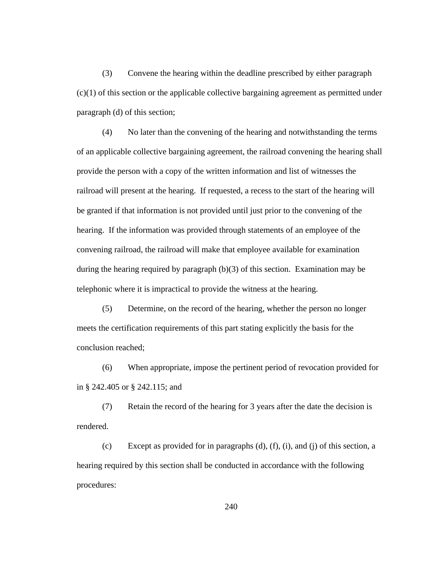(3) Convene the hearing within the deadline prescribed by either paragraph (c)(1) of this section or the applicable collective bargaining agreement as permitted under paragraph (d) of this section;

(4) No later than the convening of the hearing and notwithstanding the terms of an applicable collective bargaining agreement, the railroad convening the hearing shall provide the person with a copy of the written information and list of witnesses the railroad will present at the hearing. If requested, a recess to the start of the hearing will be granted if that information is not provided until just prior to the convening of the hearing. If the information was provided through statements of an employee of the convening railroad, the railroad will make that employee available for examination during the hearing required by paragraph (b)(3) of this section. Examination may be telephonic where it is impractical to provide the witness at the hearing.

(5) Determine, on the record of the hearing, whether the person no longer meets the certification requirements of this part stating explicitly the basis for the conclusion reached;

(6) When appropriate, impose the pertinent period of revocation provided for in § 242.405 or § 242.115; and

(7) Retain the record of the hearing for 3 years after the date the decision is rendered.

(c) Except as provided for in paragraphs  $(d)$ ,  $(f)$ ,  $(i)$ , and  $(i)$  of this section, a hearing required by this section shall be conducted in accordance with the following procedures: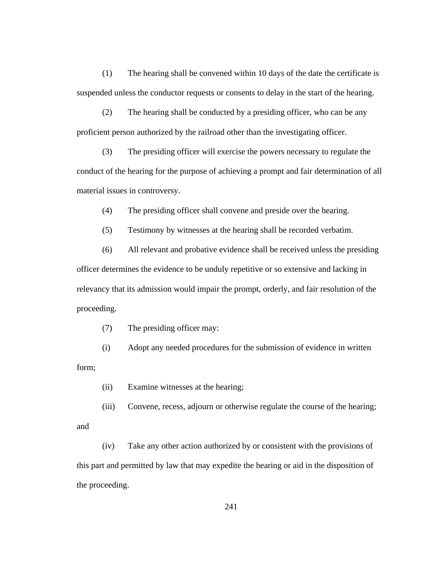(1) The hearing shall be convened within 10 days of the date the certificate is suspended unless the conductor requests or consents to delay in the start of the hearing.

(2) The hearing shall be conducted by a presiding officer, who can be any proficient person authorized by the railroad other than the investigating officer.

(3) The presiding officer will exercise the powers necessary to regulate the conduct of the hearing for the purpose of achieving a prompt and fair determination of all material issues in controversy.

(4) The presiding officer shall convene and preside over the hearing.

(5) Testimony by witnesses at the hearing shall be recorded verbatim.

(6) All relevant and probative evidence shall be received unless the presiding officer determines the evidence to be unduly repetitive or so extensive and lacking in relevancy that its admission would impair the prompt, orderly, and fair resolution of the proceeding.

(7) The presiding officer may:

(i) Adopt any needed procedures for the submission of evidence in written form;

(ii) Examine witnesses at the hearing;

(iii) Convene, recess, adjourn or otherwise regulate the course of the hearing; and

(iv) Take any other action authorized by or consistent with the provisions of this part and permitted by law that may expedite the hearing or aid in the disposition of the proceeding.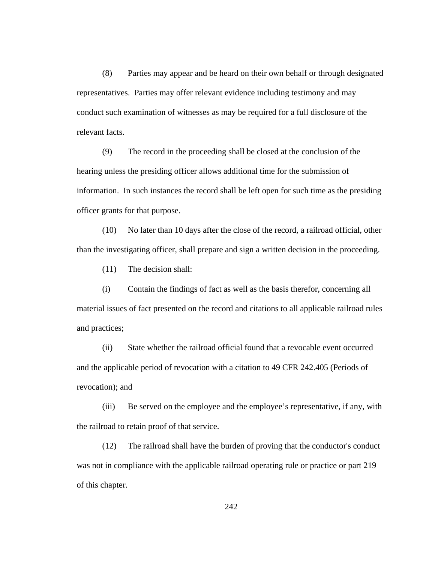(8) Parties may appear and be heard on their own behalf or through designated representatives. Parties may offer relevant evidence including testimony and may conduct such examination of witnesses as may be required for a full disclosure of the relevant facts.

(9) The record in the proceeding shall be closed at the conclusion of the hearing unless the presiding officer allows additional time for the submission of information. In such instances the record shall be left open for such time as the presiding officer grants for that purpose.

(10) No later than 10 days after the close of the record, a railroad official, other than the investigating officer, shall prepare and sign a written decision in the proceeding.

(11) The decision shall:

(i) Contain the findings of fact as well as the basis therefor, concerning all material issues of fact presented on the record and citations to all applicable railroad rules and practices;

(ii) State whether the railroad official found that a revocable event occurred and the applicable period of revocation with a citation to 49 CFR 242.405 (Periods of revocation); and

(iii) Be served on the employee and the employee's representative, if any, with the railroad to retain proof of that service.

(12) The railroad shall have the burden of proving that the conductor's conduct was not in compliance with the applicable railroad operating rule or practice or part 219 of this chapter.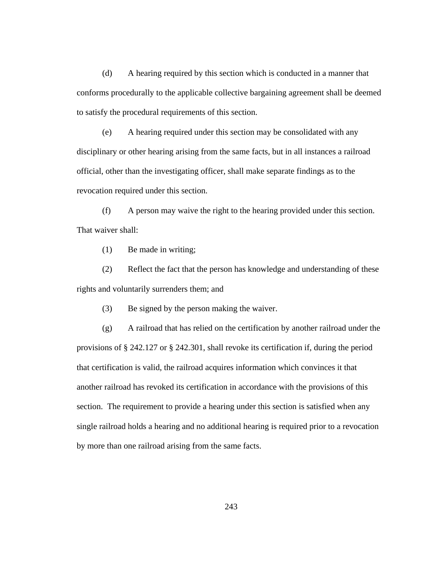(d) A hearing required by this section which is conducted in a manner that conforms procedurally to the applicable collective bargaining agreement shall be deemed to satisfy the procedural requirements of this section.

(e) A hearing required under this section may be consolidated with any disciplinary or other hearing arising from the same facts, but in all instances a railroad official, other than the investigating officer, shall make separate findings as to the revocation required under this section.

(f) A person may waive the right to the hearing provided under this section. That waiver shall:

(1) Be made in writing;

(2) Reflect the fact that the person has knowledge and understanding of these rights and voluntarily surrenders them; and

(3) Be signed by the person making the waiver.

(g) A railroad that has relied on the certification by another railroad under the provisions of § 242.127 or § 242.301, shall revoke its certification if, during the period that certification is valid, the railroad acquires information which convinces it that another railroad has revoked its certification in accordance with the provisions of this section. The requirement to provide a hearing under this section is satisfied when any single railroad holds a hearing and no additional hearing is required prior to a revocation by more than one railroad arising from the same facts.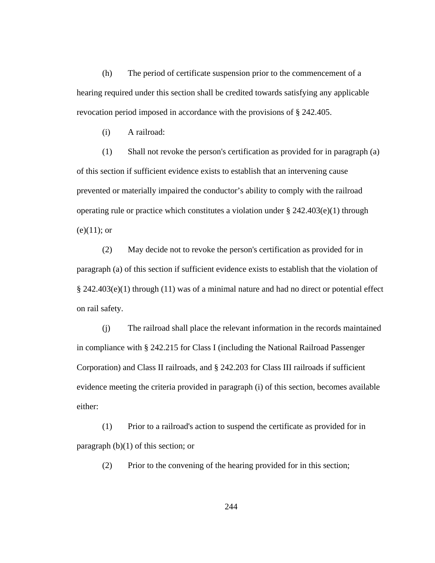(h) The period of certificate suspension prior to the commencement of a hearing required under this section shall be credited towards satisfying any applicable revocation period imposed in accordance with the provisions of § 242.405.

(i) A railroad:

(1) Shall not revoke the person's certification as provided for in paragraph (a) of this section if sufficient evidence exists to establish that an intervening cause prevented or materially impaired the conductor's ability to comply with the railroad operating rule or practice which constitutes a violation under § 242.403(e)(1) through  $(e)(11);$  or

(2) May decide not to revoke the person's certification as provided for in paragraph (a) of this section if sufficient evidence exists to establish that the violation of § 242.403(e)(1) through (11) was of a minimal nature and had no direct or potential effect on rail safety.

(j) The railroad shall place the relevant information in the records maintained in compliance with § 242.215 for Class I (including the National Railroad Passenger Corporation) and Class II railroads, and § 242.203 for Class III railroads if sufficient evidence meeting the criteria provided in paragraph (i) of this section, becomes available either:

(1) Prior to a railroad's action to suspend the certificate as provided for in paragraph  $(b)(1)$  of this section; or

(2) Prior to the convening of the hearing provided for in this section;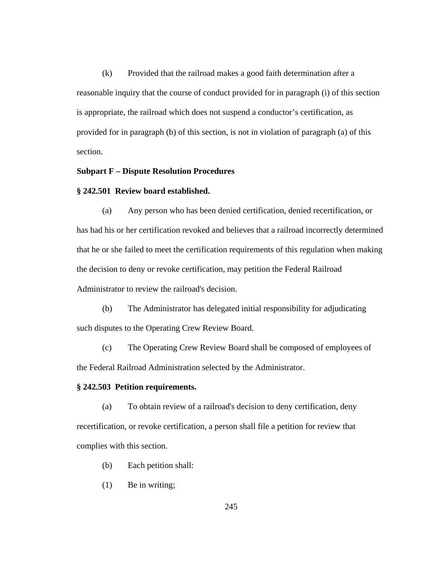(k) Provided that the railroad makes a good faith determination after a reasonable inquiry that the course of conduct provided for in paragraph (i) of this section is appropriate, the railroad which does not suspend a conductor's certification, as provided for in paragraph (b) of this section, is not in violation of paragraph (a) of this section.

## **Subpart F – Dispute Resolution Procedures**

### **§ 242.501 Review board established.**

(a) Any person who has been denied certification, denied recertification, or has had his or her certification revoked and believes that a railroad incorrectly determined that he or she failed to meet the certification requirements of this regulation when making the decision to deny or revoke certification, may petition the Federal Railroad Administrator to review the railroad's decision.

(b) The Administrator has delegated initial responsibility for adjudicating such disputes to the Operating Crew Review Board.

(c) The Operating Crew Review Board shall be composed of employees of the Federal Railroad Administration selected by the Administrator.

### **§ 242.503 Petition requirements.**

(a) To obtain review of a railroad's decision to deny certification, deny recertification, or revoke certification, a person shall file a petition for review that complies with this section.

- (b) Each petition shall:
- (1) Be in writing;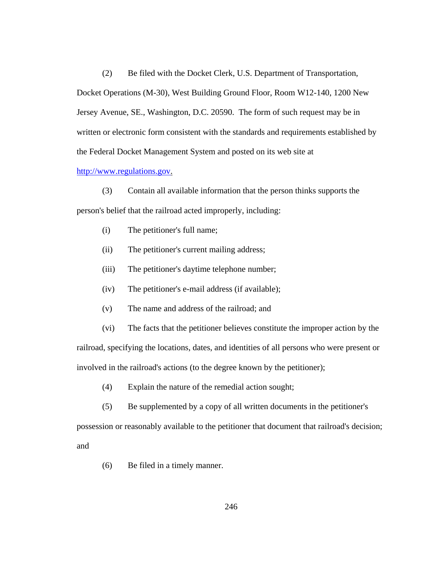(2) Be filed with the Docket Clerk, U.S. Department of Transportation, Docket Operations (M-30), West Building Ground Floor, Room W12-140, 1200 New Jersey Avenue, SE., Washington, D.C. 20590. The form of such request may be in written or electronic form consistent with the standards and requirements established by the Federal Docket Management System and posted on its web site at

#### http://www.regulations.gov.

- (3) Contain all available information that the person thinks supports the person's belief that the railroad acted improperly, including:
	- (i) The petitioner's full name;
	- (ii) The petitioner's current mailing address;
	- (iii) The petitioner's daytime telephone number;
	- (iv) The petitioner's e-mail address (if available);
	- (v) The name and address of the railroad; and

(vi) The facts that the petitioner believes constitute the improper action by the railroad, specifying the locations, dates, and identities of all persons who were present or involved in the railroad's actions (to the degree known by the petitioner);

- (4) Explain the nature of the remedial action sought;
- (5) Be supplemented by a copy of all written documents in the petitioner's

possession or reasonably available to the petitioner that document that railroad's decision; and

(6) Be filed in a timely manner.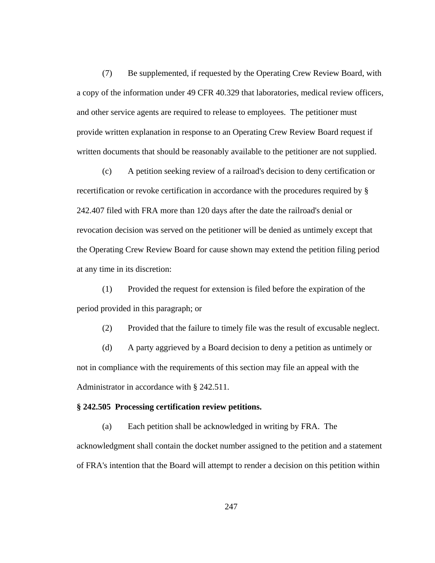(7) Be supplemented, if requested by the Operating Crew Review Board, with a copy of the information under 49 CFR 40.329 that laboratories, medical review officers, and other service agents are required to release to employees. The petitioner must provide written explanation in response to an Operating Crew Review Board request if written documents that should be reasonably available to the petitioner are not supplied.

(c) A petition seeking review of a railroad's decision to deny certification or recertification or revoke certification in accordance with the procedures required by § 242.407 filed with FRA more than 120 days after the date the railroad's denial or revocation decision was served on the petitioner will be denied as untimely except that the Operating Crew Review Board for cause shown may extend the petition filing period at any time in its discretion:

(1) Provided the request for extension is filed before the expiration of the period provided in this paragraph; or

(2) Provided that the failure to timely file was the result of excusable neglect.

(d) A party aggrieved by a Board decision to deny a petition as untimely or not in compliance with the requirements of this section may file an appeal with the Administrator in accordance with § 242.511.

### **§ 242.505 Processing certification review petitions.**

(a) Each petition shall be acknowledged in writing by FRA. The acknowledgment shall contain the docket number assigned to the petition and a statement of FRA's intention that the Board will attempt to render a decision on this petition within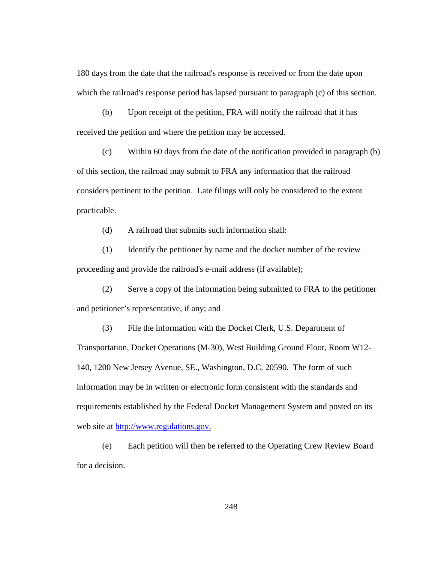180 days from the date that the railroad's response is received or from the date upon which the railroad's response period has lapsed pursuant to paragraph (c) of this section.

(b) Upon receipt of the petition, FRA will notify the railroad that it has received the petition and where the petition may be accessed.

(c) Within 60 days from the date of the notification provided in paragraph (b) of this section, the railroad may submit to FRA any information that the railroad considers pertinent to the petition. Late filings will only be considered to the extent practicable.

(d) A railroad that submits such information shall:

(1) Identify the petitioner by name and the docket number of the review proceeding and provide the railroad's e-mail address (if available);

(2) Serve a copy of the information being submitted to FRA to the petitioner and petitioner's representative, if any; and

(3) File the information with the Docket Clerk, U.S. Department of Transportation, Docket Operations (M-30), West Building Ground Floor, Room W12- 140, 1200 New Jersey Avenue, SE., Washington, D.C. 20590. The form of such information may be in written or electronic form consistent with the standards and requirements established by the Federal Docket Management System and posted on its web site at http://www.regulations.gov.

(e) Each petition will then be referred to the Operating Crew Review Board for a decision.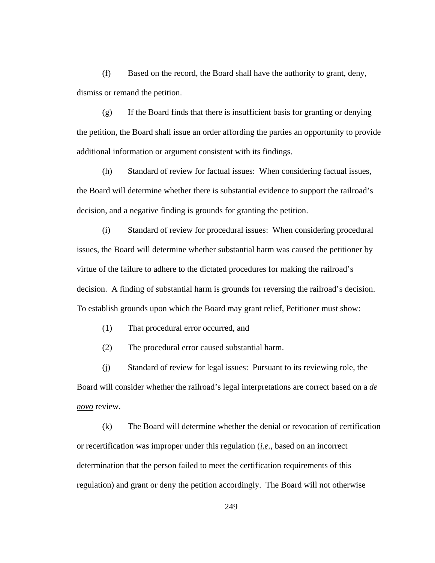(f) Based on the record, the Board shall have the authority to grant, deny, dismiss or remand the petition.

(g) If the Board finds that there is insufficient basis for granting or denying the petition, the Board shall issue an order affording the parties an opportunity to provide additional information or argument consistent with its findings.

(h) Standard of review for factual issues: When considering factual issues, the Board will determine whether there is substantial evidence to support the railroad's decision, and a negative finding is grounds for granting the petition.

(i) Standard of review for procedural issues: When considering procedural issues, the Board will determine whether substantial harm was caused the petitioner by virtue of the failure to adhere to the dictated procedures for making the railroad's decision. A finding of substantial harm is grounds for reversing the railroad's decision. To establish grounds upon which the Board may grant relief, Petitioner must show:

(1) That procedural error occurred, and

(2) The procedural error caused substantial harm.

(j) Standard of review for legal issues: Pursuant to its reviewing role, the Board will consider whether the railroad's legal interpretations are correct based on a *de novo* review.

(k) The Board will determine whether the denial or revocation of certification or recertification was improper under this regulation (*i.e.*, based on an incorrect determination that the person failed to meet the certification requirements of this regulation) and grant or deny the petition accordingly. The Board will not otherwise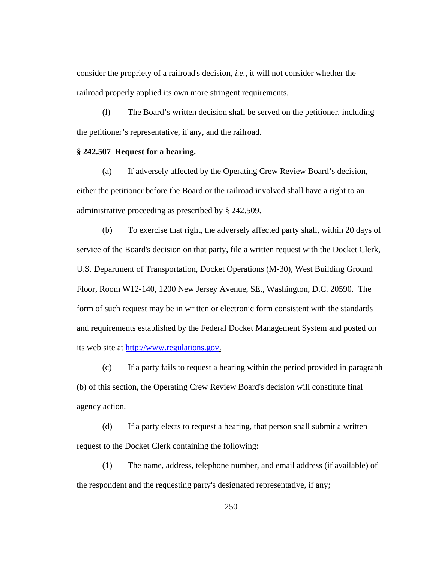consider the propriety of a railroad's decision, *i.e.*, it will not consider whether the railroad properly applied its own more stringent requirements.

(l) The Board's written decision shall be served on the petitioner, including the petitioner's representative, if any, and the railroad.

### **§ 242.507 Request for a hearing.**

(a) If adversely affected by the Operating Crew Review Board's decision, either the petitioner before the Board or the railroad involved shall have a right to an administrative proceeding as prescribed by § 242.509.

(b) To exercise that right, the adversely affected party shall, within 20 days of service of the Board's decision on that party, file a written request with the Docket Clerk, U.S. Department of Transportation, Docket Operations (M-30), West Building Ground Floor, Room W12-140, 1200 New Jersey Avenue, SE., Washington, D.C. 20590. The form of such request may be in written or electronic form consistent with the standards and requirements established by the Federal Docket Management System and posted on its web site at http://www.regulations.gov.

(c) If a party fails to request a hearing within the period provided in paragraph (b) of this section, the Operating Crew Review Board's decision will constitute final agency action.

(d) If a party elects to request a hearing, that person shall submit a written request to the Docket Clerk containing the following:

(1) The name, address, telephone number, and email address (if available) of the respondent and the requesting party's designated representative, if any;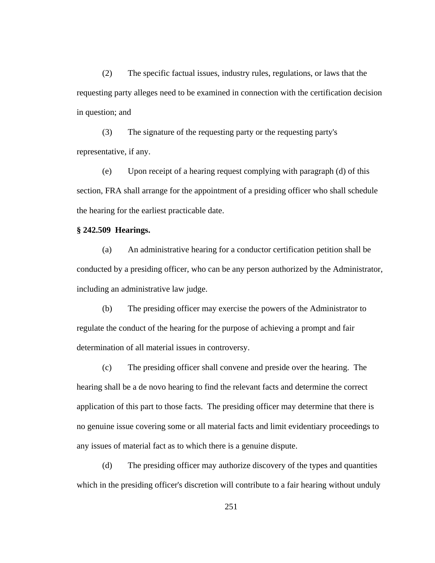(2) The specific factual issues, industry rules, regulations, or laws that the requesting party alleges need to be examined in connection with the certification decision in question; and

(3) The signature of the requesting party or the requesting party's representative, if any.

(e) Upon receipt of a hearing request complying with paragraph (d) of this section, FRA shall arrange for the appointment of a presiding officer who shall schedule the hearing for the earliest practicable date.

## **§ 242.509 Hearings.**

(a) An administrative hearing for a conductor certification petition shall be conducted by a presiding officer, who can be any person authorized by the Administrator, including an administrative law judge.

(b) The presiding officer may exercise the powers of the Administrator to regulate the conduct of the hearing for the purpose of achieving a prompt and fair determination of all material issues in controversy.

(c) The presiding officer shall convene and preside over the hearing. The hearing shall be a de novo hearing to find the relevant facts and determine the correct application of this part to those facts. The presiding officer may determine that there is no genuine issue covering some or all material facts and limit evidentiary proceedings to any issues of material fact as to which there is a genuine dispute.

(d) The presiding officer may authorize discovery of the types and quantities which in the presiding officer's discretion will contribute to a fair hearing without unduly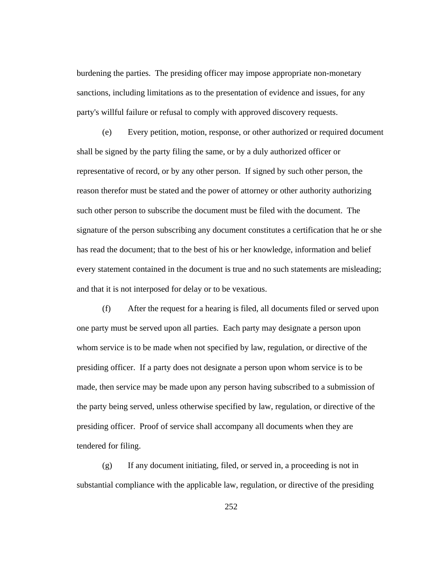burdening the parties. The presiding officer may impose appropriate non-monetary sanctions, including limitations as to the presentation of evidence and issues, for any party's willful failure or refusal to comply with approved discovery requests.

(e) Every petition, motion, response, or other authorized or required document shall be signed by the party filing the same, or by a duly authorized officer or representative of record, or by any other person. If signed by such other person, the reason therefor must be stated and the power of attorney or other authority authorizing such other person to subscribe the document must be filed with the document. The signature of the person subscribing any document constitutes a certification that he or she has read the document; that to the best of his or her knowledge, information and belief every statement contained in the document is true and no such statements are misleading; and that it is not interposed for delay or to be vexatious.

(f) After the request for a hearing is filed, all documents filed or served upon one party must be served upon all parties. Each party may designate a person upon whom service is to be made when not specified by law, regulation, or directive of the presiding officer. If a party does not designate a person upon whom service is to be made, then service may be made upon any person having subscribed to a submission of the party being served, unless otherwise specified by law, regulation, or directive of the presiding officer. Proof of service shall accompany all documents when they are tendered for filing.

(g) If any document initiating, filed, or served in, a proceeding is not in substantial compliance with the applicable law, regulation, or directive of the presiding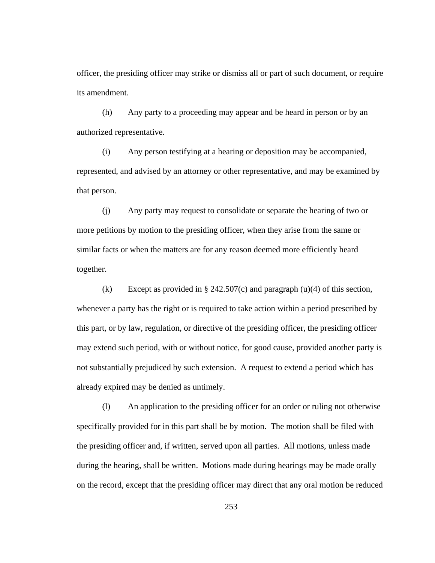officer, the presiding officer may strike or dismiss all or part of such document, or require its amendment.

(h) Any party to a proceeding may appear and be heard in person or by an authorized representative.

(i) Any person testifying at a hearing or deposition may be accompanied, represented, and advised by an attorney or other representative, and may be examined by that person.

(j) Any party may request to consolidate or separate the hearing of two or more petitions by motion to the presiding officer, when they arise from the same or similar facts or when the matters are for any reason deemed more efficiently heard together.

(k) Except as provided in § 242.507(c) and paragraph  $(u)(4)$  of this section, whenever a party has the right or is required to take action within a period prescribed by this part, or by law, regulation, or directive of the presiding officer, the presiding officer may extend such period, with or without notice, for good cause, provided another party is not substantially prejudiced by such extension. A request to extend a period which has already expired may be denied as untimely.

(l) An application to the presiding officer for an order or ruling not otherwise specifically provided for in this part shall be by motion. The motion shall be filed with the presiding officer and, if written, served upon all parties. All motions, unless made during the hearing, shall be written. Motions made during hearings may be made orally on the record, except that the presiding officer may direct that any oral motion be reduced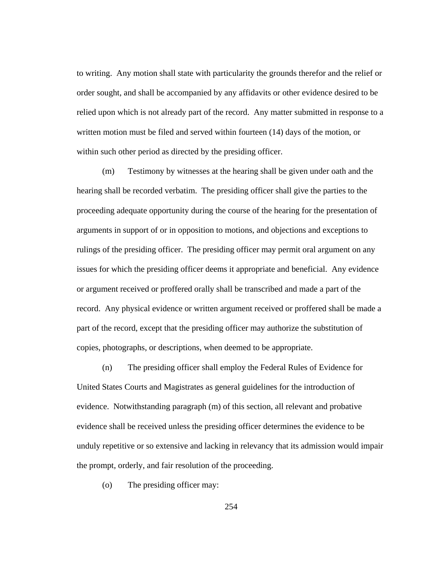to writing. Any motion shall state with particularity the grounds therefor and the relief or order sought, and shall be accompanied by any affidavits or other evidence desired to be relied upon which is not already part of the record. Any matter submitted in response to a written motion must be filed and served within fourteen (14) days of the motion, or within such other period as directed by the presiding officer.

(m) Testimony by witnesses at the hearing shall be given under oath and the hearing shall be recorded verbatim. The presiding officer shall give the parties to the proceeding adequate opportunity during the course of the hearing for the presentation of arguments in support of or in opposition to motions, and objections and exceptions to rulings of the presiding officer. The presiding officer may permit oral argument on any issues for which the presiding officer deems it appropriate and beneficial. Any evidence or argument received or proffered orally shall be transcribed and made a part of the record. Any physical evidence or written argument received or proffered shall be made a part of the record, except that the presiding officer may authorize the substitution of copies, photographs, or descriptions, when deemed to be appropriate.

(n) The presiding officer shall employ the Federal Rules of Evidence for United States Courts and Magistrates as general guidelines for the introduction of evidence. Notwithstanding paragraph (m) of this section, all relevant and probative evidence shall be received unless the presiding officer determines the evidence to be unduly repetitive or so extensive and lacking in relevancy that its admission would impair the prompt, orderly, and fair resolution of the proceeding.

(o) The presiding officer may:

254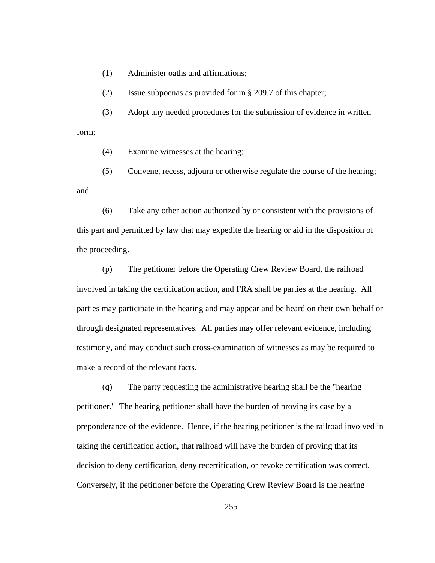(1) Administer oaths and affirmations;

(2) Issue subpoenas as provided for in § 209.7 of this chapter;

(3) Adopt any needed procedures for the submission of evidence in written form;

(4) Examine witnesses at the hearing;

(5) Convene, recess, adjourn or otherwise regulate the course of the hearing; and

(6) Take any other action authorized by or consistent with the provisions of this part and permitted by law that may expedite the hearing or aid in the disposition of the proceeding.

(p) The petitioner before the Operating Crew Review Board, the railroad involved in taking the certification action, and FRA shall be parties at the hearing. All parties may participate in the hearing and may appear and be heard on their own behalf or through designated representatives. All parties may offer relevant evidence, including testimony, and may conduct such cross-examination of witnesses as may be required to make a record of the relevant facts.

(q) The party requesting the administrative hearing shall be the "hearing petitioner." The hearing petitioner shall have the burden of proving its case by a preponderance of the evidence. Hence, if the hearing petitioner is the railroad involved in taking the certification action, that railroad will have the burden of proving that its decision to deny certification, deny recertification, or revoke certification was correct. Conversely, if the petitioner before the Operating Crew Review Board is the hearing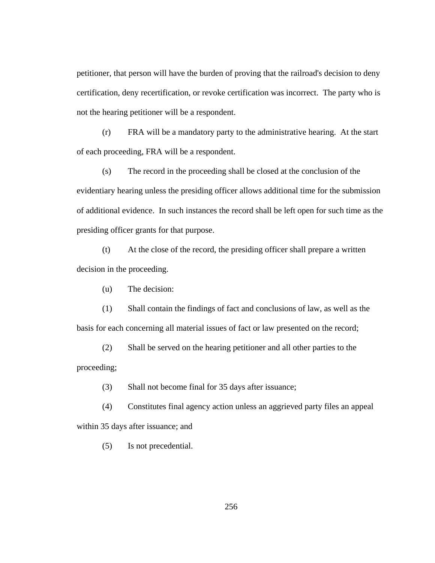petitioner, that person will have the burden of proving that the railroad's decision to deny certification, deny recertification, or revoke certification was incorrect. The party who is not the hearing petitioner will be a respondent.

(r) FRA will be a mandatory party to the administrative hearing. At the start of each proceeding, FRA will be a respondent.

(s) The record in the proceeding shall be closed at the conclusion of the evidentiary hearing unless the presiding officer allows additional time for the submission of additional evidence. In such instances the record shall be left open for such time as the presiding officer grants for that purpose.

(t) At the close of the record, the presiding officer shall prepare a written decision in the proceeding.

(u) The decision:

(1) Shall contain the findings of fact and conclusions of law, as well as the basis for each concerning all material issues of fact or law presented on the record;

(2) Shall be served on the hearing petitioner and all other parties to the proceeding;

(3) Shall not become final for 35 days after issuance;

(4) Constitutes final agency action unless an aggrieved party files an appeal within 35 days after issuance; and

(5) Is not precedential.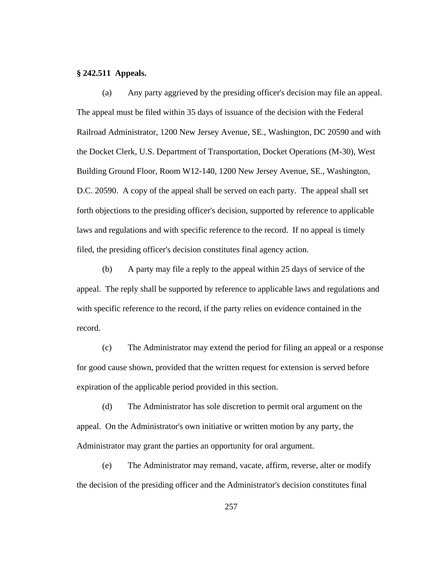### **§ 242.511 Appeals.**

(a) Any party aggrieved by the presiding officer's decision may file an appeal. The appeal must be filed within 35 days of issuance of the decision with the Federal Railroad Administrator, 1200 New Jersey Avenue, SE., Washington, DC 20590 and with the Docket Clerk, U.S. Department of Transportation, Docket Operations (M-30), West Building Ground Floor, Room W12-140, 1200 New Jersey Avenue, SE., Washington, D.C. 20590. A copy of the appeal shall be served on each party. The appeal shall set forth objections to the presiding officer's decision, supported by reference to applicable laws and regulations and with specific reference to the record. If no appeal is timely filed, the presiding officer's decision constitutes final agency action.

(b) A party may file a reply to the appeal within 25 days of service of the appeal. The reply shall be supported by reference to applicable laws and regulations and with specific reference to the record, if the party relies on evidence contained in the record.

(c) The Administrator may extend the period for filing an appeal or a response for good cause shown, provided that the written request for extension is served before expiration of the applicable period provided in this section.

(d) The Administrator has sole discretion to permit oral argument on the appeal. On the Administrator's own initiative or written motion by any party, the Administrator may grant the parties an opportunity for oral argument.

(e) The Administrator may remand, vacate, affirm, reverse, alter or modify the decision of the presiding officer and the Administrator's decision constitutes final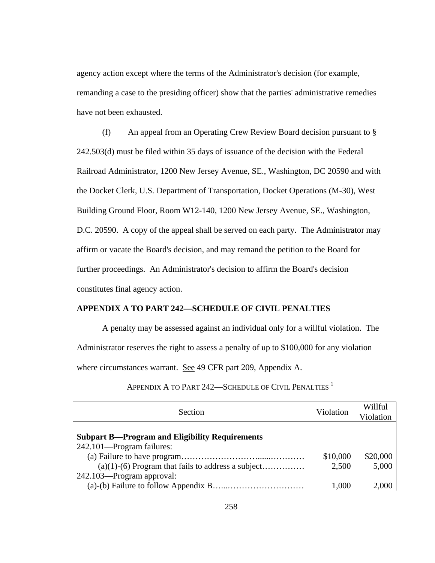agency action except where the terms of the Administrator's decision (for example, remanding a case to the presiding officer) show that the parties' administrative remedies have not been exhausted.

(f) An appeal from an Operating Crew Review Board decision pursuant to § 242.503(d) must be filed within 35 days of issuance of the decision with the Federal Railroad Administrator, 1200 New Jersey Avenue, SE., Washington, DC 20590 and with the Docket Clerk, U.S. Department of Transportation, Docket Operations (M-30), West Building Ground Floor, Room W12-140, 1200 New Jersey Avenue, SE., Washington, D.C. 20590. A copy of the appeal shall be served on each party. The Administrator may affirm or vacate the Board's decision, and may remand the petition to the Board for further proceedings. An Administrator's decision to affirm the Board's decision constitutes final agency action.

### **APPENDIX A TO PART 242—SCHEDULE OF CIVIL PENALTIES**

A penalty may be assessed against an individual only for a willful violation. The Administrator reserves the right to assess a penalty of up to \$100,000 for any violation where circumstances warrant. See 49 CFR part 209, Appendix A.

| Section                                                                                                                                                                 | Violation                  | Willful<br>Violation       |
|-------------------------------------------------------------------------------------------------------------------------------------------------------------------------|----------------------------|----------------------------|
| <b>Subpart B—Program and Eligibility Requirements</b><br>242.101—Program failures:<br>$(a)(1)-(6)$ Program that fails to address a subject<br>242.103—Program approval: | \$10,000<br>2,500<br>1,000 | \$20,000<br>5,000<br>2,000 |

APPENDIX A TO PART 242-SCHEDULE OF CIVIL PENALTIES<sup>1</sup>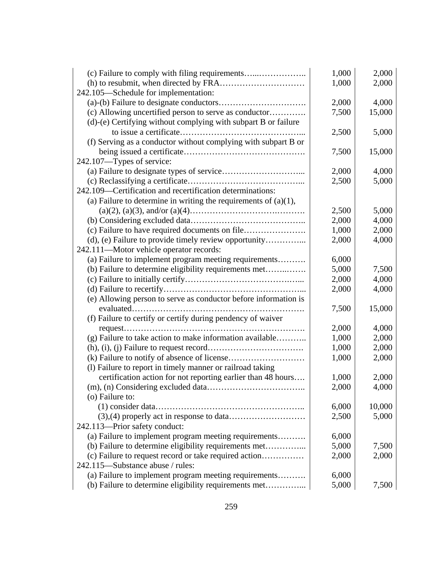| (c) Failure to comply with filing requirements                     | 1,000 | 2,000  |
|--------------------------------------------------------------------|-------|--------|
|                                                                    | 1,000 | 2,000  |
| 242.105—Schedule for implementation:                               |       |        |
|                                                                    | 2,000 | 4,000  |
| (c) Allowing uncertified person to serve as conductor              | 7,500 | 15,000 |
| (d)-(e) Certifying without complying with subpart B or failure     |       |        |
|                                                                    | 2,500 | 5,000  |
| (f) Serving as a conductor without complying with subpart B or     |       |        |
|                                                                    | 7,500 | 15,000 |
| 242.107—Types of service:                                          |       |        |
|                                                                    | 2,000 | 4,000  |
|                                                                    | 2,500 | 5,000  |
| 242.109—Certification and recertification determinations:          |       |        |
| (a) Failure to determine in writing the requirements of $(a)(1)$ , |       |        |
|                                                                    | 2,500 | 5,000  |
|                                                                    | 2,000 | 4,000  |
| (c) Failure to have required documents on file                     | 1,000 | 2,000  |
| (d), (e) Failure to provide timely review opportunity              | 2,000 | 4,000  |
| 242.111—Motor vehicle operator records:                            |       |        |
| (a) Failure to implement program meeting requirements              | 6,000 |        |
| (b) Failure to determine eligibility requirements met              | 5,000 | 7,500  |
|                                                                    | 2,000 | 4,000  |
|                                                                    | 2,000 | 4,000  |
| (e) Allowing person to serve as conductor before information is    |       |        |
|                                                                    | 7,500 | 15,000 |
| (f) Failure to certify or certify during pendency of waiver        |       |        |
| request                                                            | 2,000 | 4,000  |
| (g) Failure to take action to make information available           | 1,000 | 2,000  |
|                                                                    | 1,000 | 2,000  |
|                                                                    | 1,000 | 2,000  |
| (1) Failure to report in timely manner or railroad taking          |       |        |
| certification action for not reporting earlier than 48 hours       | 1,000 | 2,000  |
|                                                                    | 2,000 | 4,000  |
| (o) Failure to:                                                    |       |        |
|                                                                    | 6,000 | 10,000 |
|                                                                    | 2,500 | 5,000  |
| 242.113-Prior safety conduct:                                      |       |        |
| (a) Failure to implement program meeting requirements              | 6,000 |        |
| (b) Failure to determine eligibility requirements met              | 5,000 | 7,500  |
| (c) Failure to request record or take required action              | 2,000 | 2,000  |
| 242.115—Substance abuse / rules:                                   |       |        |
| (a) Failure to implement program meeting requirements              | 6,000 |        |
| (b) Failure to determine eligibility requirements met              | 5,000 | 7,500  |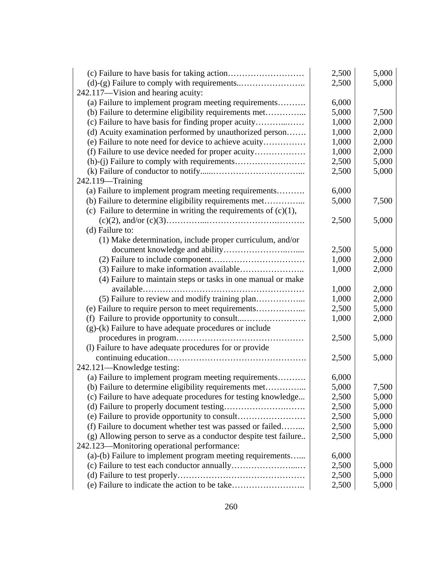|                                                                    | 2,500 | 5,000 |
|--------------------------------------------------------------------|-------|-------|
|                                                                    | 2,500 | 5,000 |
| 242.117-Vision and hearing acuity:                                 |       |       |
| (a) Failure to implement program meeting requirements              | 6,000 |       |
| (b) Failure to determine eligibility requirements met              | 5,000 | 7,500 |
| (c) Failure to have basis for finding proper acuity                | 1,000 | 2,000 |
| (d) Acuity examination performed by unauthorized person            | 1,000 | 2,000 |
| (e) Failure to note need for device to achieve acuity              | 1,000 | 2,000 |
| (f) Failure to use device needed for proper acuity                 | 1,000 | 2,000 |
|                                                                    | 2,500 | 5,000 |
|                                                                    | 2,500 | 5,000 |
| $242.119 -$ Training                                               |       |       |
| (a) Failure to implement program meeting requirements              | 6,000 |       |
| (b) Failure to determine eligibility requirements met              | 5,000 | 7,500 |
| (c) Failure to determine in writing the requirements of $(c)(1)$ , |       |       |
|                                                                    | 2,500 | 5,000 |
| (d) Failure to:                                                    |       |       |
| (1) Make determination, include proper curriculum, and/or          |       |       |
|                                                                    | 2,500 | 5,000 |
|                                                                    | 1,000 | 2,000 |
|                                                                    | 1,000 | 2,000 |
| (4) Failure to maintain steps or tasks in one manual or make       |       |       |
|                                                                    | 1,000 | 2,000 |
|                                                                    | 1,000 | 2,000 |
| (e) Failure to require person to meet requirements                 | 2,500 | 5,000 |
| (f) Failure to provide opportunity to consult                      | 1,000 | 2,000 |
| $(g)-(k)$ Failure to have adequate procedures or include           |       |       |
|                                                                    | 2,500 | 5,000 |
| (l) Failure to have adequate procedures for or provide             |       |       |
|                                                                    | 2,500 | 5,000 |
| 242.121-Knowledge testing:                                         |       |       |
| (a) Failure to implement program meeting requirements              | 6,000 |       |
| (b) Failure to determine eligibility requirements met              | 5,000 | 7,500 |
| (c) Failure to have adequate procedures for testing knowledge      | 2,500 | 5,000 |
|                                                                    | 2,500 | 5,000 |
|                                                                    | 2,500 | 5,000 |
| (f) Failure to document whether test was passed or failed          | 2,500 | 5,000 |
| (g) Allowing person to serve as a conductor despite test failure   | 2,500 | 5,000 |
| 242.123—Monitoring operational performance:                        |       |       |
| (a)-(b) Failure to implement program meeting requirements          | 6,000 |       |
|                                                                    | 2,500 | 5,000 |
|                                                                    | 2,500 | 5,000 |
|                                                                    | 2,500 | 5,000 |
|                                                                    |       |       |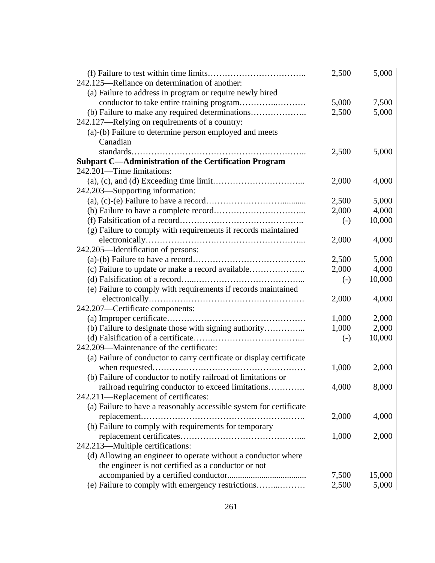|                                                                      | 2,500             | 5,000  |
|----------------------------------------------------------------------|-------------------|--------|
| 242.125—Reliance on determination of another:                        |                   |        |
| (a) Failure to address in program or require newly hired             |                   |        |
|                                                                      | 5,000             | 7,500  |
| (b) Failure to make any required determinations                      | 2,500             | 5,000  |
| 242.127—Relying on requirements of a country:                        |                   |        |
| (a)-(b) Failure to determine person employed and meets               |                   |        |
| Canadian                                                             |                   |        |
| .                                                                    | 2,500             | 5,000  |
| <b>Subpart C-Administration of the Certification Program</b>         |                   |        |
| 242.201—Time limitations:                                            |                   |        |
|                                                                      | 2,000             | 4,000  |
| 242.203—Supporting information:                                      |                   |        |
|                                                                      | 2,500             | 5,000  |
|                                                                      | 2,000             | 4,000  |
|                                                                      | $(-)$             | 10,000 |
| (g) Failure to comply with requirements if records maintained        |                   |        |
|                                                                      | 2,000             | 4,000  |
| 242.205—Identification of persons:                                   |                   |        |
|                                                                      | 2,500             | 5,000  |
| (c) Failure to update or make a record available                     | 2,000             | 4,000  |
|                                                                      | $\left( -\right)$ | 10,000 |
| (e) Failure to comply with requirements if records maintained        |                   |        |
|                                                                      | 2,000             | 4,000  |
| 242.207-Certificate components:                                      |                   |        |
|                                                                      | 1,000             | 2,000  |
| (b) Failure to designate those with signing authority                | 1,000             | 2,000  |
|                                                                      | $(-)$             | 10,000 |
| 242.209—Maintenance of the certificate:                              |                   |        |
| (a) Failure of conductor to carry certificate or display certificate |                   |        |
|                                                                      | 1,000             | 2,000  |
| (b) Failure of conductor to notify railroad of limitations or        |                   |        |
| railroad requiring conductor to exceed limitations                   | 4,000             | 8,000  |
| 242.211-Replacement of certificates:                                 |                   |        |
| (a) Failure to have a reasonably accessible system for certificate   |                   |        |
| replacement                                                          | 2,000             | 4,000  |
| (b) Failure to comply with requirements for temporary                |                   |        |
|                                                                      | 1,000             | 2,000  |
| 242.213-Multiple certifications:                                     |                   |        |
| (d) Allowing an engineer to operate without a conductor where        |                   |        |
| the engineer is not certified as a conductor or not                  |                   |        |
|                                                                      | 7,500             | 15,000 |
|                                                                      | 2,500             | 5,000  |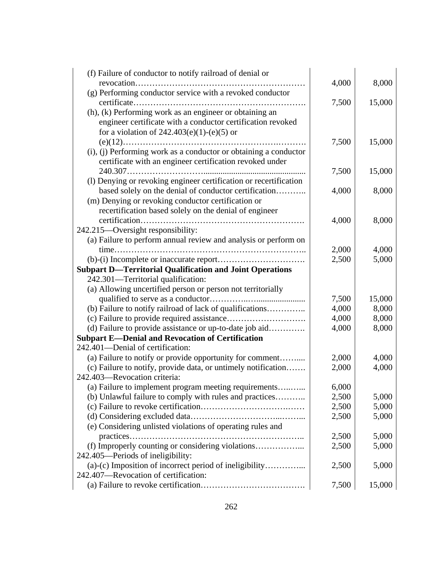| (f) Failure of conductor to notify railroad of denial or          |       |        |
|-------------------------------------------------------------------|-------|--------|
|                                                                   | 4,000 | 8,000  |
| (g) Performing conductor service with a revoked conductor         |       |        |
|                                                                   | 7,500 | 15,000 |
| (h), (k) Performing work as an engineer or obtaining an           |       |        |
| engineer certificate with a conductor certification revoked       |       |        |
| for a violation of $242.403(e)(1)-(e)(5)$ or                      |       |        |
|                                                                   | 7,500 | 15,000 |
| (i), (j) Performing work as a conductor or obtaining a conductor  |       |        |
| certificate with an engineer certification revoked under          |       |        |
|                                                                   | 7,500 | 15,000 |
| (l) Denying or revoking engineer certification or recertification |       |        |
| based solely on the denial of conductor certification             | 4,000 | 8,000  |
| (m) Denying or revoking conductor certification or                |       |        |
| recertification based solely on the denial of engineer            |       |        |
|                                                                   | 4,000 | 8,000  |
| 242.215-Oversight responsibility:                                 |       |        |
| (a) Failure to perform annual review and analysis or perform on   |       |        |
| $time$                                                            | 2,000 | 4,000  |
|                                                                   | 2,500 | 5,000  |
| <b>Subpart D-Territorial Qualification and Joint Operations</b>   |       |        |
| 242.301-Territorial qualification:                                |       |        |
| (a) Allowing uncertified person or person not territorially       |       |        |
|                                                                   | 7,500 | 15,000 |
| (b) Failure to notify railroad of lack of qualifications          | 4,000 | 8,000  |
|                                                                   | 4,000 | 8,000  |
| (d) Failure to provide assistance or up-to-date job aid           | 4,000 | 8,000  |
| <b>Subpart E-Denial and Revocation of Certification</b>           |       |        |
| 242.401-Denial of certification:                                  |       |        |
| (a) Failure to notify or provide opportunity for comment          | 2,000 | 4,000  |
| (c) Failure to notify, provide data, or untimely notification     | 2,000 | 4,000  |
| 242.403-Revocation criteria:                                      |       |        |
| (a) Failure to implement program meeting requirements             | 6,000 |        |
| (b) Unlawful failure to comply with rules and practices           | 2,500 | 5,000  |
|                                                                   | 2,500 | 5,000  |
|                                                                   | 2,500 | 5,000  |
| (e) Considering unlisted violations of operating rules and        |       |        |
|                                                                   | 2,500 | 5,000  |
| (f) Improperly counting or considering violations                 | 2,500 | 5,000  |
| 242.405—Periods of ineligibility:                                 |       |        |
| 242.407-Revocation of certification:                              | 2,500 | 5,000  |
|                                                                   | 7,500 | 15,000 |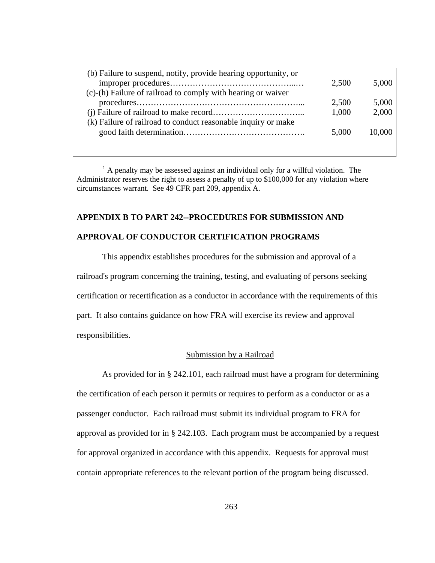| (b) Failure to suspend, notify, provide hearing opportunity, or<br>(c)-(h) Failure of railroad to comply with hearing or waiver | 2,500 | 5,000  |
|---------------------------------------------------------------------------------------------------------------------------------|-------|--------|
|                                                                                                                                 | 2,500 | 5,000  |
|                                                                                                                                 | 1,000 | 2,000  |
| (k) Failure of railroad to conduct reasonable inquiry or make                                                                   |       |        |
|                                                                                                                                 | 5,000 | 10,000 |
|                                                                                                                                 |       |        |

 $<sup>1</sup>$  A penalty may be assessed against an individual only for a willful violation. The</sup> Administrator reserves the right to assess a penalty of up to \$100,000 for any violation where circumstances warrant. See 49 CFR part 209, appendix A.

## **APPENDIX B TO PART 242--PROCEDURES FOR SUBMISSION AND**

## **APPROVAL OF CONDUCTOR CERTIFICATION PROGRAMS**

This appendix establishes procedures for the submission and approval of a railroad's program concerning the training, testing, and evaluating of persons seeking certification or recertification as a conductor in accordance with the requirements of this part. It also contains guidance on how FRA will exercise its review and approval responsibilities.

#### Submission by a Railroad

As provided for in § 242.101, each railroad must have a program for determining the certification of each person it permits or requires to perform as a conductor or as a passenger conductor. Each railroad must submit its individual program to FRA for approval as provided for in § 242.103. Each program must be accompanied by a request for approval organized in accordance with this appendix. Requests for approval must contain appropriate references to the relevant portion of the program being discussed.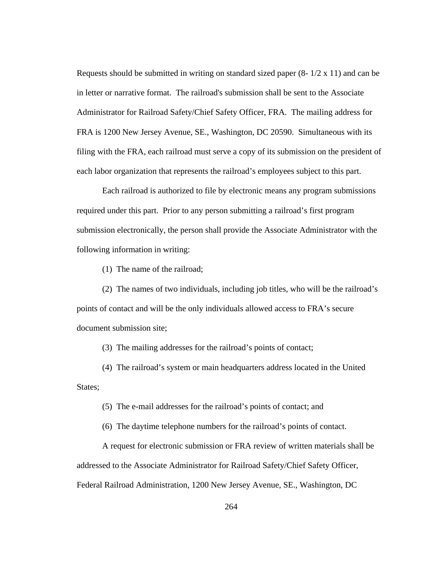Requests should be submitted in writing on standard sized paper  $(8-1/2 \times 11)$  and can be in letter or narrative format. The railroad's submission shall be sent to the Associate Administrator for Railroad Safety/Chief Safety Officer, FRA. The mailing address for FRA is 1200 New Jersey Avenue, SE., Washington, DC 20590. Simultaneous with its filing with the FRA, each railroad must serve a copy of its submission on the president of each labor organization that represents the railroad's employees subject to this part.

Each railroad is authorized to file by electronic means any program submissions required under this part. Prior to any person submitting a railroad's first program submission electronically, the person shall provide the Associate Administrator with the following information in writing:

(1) The name of the railroad;

 (2) The names of two individuals, including job titles, who will be the railroad's points of contact and will be the only individuals allowed access to FRA's secure document submission site;

(3) The mailing addresses for the railroad's points of contact;

 (4) The railroad's system or main headquarters address located in the United States;

(5) The e-mail addresses for the railroad's points of contact; and

(6) The daytime telephone numbers for the railroad's points of contact.

A request for electronic submission or FRA review of written materials shall be addressed to the Associate Administrator for Railroad Safety/Chief Safety Officer, Federal Railroad Administration, 1200 New Jersey Avenue, SE., Washington, DC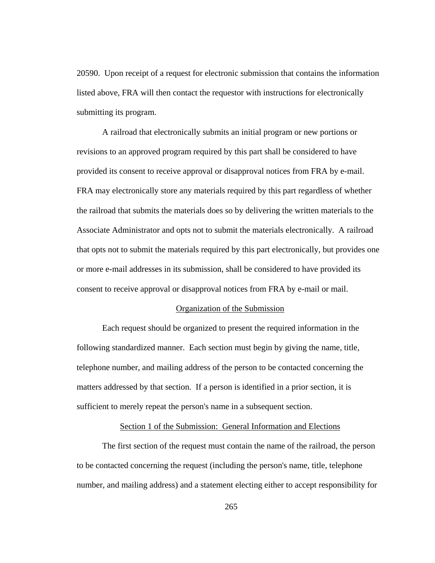20590. Upon receipt of a request for electronic submission that contains the information listed above, FRA will then contact the requestor with instructions for electronically submitting its program.

A railroad that electronically submits an initial program or new portions or revisions to an approved program required by this part shall be considered to have provided its consent to receive approval or disapproval notices from FRA by e-mail. FRA may electronically store any materials required by this part regardless of whether the railroad that submits the materials does so by delivering the written materials to the Associate Administrator and opts not to submit the materials electronically. A railroad that opts not to submit the materials required by this part electronically, but provides one or more e-mail addresses in its submission, shall be considered to have provided its consent to receive approval or disapproval notices from FRA by e-mail or mail.

### Organization of the Submission

Each request should be organized to present the required information in the following standardized manner. Each section must begin by giving the name, title, telephone number, and mailing address of the person to be contacted concerning the matters addressed by that section. If a person is identified in a prior section, it is sufficient to merely repeat the person's name in a subsequent section.

### Section 1 of the Submission: General Information and Elections

The first section of the request must contain the name of the railroad, the person to be contacted concerning the request (including the person's name, title, telephone number, and mailing address) and a statement electing either to accept responsibility for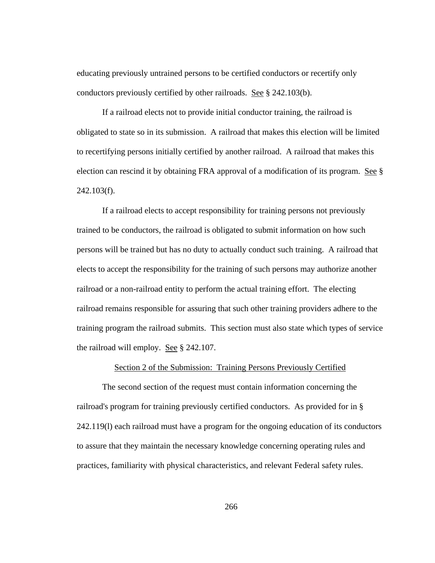educating previously untrained persons to be certified conductors or recertify only conductors previously certified by other railroads. See § 242.103(b).

If a railroad elects not to provide initial conductor training, the railroad is obligated to state so in its submission. A railroad that makes this election will be limited to recertifying persons initially certified by another railroad. A railroad that makes this election can rescind it by obtaining FRA approval of a modification of its program. See § 242.103(f).

If a railroad elects to accept responsibility for training persons not previously trained to be conductors, the railroad is obligated to submit information on how such persons will be trained but has no duty to actually conduct such training. A railroad that elects to accept the responsibility for the training of such persons may authorize another railroad or a non-railroad entity to perform the actual training effort. The electing railroad remains responsible for assuring that such other training providers adhere to the training program the railroad submits. This section must also state which types of service the railroad will employ. See § 242.107.

## Section 2 of the Submission: Training Persons Previously Certified

The second section of the request must contain information concerning the railroad's program for training previously certified conductors. As provided for in § 242.119(l) each railroad must have a program for the ongoing education of its conductors to assure that they maintain the necessary knowledge concerning operating rules and practices, familiarity with physical characteristics, and relevant Federal safety rules.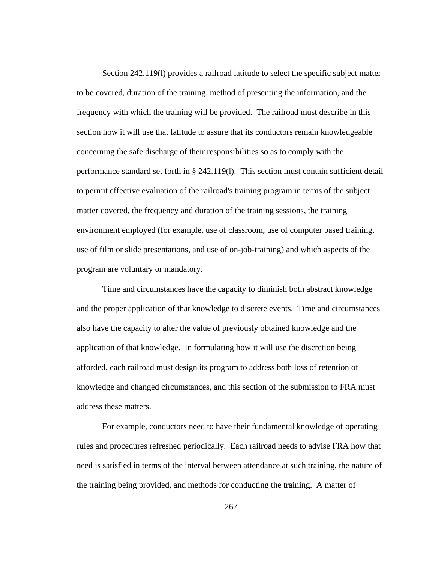Section 242.119(l) provides a railroad latitude to select the specific subject matter to be covered, duration of the training, method of presenting the information, and the frequency with which the training will be provided. The railroad must describe in this section how it will use that latitude to assure that its conductors remain knowledgeable concerning the safe discharge of their responsibilities so as to comply with the performance standard set forth in § 242.119(l). This section must contain sufficient detail to permit effective evaluation of the railroad's training program in terms of the subject matter covered, the frequency and duration of the training sessions, the training environment employed (for example, use of classroom, use of computer based training, use of film or slide presentations, and use of on-job-training) and which aspects of the program are voluntary or mandatory.

Time and circumstances have the capacity to diminish both abstract knowledge and the proper application of that knowledge to discrete events. Time and circumstances also have the capacity to alter the value of previously obtained knowledge and the application of that knowledge. In formulating how it will use the discretion being afforded, each railroad must design its program to address both loss of retention of knowledge and changed circumstances, and this section of the submission to FRA must address these matters.

For example, conductors need to have their fundamental knowledge of operating rules and procedures refreshed periodically. Each railroad needs to advise FRA how that need is satisfied in terms of the interval between attendance at such training, the nature of the training being provided, and methods for conducting the training. A matter of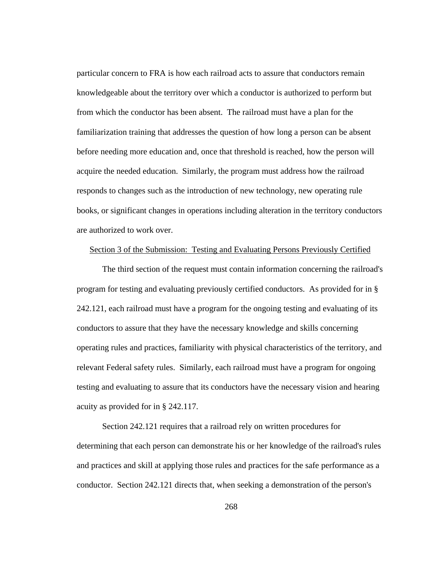particular concern to FRA is how each railroad acts to assure that conductors remain knowledgeable about the territory over which a conductor is authorized to perform but from which the conductor has been absent. The railroad must have a plan for the familiarization training that addresses the question of how long a person can be absent before needing more education and, once that threshold is reached, how the person will acquire the needed education. Similarly, the program must address how the railroad responds to changes such as the introduction of new technology, new operating rule books, or significant changes in operations including alteration in the territory conductors are authorized to work over.

### Section 3 of the Submission: Testing and Evaluating Persons Previously Certified

The third section of the request must contain information concerning the railroad's program for testing and evaluating previously certified conductors. As provided for in § 242.121, each railroad must have a program for the ongoing testing and evaluating of its conductors to assure that they have the necessary knowledge and skills concerning operating rules and practices, familiarity with physical characteristics of the territory, and relevant Federal safety rules. Similarly, each railroad must have a program for ongoing testing and evaluating to assure that its conductors have the necessary vision and hearing acuity as provided for in § 242.117.

Section 242.121 requires that a railroad rely on written procedures for determining that each person can demonstrate his or her knowledge of the railroad's rules and practices and skill at applying those rules and practices for the safe performance as a conductor. Section 242.121 directs that, when seeking a demonstration of the person's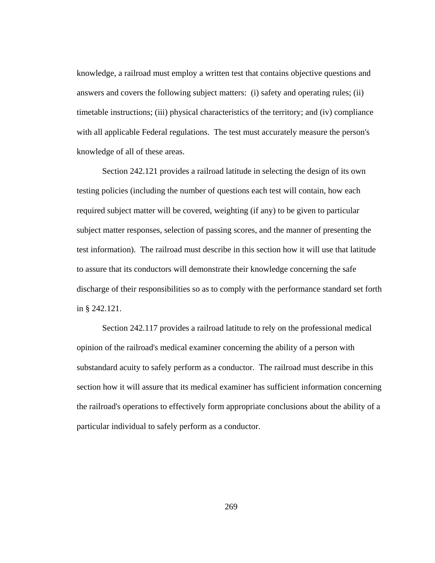knowledge, a railroad must employ a written test that contains objective questions and answers and covers the following subject matters: (i) safety and operating rules; (ii) timetable instructions; (iii) physical characteristics of the territory; and (iv) compliance with all applicable Federal regulations. The test must accurately measure the person's knowledge of all of these areas.

Section 242.121 provides a railroad latitude in selecting the design of its own testing policies (including the number of questions each test will contain, how each required subject matter will be covered, weighting (if any) to be given to particular subject matter responses, selection of passing scores, and the manner of presenting the test information). The railroad must describe in this section how it will use that latitude to assure that its conductors will demonstrate their knowledge concerning the safe discharge of their responsibilities so as to comply with the performance standard set forth in § 242.121.

Section 242.117 provides a railroad latitude to rely on the professional medical opinion of the railroad's medical examiner concerning the ability of a person with substandard acuity to safely perform as a conductor. The railroad must describe in this section how it will assure that its medical examiner has sufficient information concerning the railroad's operations to effectively form appropriate conclusions about the ability of a particular individual to safely perform as a conductor.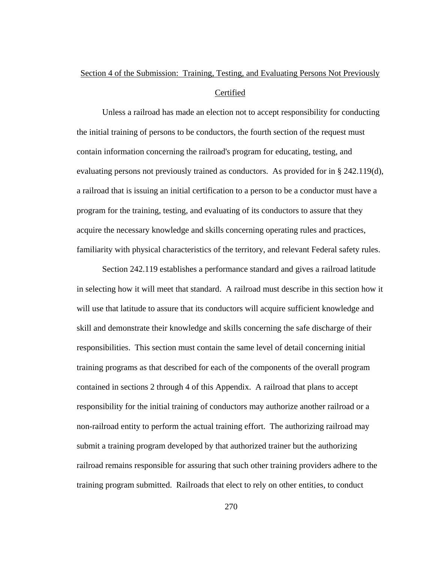# Section 4 of the Submission: Training, Testing, and Evaluating Persons Not Previously Certified

Unless a railroad has made an election not to accept responsibility for conducting the initial training of persons to be conductors, the fourth section of the request must contain information concerning the railroad's program for educating, testing, and evaluating persons not previously trained as conductors. As provided for in § 242.119(d), a railroad that is issuing an initial certification to a person to be a conductor must have a program for the training, testing, and evaluating of its conductors to assure that they acquire the necessary knowledge and skills concerning operating rules and practices, familiarity with physical characteristics of the territory, and relevant Federal safety rules.

Section 242.119 establishes a performance standard and gives a railroad latitude in selecting how it will meet that standard. A railroad must describe in this section how it will use that latitude to assure that its conductors will acquire sufficient knowledge and skill and demonstrate their knowledge and skills concerning the safe discharge of their responsibilities. This section must contain the same level of detail concerning initial training programs as that described for each of the components of the overall program contained in sections 2 through 4 of this Appendix. A railroad that plans to accept responsibility for the initial training of conductors may authorize another railroad or a non-railroad entity to perform the actual training effort. The authorizing railroad may submit a training program developed by that authorized trainer but the authorizing railroad remains responsible for assuring that such other training providers adhere to the training program submitted. Railroads that elect to rely on other entities, to conduct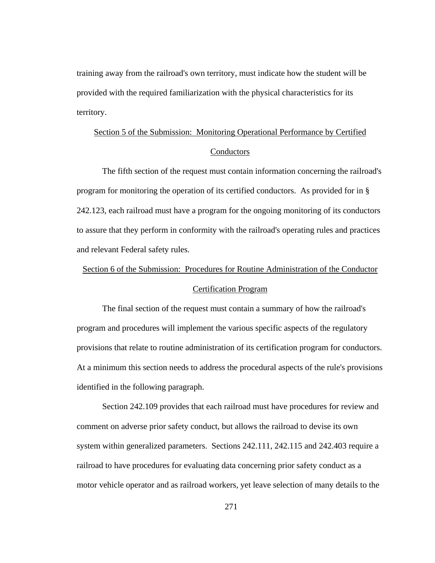training away from the railroad's own territory, must indicate how the student will be provided with the required familiarization with the physical characteristics for its territory.

# Section 5 of the Submission: Monitoring Operational Performance by Certified **Conductors**

The fifth section of the request must contain information concerning the railroad's program for monitoring the operation of its certified conductors. As provided for in § 242.123, each railroad must have a program for the ongoing monitoring of its conductors to assure that they perform in conformity with the railroad's operating rules and practices and relevant Federal safety rules.

# Section 6 of the Submission: Procedures for Routine Administration of the Conductor

### Certification Program

The final section of the request must contain a summary of how the railroad's program and procedures will implement the various specific aspects of the regulatory provisions that relate to routine administration of its certification program for conductors. At a minimum this section needs to address the procedural aspects of the rule's provisions identified in the following paragraph.

Section 242.109 provides that each railroad must have procedures for review and comment on adverse prior safety conduct, but allows the railroad to devise its own system within generalized parameters. Sections 242.111, 242.115 and 242.403 require a railroad to have procedures for evaluating data concerning prior safety conduct as a motor vehicle operator and as railroad workers, yet leave selection of many details to the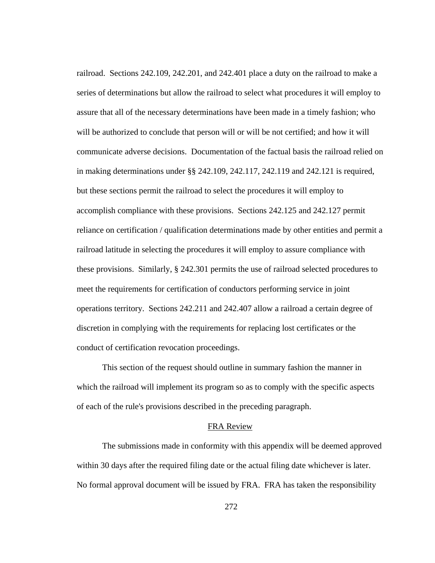railroad. Sections 242.109, 242.201, and 242.401 place a duty on the railroad to make a series of determinations but allow the railroad to select what procedures it will employ to assure that all of the necessary determinations have been made in a timely fashion; who will be authorized to conclude that person will or will be not certified; and how it will communicate adverse decisions. Documentation of the factual basis the railroad relied on in making determinations under §§ 242.109, 242.117, 242.119 and 242.121 is required, but these sections permit the railroad to select the procedures it will employ to accomplish compliance with these provisions. Sections 242.125 and 242.127 permit reliance on certification / qualification determinations made by other entities and permit a railroad latitude in selecting the procedures it will employ to assure compliance with these provisions. Similarly, § 242.301 permits the use of railroad selected procedures to meet the requirements for certification of conductors performing service in joint operations territory. Sections 242.211 and 242.407 allow a railroad a certain degree of discretion in complying with the requirements for replacing lost certificates or the conduct of certification revocation proceedings.

This section of the request should outline in summary fashion the manner in which the railroad will implement its program so as to comply with the specific aspects of each of the rule's provisions described in the preceding paragraph.

### FRA Review

The submissions made in conformity with this appendix will be deemed approved within 30 days after the required filing date or the actual filing date whichever is later. No formal approval document will be issued by FRA. FRA has taken the responsibility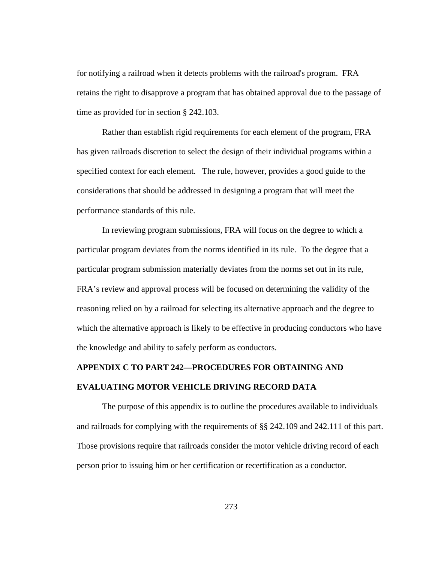for notifying a railroad when it detects problems with the railroad's program. FRA retains the right to disapprove a program that has obtained approval due to the passage of time as provided for in section § 242.103.

Rather than establish rigid requirements for each element of the program, FRA has given railroads discretion to select the design of their individual programs within a specified context for each element. The rule, however, provides a good guide to the considerations that should be addressed in designing a program that will meet the performance standards of this rule.

In reviewing program submissions, FRA will focus on the degree to which a particular program deviates from the norms identified in its rule. To the degree that a particular program submission materially deviates from the norms set out in its rule, FRA's review and approval process will be focused on determining the validity of the reasoning relied on by a railroad for selecting its alternative approach and the degree to which the alternative approach is likely to be effective in producing conductors who have the knowledge and ability to safely perform as conductors.

# **APPENDIX C TO PART 242—PROCEDURES FOR OBTAINING AND EVALUATING MOTOR VEHICLE DRIVING RECORD DATA**

The purpose of this appendix is to outline the procedures available to individuals and railroads for complying with the requirements of §§ 242.109 and 242.111 of this part. Those provisions require that railroads consider the motor vehicle driving record of each person prior to issuing him or her certification or recertification as a conductor.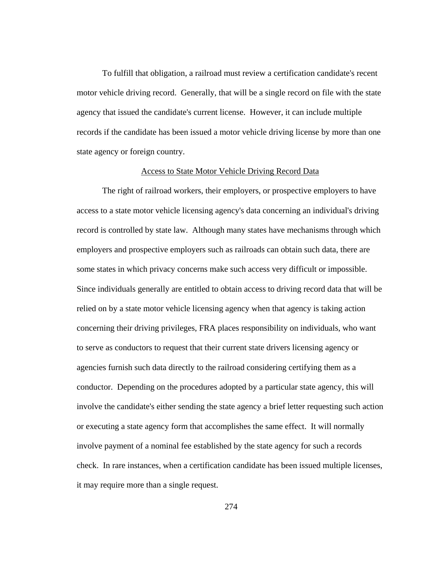To fulfill that obligation, a railroad must review a certification candidate's recent motor vehicle driving record. Generally, that will be a single record on file with the state agency that issued the candidate's current license. However, it can include multiple records if the candidate has been issued a motor vehicle driving license by more than one state agency or foreign country.

#### Access to State Motor Vehicle Driving Record Data

The right of railroad workers, their employers, or prospective employers to have access to a state motor vehicle licensing agency's data concerning an individual's driving record is controlled by state law. Although many states have mechanisms through which employers and prospective employers such as railroads can obtain such data, there are some states in which privacy concerns make such access very difficult or impossible. Since individuals generally are entitled to obtain access to driving record data that will be relied on by a state motor vehicle licensing agency when that agency is taking action concerning their driving privileges, FRA places responsibility on individuals, who want to serve as conductors to request that their current state drivers licensing agency or agencies furnish such data directly to the railroad considering certifying them as a conductor. Depending on the procedures adopted by a particular state agency, this will involve the candidate's either sending the state agency a brief letter requesting such action or executing a state agency form that accomplishes the same effect. It will normally involve payment of a nominal fee established by the state agency for such a records check. In rare instances, when a certification candidate has been issued multiple licenses, it may require more than a single request.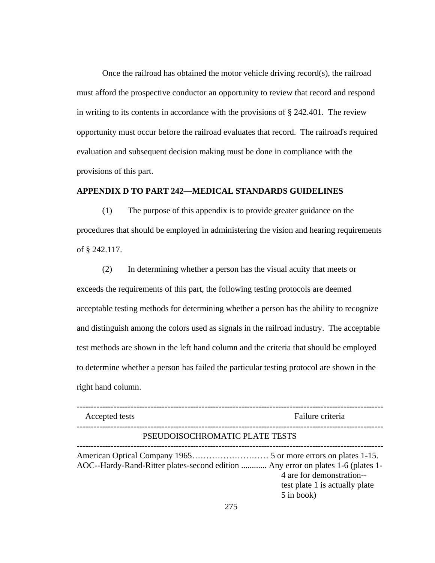Once the railroad has obtained the motor vehicle driving record(s), the railroad must afford the prospective conductor an opportunity to review that record and respond in writing to its contents in accordance with the provisions of § 242.401. The review opportunity must occur before the railroad evaluates that record. The railroad's required evaluation and subsequent decision making must be done in compliance with the provisions of this part.

### **APPENDIX D TO PART 242—MEDICAL STANDARDS GUIDELINES**

(1) The purpose of this appendix is to provide greater guidance on the procedures that should be employed in administering the vision and hearing requirements of § 242.117.

(2) In determining whether a person has the visual acuity that meets or exceeds the requirements of this part, the following testing protocols are deemed acceptable testing methods for determining whether a person has the ability to recognize and distinguish among the colors used as signals in the railroad industry. The acceptable test methods are shown in the left hand column and the criteria that should be employed to determine whether a person has failed the particular testing protocol are shown in the right hand column.

| Accepted tests                                                                   | Failure criteria                                                          |
|----------------------------------------------------------------------------------|---------------------------------------------------------------------------|
| PSEUDOISOCHROMATIC PLATE TESTS                                                   |                                                                           |
| AOC--Hardy-Rand-Ritter plates-second edition  Any error on plates 1-6 (plates 1- | 4 are for demonstration--<br>test plate 1 is actually plate<br>5 in book) |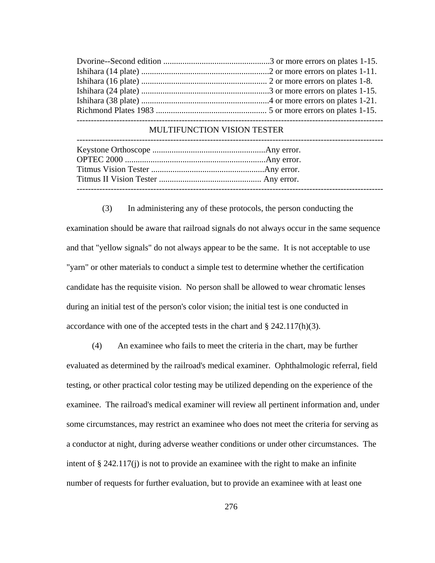#### MULTIFUNCTION VISION TESTER

(3) In administering any of these protocols, the person conducting the examination should be aware that railroad signals do not always occur in the same sequence and that "yellow signals" do not always appear to be the same. It is not acceptable to use "yarn" or other materials to conduct a simple test to determine whether the certification candidate has the requisite vision. No person shall be allowed to wear chromatic lenses during an initial test of the person's color vision; the initial test is one conducted in accordance with one of the accepted tests in the chart and  $\S$  242.117(h)(3).

(4) An examinee who fails to meet the criteria in the chart, may be further evaluated as determined by the railroad's medical examiner. Ophthalmologic referral, field testing, or other practical color testing may be utilized depending on the experience of the examinee. The railroad's medical examiner will review all pertinent information and, under some circumstances, may restrict an examinee who does not meet the criteria for serving as a conductor at night, during adverse weather conditions or under other circumstances. The intent of  $\S 242.117(i)$  is not to provide an examinee with the right to make an infinite number of requests for further evaluation, but to provide an examinee with at least one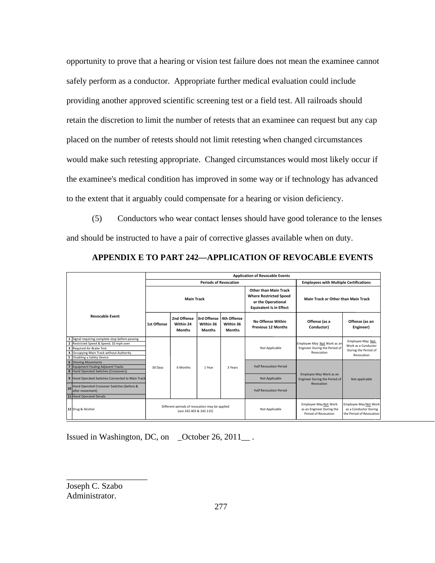opportunity to prove that a hearing or vision test failure does not mean the examinee cannot safely perform as a conductor. Appropriate further medical evaluation could include providing another approved scientific screening test or a field test. All railroads should retain the discretion to limit the number of retests that an examinee can request but any cap placed on the number of retests should not limit retesting when changed circumstances would make such retesting appropriate. Changed circumstances would most likely occur if the examinee's medical condition has improved in some way or if technology has advanced to the extent that it arguably could compensate for a hearing or vision deficiency.

(5) Conductors who wear contact lenses should have good tolerance to the lenses and should be instructed to have a pair of corrective glasses available when on duty.

|                                                                                                                                                                                                                                  | <b>Application of Revocable Events</b>                                    |                                           |                                           |                                           |                                                                                                                       |                                                                            |                                                                               |
|----------------------------------------------------------------------------------------------------------------------------------------------------------------------------------------------------------------------------------|---------------------------------------------------------------------------|-------------------------------------------|-------------------------------------------|-------------------------------------------|-----------------------------------------------------------------------------------------------------------------------|----------------------------------------------------------------------------|-------------------------------------------------------------------------------|
|                                                                                                                                                                                                                                  | <b>Periods of Revocation</b>                                              |                                           |                                           |                                           | <b>Employees with Multiple Certifications</b>                                                                         |                                                                            |                                                                               |
|                                                                                                                                                                                                                                  | <b>Main Track</b>                                                         |                                           |                                           |                                           | <b>Other than Main Track</b><br><b>Where Restricted Speed</b><br>or the Operational<br><b>Equivalent Is in Effect</b> | Main Track or Other than Main Track                                        |                                                                               |
| <b>Revocable Event</b>                                                                                                                                                                                                           | 1st Offense                                                               | 2nd Offense<br>Within 24<br><b>Months</b> | 3rd Offense<br>Within 36<br><b>Months</b> | 4th Offense<br>Within 36<br><b>Months</b> | No Offense Within<br><b>Previous 12 Months</b>                                                                        | Offense (as a<br>Conductor)                                                | Offense (as an<br>Engineer)                                                   |
| Signal requiring complete stop before passing<br>2 Restricted Speed & Speed; 10 mph over<br>$\overline{\mathbf{3}}$<br><b>Required Air Brake Test</b><br>4 Occupying Main Track without Authority<br>5 Disabling a Safety Device |                                                                           |                                           |                                           |                                           | Not Applicable                                                                                                        | Employee May Not Work as an<br>Engineer During the Period of<br>Revocation | Employee May Not<br>Work as a Conductor<br>During the Period of<br>Revocation |
| 6<br><b>Shoving Movements</b><br>$\overline{7}$<br><b>Equipment Fouling Adjacent Tracks</b><br>8 Hand Operated Switches (Crossovers)                                                                                             | 30 Days                                                                   | 6 Months                                  | 1 Year                                    | 3 Years                                   | <b>Half Revocation Period</b>                                                                                         |                                                                            |                                                                               |
| 9 Hand Operated Switches Connected to Main Track                                                                                                                                                                                 |                                                                           |                                           |                                           |                                           | Not Applicable                                                                                                        | Employee May Work as an<br>Engineer During the Period of                   | Not applicable                                                                |
| Hand Operated Crossover Switches (before &<br>10<br>after movement)<br>11 Hand Operated Derails                                                                                                                                  |                                                                           |                                           |                                           |                                           | <b>Half Revocation Period</b>                                                                                         | Revocation                                                                 |                                                                               |
| 12 Drug & Alcohol                                                                                                                                                                                                                | Different periods of revocation may be applied<br>(see 242.403 & 242.115) |                                           |                                           |                                           | Not Applicable                                                                                                        | Employee May Not Work<br>as an Engineer During the<br>Period of Revocation | Employee May Not Work<br>as a Conductor During<br>the Period of Revocation    |

**APPENDIX E TO PART 242—APPLICATION OF REVOCABLE EVENTS** 

Issued in Washington, DC, on \_October 26, 2011\_.

Joseph C. Szabo Administrator.

\_\_\_\_\_\_\_\_\_\_\_\_\_\_\_\_\_\_\_